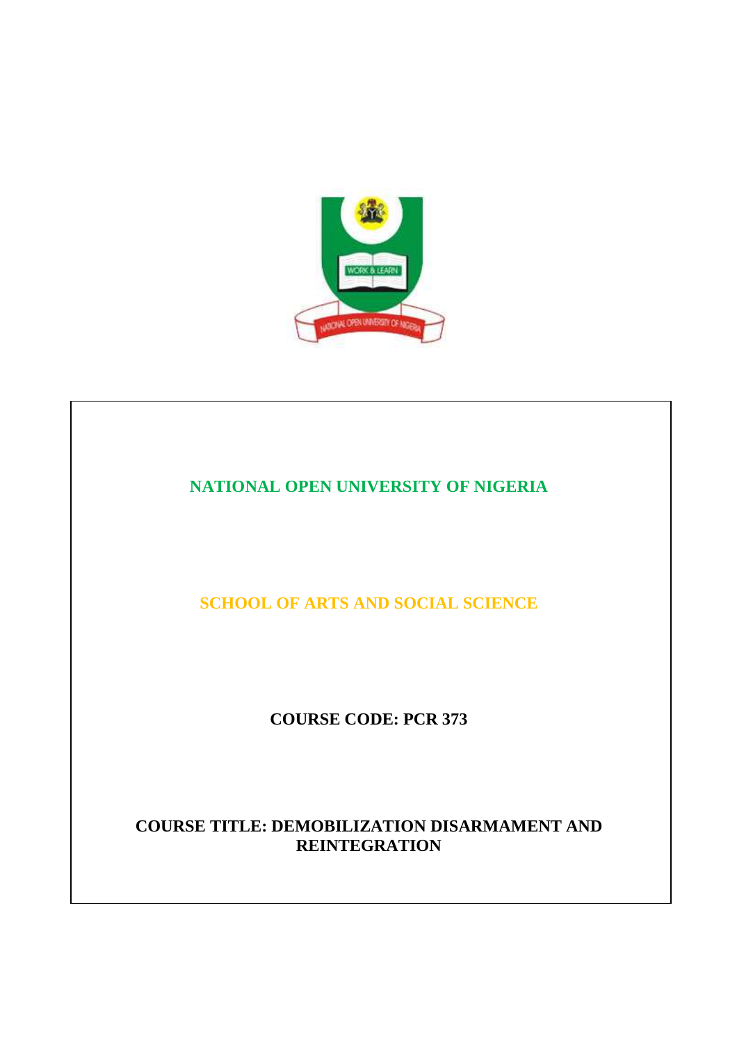

# **NATIONAL OPEN UNIVERSITY OF NIGERIA**

**SCHOOL OF ARTS AND SOCIAL SCIENCE** 

# **COURSE CODE: PCR 373**

# **COURSE TITLE: DEMOBILIZATION DISARMAMENT AND REINTEGRATION**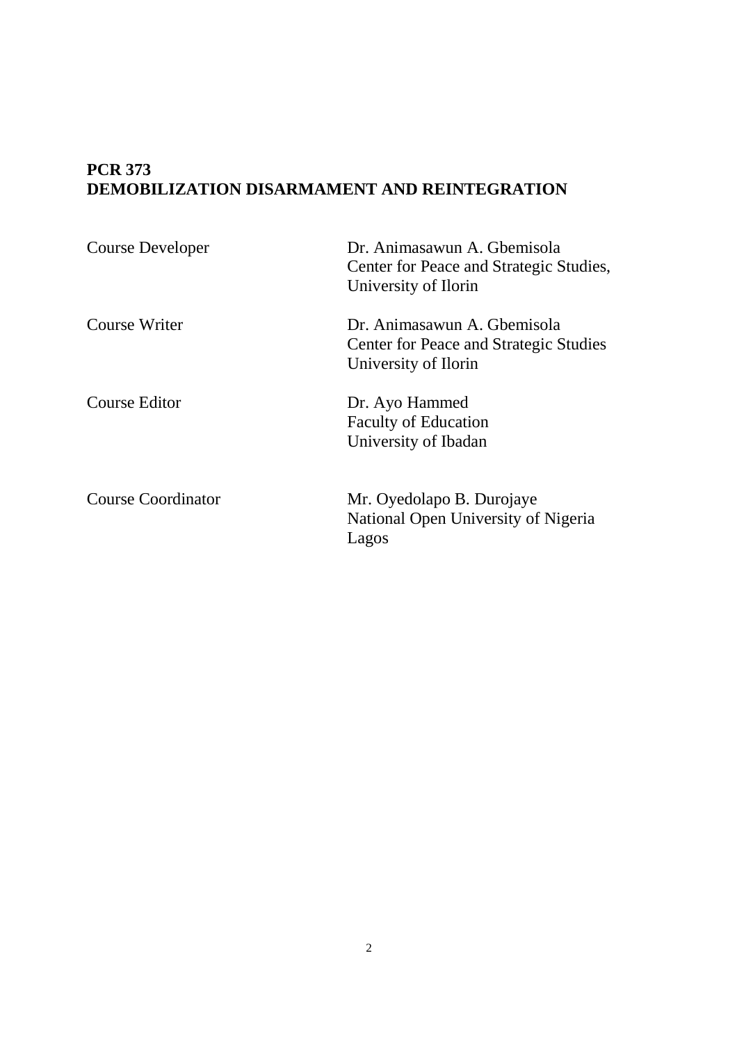# **PCR 373 DEMOBILIZATION DISARMAMENT AND REINTEGRATION**

| <b>Course Developer</b> | Dr. Animasawun A. Gbemisola<br>Center for Peace and Strategic Studies,<br>University of Ilorin |
|-------------------------|------------------------------------------------------------------------------------------------|
| <b>Course Writer</b>    | Dr. Animasawun A. Gbemisola<br>Center for Peace and Strategic Studies<br>University of Ilorin  |
| Course Editor           | Dr. Ayo Hammed<br><b>Faculty of Education</b><br>University of Ibadan                          |
| Course Coordinator      | Mr. Oyedolapo B. Durojaye<br>National Open University of Nigeria<br>Lagos                      |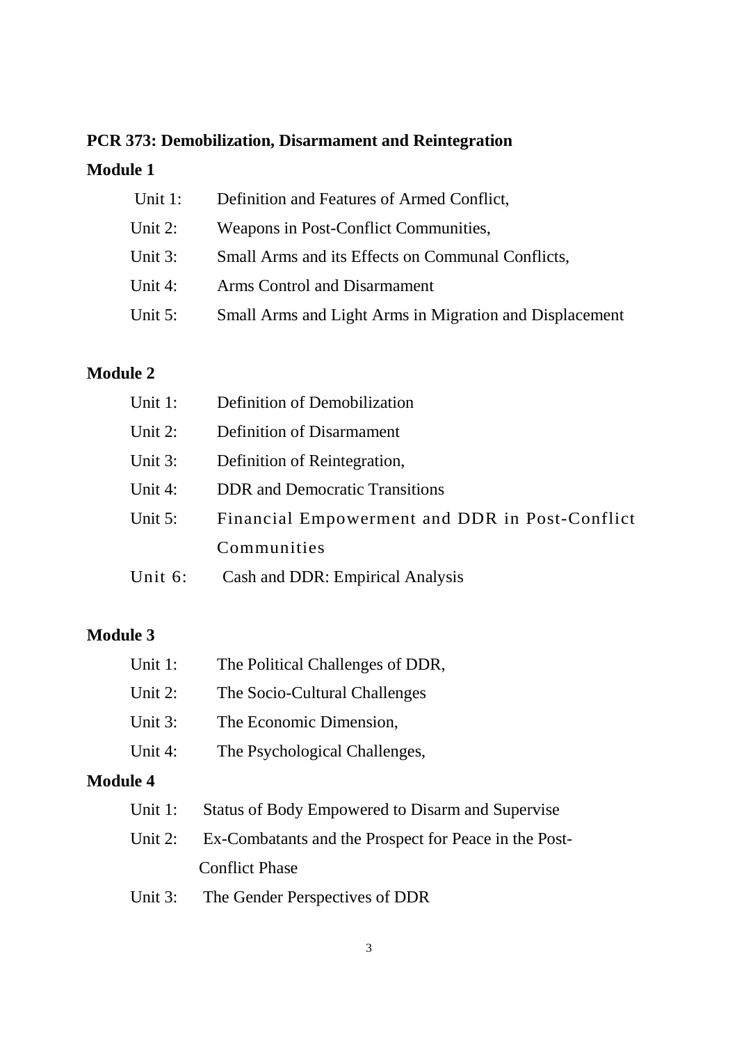# **PCR 373: Demobilization, Disarmament and Reintegration**

# **Module 1**

|         | Unit 1: Definition and Features of Armed Conflict,      |
|---------|---------------------------------------------------------|
| Unit 2: | Weapons in Post-Conflict Communities,                   |
| Unit 3: | Small Arms and its Effects on Communal Conflicts,       |
| Unit 4: | Arms Control and Disarmament                            |
| Unit 5: | Small Arms and Light Arms in Migration and Displacement |

# **Module 2**

|            | Unit 1: Definition of Demobilization           |
|------------|------------------------------------------------|
| Unit $2$ : | Definition of Disarmament                      |
| Unit 3:    | Definition of Reintegration,                   |
| Unit 4:    | <b>DDR</b> and Democratic Transitions          |
| Unit $5:$  | Financial Empowerment and DDR in Post-Conflict |
|            | Communities                                    |
|            | Unit 6: Cash and DDR: Empirical Analysis       |

# **Module 3**

| Unit 1: | The Political Challenges of DDR, |
|---------|----------------------------------|
| Unit 2: | The Socio-Cultural Challenges    |
| Unit 3: | The Economic Dimension,          |
| Unit 4: | The Psychological Challenges,    |
|         |                                  |

# **Module 4**

|  | Unit 1: Status of Body Empowered to Disarm and Supervise |  |  |  |
|--|----------------------------------------------------------|--|--|--|
|--|----------------------------------------------------------|--|--|--|

- Unit 2: Ex-Combatants and the Prospect for Peace in the Post- Conflict Phase
- Unit 3: The Gender Perspectives of DDR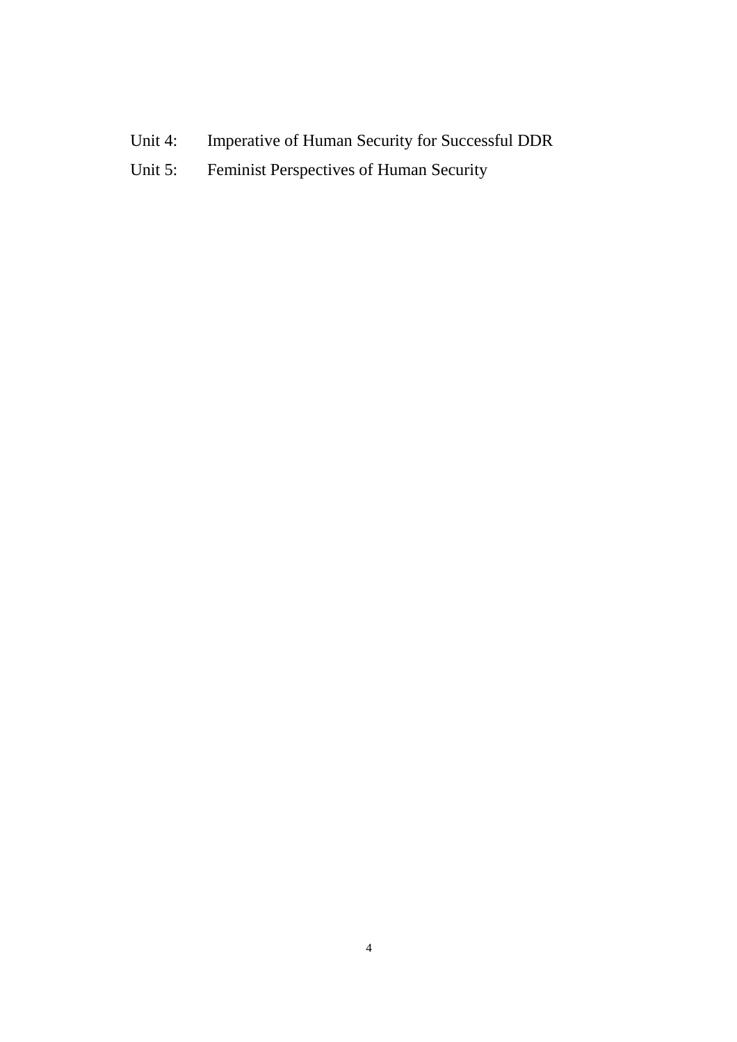- Unit 4: Imperative of Human Security for Successful DDR
- Unit 5: Feminist Perspectives of Human Security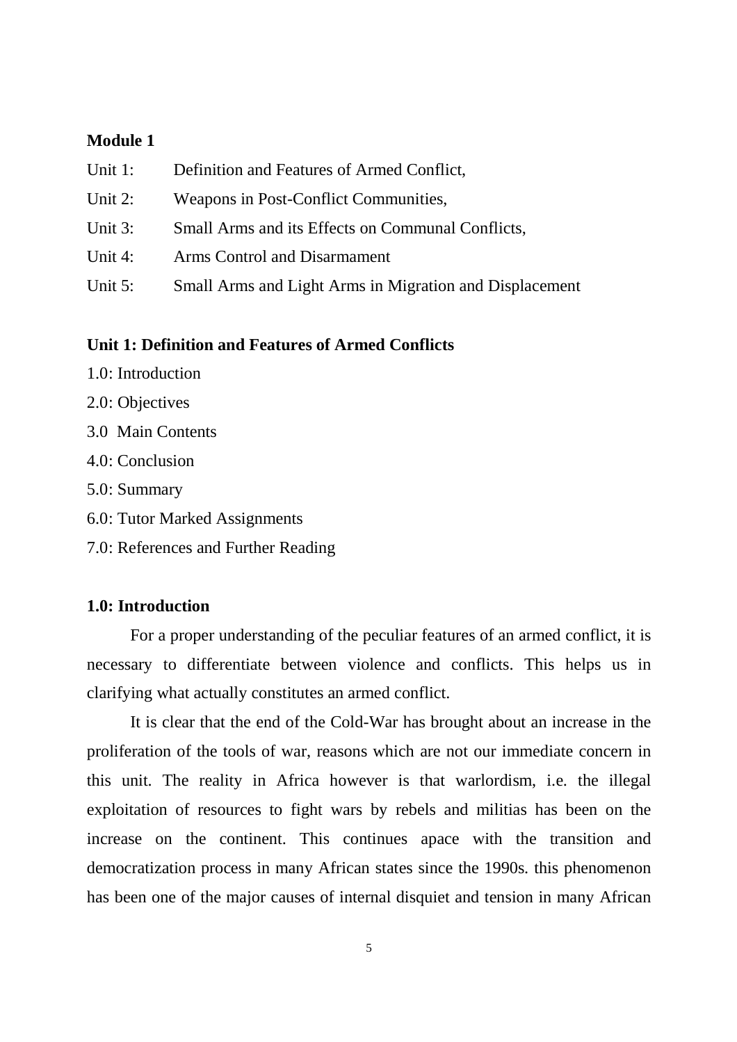### **Module 1**

- Unit 1: Definition and Features of Armed Conflict,
- Unit 2: Weapons in Post-Conflict Communities,
- Unit 3: Small Arms and its Effects on Communal Conflicts,
- Unit 4: Arms Control and Disarmament
- Unit 5: Small Arms and Light Arms in Migration and Displacement

## **Unit 1: Definition and Features of Armed Conflicts**

- 1.0: Introduction
- 2.0: Objectives
- 3.0 Main Contents
- 4.0: Conclusion
- 5.0: Summary
- 6.0: Tutor Marked Assignments
- 7.0: References and Further Reading

# **1.0: Introduction**

For a proper understanding of the peculiar features of an armed conflict, it is necessary to differentiate between violence and conflicts. This helps us in clarifying what actually constitutes an armed conflict.

It is clear that the end of the Cold-War has brought about an increase in the proliferation of the tools of war, reasons which are not our immediate concern in this unit. The reality in Africa however is that warlordism, i.e. the illegal exploitation of resources to fight wars by rebels and militias has been on the increase on the continent. This continues apace with the transition and democratization process in many African states since the 1990s. this phenomenon has been one of the major causes of internal disquiet and tension in many African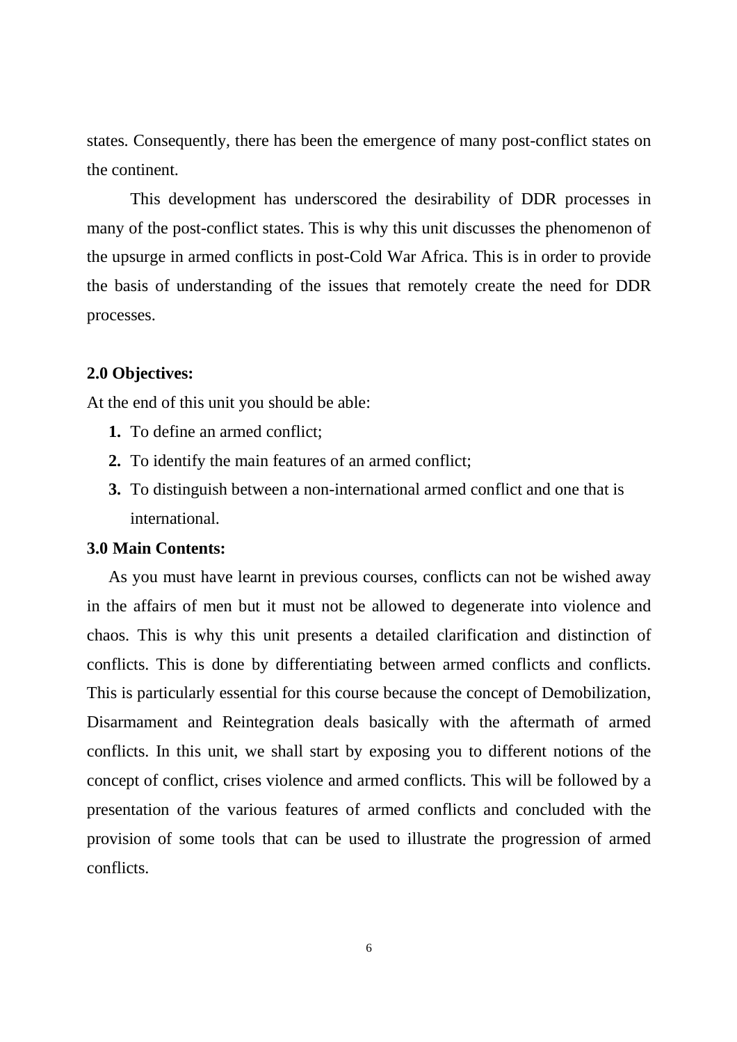states. Consequently, there has been the emergence of many post-conflict states on the continent.

This development has underscored the desirability of DDR processes in many of the post-conflict states. This is why this unit discusses the phenomenon of the upsurge in armed conflicts in post-Cold War Africa. This is in order to provide the basis of understanding of the issues that remotely create the need for DDR processes.

## **2.0 Objectives:**

At the end of this unit you should be able:

- **1.** To define an armed conflict;
- **2.** To identify the main features of an armed conflict;
- **3.** To distinguish between a non-international armed conflict and one that is international.

## **3.0 Main Contents:**

As you must have learnt in previous courses, conflicts can not be wished away in the affairs of men but it must not be allowed to degenerate into violence and chaos. This is why this unit presents a detailed clarification and distinction of conflicts. This is done by differentiating between armed conflicts and conflicts. This is particularly essential for this course because the concept of Demobilization, Disarmament and Reintegration deals basically with the aftermath of armed conflicts. In this unit, we shall start by exposing you to different notions of the concept of conflict, crises violence and armed conflicts. This will be followed by a presentation of the various features of armed conflicts and concluded with the provision of some tools that can be used to illustrate the progression of armed conflicts.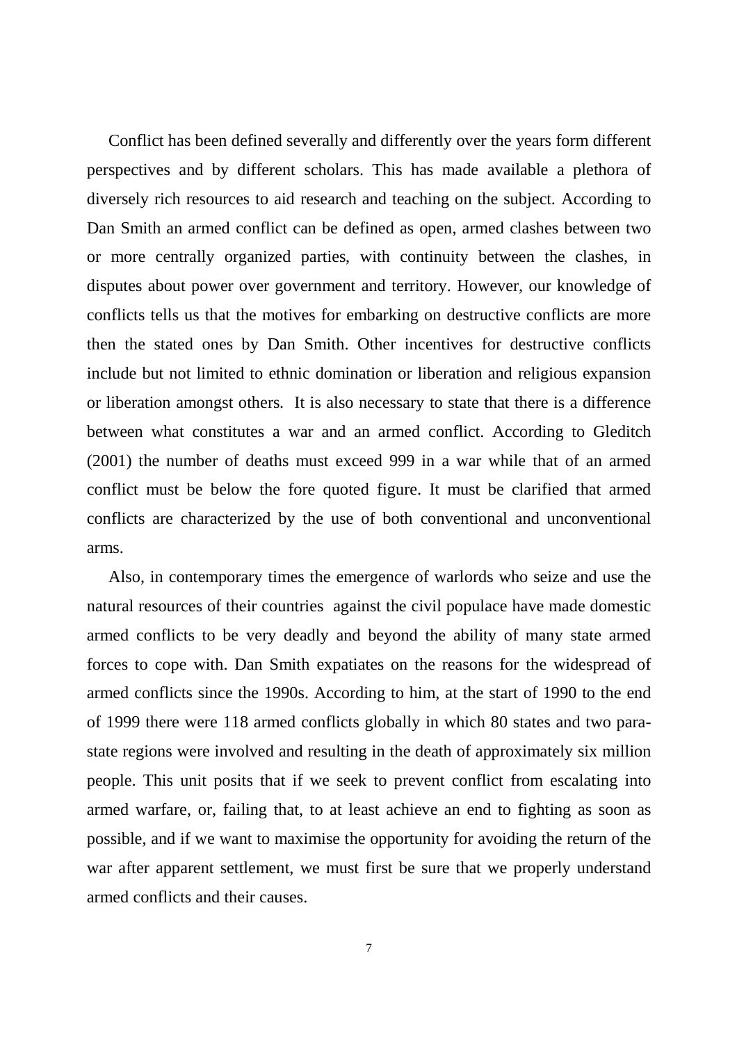Conflict has been defined severally and differently over the years form different perspectives and by different scholars. This has made available a plethora of diversely rich resources to aid research and teaching on the subject. According to Dan Smith an armed conflict can be defined as open, armed clashes between two or more centrally organized parties, with continuity between the clashes, in disputes about power over government and territory. However, our knowledge of conflicts tells us that the motives for embarking on destructive conflicts are more then the stated ones by Dan Smith. Other incentives for destructive conflicts include but not limited to ethnic domination or liberation and religious expansion or liberation amongst others. It is also necessary to state that there is a difference between what constitutes a war and an armed conflict. According to Gleditch (2001) the number of deaths must exceed 999 in a war while that of an armed conflict must be below the fore quoted figure. It must be clarified that armed conflicts are characterized by the use of both conventional and unconventional arms.

Also, in contemporary times the emergence of warlords who seize and use the natural resources of their countries against the civil populace have made domestic armed conflicts to be very deadly and beyond the ability of many state armed forces to cope with. Dan Smith expatiates on the reasons for the widespread of armed conflicts since the 1990s. According to him, at the start of 1990 to the end of 1999 there were 118 armed conflicts globally in which 80 states and two parastate regions were involved and resulting in the death of approximately six million people. This unit posits that if we seek to prevent conflict from escalating into armed warfare, or, failing that, to at least achieve an end to fighting as soon as possible, and if we want to maximise the opportunity for avoiding the return of the war after apparent settlement, we must first be sure that we properly understand armed conflicts and their causes.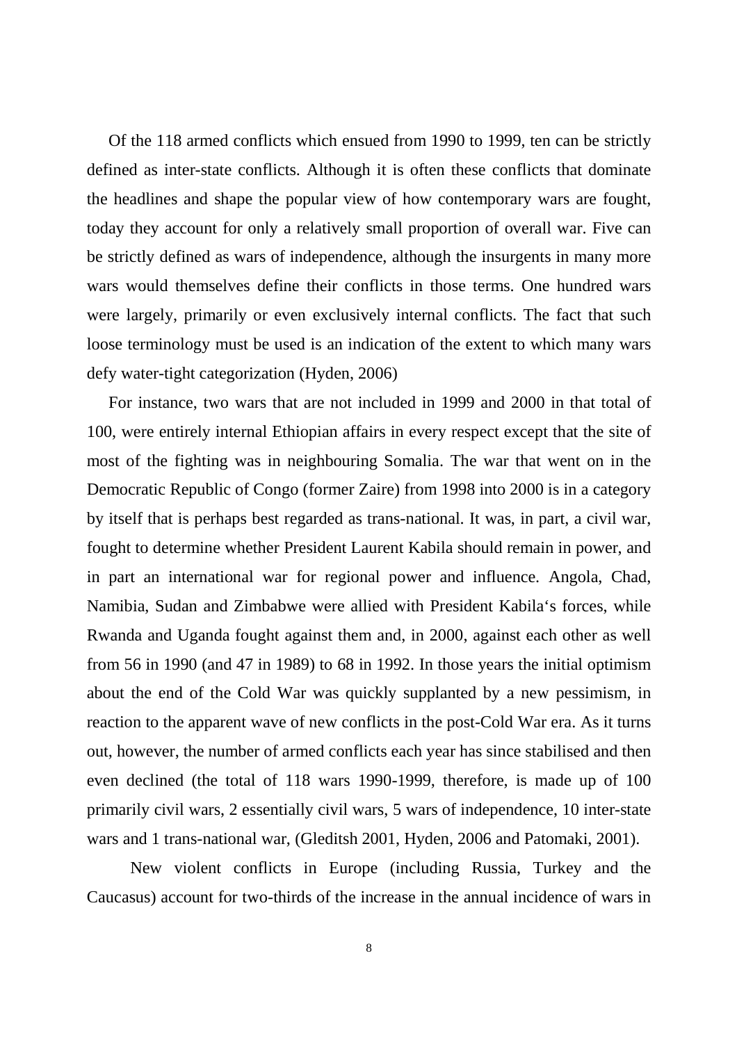Of the 118 armed conflicts which ensued from 1990 to 1999, ten can be strictly defined as inter-state conflicts. Although it is often these conflicts that dominate the headlines and shape the popular view of how contemporary wars are fought, today they account for only a relatively small proportion of overall war. Five can be strictly defined as wars of independence, although the insurgents in many more wars would themselves define their conflicts in those terms. One hundred wars were largely, primarily or even exclusively internal conflicts. The fact that such loose terminology must be used is an indication of the extent to which many wars defy water-tight categorization (Hyden, 2006)

For instance, two wars that are not included in 1999 and 2000 in that total of 100, were entirely internal Ethiopian affairs in every respect except that the site of most of the fighting was in neighbouring Somalia. The war that went on in the Democratic Republic of Congo (former Zaire) from 1998 into 2000 is in a category by itself that is perhaps best regarded as trans-national. It was, in part, a civil war, fought to determine whether President Laurent Kabila should remain in power, and in part an international war for regional power and influence. Angola, Chad, Namibia, Sudan and Zimbabwe were allied with President Kabila's forces, while Rwanda and Uganda fought against them and, in 2000, against each other as well from 56 in 1990 (and 47 in 1989) to 68 in 1992. In those years the initial optimism about the end of the Cold War was quickly supplanted by a new pessimism, in reaction to the apparent wave of new conflicts in the post-Cold War era. As it turns out, however, the number of armed conflicts each year has since stabilised and then even declined (the total of 118 wars 1990-1999, therefore, is made up of 100 primarily civil wars, 2 essentially civil wars, 5 wars of independence, 10 inter-state wars and 1 trans-national war, (Gleditsh 2001, Hyden, 2006 and Patomaki, 2001).

New violent conflicts in Europe (including Russia, Turkey and the Caucasus) account for two-thirds of the increase in the annual incidence of wars in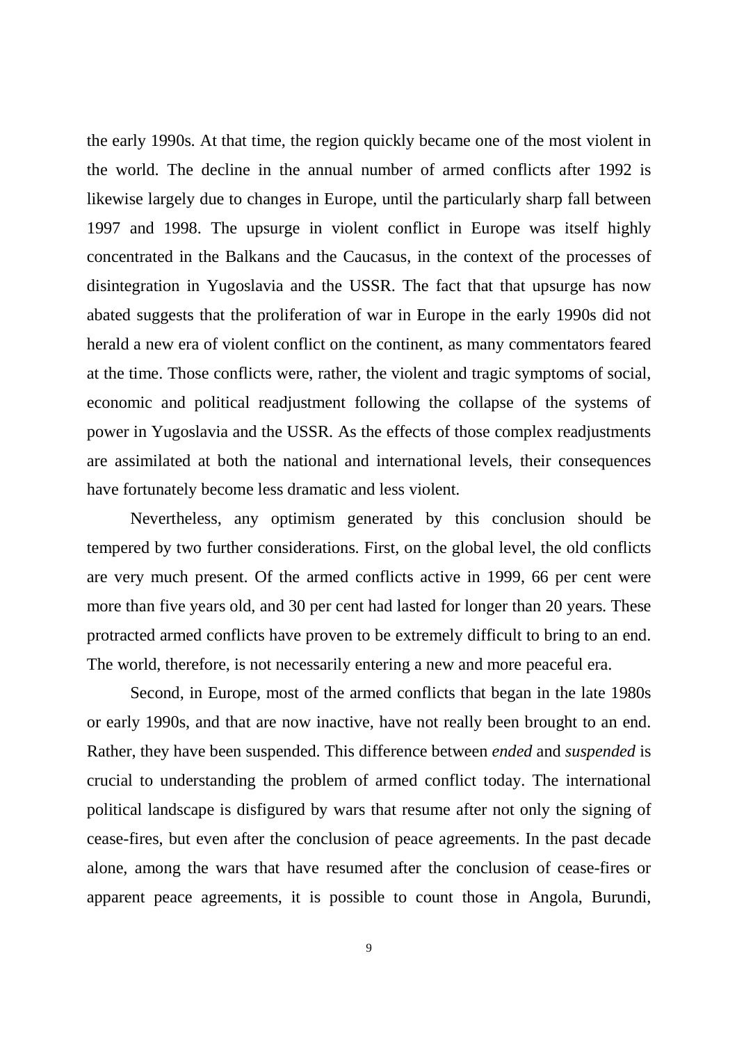the early 1990s. At that time, the region quickly became one of the most violent in the world. The decline in the annual number of armed conflicts after 1992 is likewise largely due to changes in Europe, until the particularly sharp fall between 1997 and 1998. The upsurge in violent conflict in Europe was itself highly concentrated in the Balkans and the Caucasus, in the context of the processes of disintegration in Yugoslavia and the USSR. The fact that that upsurge has now abated suggests that the proliferation of war in Europe in the early 1990s did not herald a new era of violent conflict on the continent, as many commentators feared at the time. Those conflicts were, rather, the violent and tragic symptoms of social, economic and political readjustment following the collapse of the systems of power in Yugoslavia and the USSR. As the effects of those complex readjustments are assimilated at both the national and international levels, their consequences have fortunately become less dramatic and less violent.

Nevertheless, any optimism generated by this conclusion should be tempered by two further considerations. First, on the global level, the old conflicts are very much present. Of the armed conflicts active in 1999, 66 per cent were more than five years old, and 30 per cent had lasted for longer than 20 years. These protracted armed conflicts have proven to be extremely difficult to bring to an end. The world, therefore, is not necessarily entering a new and more peaceful era.

Second, in Europe, most of the armed conflicts that began in the late 1980s or early 1990s, and that are now inactive, have not really been brought to an end. Rather, they have been suspended. This difference between *ended* and *suspended* is crucial to understanding the problem of armed conflict today. The international political landscape is disfigured by wars that resume after not only the signing of cease-fires, but even after the conclusion of peace agreements. In the past decade alone, among the wars that have resumed after the conclusion of cease-fires or apparent peace agreements, it is possible to count those in Angola, Burundi,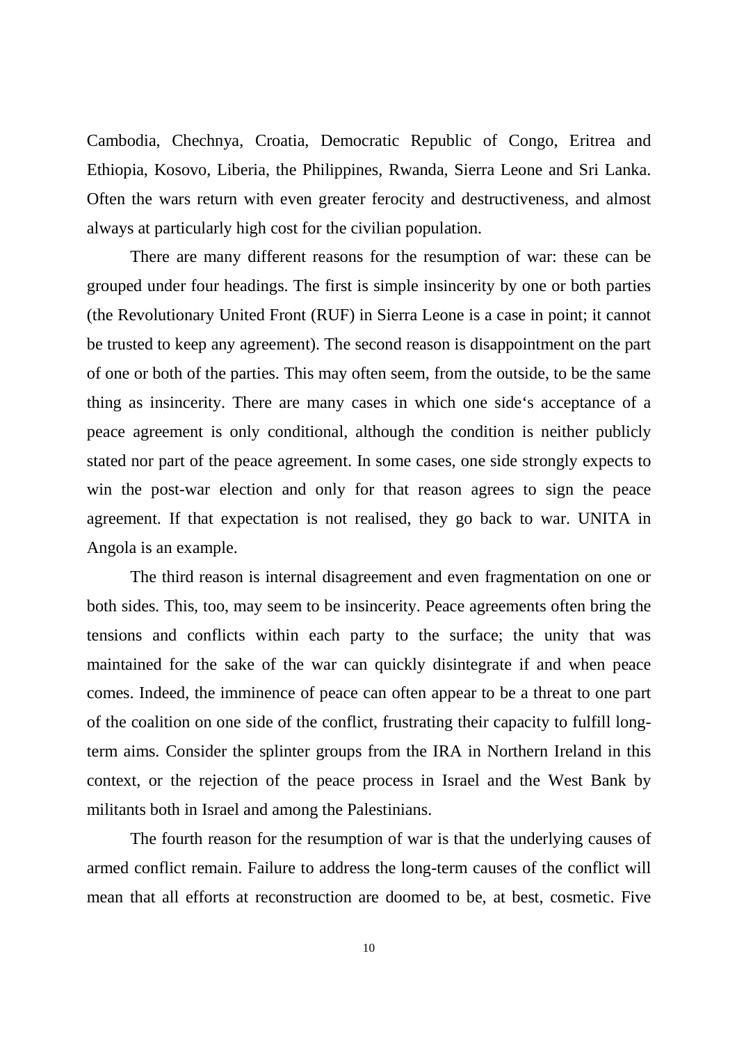Cambodia, Chechnya, Croatia, Democratic Republic of Congo, Eritrea and Ethiopia, Kosovo, Liberia, the Philippines, Rwanda, Sierra Leone and Sri Lanka. Often the wars return with even greater ferocity and destructiveness, and almost always at particularly high cost for the civilian population.

There are many different reasons for the resumption of war: these can be grouped under four headings. The first is simple insincerity by one or both parties (the Revolutionary United Front (RUF) in Sierra Leone is a case in point; it cannot be trusted to keep any agreement). The second reason is disappointment on the part of one or both of the parties. This may often seem, from the outside, to be the same thing as insincerity. There are many cases in which one side's acceptance of a peace agreement is only conditional, although the condition is neither publicly stated nor part of the peace agreement. In some cases, one side strongly expects to win the post-war election and only for that reason agrees to sign the peace agreement. If that expectation is not realised, they go back to war. UNITA in Angola is an example.

The third reason is internal disagreement and even fragmentation on one or both sides. This, too, may seem to be insincerity. Peace agreements often bring the tensions and conflicts within each party to the surface; the unity that was maintained for the sake of the war can quickly disintegrate if and when peace comes. Indeed, the imminence of peace can often appear to be a threat to one part of the coalition on one side of the conflict, frustrating their capacity to fulfill longterm aims. Consider the splinter groups from the IRA in Northern Ireland in this context, or the rejection of the peace process in Israel and the West Bank by militants both in Israel and among the Palestinians.

The fourth reason for the resumption of war is that the underlying causes of armed conflict remain. Failure to address the long-term causes of the conflict will mean that all efforts at reconstruction are doomed to be, at best, cosmetic. Five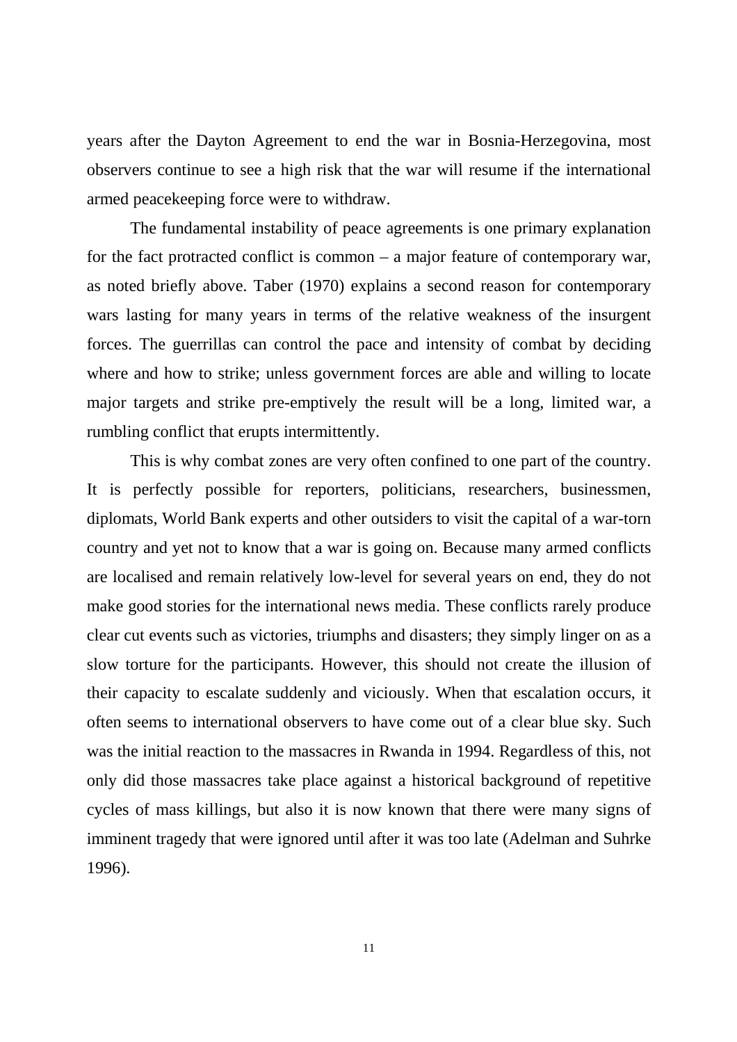years after the Dayton Agreement to end the war in Bosnia-Herzegovina, most observers continue to see a high risk that the war will resume if the international armed peacekeeping force were to withdraw.

The fundamental instability of peace agreements is one primary explanation for the fact protracted conflict is common – a major feature of contemporary war, as noted briefly above. Taber (1970) explains a second reason for contemporary wars lasting for many years in terms of the relative weakness of the insurgent forces. The guerrillas can control the pace and intensity of combat by deciding where and how to strike; unless government forces are able and willing to locate major targets and strike pre-emptively the result will be a long, limited war, a rumbling conflict that erupts intermittently.

This is why combat zones are very often confined to one part of the country. It is perfectly possible for reporters, politicians, researchers, businessmen, diplomats, World Bank experts and other outsiders to visit the capital of a war-torn country and yet not to know that a war is going on. Because many armed conflicts are localised and remain relatively low-level for several years on end, they do not make good stories for the international news media. These conflicts rarely produce clear cut events such as victories, triumphs and disasters; they simply linger on as a slow torture for the participants. However, this should not create the illusion of their capacity to escalate suddenly and viciously. When that escalation occurs, it often seems to international observers to have come out of a clear blue sky. Such was the initial reaction to the massacres in Rwanda in 1994. Regardless of this, not only did those massacres take place against a historical background of repetitive cycles of mass killings, but also it is now known that there were many signs of imminent tragedy that were ignored until after it was too late (Adelman and Suhrke 1996).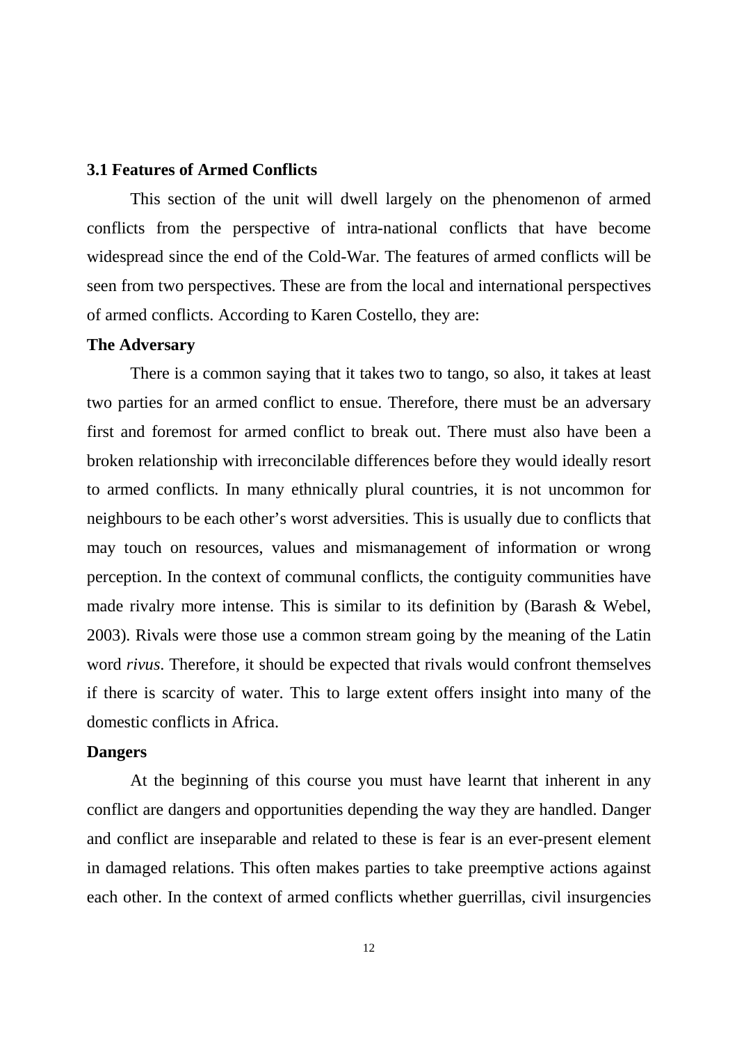### **3.1 Features of Armed Conflicts**

This section of the unit will dwell largely on the phenomenon of armed conflicts from the perspective of intra-national conflicts that have become widespread since the end of the Cold-War. The features of armed conflicts will be seen from two perspectives. These are from the local and international perspectives of armed conflicts. According to Karen Costello, they are:

# **The Adversary**

There is a common saying that it takes two to tango, so also, it takes at least two parties for an armed conflict to ensue. Therefore, there must be an adversary first and foremost for armed conflict to break out. There must also have been a broken relationship with irreconcilable differences before they would ideally resort to armed conflicts. In many ethnically plural countries, it is not uncommon for neighbours to be each other's worst adversities. This is usually due to conflicts that may touch on resources, values and mismanagement of information or wrong perception. In the context of communal conflicts, the contiguity communities have made rivalry more intense. This is similar to its definition by (Barash & Webel, 2003). Rivals were those use a common stream going by the meaning of the Latin word *rivus*. Therefore, it should be expected that rivals would confront themselves if there is scarcity of water. This to large extent offers insight into many of the domestic conflicts in Africa.

#### **Dangers**

At the beginning of this course you must have learnt that inherent in any conflict are dangers and opportunities depending the way they are handled. Danger and conflict are inseparable and related to these is fear is an ever-present element in damaged relations. This often makes parties to take preemptive actions against each other. In the context of armed conflicts whether guerrillas, civil insurgencies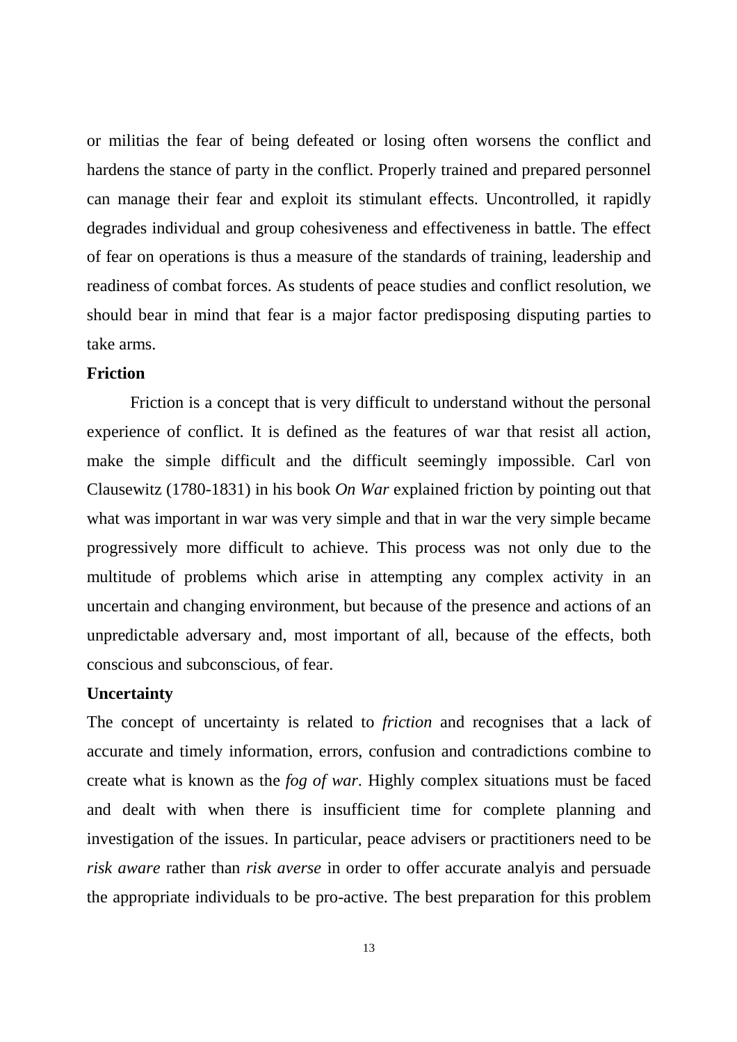or militias the fear of being defeated or losing often worsens the conflict and hardens the stance of party in the conflict. Properly trained and prepared personnel can manage their fear and exploit its stimulant effects. Uncontrolled, it rapidly degrades individual and group cohesiveness and effectiveness in battle. The effect of fear on operations is thus a measure of the standards of training, leadership and readiness of combat forces. As students of peace studies and conflict resolution, we should bear in mind that fear is a major factor predisposing disputing parties to take arms.

## **Friction**

Friction is a concept that is very difficult to understand without the personal experience of conflict. It is defined as the features of war that resist all action, make the simple difficult and the difficult seemingly impossible. Carl von Clausewitz (1780-1831) in his book *On War* explained friction by pointing out that what was important in war was very simple and that in war the very simple became progressively more difficult to achieve. This process was not only due to the multitude of problems which arise in attempting any complex activity in an uncertain and changing environment, but because of the presence and actions of an unpredictable adversary and, most important of all, because of the effects, both conscious and subconscious, of fear.

### **Uncertainty**

The concept of uncertainty is related to *friction* and recognises that a lack of accurate and timely information, errors, confusion and contradictions combine to create what is known as the *fog of war*. Highly complex situations must be faced and dealt with when there is insufficient time for complete planning and investigation of the issues. In particular, peace advisers or practitioners need to be *risk aware* rather than *risk averse* in order to offer accurate analyis and persuade the appropriate individuals to be pro-active. The best preparation for this problem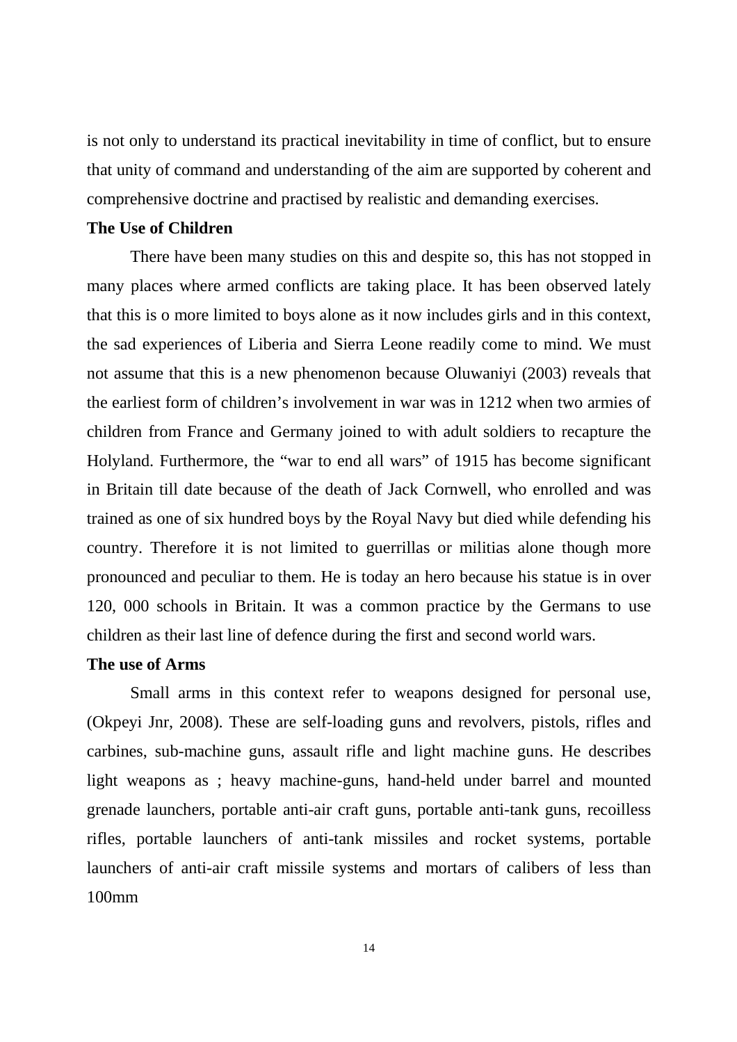is not only to understand its practical inevitability in time of conflict, but to ensure that unity of command and understanding of the aim are supported by coherent and comprehensive doctrine and practised by realistic and demanding exercises.

## **The Use of Children**

There have been many studies on this and despite so, this has not stopped in many places where armed conflicts are taking place. It has been observed lately that this is o more limited to boys alone as it now includes girls and in this context, the sad experiences of Liberia and Sierra Leone readily come to mind. We must not assume that this is a new phenomenon because Oluwaniyi (2003) reveals that the earliest form of children's involvement in war was in 1212 when two armies of children from France and Germany joined to with adult soldiers to recapture the Holyland. Furthermore, the "war to end all wars" of 1915 has become significant in Britain till date because of the death of Jack Cornwell, who enrolled and was trained as one of six hundred boys by the Royal Navy but died while defending his country. Therefore it is not limited to guerrillas or militias alone though more pronounced and peculiar to them. He is today an hero because his statue is in over 120, 000 schools in Britain. It was a common practice by the Germans to use children as their last line of defence during the first and second world wars.

## **The use of Arms**

 Small arms in this context refer to weapons designed for personal use, (Okpeyi Jnr, 2008). These are self-loading guns and revolvers, pistols, rifles and carbines, sub-machine guns, assault rifle and light machine guns. He describes light weapons as ; heavy machine-guns, hand-held under barrel and mounted grenade launchers, portable anti-air craft guns, portable anti-tank guns, recoilless rifles, portable launchers of anti-tank missiles and rocket systems, portable launchers of anti-air craft missile systems and mortars of calibers of less than 100mm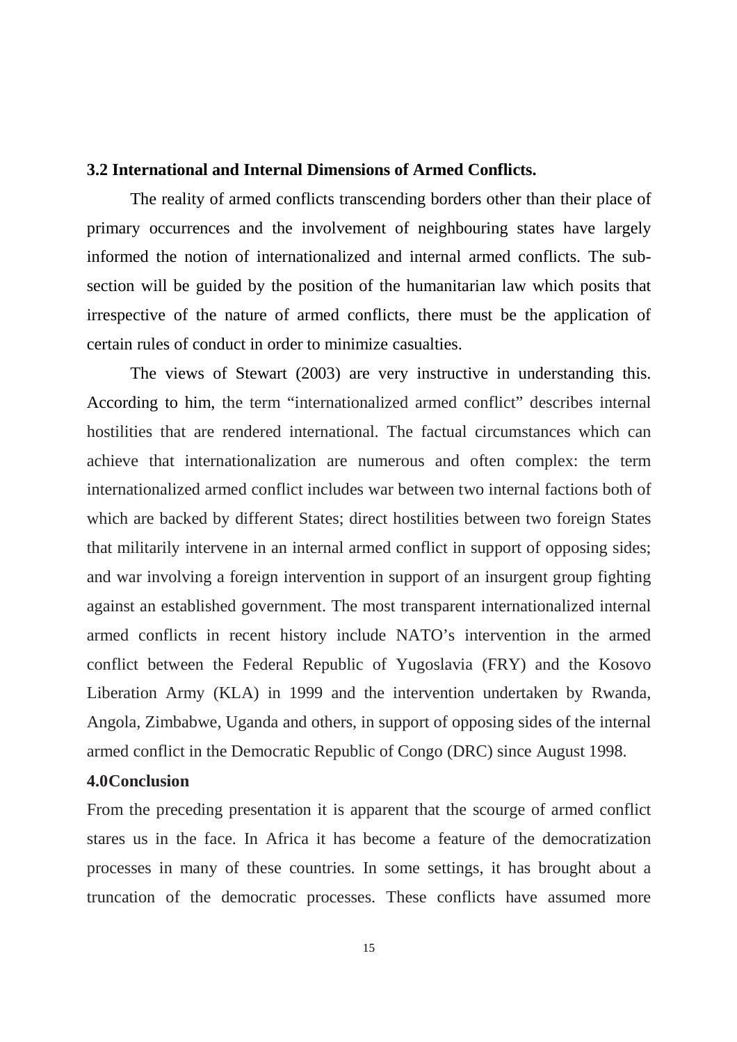## **3.2 International and Internal Dimensions of Armed Conflicts.**

The reality of armed conflicts transcending borders other than their place of primary occurrences and the involvement of neighbouring states have largely informed the notion of internationalized and internal armed conflicts. The subsection will be guided by the position of the humanitarian law which posits that irrespective of the nature of armed conflicts, there must be the application of certain rules of conduct in order to minimize casualties.

The views of Stewart (2003) are very instructive in understanding this. According to him, the term "internationalized armed conflict" describes internal hostilities that are rendered international. The factual circumstances which can achieve that internationalization are numerous and often complex: the term internationalized armed conflict includes war between two internal factions both of which are backed by different States; direct hostilities between two foreign States that militarily intervene in an internal armed conflict in support of opposing sides; and war involving a foreign intervention in support of an insurgent group fighting against an established government. The most transparent internationalized internal armed conflicts in recent history include NATO's intervention in the armed conflict between the Federal Republic of Yugoslavia (FRY) and the Kosovo Liberation Army (KLA) in 1999 and the intervention undertaken by Rwanda, Angola, Zimbabwe, Uganda and others, in support of opposing sides of the internal armed conflict in the Democratic Republic of Congo (DRC) since August 1998.

## **4.0Conclusion**

From the preceding presentation it is apparent that the scourge of armed conflict stares us in the face. In Africa it has become a feature of the democratization processes in many of these countries. In some settings, it has brought about a truncation of the democratic processes. These conflicts have assumed more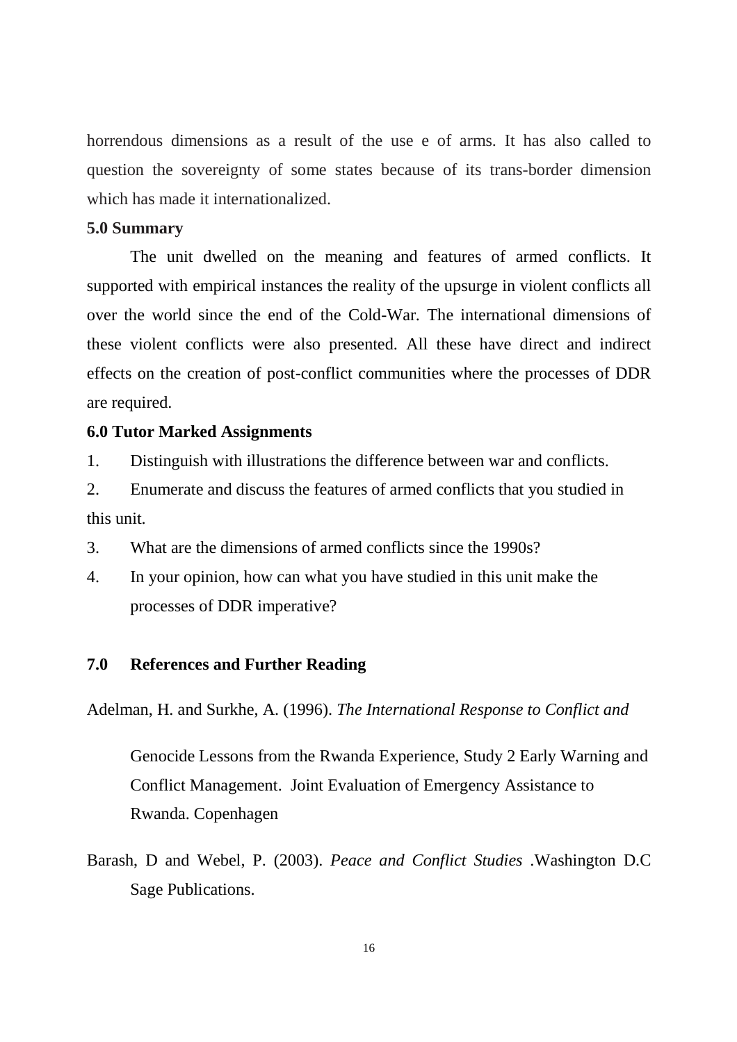horrendous dimensions as a result of the use e of arms. It has also called to question the sovereignty of some states because of its trans-border dimension which has made it internationalized.

### **5.0 Summary**

 The unit dwelled on the meaning and features of armed conflicts. It supported with empirical instances the reality of the upsurge in violent conflicts all over the world since the end of the Cold-War. The international dimensions of these violent conflicts were also presented. All these have direct and indirect effects on the creation of post-conflict communities where the processes of DDR are required.

# **6.0 Tutor Marked Assignments**

1. Distinguish with illustrations the difference between war and conflicts.

2. Enumerate and discuss the features of armed conflicts that you studied in this unit.

3. What are the dimensions of armed conflicts since the 1990s?

4. In your opinion, how can what you have studied in this unit make the processes of DDR imperative?

# **7.0 References and Further Reading**

Adelman, H. and Surkhe, A. (1996). *The International Response to Conflict and* 

Genocide Lessons from the Rwanda Experience, Study 2 Early Warning and Conflict Management. Joint Evaluation of Emergency Assistance to Rwanda. Copenhagen

Barash, D and Webel, P. (2003). *Peace and Conflict Studies* .Washington D.C Sage Publications.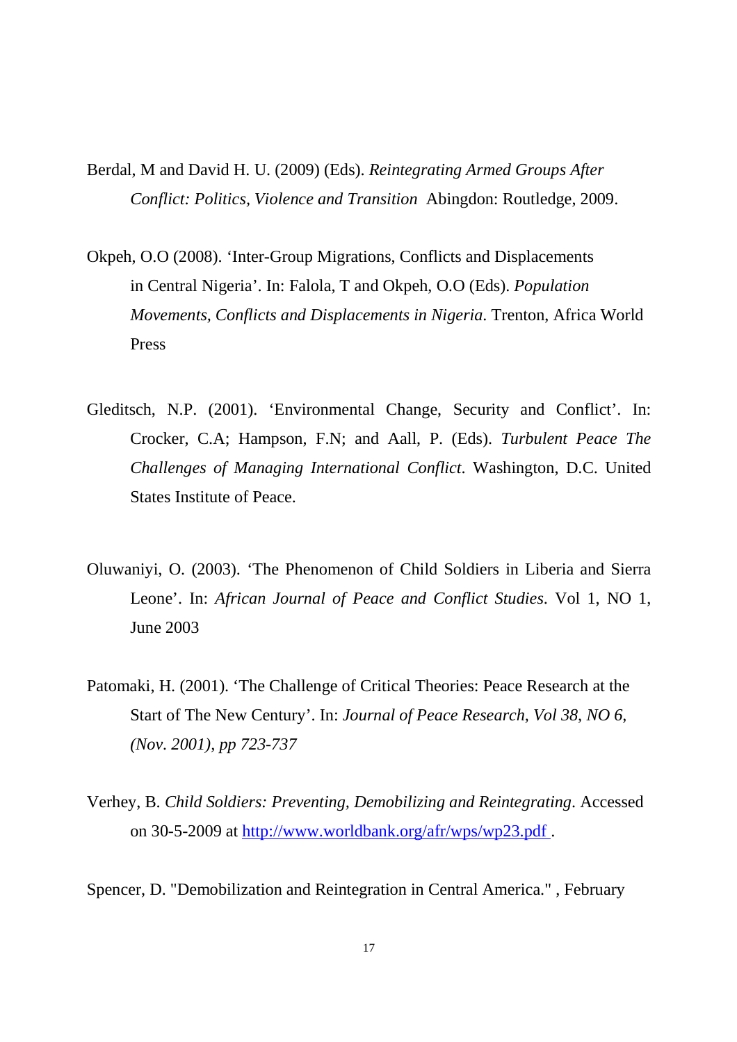- Berdal, M and David H. U. (2009) (Eds). *Reintegrating Armed Groups After Conflict: Politics, Violence and Transition* Abingdon: Routledge, 2009.
- Okpeh, O.O (2008). 'Inter-Group Migrations, Conflicts and Displacements in Central Nigeria'. In: Falola, T and Okpeh, O.O (Eds). *Population Movements, Conflicts and Displacements in Nigeria*. Trenton, Africa World Press
- Gleditsch, N.P. (2001). 'Environmental Change, Security and Conflict'. In: Crocker, C.A; Hampson, F.N; and Aall, P. (Eds). *Turbulent Peace The Challenges of Managing International Conflict*. Washington, D.C. United States Institute of Peace.
- Oluwaniyi, O. (2003). 'The Phenomenon of Child Soldiers in Liberia and Sierra Leone'. In: *African Journal of Peace and Conflict Studies*. Vol 1, NO 1, June 2003
- Patomaki, H. (2001). 'The Challenge of Critical Theories: Peace Research at the Start of The New Century'. In: *Journal of Peace Research, Vol 38, NO 6, (Nov. 2001), pp 723-737*
- Verhey, B. *Child Soldiers: Preventing, Demobilizing and Reintegrating*. Accessed on 30-5-2009 at http://www.worldbank.org/afr/wps/wp23.pdf .
- Spencer, D. "Demobilization and Reintegration in Central America." , February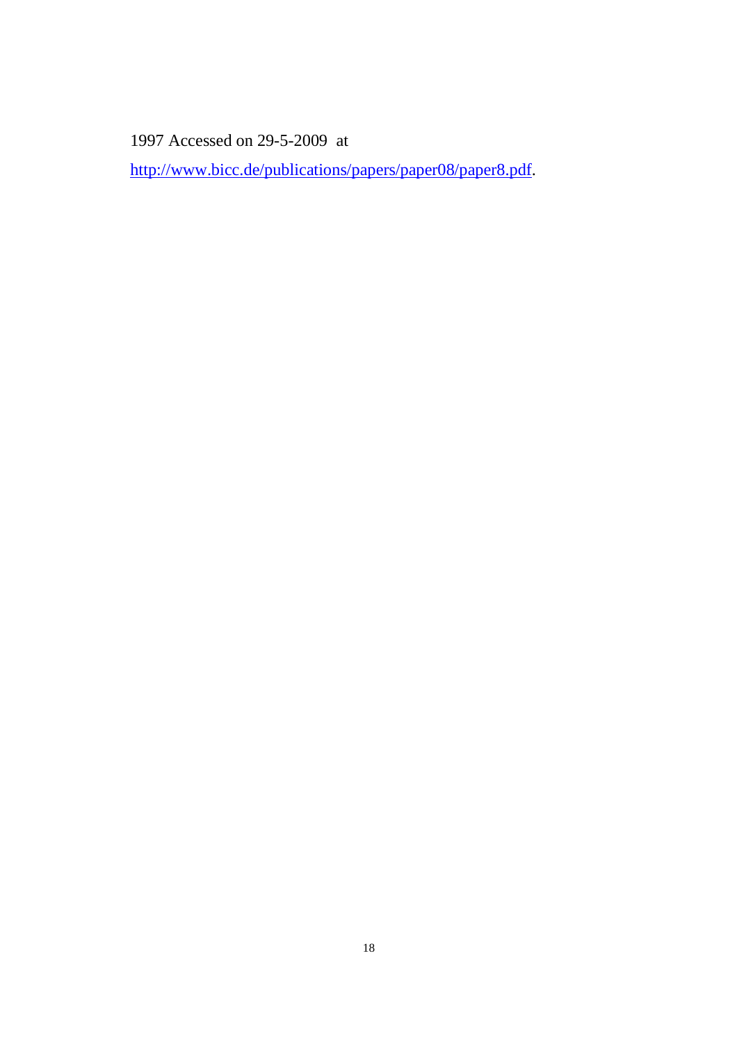# 1997 Accessed on 29-5-2009 at

http://www.bicc.de/publications/papers/paper08/paper8.pdf.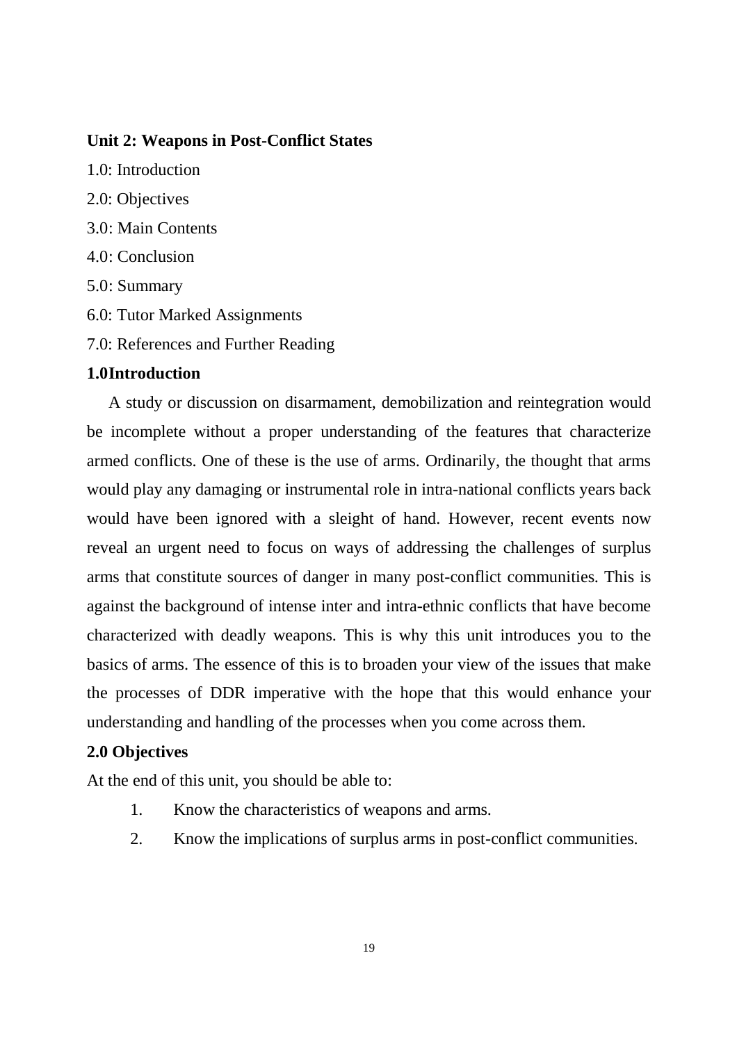### **Unit 2: Weapons in Post-Conflict States**

- 1.0: Introduction
- 2.0: Objectives
- 3.0: Main Contents
- 4.0: Conclusion
- 5.0: Summary
- 6.0: Tutor Marked Assignments
- 7.0: References and Further Reading

# **1.0Introduction**

A study or discussion on disarmament, demobilization and reintegration would be incomplete without a proper understanding of the features that characterize armed conflicts. One of these is the use of arms. Ordinarily, the thought that arms would play any damaging or instrumental role in intra-national conflicts years back would have been ignored with a sleight of hand. However, recent events now reveal an urgent need to focus on ways of addressing the challenges of surplus arms that constitute sources of danger in many post-conflict communities. This is against the background of intense inter and intra-ethnic conflicts that have become characterized with deadly weapons. This is why this unit introduces you to the basics of arms. The essence of this is to broaden your view of the issues that make the processes of DDR imperative with the hope that this would enhance your understanding and handling of the processes when you come across them.

### **2.0 Objectives**

At the end of this unit, you should be able to:

- 1. Know the characteristics of weapons and arms.
- 2. Know the implications of surplus arms in post-conflict communities.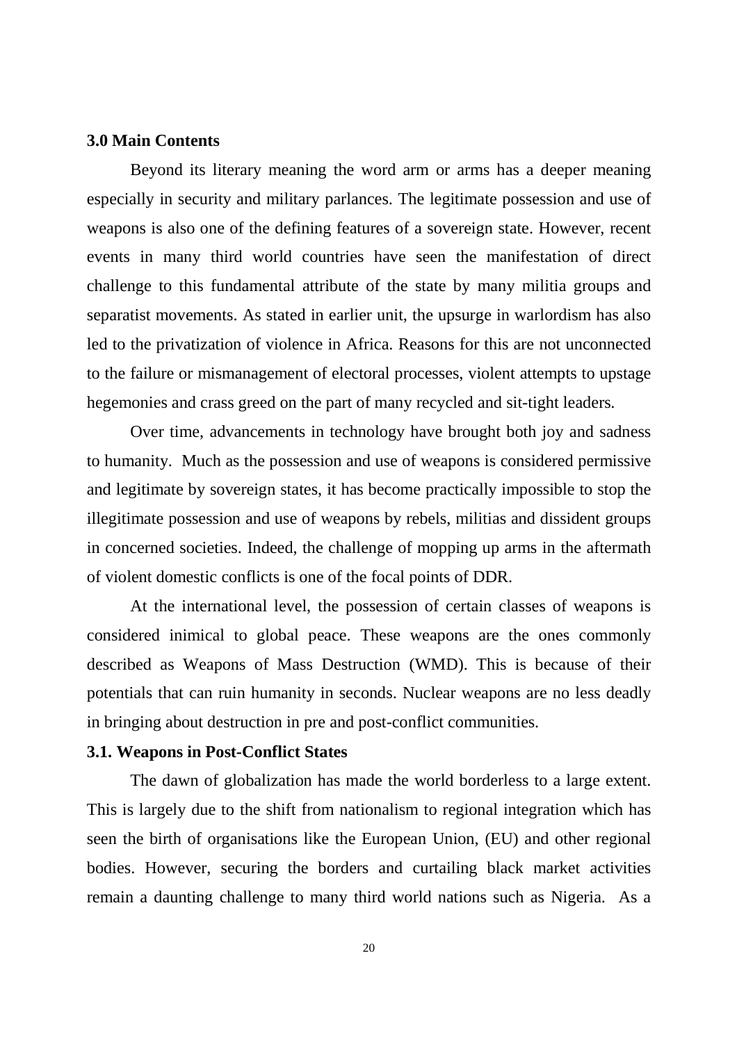### **3.0 Main Contents**

Beyond its literary meaning the word arm or arms has a deeper meaning especially in security and military parlances. The legitimate possession and use of weapons is also one of the defining features of a sovereign state. However, recent events in many third world countries have seen the manifestation of direct challenge to this fundamental attribute of the state by many militia groups and separatist movements. As stated in earlier unit, the upsurge in warlordism has also led to the privatization of violence in Africa. Reasons for this are not unconnected to the failure or mismanagement of electoral processes, violent attempts to upstage hegemonies and crass greed on the part of many recycled and sit-tight leaders.

Over time, advancements in technology have brought both joy and sadness to humanity. Much as the possession and use of weapons is considered permissive and legitimate by sovereign states, it has become practically impossible to stop the illegitimate possession and use of weapons by rebels, militias and dissident groups in concerned societies. Indeed, the challenge of mopping up arms in the aftermath of violent domestic conflicts is one of the focal points of DDR.

At the international level, the possession of certain classes of weapons is considered inimical to global peace. These weapons are the ones commonly described as Weapons of Mass Destruction (WMD). This is because of their potentials that can ruin humanity in seconds. Nuclear weapons are no less deadly in bringing about destruction in pre and post-conflict communities.

### **3.1. Weapons in Post-Conflict States**

The dawn of globalization has made the world borderless to a large extent. This is largely due to the shift from nationalism to regional integration which has seen the birth of organisations like the European Union, (EU) and other regional bodies. However, securing the borders and curtailing black market activities remain a daunting challenge to many third world nations such as Nigeria. As a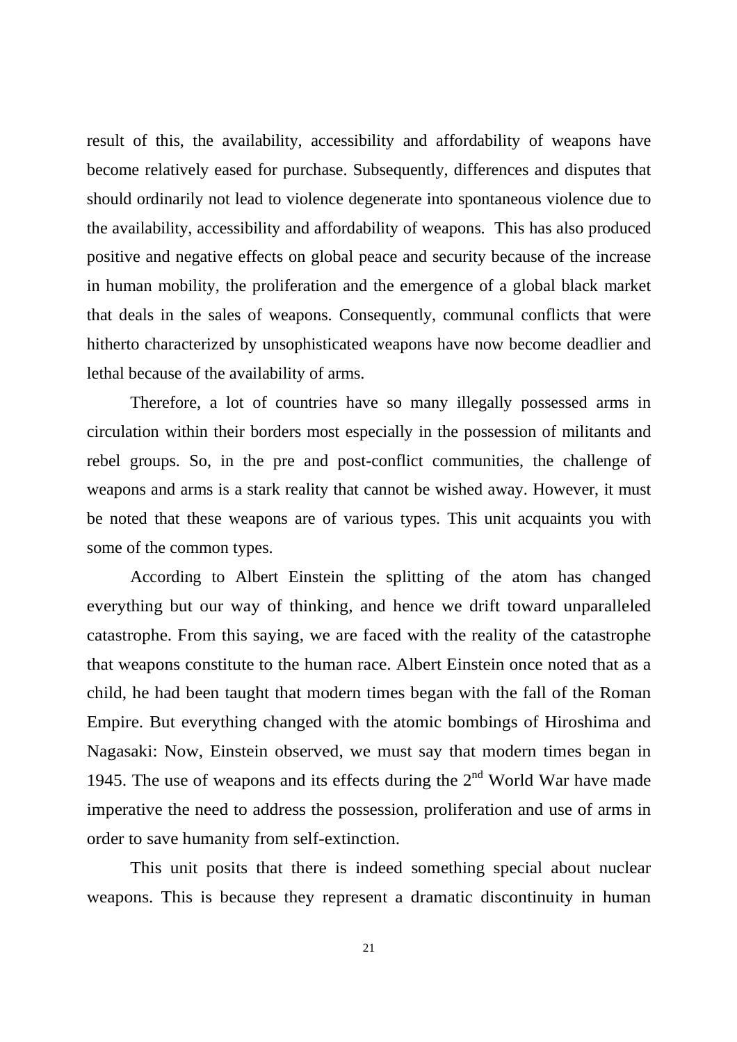result of this, the availability, accessibility and affordability of weapons have become relatively eased for purchase. Subsequently, differences and disputes that should ordinarily not lead to violence degenerate into spontaneous violence due to the availability, accessibility and affordability of weapons. This has also produced positive and negative effects on global peace and security because of the increase in human mobility, the proliferation and the emergence of a global black market that deals in the sales of weapons. Consequently, communal conflicts that were hitherto characterized by unsophisticated weapons have now become deadlier and lethal because of the availability of arms.

Therefore, a lot of countries have so many illegally possessed arms in circulation within their borders most especially in the possession of militants and rebel groups. So, in the pre and post-conflict communities, the challenge of weapons and arms is a stark reality that cannot be wished away. However, it must be noted that these weapons are of various types. This unit acquaints you with some of the common types.

According to Albert Einstein the splitting of the atom has changed everything but our way of thinking, and hence we drift toward unparalleled catastrophe. From this saying, we are faced with the reality of the catastrophe that weapons constitute to the human race. Albert Einstein once noted that as a child, he had been taught that modern times began with the fall of the Roman Empire. But everything changed with the atomic bombings of Hiroshima and Nagasaki: Now, Einstein observed, we must say that modern times began in 1945. The use of weapons and its effects during the  $2<sup>nd</sup>$  World War have made imperative the need to address the possession, proliferation and use of arms in order to save humanity from self-extinction.

This unit posits that there is indeed something special about nuclear weapons. This is because they represent a dramatic discontinuity in human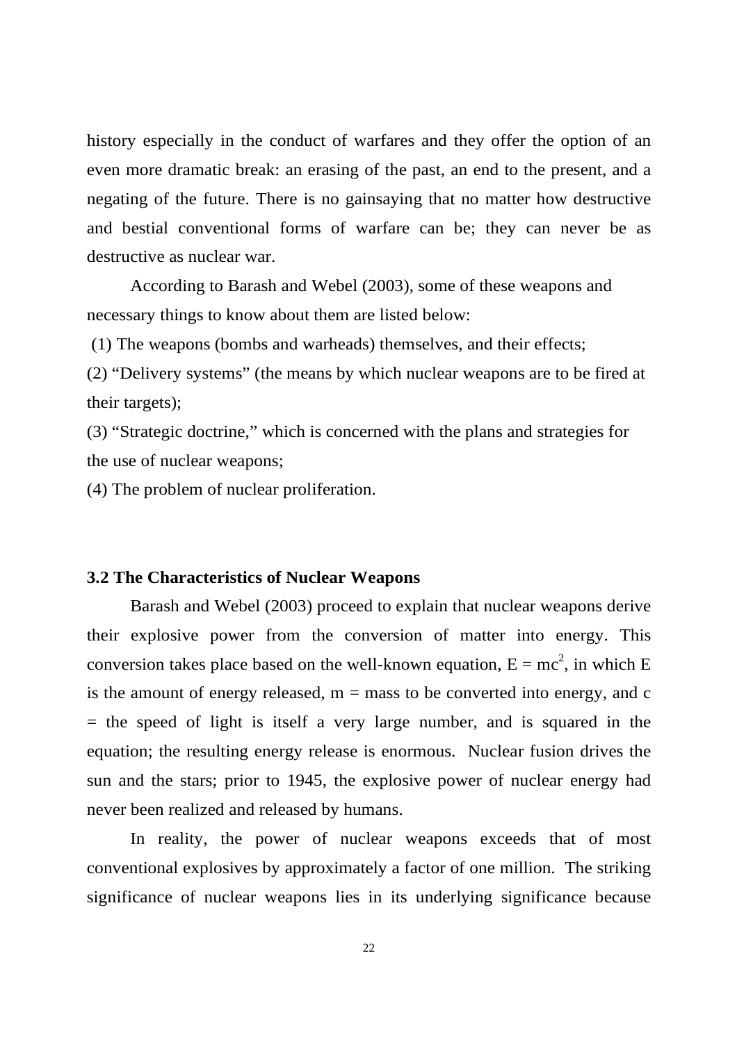history especially in the conduct of warfares and they offer the option of an even more dramatic break: an erasing of the past, an end to the present, and a negating of the future. There is no gainsaying that no matter how destructive and bestial conventional forms of warfare can be; they can never be as destructive as nuclear war.

According to Barash and Webel (2003), some of these weapons and necessary things to know about them are listed below:

(1) The weapons (bombs and warheads) themselves, and their effects;

(2) "Delivery systems" (the means by which nuclear weapons are to be fired at their targets);

(3) "Strategic doctrine," which is concerned with the plans and strategies for the use of nuclear weapons;

(4) The problem of nuclear proliferation.

### **3.2 The Characteristics of Nuclear Weapons**

Barash and Webel (2003) proceed to explain that nuclear weapons derive their explosive power from the conversion of matter into energy. This conversion takes place based on the well-known equation,  $E = mc^2$ , in which E is the amount of energy released,  $m =$  mass to be converted into energy, and c = the speed of light is itself a very large number, and is squared in the equation; the resulting energy release is enormous. Nuclear fusion drives the sun and the stars; prior to 1945, the explosive power of nuclear energy had never been realized and released by humans.

In reality, the power of nuclear weapons exceeds that of most conventional explosives by approximately a factor of one million. The striking significance of nuclear weapons lies in its underlying significance because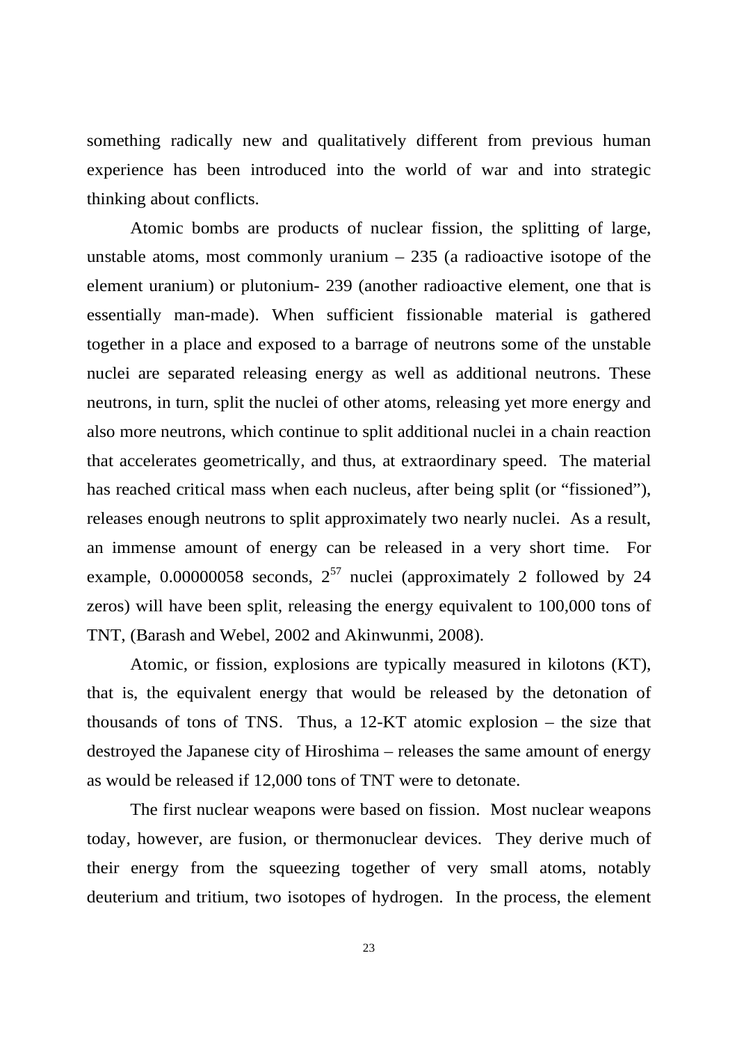something radically new and qualitatively different from previous human experience has been introduced into the world of war and into strategic thinking about conflicts.

Atomic bombs are products of nuclear fission, the splitting of large, unstable atoms, most commonly uranium  $-235$  (a radioactive isotope of the element uranium) or plutonium- 239 (another radioactive element, one that is essentially man-made). When sufficient fissionable material is gathered together in a place and exposed to a barrage of neutrons some of the unstable nuclei are separated releasing energy as well as additional neutrons. These neutrons, in turn, split the nuclei of other atoms, releasing yet more energy and also more neutrons, which continue to split additional nuclei in a chain reaction that accelerates geometrically, and thus, at extraordinary speed. The material has reached critical mass when each nucleus, after being split (or "fissioned"), releases enough neutrons to split approximately two nearly nuclei. As a result, an immense amount of energy can be released in a very short time. For example, 0.00000058 seconds,  $2^{57}$  nuclei (approximately 2 followed by 24 zeros) will have been split, releasing the energy equivalent to 100,000 tons of TNT, (Barash and Webel, 2002 and Akinwunmi, 2008).

Atomic, or fission, explosions are typically measured in kilotons (KT), that is, the equivalent energy that would be released by the detonation of thousands of tons of TNS. Thus, a 12-KT atomic explosion – the size that destroyed the Japanese city of Hiroshima – releases the same amount of energy as would be released if 12,000 tons of TNT were to detonate.

The first nuclear weapons were based on fission. Most nuclear weapons today, however, are fusion, or thermonuclear devices. They derive much of their energy from the squeezing together of very small atoms, notably deuterium and tritium, two isotopes of hydrogen. In the process, the element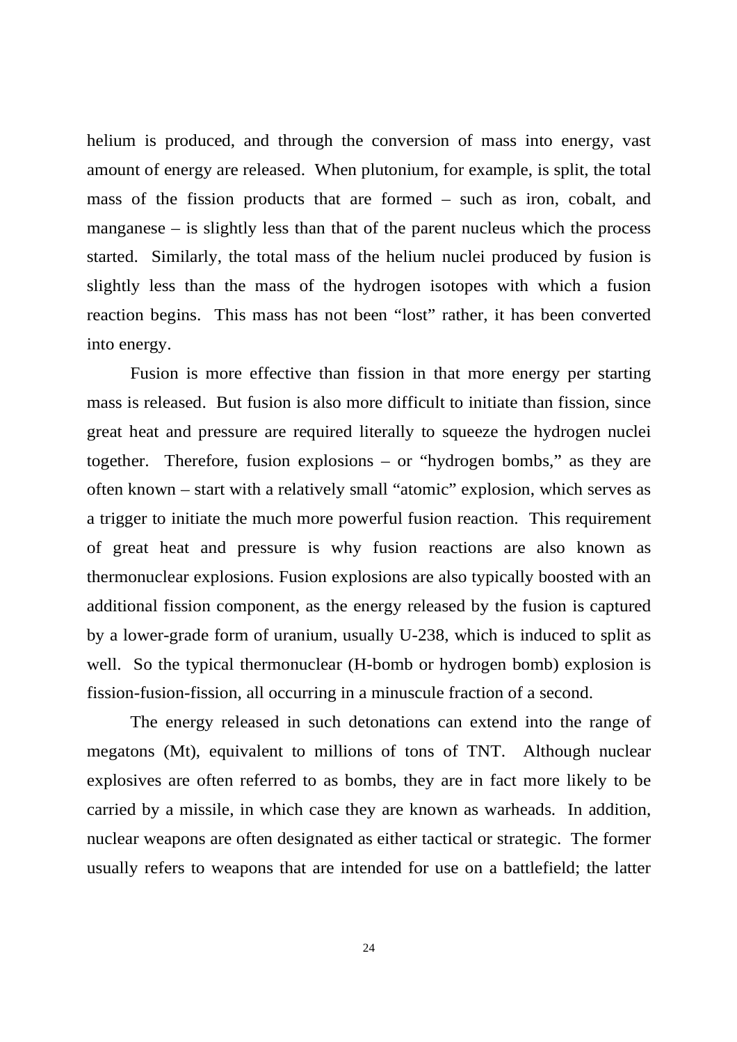helium is produced, and through the conversion of mass into energy, vast amount of energy are released. When plutonium, for example, is split, the total mass of the fission products that are formed – such as iron, cobalt, and manganese – is slightly less than that of the parent nucleus which the process started. Similarly, the total mass of the helium nuclei produced by fusion is slightly less than the mass of the hydrogen isotopes with which a fusion reaction begins. This mass has not been "lost" rather, it has been converted into energy.

Fusion is more effective than fission in that more energy per starting mass is released. But fusion is also more difficult to initiate than fission, since great heat and pressure are required literally to squeeze the hydrogen nuclei together. Therefore, fusion explosions – or "hydrogen bombs," as they are often known – start with a relatively small "atomic" explosion, which serves as a trigger to initiate the much more powerful fusion reaction. This requirement of great heat and pressure is why fusion reactions are also known as thermonuclear explosions. Fusion explosions are also typically boosted with an additional fission component, as the energy released by the fusion is captured by a lower-grade form of uranium, usually U-238, which is induced to split as well. So the typical thermonuclear (H-bomb or hydrogen bomb) explosion is fission-fusion-fission, all occurring in a minuscule fraction of a second.

The energy released in such detonations can extend into the range of megatons (Mt), equivalent to millions of tons of TNT. Although nuclear explosives are often referred to as bombs, they are in fact more likely to be carried by a missile, in which case they are known as warheads. In addition, nuclear weapons are often designated as either tactical or strategic. The former usually refers to weapons that are intended for use on a battlefield; the latter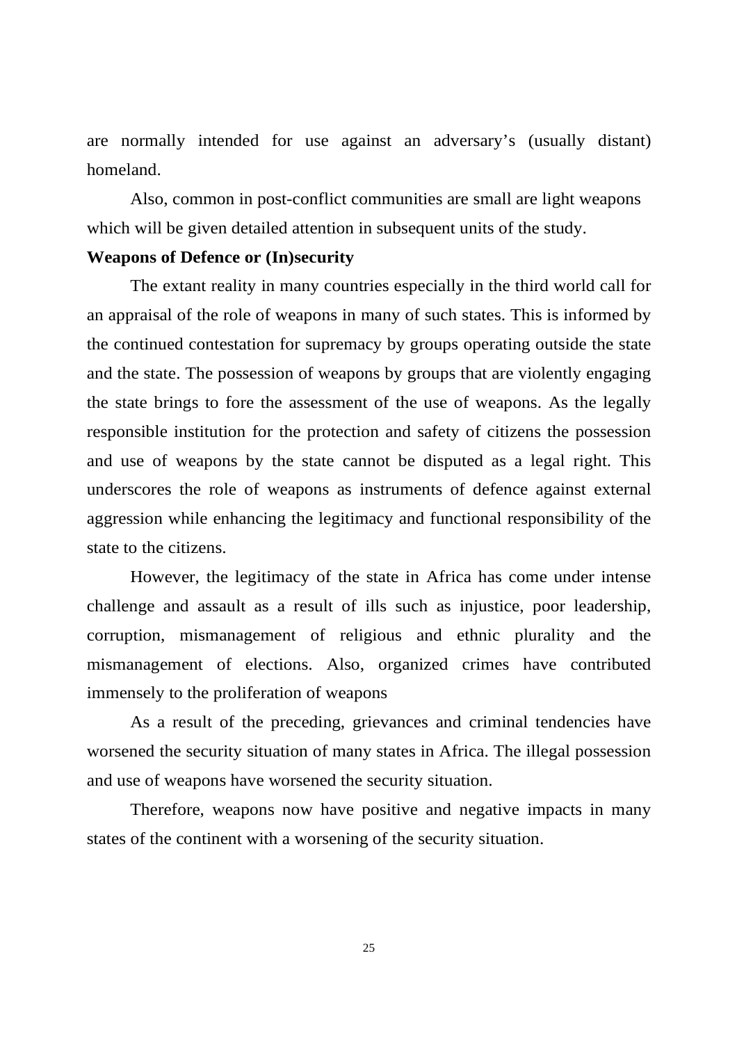are normally intended for use against an adversary's (usually distant) homeland.

 Also, common in post-conflict communities are small are light weapons which will be given detailed attention in subsequent units of the study.

### **Weapons of Defence or (In)security**

The extant reality in many countries especially in the third world call for an appraisal of the role of weapons in many of such states. This is informed by the continued contestation for supremacy by groups operating outside the state and the state. The possession of weapons by groups that are violently engaging the state brings to fore the assessment of the use of weapons. As the legally responsible institution for the protection and safety of citizens the possession and use of weapons by the state cannot be disputed as a legal right. This underscores the role of weapons as instruments of defence against external aggression while enhancing the legitimacy and functional responsibility of the state to the citizens.

 However, the legitimacy of the state in Africa has come under intense challenge and assault as a result of ills such as injustice, poor leadership, corruption, mismanagement of religious and ethnic plurality and the mismanagement of elections. Also, organized crimes have contributed immensely to the proliferation of weapons

 As a result of the preceding, grievances and criminal tendencies have worsened the security situation of many states in Africa. The illegal possession and use of weapons have worsened the security situation.

 Therefore, weapons now have positive and negative impacts in many states of the continent with a worsening of the security situation.

25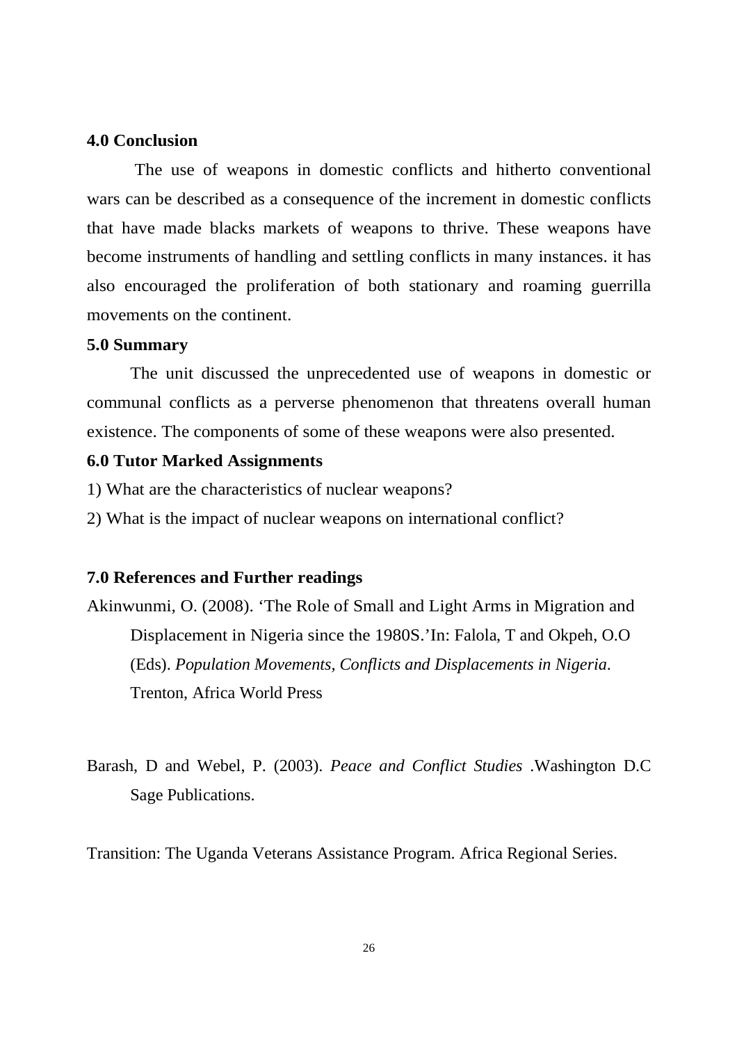### **4.0 Conclusion**

The use of weapons in domestic conflicts and hitherto conventional wars can be described as a consequence of the increment in domestic conflicts that have made blacks markets of weapons to thrive. These weapons have become instruments of handling and settling conflicts in many instances. it has also encouraged the proliferation of both stationary and roaming guerrilla movements on the continent.

## **5.0 Summary**

The unit discussed the unprecedented use of weapons in domestic or communal conflicts as a perverse phenomenon that threatens overall human existence. The components of some of these weapons were also presented.

### **6.0 Tutor Marked Assignments**

- 1) What are the characteristics of nuclear weapons?
- 2) What is the impact of nuclear weapons on international conflict?

### **7.0 References and Further readings**

Akinwunmi, O. (2008). 'The Role of Small and Light Arms in Migration and Displacement in Nigeria since the 1980S.'In: Falola, T and Okpeh, O.O (Eds). *Population Movements, Conflicts and Displacements in Nigeria*. Trenton, Africa World Press

Barash, D and Webel, P. (2003). *Peace and Conflict Studies* .Washington D.C Sage Publications.

Transition: The Uganda Veterans Assistance Program. Africa Regional Series.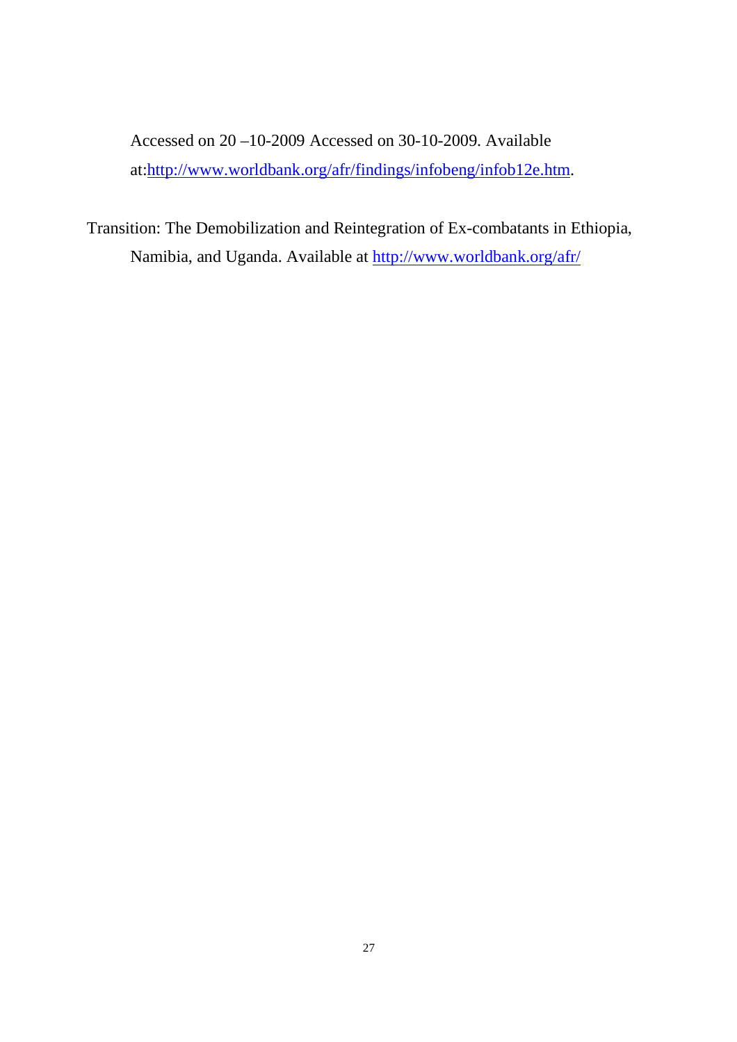Accessed on 20 –10-2009 Accessed on 30-10-2009. Available at:http://www.worldbank.org/afr/findings/infobeng/infob12e.htm.

Transition: The Demobilization and Reintegration of Ex-combatants in Ethiopia, Namibia, and Uganda. Available at http://www.worldbank.org/afr/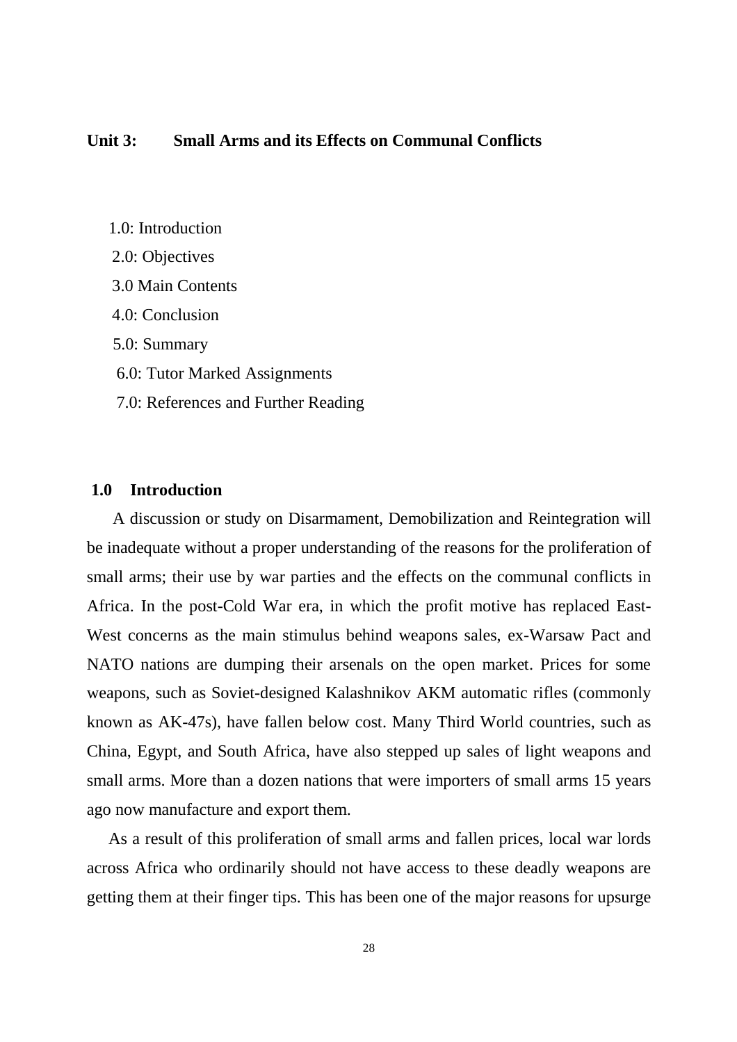## **Unit 3: Small Arms and its Effects on Communal Conflicts**

- 1.0: Introduction
- 2.0: Objectives
- 3.0 Main Contents
- 4.0: Conclusion
- 5.0: Summary
- 6.0: Tutor Marked Assignments
- 7.0: References and Further Reading

#### **1.0 Introduction**

 A discussion or study on Disarmament, Demobilization and Reintegration will be inadequate without a proper understanding of the reasons for the proliferation of small arms; their use by war parties and the effects on the communal conflicts in Africa. In the post-Cold War era, in which the profit motive has replaced East-West concerns as the main stimulus behind weapons sales, ex-Warsaw Pact and NATO nations are dumping their arsenals on the open market. Prices for some weapons, such as Soviet-designed Kalashnikov AKM automatic rifles (commonly known as AK-47s), have fallen below cost. Many Third World countries, such as China, Egypt, and South Africa, have also stepped up sales of light weapons and small arms. More than a dozen nations that were importers of small arms 15 years ago now manufacture and export them.

As a result of this proliferation of small arms and fallen prices, local war lords across Africa who ordinarily should not have access to these deadly weapons are getting them at their finger tips. This has been one of the major reasons for upsurge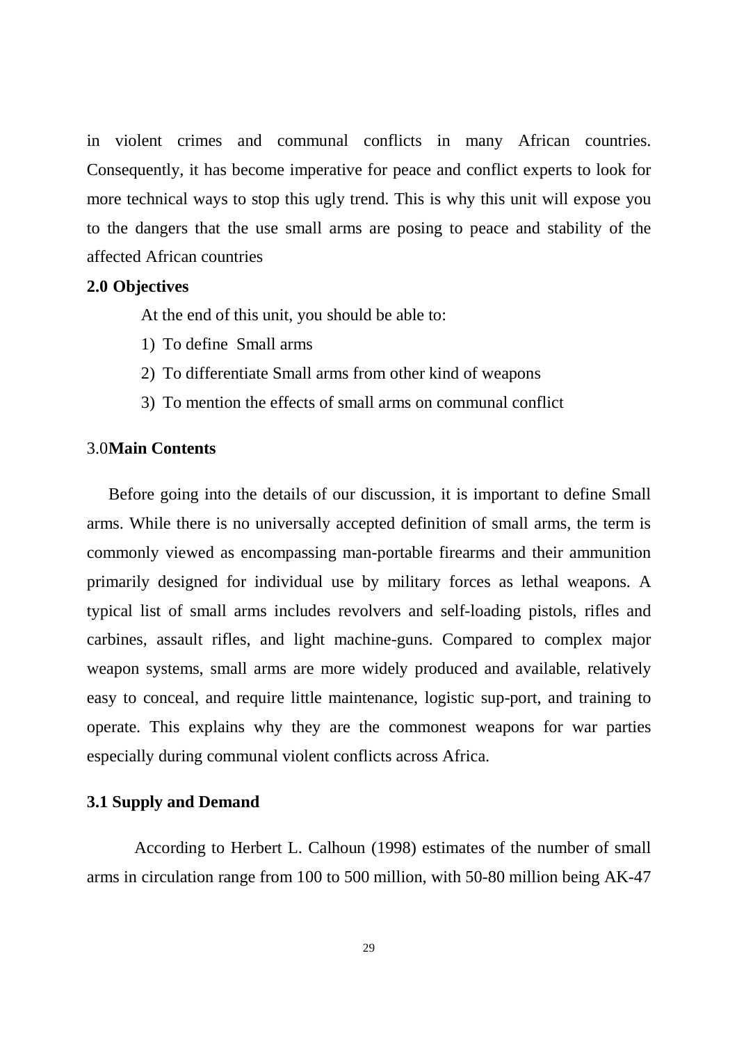in violent crimes and communal conflicts in many African countries. Consequently, it has become imperative for peace and conflict experts to look for more technical ways to stop this ugly trend. This is why this unit will expose you to the dangers that the use small arms are posing to peace and stability of the affected African countries

#### **2.0 Objectives**

At the end of this unit, you should be able to:

- 1) To define Small arms
- 2) To differentiate Small arms from other kind of weapons
- 3) To mention the effects of small arms on communal conflict

### 3.0**Main Contents**

Before going into the details of our discussion, it is important to define Small arms. While there is no universally accepted definition of small arms, the term is commonly viewed as encompassing man-portable firearms and their ammunition primarily designed for individual use by military forces as lethal weapons. A typical list of small arms includes revolvers and self-loading pistols, rifles and carbines, assault rifles, and light machine-guns. Compared to complex major weapon systems, small arms are more widely produced and available, relatively easy to conceal, and require little maintenance, logistic sup-port, and training to operate. This explains why they are the commonest weapons for war parties especially during communal violent conflicts across Africa.

### **3.1 Supply and Demand**

 According to Herbert L. Calhoun (1998) estimates of the number of small arms in circulation range from 100 to 500 million, with 50-80 million being AK-47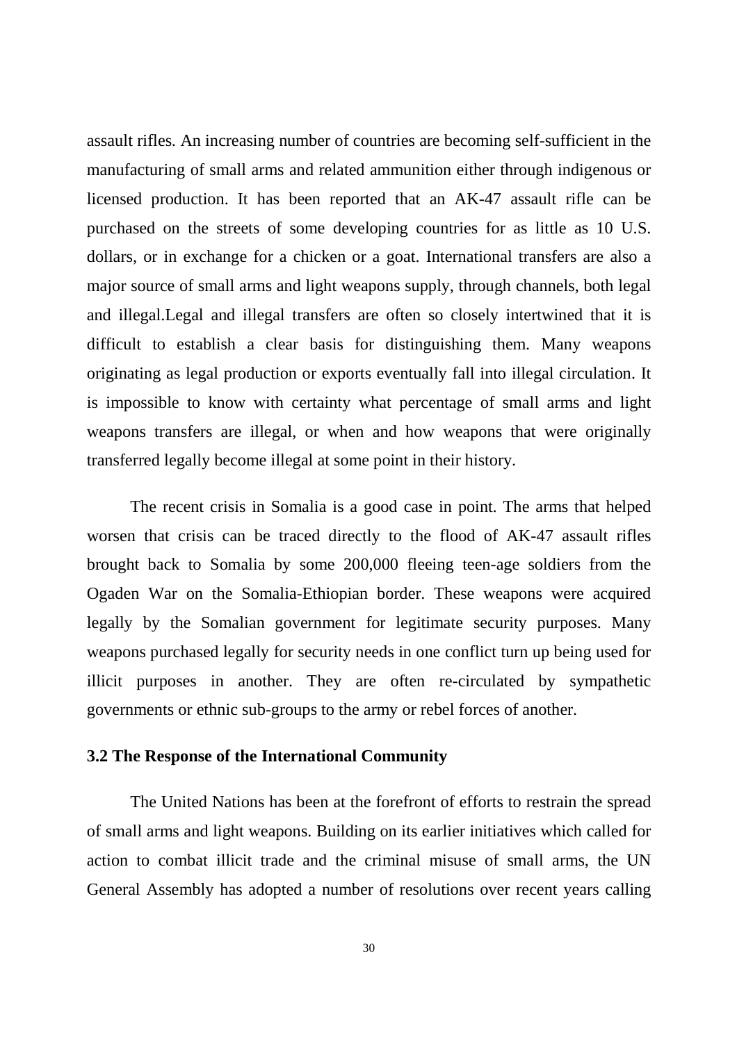assault rifles. An increasing number of countries are becoming self-sufficient in the manufacturing of small arms and related ammunition either through indigenous or licensed production. It has been reported that an AK-47 assault rifle can be purchased on the streets of some developing countries for as little as 10 U.S. dollars, or in exchange for a chicken or a goat. International transfers are also a major source of small arms and light weapons supply, through channels, both legal and illegal.Legal and illegal transfers are often so closely intertwined that it is difficult to establish a clear basis for distinguishing them. Many weapons originating as legal production or exports eventually fall into illegal circulation. It is impossible to know with certainty what percentage of small arms and light weapons transfers are illegal, or when and how weapons that were originally transferred legally become illegal at some point in their history.

The recent crisis in Somalia is a good case in point. The arms that helped worsen that crisis can be traced directly to the flood of AK-47 assault rifles brought back to Somalia by some 200,000 fleeing teen-age soldiers from the Ogaden War on the Somalia-Ethiopian border. These weapons were acquired legally by the Somalian government for legitimate security purposes. Many weapons purchased legally for security needs in one conflict turn up being used for illicit purposes in another. They are often re-circulated by sympathetic governments or ethnic sub-groups to the army or rebel forces of another.

### **3.2 The Response of the International Community**

The United Nations has been at the forefront of efforts to restrain the spread of small arms and light weapons. Building on its earlier initiatives which called for action to combat illicit trade and the criminal misuse of small arms, the UN General Assembly has adopted a number of resolutions over recent years calling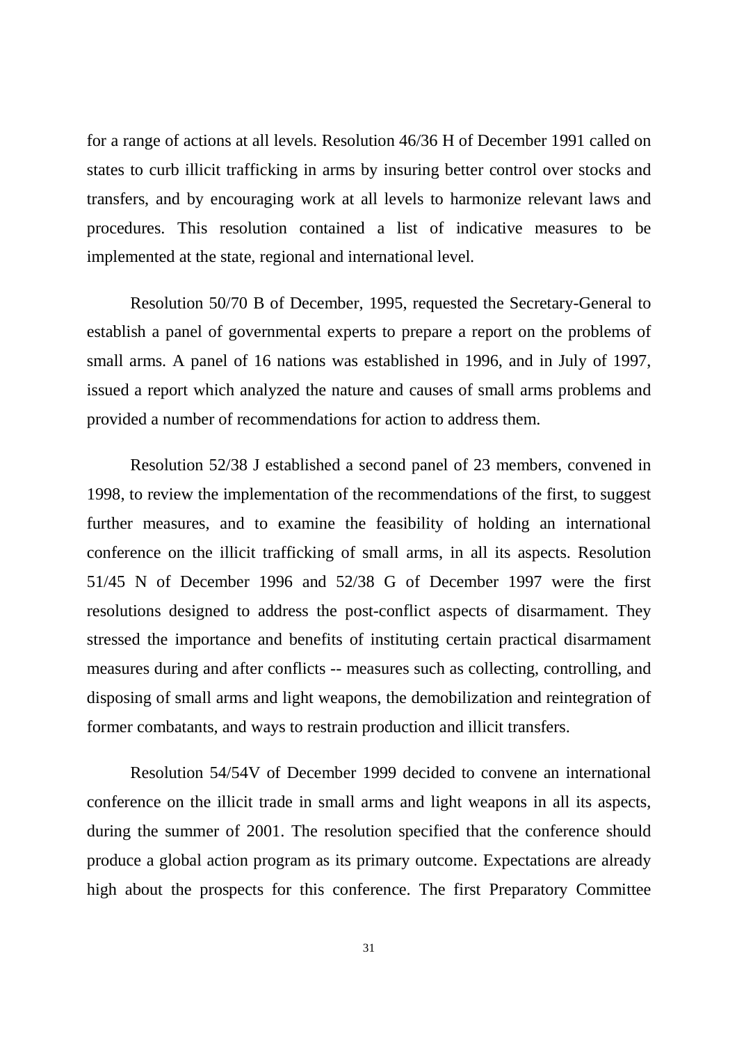for a range of actions at all levels. Resolution 46/36 H of December 1991 called on states to curb illicit trafficking in arms by insuring better control over stocks and transfers, and by encouraging work at all levels to harmonize relevant laws and procedures. This resolution contained a list of indicative measures to be implemented at the state, regional and international level.

Resolution 50/70 B of December, 1995, requested the Secretary-General to establish a panel of governmental experts to prepare a report on the problems of small arms. A panel of 16 nations was established in 1996, and in July of 1997, issued a report which analyzed the nature and causes of small arms problems and provided a number of recommendations for action to address them.

Resolution 52/38 J established a second panel of 23 members, convened in 1998, to review the implementation of the recommendations of the first, to suggest further measures, and to examine the feasibility of holding an international conference on the illicit trafficking of small arms, in all its aspects. Resolution 51/45 N of December 1996 and 52/38 G of December 1997 were the first resolutions designed to address the post-conflict aspects of disarmament. They stressed the importance and benefits of instituting certain practical disarmament measures during and after conflicts -- measures such as collecting, controlling, and disposing of small arms and light weapons, the demobilization and reintegration of former combatants, and ways to restrain production and illicit transfers.

Resolution 54/54V of December 1999 decided to convene an international conference on the illicit trade in small arms and light weapons in all its aspects, during the summer of 2001. The resolution specified that the conference should produce a global action program as its primary outcome. Expectations are already high about the prospects for this conference. The first Preparatory Committee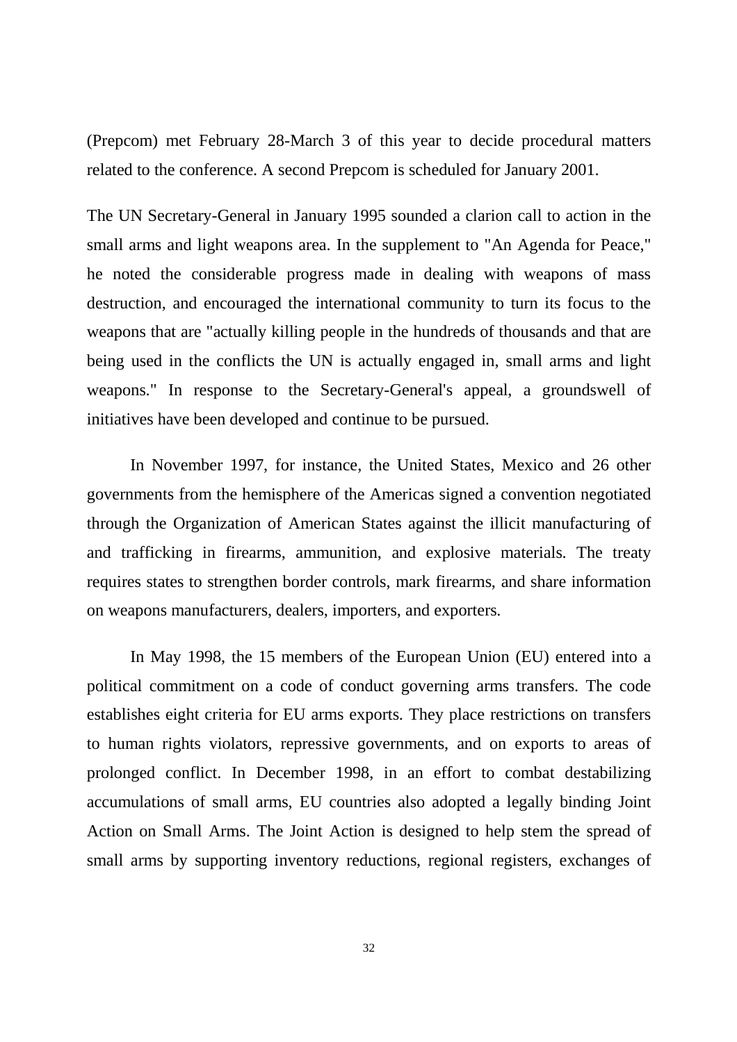(Prepcom) met February 28-March 3 of this year to decide procedural matters related to the conference. A second Prepcom is scheduled for January 2001.

The UN Secretary-General in January 1995 sounded a clarion call to action in the small arms and light weapons area. In the supplement to "An Agenda for Peace," he noted the considerable progress made in dealing with weapons of mass destruction, and encouraged the international community to turn its focus to the weapons that are "actually killing people in the hundreds of thousands and that are being used in the conflicts the UN is actually engaged in, small arms and light weapons." In response to the Secretary-General's appeal, a groundswell of initiatives have been developed and continue to be pursued.

In November 1997, for instance, the United States, Mexico and 26 other governments from the hemisphere of the Americas signed a convention negotiated through the Organization of American States against the illicit manufacturing of and trafficking in firearms, ammunition, and explosive materials. The treaty requires states to strengthen border controls, mark firearms, and share information on weapons manufacturers, dealers, importers, and exporters.

In May 1998, the 15 members of the European Union (EU) entered into a political commitment on a code of conduct governing arms transfers. The code establishes eight criteria for EU arms exports. They place restrictions on transfers to human rights violators, repressive governments, and on exports to areas of prolonged conflict. In December 1998, in an effort to combat destabilizing accumulations of small arms, EU countries also adopted a legally binding Joint Action on Small Arms. The Joint Action is designed to help stem the spread of small arms by supporting inventory reductions, regional registers, exchanges of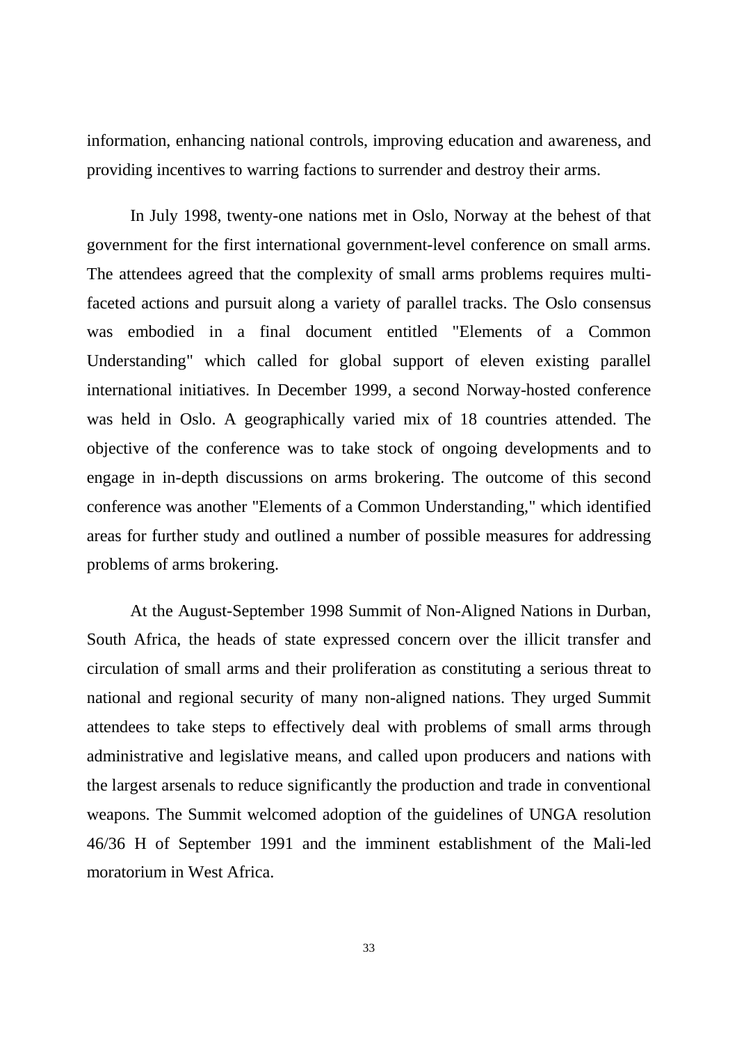information, enhancing national controls, improving education and awareness, and providing incentives to warring factions to surrender and destroy their arms.

In July 1998, twenty-one nations met in Oslo, Norway at the behest of that government for the first international government-level conference on small arms. The attendees agreed that the complexity of small arms problems requires multifaceted actions and pursuit along a variety of parallel tracks. The Oslo consensus was embodied in a final document entitled "Elements of a Common Understanding" which called for global support of eleven existing parallel international initiatives. In December 1999, a second Norway-hosted conference was held in Oslo. A geographically varied mix of 18 countries attended. The objective of the conference was to take stock of ongoing developments and to engage in in-depth discussions on arms brokering. The outcome of this second conference was another "Elements of a Common Understanding," which identified areas for further study and outlined a number of possible measures for addressing problems of arms brokering.

At the August-September 1998 Summit of Non-Aligned Nations in Durban, South Africa, the heads of state expressed concern over the illicit transfer and circulation of small arms and their proliferation as constituting a serious threat to national and regional security of many non-aligned nations. They urged Summit attendees to take steps to effectively deal with problems of small arms through administrative and legislative means, and called upon producers and nations with the largest arsenals to reduce significantly the production and trade in conventional weapons. The Summit welcomed adoption of the guidelines of UNGA resolution 46/36 H of September 1991 and the imminent establishment of the Mali-led moratorium in West Africa.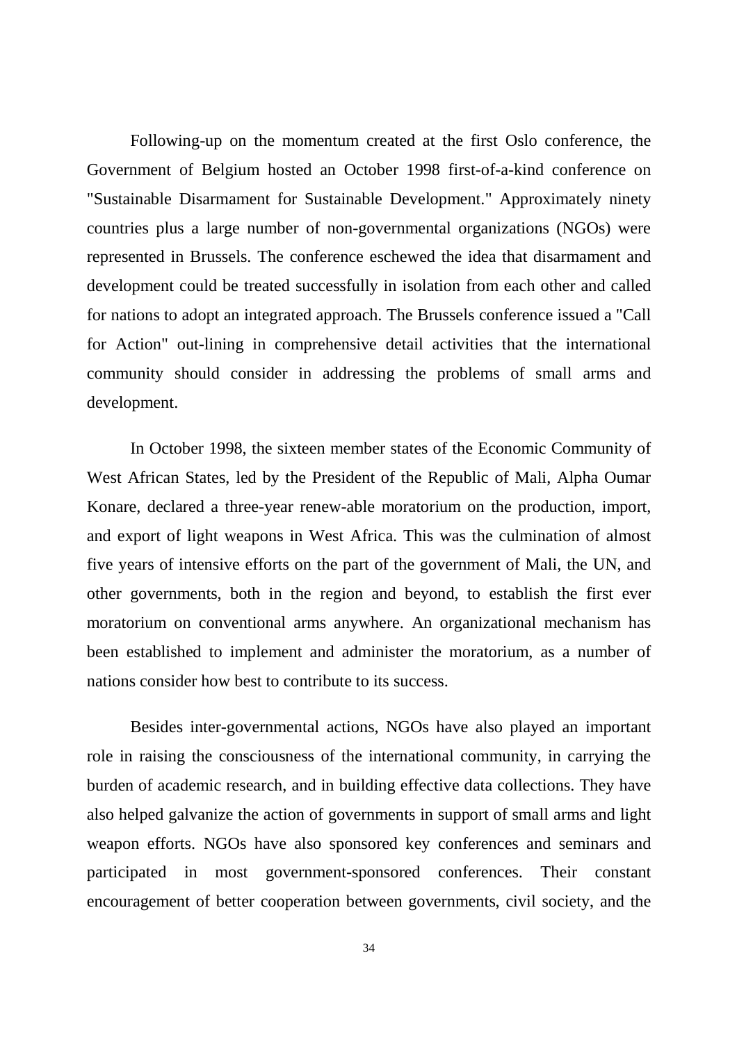Following-up on the momentum created at the first Oslo conference, the Government of Belgium hosted an October 1998 first-of-a-kind conference on "Sustainable Disarmament for Sustainable Development." Approximately ninety countries plus a large number of non-governmental organizations (NGOs) were represented in Brussels. The conference eschewed the idea that disarmament and development could be treated successfully in isolation from each other and called for nations to adopt an integrated approach. The Brussels conference issued a "Call for Action" out-lining in comprehensive detail activities that the international community should consider in addressing the problems of small arms and development.

In October 1998, the sixteen member states of the Economic Community of West African States, led by the President of the Republic of Mali, Alpha Oumar Konare, declared a three-year renew-able moratorium on the production, import, and export of light weapons in West Africa. This was the culmination of almost five years of intensive efforts on the part of the government of Mali, the UN, and other governments, both in the region and beyond, to establish the first ever moratorium on conventional arms anywhere. An organizational mechanism has been established to implement and administer the moratorium, as a number of nations consider how best to contribute to its success.

Besides inter-governmental actions, NGOs have also played an important role in raising the consciousness of the international community, in carrying the burden of academic research, and in building effective data collections. They have also helped galvanize the action of governments in support of small arms and light weapon efforts. NGOs have also sponsored key conferences and seminars and participated in most government-sponsored conferences. Their constant encouragement of better cooperation between governments, civil society, and the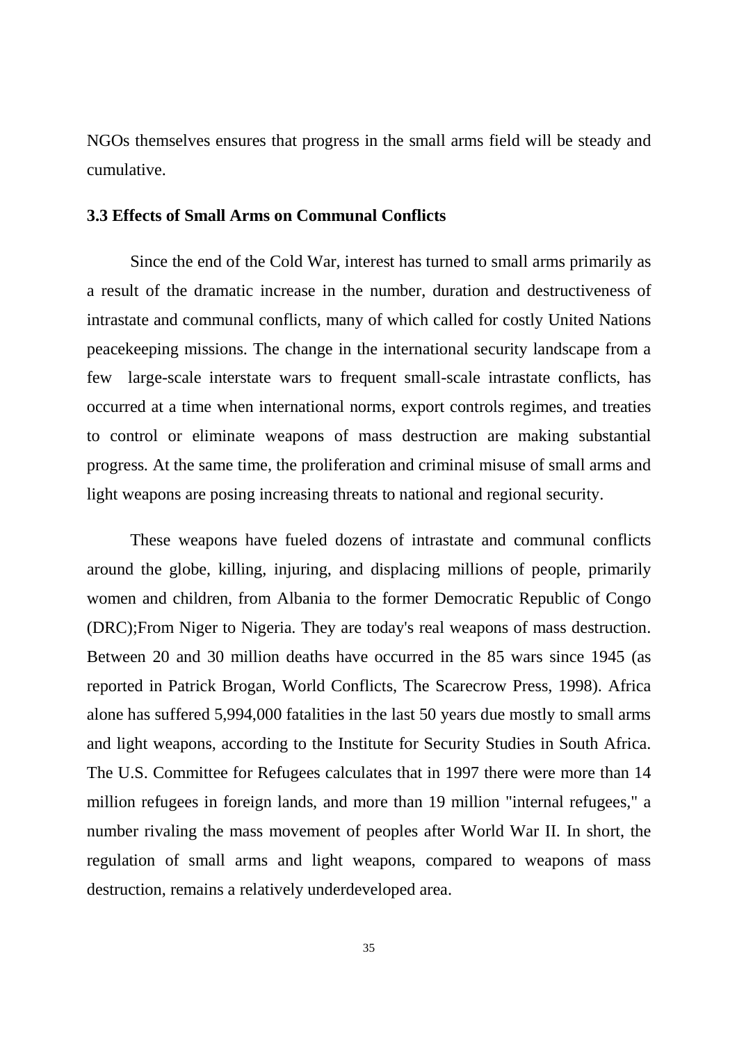NGOs themselves ensures that progress in the small arms field will be steady and cumulative.

### **3.3 Effects of Small Arms on Communal Conflicts**

Since the end of the Cold War, interest has turned to small arms primarily as a result of the dramatic increase in the number, duration and destructiveness of intrastate and communal conflicts, many of which called for costly United Nations peacekeeping missions. The change in the international security landscape from a few large-scale interstate wars to frequent small-scale intrastate conflicts, has occurred at a time when international norms, export controls regimes, and treaties to control or eliminate weapons of mass destruction are making substantial progress. At the same time, the proliferation and criminal misuse of small arms and light weapons are posing increasing threats to national and regional security.

These weapons have fueled dozens of intrastate and communal conflicts around the globe, killing, injuring, and displacing millions of people, primarily women and children, from Albania to the former Democratic Republic of Congo (DRC);From Niger to Nigeria. They are today's real weapons of mass destruction. Between 20 and 30 million deaths have occurred in the 85 wars since 1945 (as reported in Patrick Brogan, World Conflicts, The Scarecrow Press, 1998). Africa alone has suffered 5,994,000 fatalities in the last 50 years due mostly to small arms and light weapons, according to the Institute for Security Studies in South Africa. The U.S. Committee for Refugees calculates that in 1997 there were more than 14 million refugees in foreign lands, and more than 19 million "internal refugees," a number rivaling the mass movement of peoples after World War II. In short, the regulation of small arms and light weapons, compared to weapons of mass destruction, remains a relatively underdeveloped area.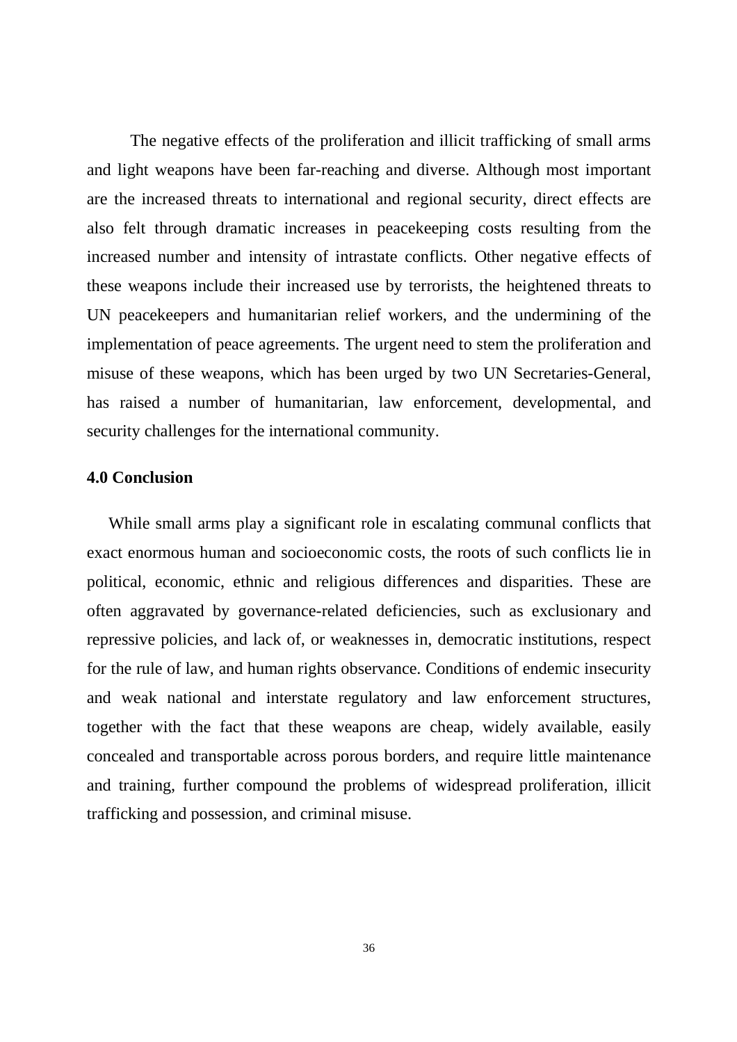The negative effects of the proliferation and illicit trafficking of small arms and light weapons have been far-reaching and diverse. Although most important are the increased threats to international and regional security, direct effects are also felt through dramatic increases in peacekeeping costs resulting from the increased number and intensity of intrastate conflicts. Other negative effects of these weapons include their increased use by terrorists, the heightened threats to UN peacekeepers and humanitarian relief workers, and the undermining of the implementation of peace agreements. The urgent need to stem the proliferation and misuse of these weapons, which has been urged by two UN Secretaries-General, has raised a number of humanitarian, law enforcement, developmental, and security challenges for the international community.

### **4.0 Conclusion**

While small arms play a significant role in escalating communal conflicts that exact enormous human and socioeconomic costs, the roots of such conflicts lie in political, economic, ethnic and religious differences and disparities. These are often aggravated by governance-related deficiencies, such as exclusionary and repressive policies, and lack of, or weaknesses in, democratic institutions, respect for the rule of law, and human rights observance. Conditions of endemic insecurity and weak national and interstate regulatory and law enforcement structures, together with the fact that these weapons are cheap, widely available, easily concealed and transportable across porous borders, and require little maintenance and training, further compound the problems of widespread proliferation, illicit trafficking and possession, and criminal misuse.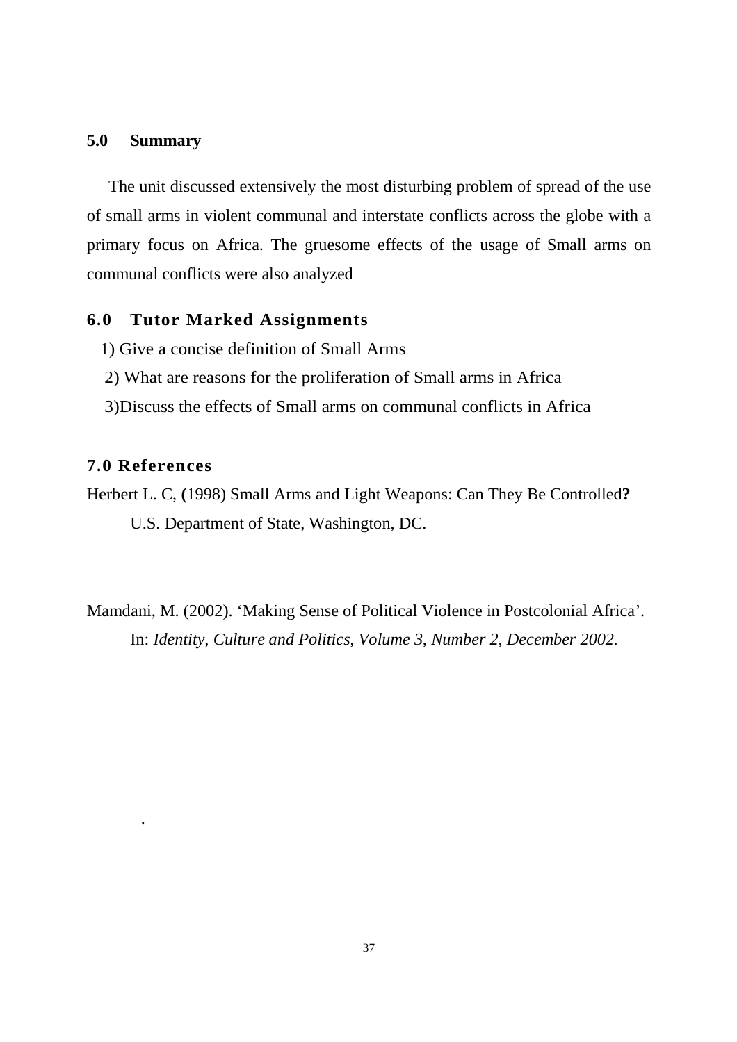## **5.0 Summary**

The unit discussed extensively the most disturbing problem of spread of the use of small arms in violent communal and interstate conflicts across the globe with a primary focus on Africa. The gruesome effects of the usage of Small arms on communal conflicts were also analyzed

## **6.0 Tutor Marked Assignments**

1) Give a concise definition of Small Arms

- 2) What are reasons for the proliferation of Small arms in Africa
- 3)Discuss the effects of Small arms on communal conflicts in Africa

## **7.0 References**

.

Herbert L. C, **(**1998) Small Arms and Light Weapons: Can They Be Controlled**?**  U.S. Department of State, Washington, DC.

Mamdani, M. (2002). 'Making Sense of Political Violence in Postcolonial Africa'. In: *Identity, Culture and Politics, Volume 3, Number 2, December 2002.*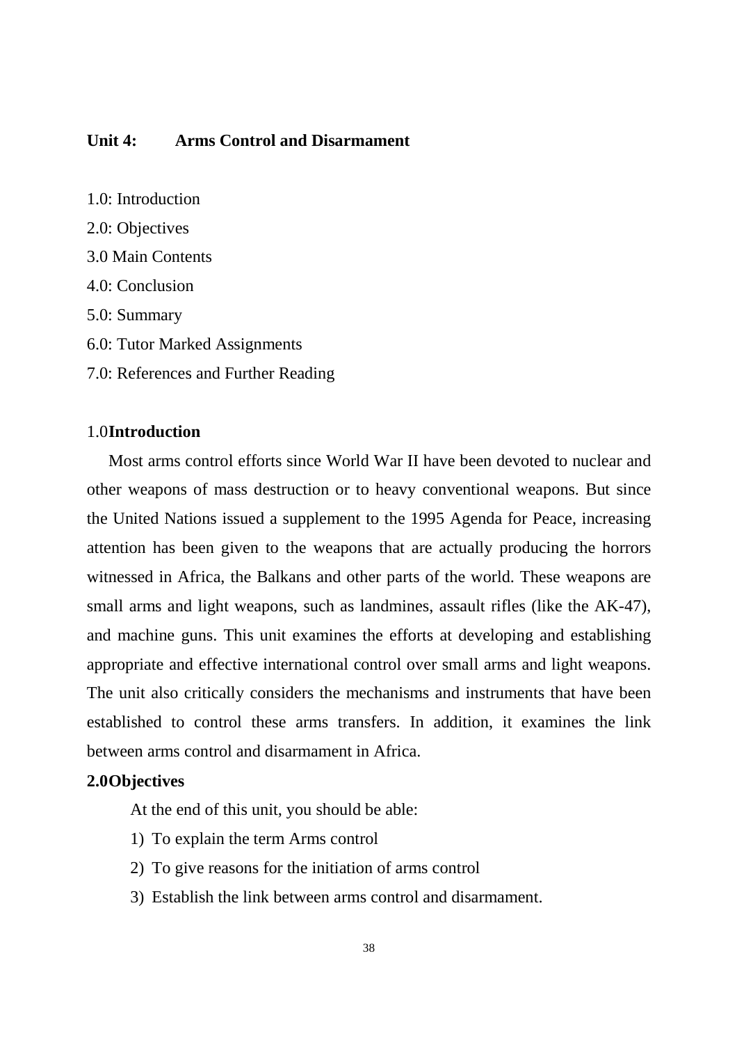## **Unit 4: Arms Control and Disarmament**

1.0: Introduction 2.0: Objectives 3.0 Main Contents 4.0: Conclusion 5.0: Summary 6.0: Tutor Marked Assignments 7.0: References and Further Reading

## 1.0**Introduction**

Most arms control efforts since World War II have been devoted to nuclear and other weapons of mass destruction or to heavy conventional weapons. But since the United Nations issued a supplement to the 1995 Agenda for Peace, increasing attention has been given to the weapons that are actually producing the horrors witnessed in Africa, the Balkans and other parts of the world. These weapons are small arms and light weapons, such as landmines, assault rifles (like the AK-47), and machine guns. This unit examines the efforts at developing and establishing appropriate and effective international control over small arms and light weapons. The unit also critically considers the mechanisms and instruments that have been established to control these arms transfers. In addition, it examines the link between arms control and disarmament in Africa.

#### **2.0Objectives**

At the end of this unit, you should be able:

- 1) To explain the term Arms control
- 2) To give reasons for the initiation of arms control
- 3) Establish the link between arms control and disarmament.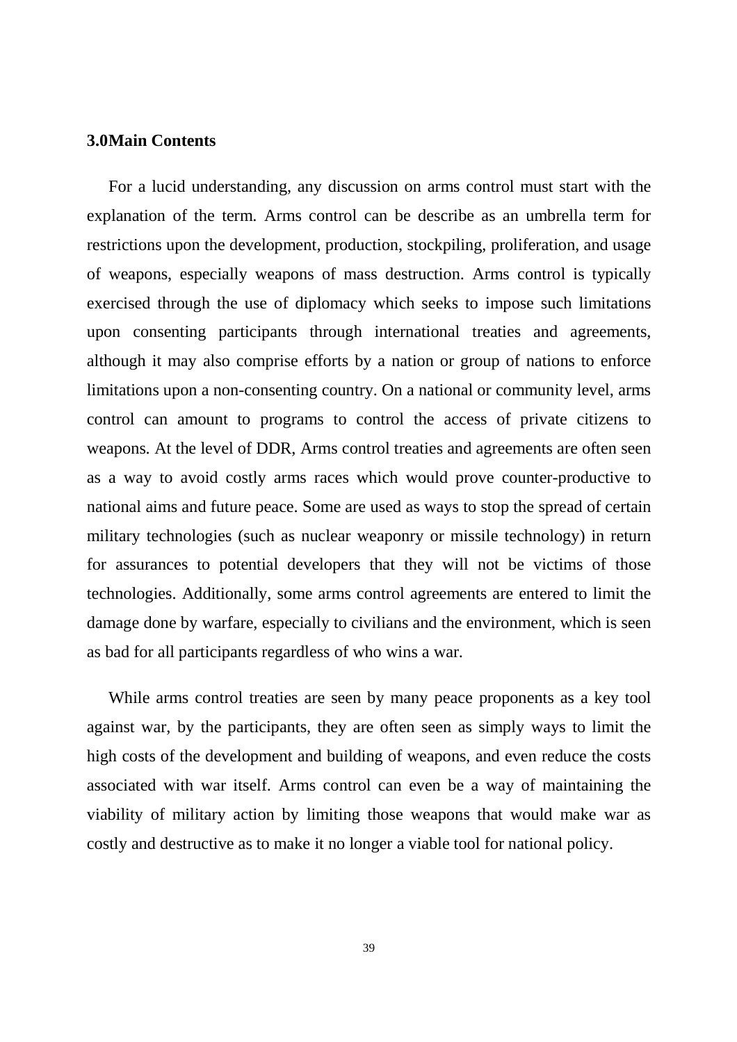#### **3.0Main Contents**

For a lucid understanding, any discussion on arms control must start with the explanation of the term. Arms control can be describe as an umbrella term for restrictions upon the development, production, stockpiling, proliferation, and usage of weapons, especially weapons of mass destruction. Arms control is typically exercised through the use of diplomacy which seeks to impose such limitations upon consenting participants through international treaties and agreements, although it may also comprise efforts by a nation or group of nations to enforce limitations upon a non-consenting country. On a national or community level, arms control can amount to programs to control the access of private citizens to weapons. At the level of DDR, Arms control treaties and agreements are often seen as a way to avoid costly arms races which would prove counter-productive to national aims and future peace. Some are used as ways to stop the spread of certain military technologies (such as nuclear weaponry or missile technology) in return for assurances to potential developers that they will not be victims of those technologies. Additionally, some arms control agreements are entered to limit the damage done by warfare, especially to civilians and the environment, which is seen as bad for all participants regardless of who wins a war.

While arms control treaties are seen by many peace proponents as a key tool against war, by the participants, they are often seen as simply ways to limit the high costs of the development and building of weapons, and even reduce the costs associated with war itself. Arms control can even be a way of maintaining the viability of military action by limiting those weapons that would make war as costly and destructive as to make it no longer a viable tool for national policy.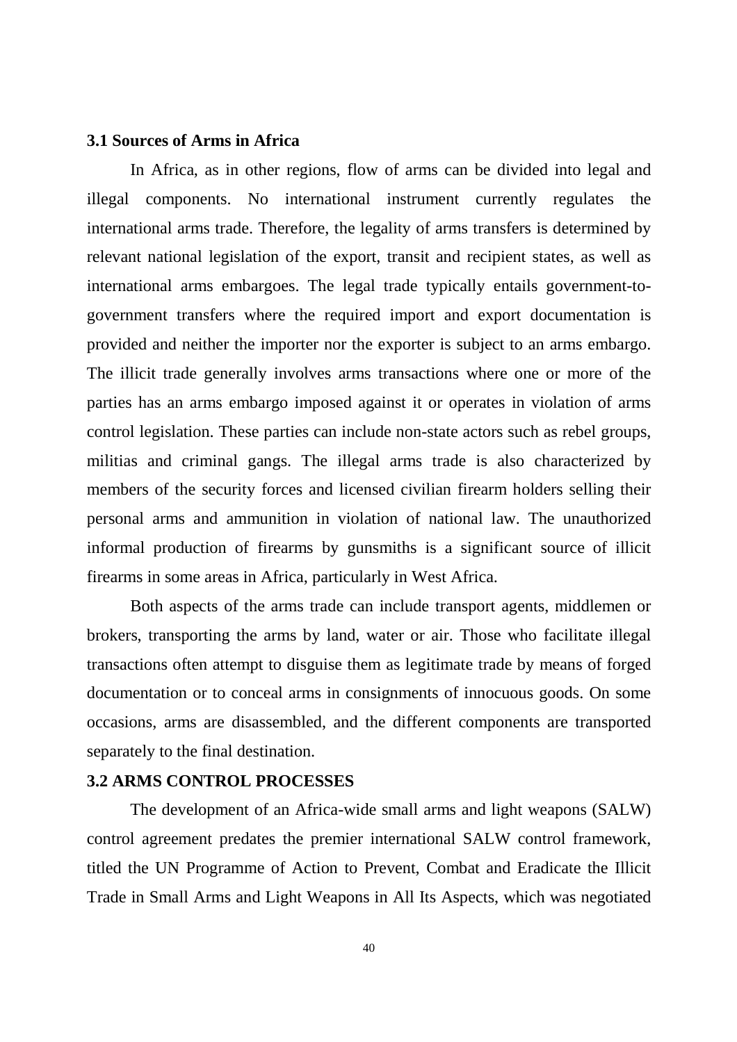#### **3.1 Sources of Arms in Africa**

In Africa, as in other regions, flow of arms can be divided into legal and illegal components. No international instrument currently regulates the international arms trade. Therefore, the legality of arms transfers is determined by relevant national legislation of the export, transit and recipient states, as well as international arms embargoes. The legal trade typically entails government-togovernment transfers where the required import and export documentation is provided and neither the importer nor the exporter is subject to an arms embargo. The illicit trade generally involves arms transactions where one or more of the parties has an arms embargo imposed against it or operates in violation of arms control legislation. These parties can include non-state actors such as rebel groups, militias and criminal gangs. The illegal arms trade is also characterized by members of the security forces and licensed civilian firearm holders selling their personal arms and ammunition in violation of national law. The unauthorized informal production of firearms by gunsmiths is a significant source of illicit firearms in some areas in Africa, particularly in West Africa.

Both aspects of the arms trade can include transport agents, middlemen or brokers, transporting the arms by land, water or air. Those who facilitate illegal transactions often attempt to disguise them as legitimate trade by means of forged documentation or to conceal arms in consignments of innocuous goods. On some occasions, arms are disassembled, and the different components are transported separately to the final destination.

## **3.2 ARMS CONTROL PROCESSES**

The development of an Africa-wide small arms and light weapons (SALW) control agreement predates the premier international SALW control framework, titled the UN Programme of Action to Prevent, Combat and Eradicate the Illicit Trade in Small Arms and Light Weapons in All Its Aspects, which was negotiated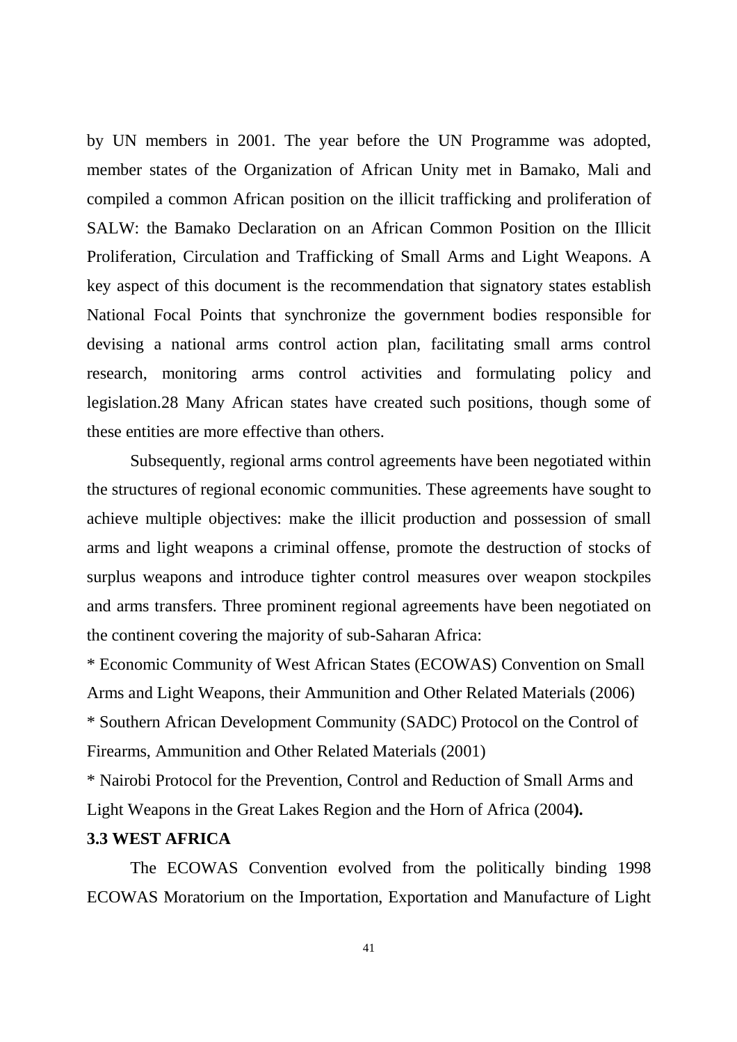by UN members in 2001. The year before the UN Programme was adopted, member states of the Organization of African Unity met in Bamako, Mali and compiled a common African position on the illicit trafficking and proliferation of SALW: the Bamako Declaration on an African Common Position on the Illicit Proliferation, Circulation and Trafficking of Small Arms and Light Weapons. A key aspect of this document is the recommendation that signatory states establish National Focal Points that synchronize the government bodies responsible for devising a national arms control action plan, facilitating small arms control research, monitoring arms control activities and formulating policy and legislation.28 Many African states have created such positions, though some of these entities are more effective than others.

Subsequently, regional arms control agreements have been negotiated within the structures of regional economic communities. These agreements have sought to achieve multiple objectives: make the illicit production and possession of small arms and light weapons a criminal offense, promote the destruction of stocks of surplus weapons and introduce tighter control measures over weapon stockpiles and arms transfers. Three prominent regional agreements have been negotiated on the continent covering the majority of sub-Saharan Africa:

\* Economic Community of West African States (ECOWAS) Convention on Small Arms and Light Weapons, their Ammunition and Other Related Materials (2006) \* Southern African Development Community (SADC) Protocol on the Control of Firearms, Ammunition and Other Related Materials (2001)

\* Nairobi Protocol for the Prevention, Control and Reduction of Small Arms and Light Weapons in the Great Lakes Region and the Horn of Africa (2004**).** 

## **3.3 WEST AFRICA**

The ECOWAS Convention evolved from the politically binding 1998 ECOWAS Moratorium on the Importation, Exportation and Manufacture of Light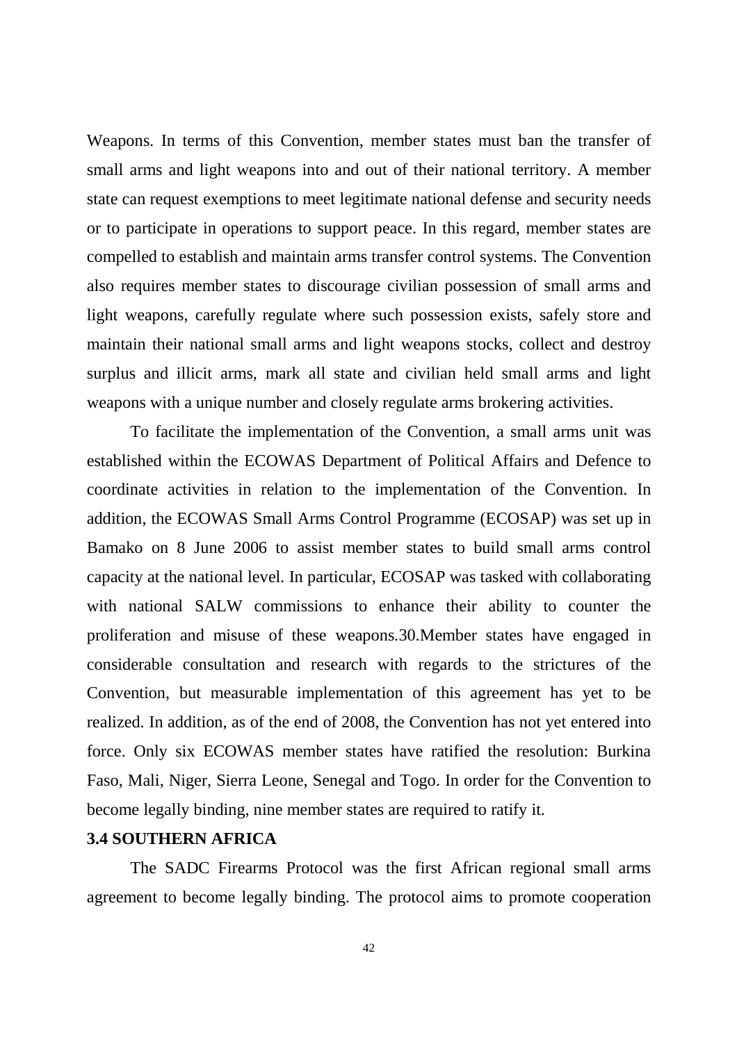Weapons. In terms of this Convention, member states must ban the transfer of small arms and light weapons into and out of their national territory. A member state can request exemptions to meet legitimate national defense and security needs or to participate in operations to support peace. In this regard, member states are compelled to establish and maintain arms transfer control systems. The Convention also requires member states to discourage civilian possession of small arms and light weapons, carefully regulate where such possession exists, safely store and maintain their national small arms and light weapons stocks, collect and destroy surplus and illicit arms, mark all state and civilian held small arms and light weapons with a unique number and closely regulate arms brokering activities.

To facilitate the implementation of the Convention, a small arms unit was established within the ECOWAS Department of Political Affairs and Defence to coordinate activities in relation to the implementation of the Convention. In addition, the ECOWAS Small Arms Control Programme (ECOSAP) was set up in Bamako on 8 June 2006 to assist member states to build small arms control capacity at the national level. In particular, ECOSAP was tasked with collaborating with national SALW commissions to enhance their ability to counter the proliferation and misuse of these weapons.30.Member states have engaged in considerable consultation and research with regards to the strictures of the Convention, but measurable implementation of this agreement has yet to be realized. In addition, as of the end of 2008, the Convention has not yet entered into force. Only six ECOWAS member states have ratified the resolution: Burkina Faso, Mali, Niger, Sierra Leone, Senegal and Togo. In order for the Convention to become legally binding, nine member states are required to ratify it.

## **3.4 SOUTHERN AFRICA**

The SADC Firearms Protocol was the first African regional small arms agreement to become legally binding. The protocol aims to promote cooperation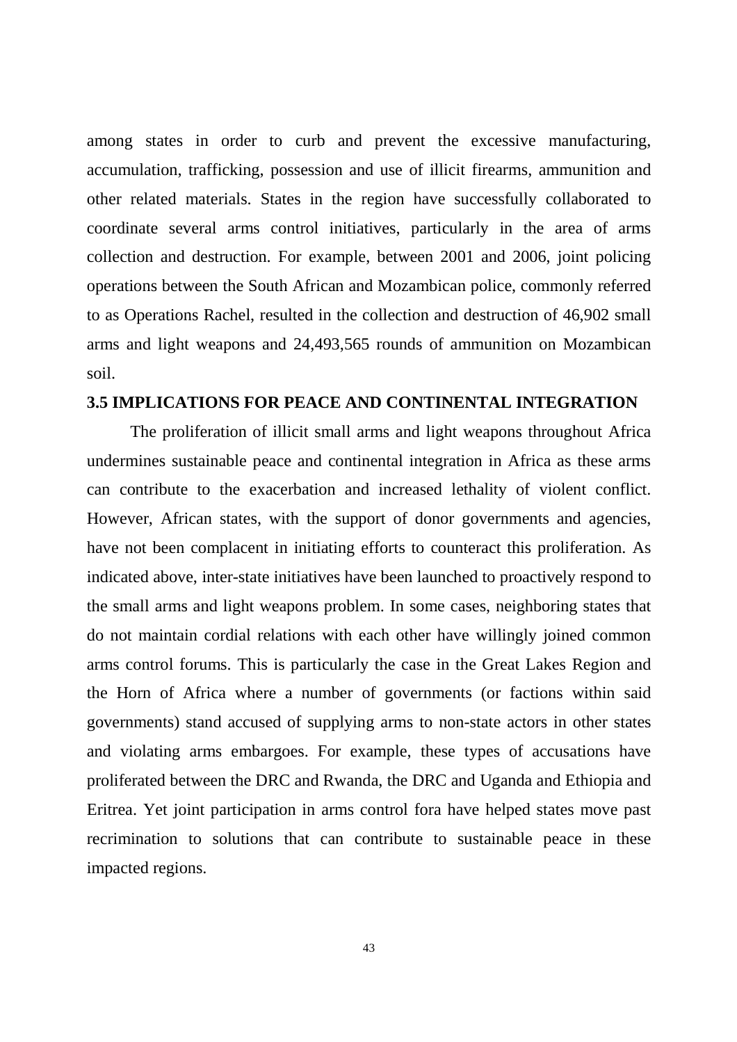among states in order to curb and prevent the excessive manufacturing, accumulation, trafficking, possession and use of illicit firearms, ammunition and other related materials. States in the region have successfully collaborated to coordinate several arms control initiatives, particularly in the area of arms collection and destruction. For example, between 2001 and 2006, joint policing operations between the South African and Mozambican police, commonly referred to as Operations Rachel, resulted in the collection and destruction of 46,902 small arms and light weapons and 24,493,565 rounds of ammunition on Mozambican soil.

## **3.5 IMPLICATIONS FOR PEACE AND CONTINENTAL INTEGRATION**

The proliferation of illicit small arms and light weapons throughout Africa undermines sustainable peace and continental integration in Africa as these arms can contribute to the exacerbation and increased lethality of violent conflict. However, African states, with the support of donor governments and agencies, have not been complacent in initiating efforts to counteract this proliferation. As indicated above, inter-state initiatives have been launched to proactively respond to the small arms and light weapons problem. In some cases, neighboring states that do not maintain cordial relations with each other have willingly joined common arms control forums. This is particularly the case in the Great Lakes Region and the Horn of Africa where a number of governments (or factions within said governments) stand accused of supplying arms to non-state actors in other states and violating arms embargoes. For example, these types of accusations have proliferated between the DRC and Rwanda, the DRC and Uganda and Ethiopia and Eritrea. Yet joint participation in arms control fora have helped states move past recrimination to solutions that can contribute to sustainable peace in these impacted regions.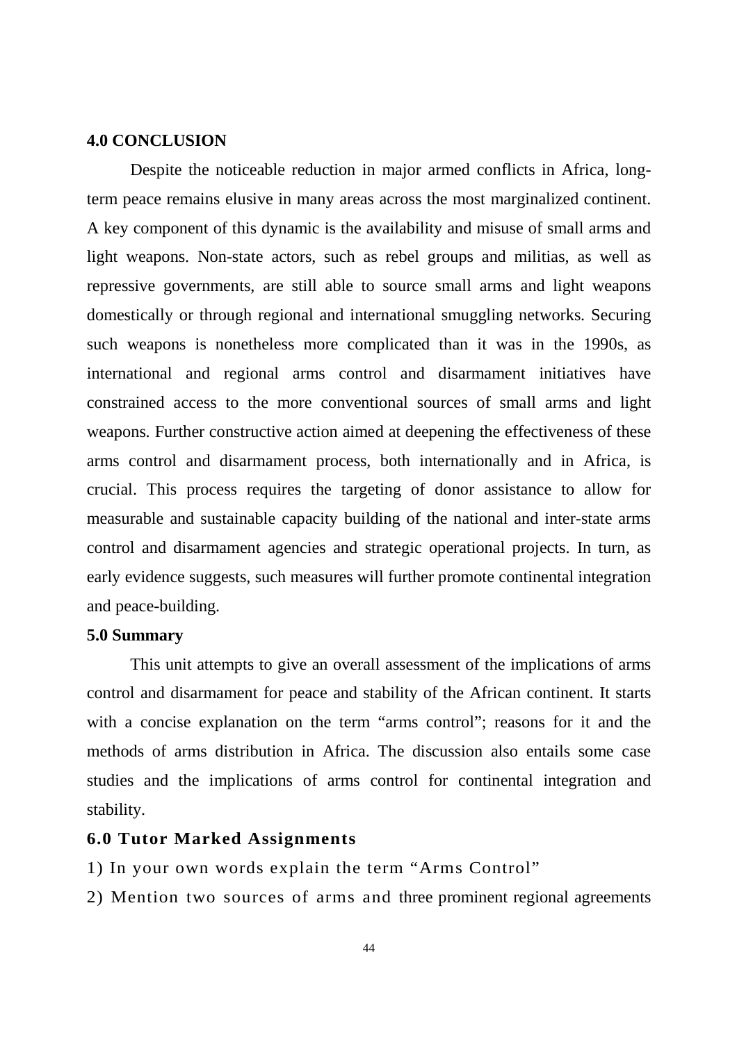#### **4.0 CONCLUSION**

Despite the noticeable reduction in major armed conflicts in Africa, longterm peace remains elusive in many areas across the most marginalized continent. A key component of this dynamic is the availability and misuse of small arms and light weapons. Non-state actors, such as rebel groups and militias, as well as repressive governments, are still able to source small arms and light weapons domestically or through regional and international smuggling networks. Securing such weapons is nonetheless more complicated than it was in the 1990s, as international and regional arms control and disarmament initiatives have constrained access to the more conventional sources of small arms and light weapons. Further constructive action aimed at deepening the effectiveness of these arms control and disarmament process, both internationally and in Africa, is crucial. This process requires the targeting of donor assistance to allow for measurable and sustainable capacity building of the national and inter-state arms control and disarmament agencies and strategic operational projects. In turn, as early evidence suggests, such measures will further promote continental integration and peace-building.

#### **5.0 Summary**

 This unit attempts to give an overall assessment of the implications of arms control and disarmament for peace and stability of the African continent. It starts with a concise explanation on the term "arms control"; reasons for it and the methods of arms distribution in Africa. The discussion also entails some case studies and the implications of arms control for continental integration and stability.

#### **6.0 Tutor Marked Assignments**

- 1) In your own words explain the term "Arms Control"
- 2) Mention two sources of arms and three prominent regional agreements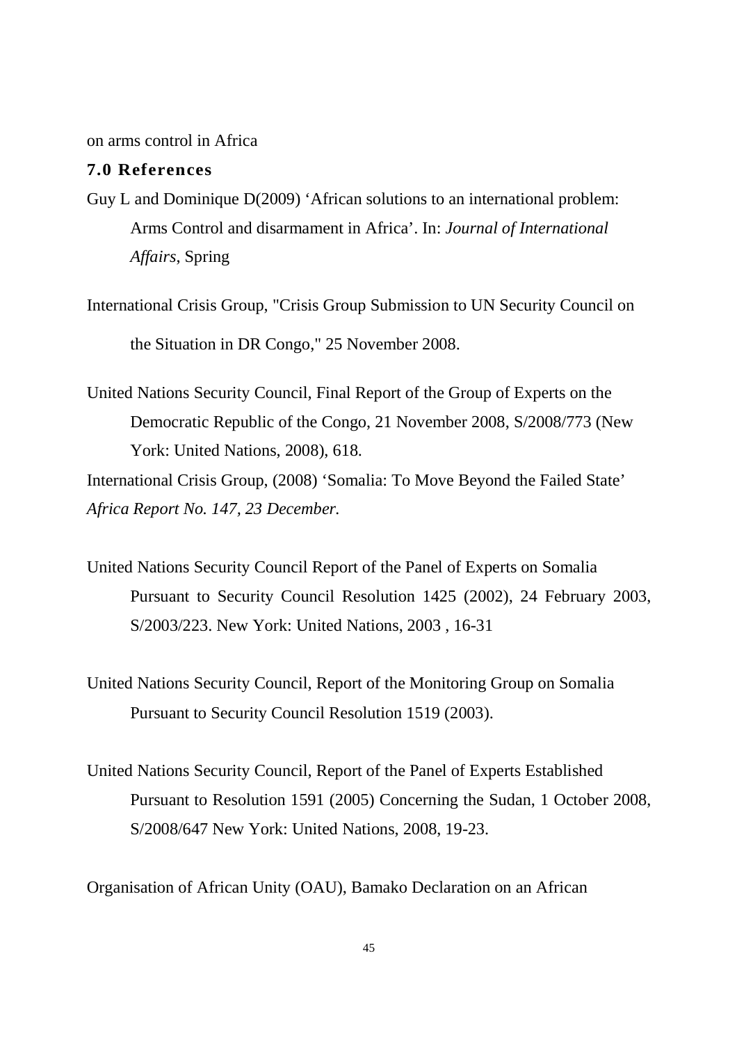on arms control in Africa

## **7.0 References**

- Guy L and Dominique D(2009) 'African solutions to an international problem: Arms Control and disarmament in Africa'. In: *Journal of International Affairs*, Spring
- International Crisis Group, "Crisis Group Submission to UN Security Council on the Situation in DR Congo," 25 November 2008.
- United Nations Security Council, Final Report of the Group of Experts on the Democratic Republic of the Congo, 21 November 2008, S/2008/773 (New York: United Nations, 2008), 618. International Crisis Group, (2008) 'Somalia: To Move Beyond the Failed State'

*Africa Report No. 147, 23 December.* 

- United Nations Security Council Report of the Panel of Experts on Somalia Pursuant to Security Council Resolution 1425 (2002), 24 February 2003, S/2003/223. New York: United Nations, 2003 , 16-31
- United Nations Security Council, Report of the Monitoring Group on Somalia Pursuant to Security Council Resolution 1519 (2003).
- United Nations Security Council, Report of the Panel of Experts Established Pursuant to Resolution 1591 (2005) Concerning the Sudan, 1 October 2008, S/2008/647 New York: United Nations, 2008, 19-23.

Organisation of African Unity (OAU), Bamako Declaration on an African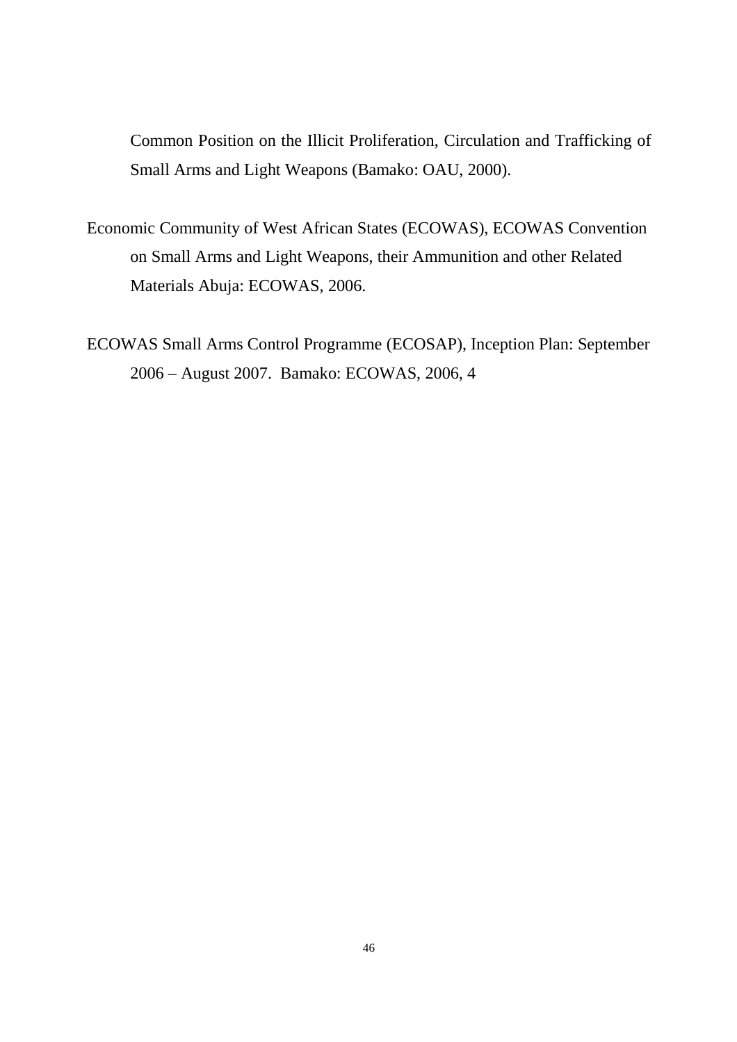Common Position on the Illicit Proliferation, Circulation and Trafficking of Small Arms and Light Weapons (Bamako: OAU, 2000).

- Economic Community of West African States (ECOWAS), ECOWAS Convention on Small Arms and Light Weapons, their Ammunition and other Related Materials Abuja: ECOWAS, 2006.
- ECOWAS Small Arms Control Programme (ECOSAP), Inception Plan: September 2006 – August 2007. Bamako: ECOWAS, 2006, 4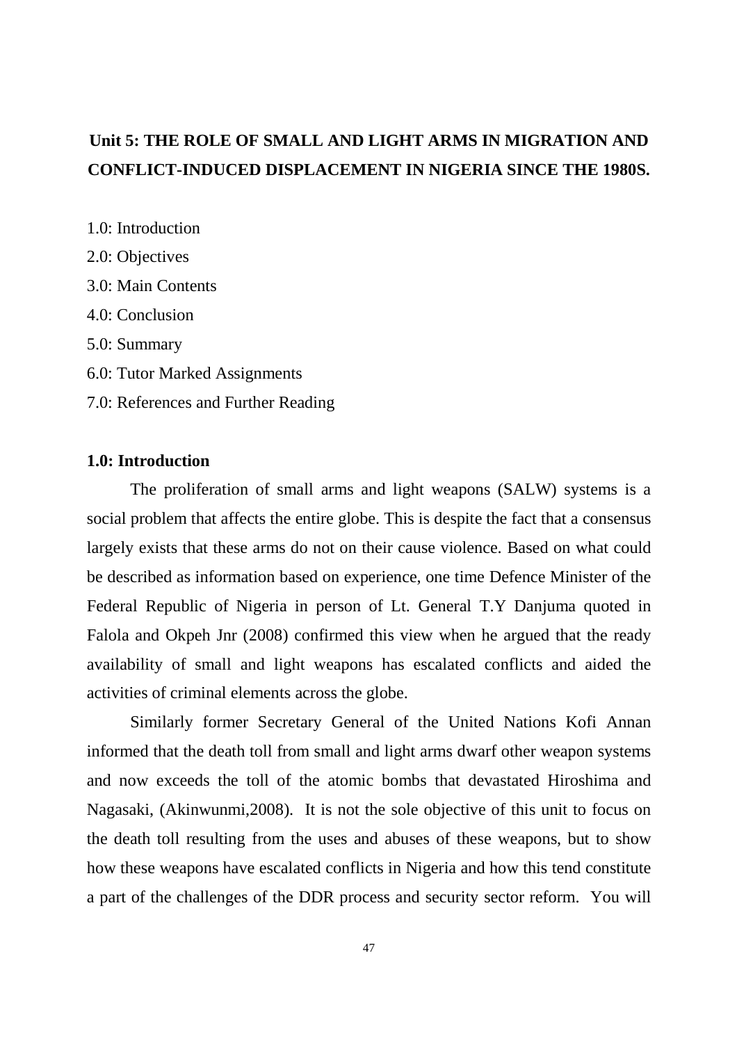## **Unit 5: THE ROLE OF SMALL AND LIGHT ARMS IN MIGRATION AND CONFLICT-INDUCED DISPLACEMENT IN NIGERIA SINCE THE 1980S.**

1.0: Introduction 2.0: Objectives 3.0: Main Contents 4.0: Conclusion 5.0: Summary 6.0: Tutor Marked Assignments 7.0: References and Further Reading

## **1.0: Introduction**

The proliferation of small arms and light weapons (SALW) systems is a social problem that affects the entire globe. This is despite the fact that a consensus largely exists that these arms do not on their cause violence. Based on what could be described as information based on experience, one time Defence Minister of the Federal Republic of Nigeria in person of Lt. General T.Y Danjuma quoted in Falola and Okpeh Jnr (2008) confirmed this view when he argued that the ready availability of small and light weapons has escalated conflicts and aided the activities of criminal elements across the globe.

Similarly former Secretary General of the United Nations Kofi Annan informed that the death toll from small and light arms dwarf other weapon systems and now exceeds the toll of the atomic bombs that devastated Hiroshima and Nagasaki, (Akinwunmi,2008). It is not the sole objective of this unit to focus on the death toll resulting from the uses and abuses of these weapons, but to show how these weapons have escalated conflicts in Nigeria and how this tend constitute a part of the challenges of the DDR process and security sector reform. You will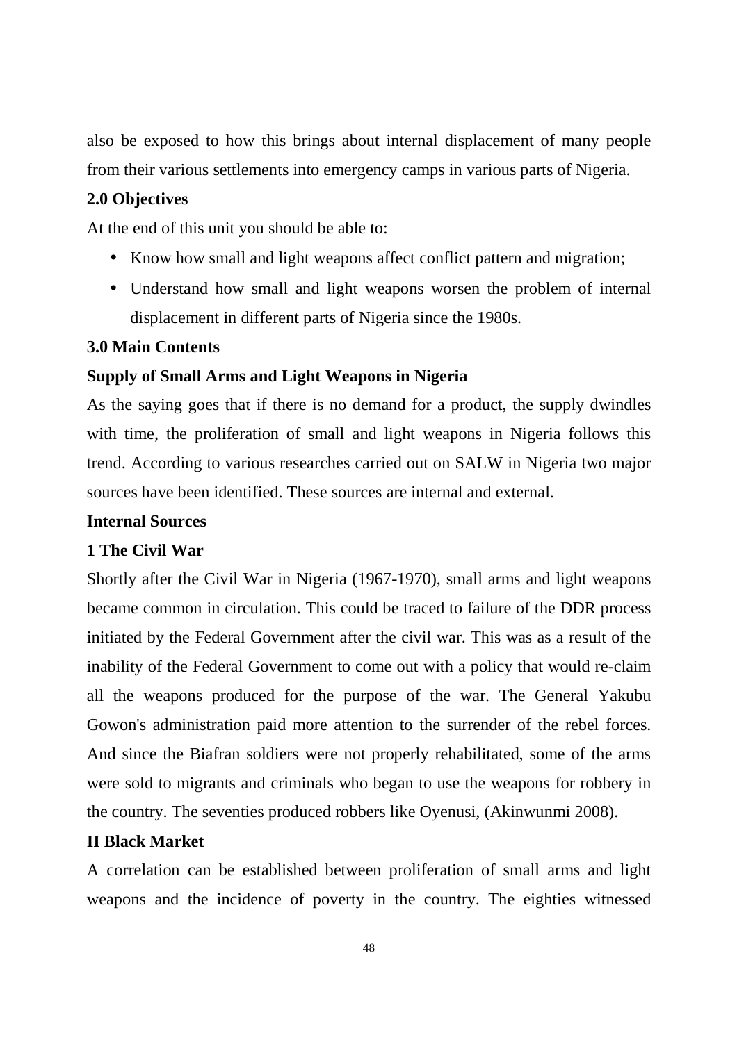also be exposed to how this brings about internal displacement of many people from their various settlements into emergency camps in various parts of Nigeria.

## **2.0 Objectives**

At the end of this unit you should be able to:

- Know how small and light weapons affect conflict pattern and migration;
- Understand how small and light weapons worsen the problem of internal displacement in different parts of Nigeria since the 1980s.

## **3.0 Main Contents**

## **Supply of Small Arms and Light Weapons in Nigeria**

As the saying goes that if there is no demand for a product, the supply dwindles with time, the proliferation of small and light weapons in Nigeria follows this trend. According to various researches carried out on SALW in Nigeria two major sources have been identified. These sources are internal and external.

#### **Internal Sources**

## **1 The Civil War**

Shortly after the Civil War in Nigeria (1967-1970), small arms and light weapons became common in circulation. This could be traced to failure of the DDR process initiated by the Federal Government after the civil war. This was as a result of the inability of the Federal Government to come out with a policy that would re-claim all the weapons produced for the purpose of the war. The General Yakubu Gowon's administration paid more attention to the surrender of the rebel forces. And since the Biafran soldiers were not properly rehabilitated, some of the arms were sold to migrants and criminals who began to use the weapons for robbery in the country. The seventies produced robbers like Oyenusi, (Akinwunmi 2008).

## **II Black Market**

A correlation can be established between proliferation of small arms and light weapons and the incidence of poverty in the country. The eighties witnessed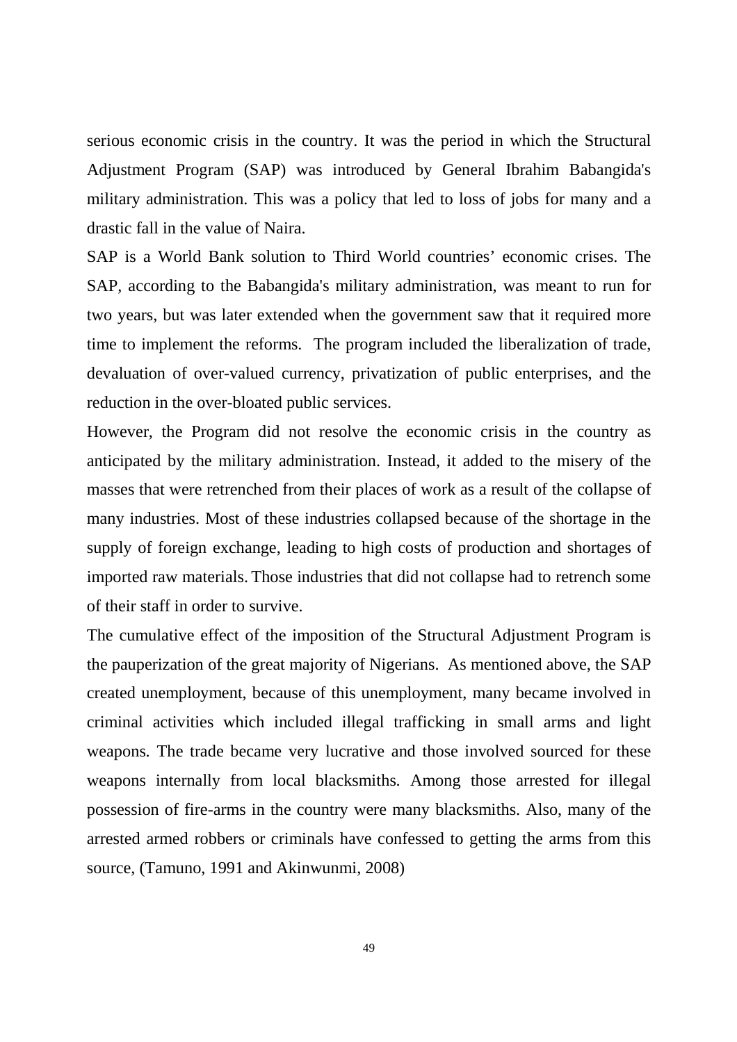serious economic crisis in the country. It was the period in which the Structural Adjustment Program (SAP) was introduced by General Ibrahim Babangida's military administration. This was a policy that led to loss of jobs for many and a drastic fall in the value of Naira.

SAP is a World Bank solution to Third World countries' economic crises. The SAP, according to the Babangida's military administration, was meant to run for two years, but was later extended when the government saw that it required more time to implement the reforms. The program included the liberalization of trade, devaluation of over-valued currency, privatization of public enterprises, and the reduction in the over-bloated public services.

However, the Program did not resolve the economic crisis in the country as anticipated by the military administration. Instead, it added to the misery of the masses that were retrenched from their places of work as a result of the collapse of many industries. Most of these industries collapsed because of the shortage in the supply of foreign exchange, leading to high costs of production and shortages of imported raw materials. Those industries that did not collapse had to retrench some of their staff in order to survive.

The cumulative effect of the imposition of the Structural Adjustment Program is the pauperization of the great majority of Nigerians. As mentioned above, the SAP created unemployment, because of this unemployment, many became involved in criminal activities which included illegal trafficking in small arms and light weapons. The trade became very lucrative and those involved sourced for these weapons internally from local blacksmiths. Among those arrested for illegal possession of fire-arms in the country were many blacksmiths. Also, many of the arrested armed robbers or criminals have confessed to getting the arms from this source, (Tamuno, 1991 and Akinwunmi, 2008)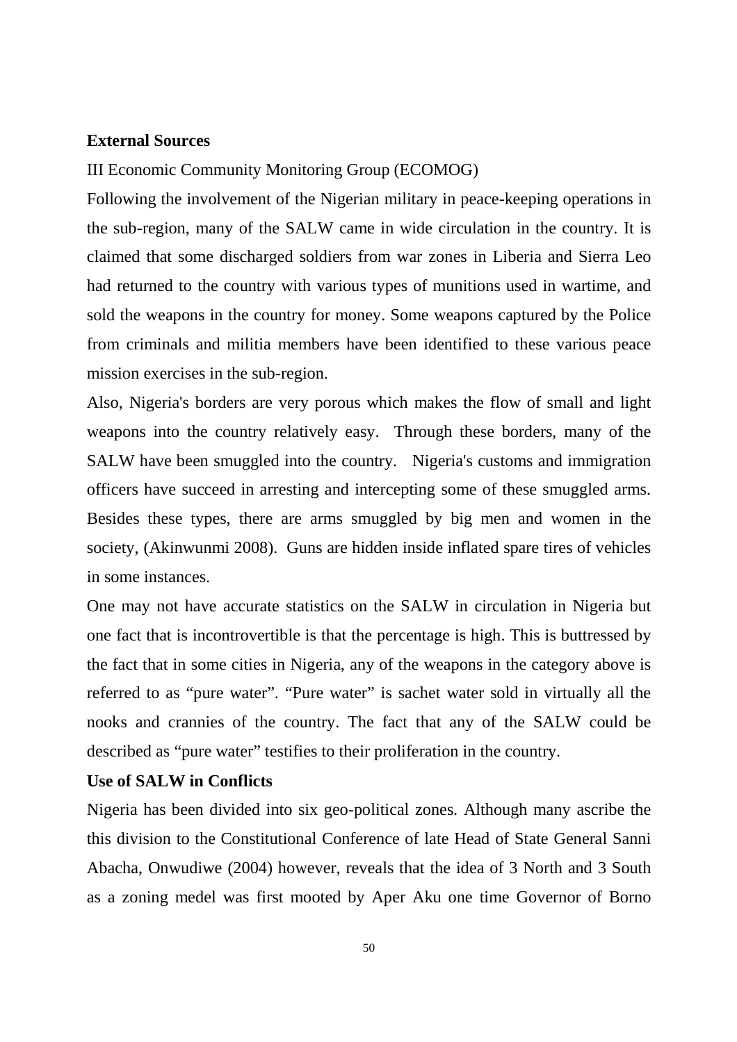#### **External Sources**

#### III Economic Community Monitoring Group (ECOMOG)

Following the involvement of the Nigerian military in peace-keeping operations in the sub-region, many of the SALW came in wide circulation in the country. It is claimed that some discharged soldiers from war zones in Liberia and Sierra Leo had returned to the country with various types of munitions used in wartime, and sold the weapons in the country for money. Some weapons captured by the Police from criminals and militia members have been identified to these various peace mission exercises in the sub-region.

Also, Nigeria's borders are very porous which makes the flow of small and light weapons into the country relatively easy. Through these borders, many of the SALW have been smuggled into the country. Nigeria's customs and immigration officers have succeed in arresting and intercepting some of these smuggled arms. Besides these types, there are arms smuggled by big men and women in the society, (Akinwunmi 2008). Guns are hidden inside inflated spare tires of vehicles in some instances.

One may not have accurate statistics on the SALW in circulation in Nigeria but one fact that is incontrovertible is that the percentage is high. This is buttressed by the fact that in some cities in Nigeria, any of the weapons in the category above is referred to as "pure water". "Pure water" is sachet water sold in virtually all the nooks and crannies of the country. The fact that any of the SALW could be described as "pure water" testifies to their proliferation in the country.

## **Use of SALW in Conflicts**

Nigeria has been divided into six geo-political zones. Although many ascribe the this division to the Constitutional Conference of late Head of State General Sanni Abacha, Onwudiwe (2004) however, reveals that the idea of 3 North and 3 South as a zoning medel was first mooted by Aper Aku one time Governor of Borno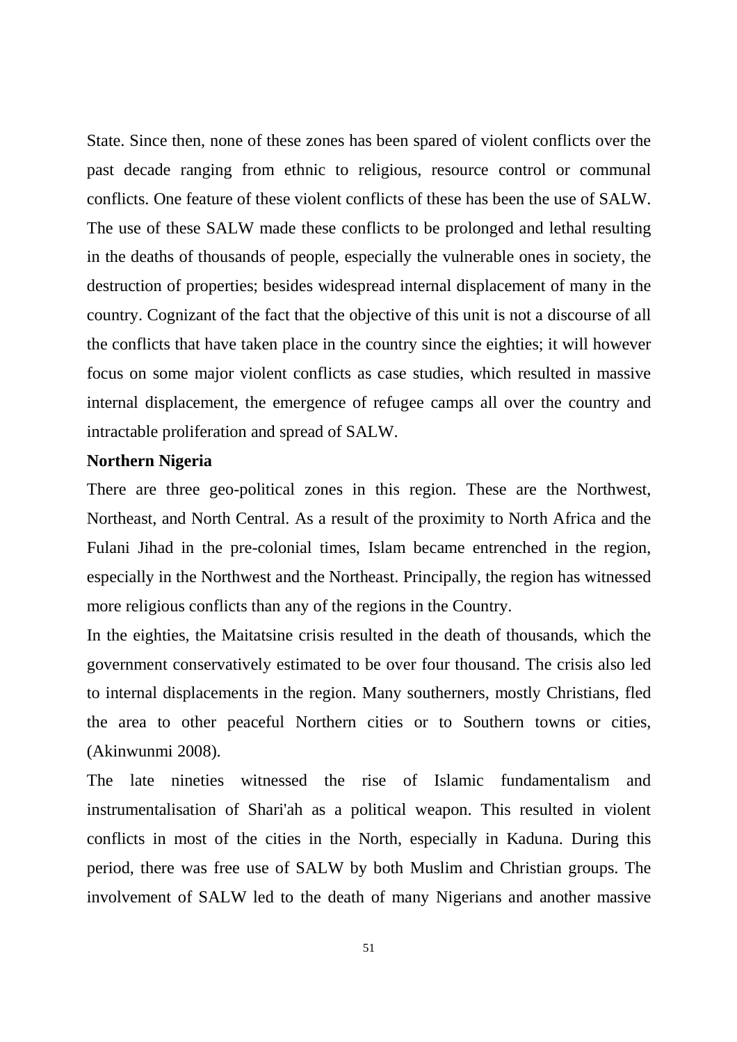State. Since then, none of these zones has been spared of violent conflicts over the past decade ranging from ethnic to religious, resource control or communal conflicts. One feature of these violent conflicts of these has been the use of SALW. The use of these SALW made these conflicts to be prolonged and lethal resulting in the deaths of thousands of people, especially the vulnerable ones in society, the destruction of properties; besides widespread internal displacement of many in the country. Cognizant of the fact that the objective of this unit is not a discourse of all the conflicts that have taken place in the country since the eighties; it will however focus on some major violent conflicts as case studies, which resulted in massive internal displacement, the emergence of refugee camps all over the country and intractable proliferation and spread of SALW.

## **Northern Nigeria**

There are three geo-political zones in this region. These are the Northwest, Northeast, and North Central. As a result of the proximity to North Africa and the Fulani Jihad in the pre-colonial times, Islam became entrenched in the region, especially in the Northwest and the Northeast. Principally, the region has witnessed more religious conflicts than any of the regions in the Country.

In the eighties, the Maitatsine crisis resulted in the death of thousands, which the government conservatively estimated to be over four thousand. The crisis also led to internal displacements in the region. Many southerners, mostly Christians, fled the area to other peaceful Northern cities or to Southern towns or cities, (Akinwunmi 2008).

The late nineties witnessed the rise of Islamic fundamentalism and instrumentalisation of Shari'ah as a political weapon. This resulted in violent conflicts in most of the cities in the North, especially in Kaduna. During this period, there was free use of SALW by both Muslim and Christian groups. The involvement of SALW led to the death of many Nigerians and another massive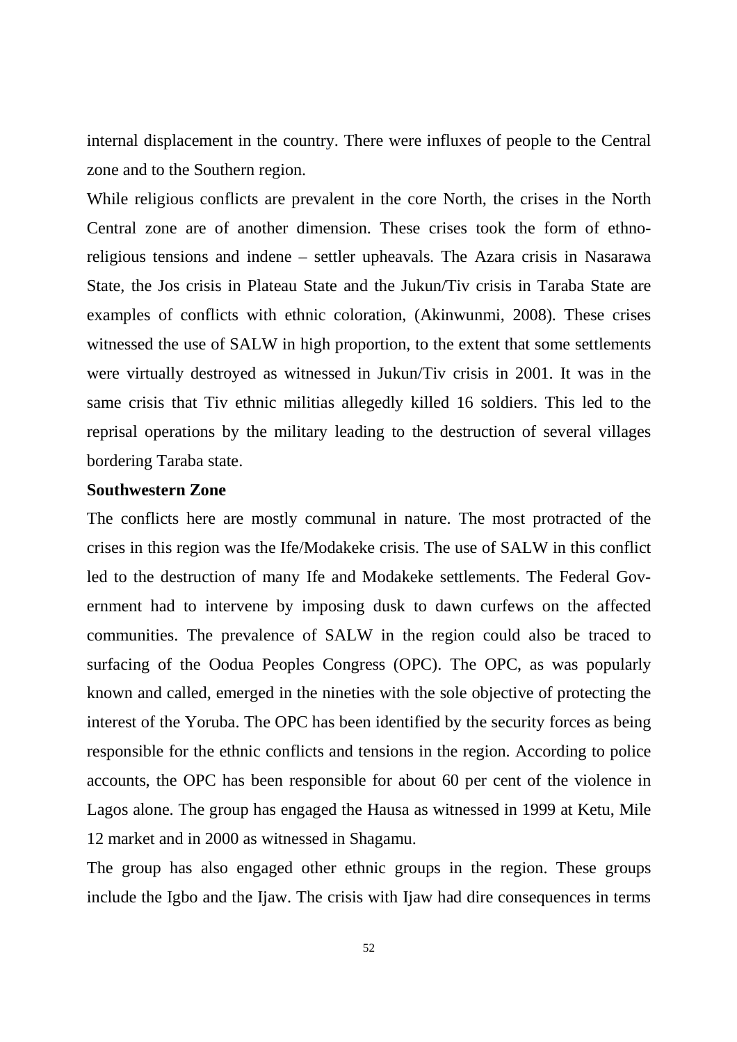internal displacement in the country. There were influxes of people to the Central zone and to the Southern region.

While religious conflicts are prevalent in the core North, the crises in the North Central zone are of another dimension. These crises took the form of ethnoreligious tensions and indene – settler upheavals. The Azara crisis in Nasarawa State, the Jos crisis in Plateau State and the Jukun/Tiv crisis in Taraba State are examples of conflicts with ethnic coloration, (Akinwunmi, 2008). These crises witnessed the use of SALW in high proportion, to the extent that some settlements were virtually destroyed as witnessed in Jukun/Tiv crisis in 2001. It was in the same crisis that Tiv ethnic militias allegedly killed 16 soldiers. This led to the reprisal operations by the military leading to the destruction of several villages bordering Taraba state.

#### **Southwestern Zone**

The conflicts here are mostly communal in nature. The most protracted of the crises in this region was the Ife/Modakeke crisis. The use of SALW in this conflict led to the destruction of many Ife and Modakeke settlements. The Federal Government had to intervene by imposing dusk to dawn curfews on the affected communities. The prevalence of SALW in the region could also be traced to surfacing of the Oodua Peoples Congress (OPC). The OPC, as was popularly known and called, emerged in the nineties with the sole objective of protecting the interest of the Yoruba. The OPC has been identified by the security forces as being responsible for the ethnic conflicts and tensions in the region. According to police accounts, the OPC has been responsible for about 60 per cent of the violence in Lagos alone. The group has engaged the Hausa as witnessed in 1999 at Ketu, Mile 12 market and in 2000 as witnessed in Shagamu.

The group has also engaged other ethnic groups in the region. These groups include the Igbo and the Ijaw. The crisis with Ijaw had dire consequences in terms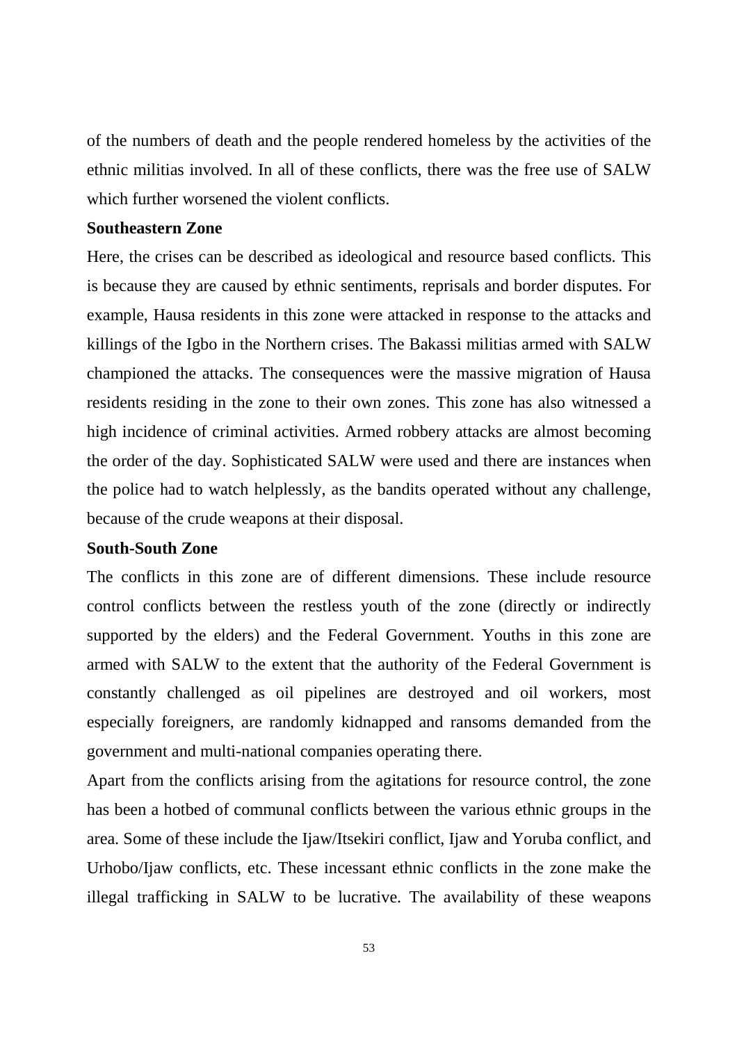of the numbers of death and the people rendered homeless by the activities of the ethnic militias involved. In all of these conflicts, there was the free use of SALW which further worsened the violent conflicts.

## **Southeastern Zone**

Here, the crises can be described as ideological and resource based conflicts. This is because they are caused by ethnic sentiments, reprisals and border disputes. For example, Hausa residents in this zone were attacked in response to the attacks and killings of the Igbo in the Northern crises. The Bakassi militias armed with SALW championed the attacks. The consequences were the massive migration of Hausa residents residing in the zone to their own zones. This zone has also witnessed a high incidence of criminal activities. Armed robbery attacks are almost becoming the order of the day. Sophisticated SALW were used and there are instances when the police had to watch helplessly, as the bandits operated without any challenge, because of the crude weapons at their disposal.

## **South-South Zone**

The conflicts in this zone are of different dimensions. These include resource control conflicts between the restless youth of the zone (directly or indirectly supported by the elders) and the Federal Government. Youths in this zone are armed with SALW to the extent that the authority of the Federal Government is constantly challenged as oil pipelines are destroyed and oil workers, most especially foreigners, are randomly kidnapped and ransoms demanded from the government and multi-national companies operating there.

Apart from the conflicts arising from the agitations for resource control, the zone has been a hotbed of communal conflicts between the various ethnic groups in the area. Some of these include the Ijaw/Itsekiri conflict, Ijaw and Yoruba conflict, and Urhobo/Ijaw conflicts, etc. These incessant ethnic conflicts in the zone make the illegal trafficking in SALW to be lucrative. The availability of these weapons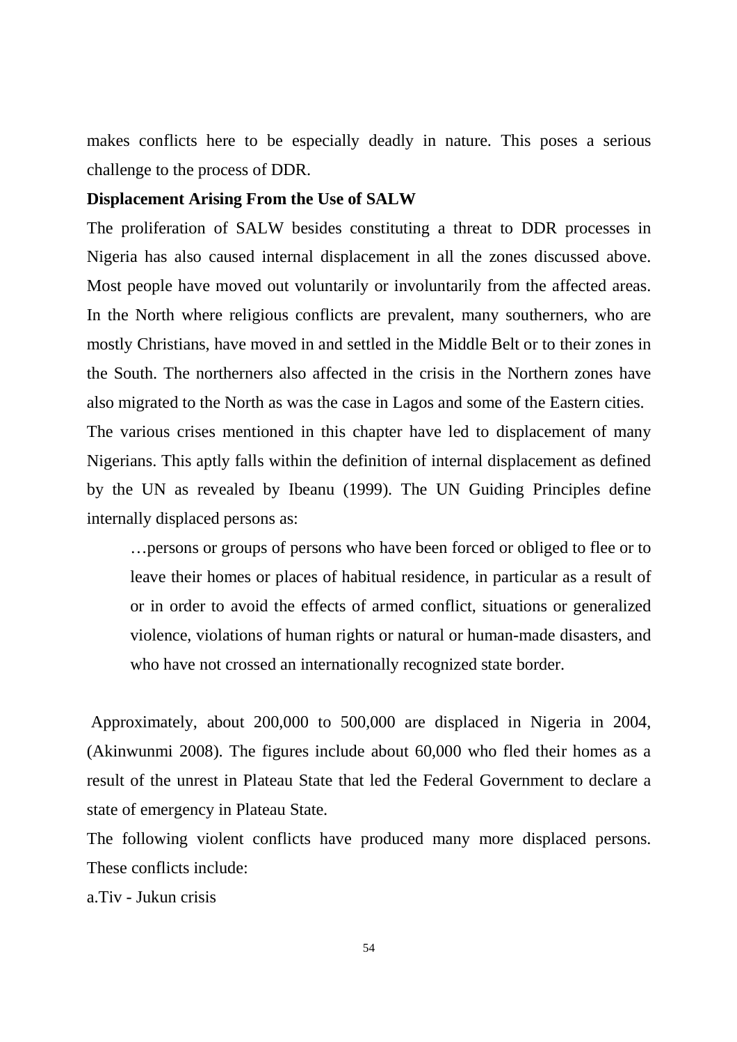makes conflicts here to be especially deadly in nature. This poses a serious challenge to the process of DDR.

#### **Displacement Arising From the Use of SALW**

The proliferation of SALW besides constituting a threat to DDR processes in Nigeria has also caused internal displacement in all the zones discussed above. Most people have moved out voluntarily or involuntarily from the affected areas. In the North where religious conflicts are prevalent, many southerners, who are mostly Christians, have moved in and settled in the Middle Belt or to their zones in the South. The northerners also affected in the crisis in the Northern zones have also migrated to the North as was the case in Lagos and some of the Eastern cities. The various crises mentioned in this chapter have led to displacement of many Nigerians. This aptly falls within the definition of internal displacement as defined by the UN as revealed by Ibeanu (1999). The UN Guiding Principles define internally displaced persons as:

…persons or groups of persons who have been forced or obliged to flee or to leave their homes or places of habitual residence, in particular as a result of or in order to avoid the effects of armed conflict, situations or generalized violence, violations of human rights or natural or human-made disasters, and who have not crossed an internationally recognized state border.

 Approximately, about 200,000 to 500,000 are displaced in Nigeria in 2004, (Akinwunmi 2008). The figures include about 60,000 who fled their homes as a result of the unrest in Plateau State that led the Federal Government to declare a state of emergency in Plateau State.

The following violent conflicts have produced many more displaced persons. These conflicts include:

a.Tiv - Jukun crisis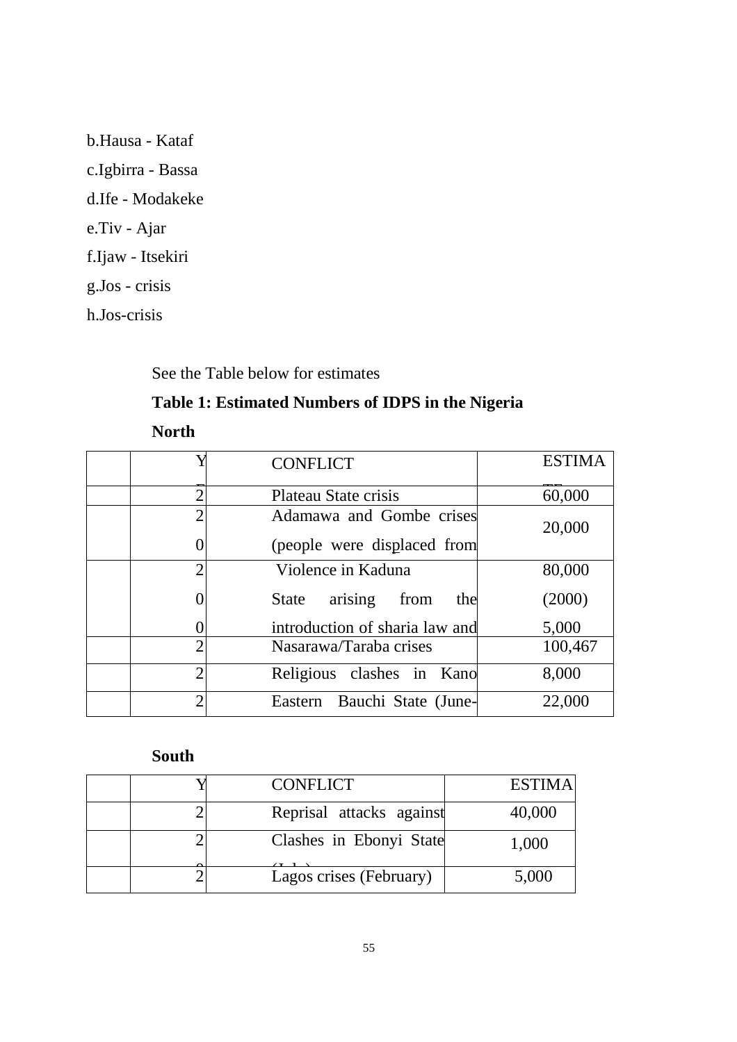b.Hausa - Kataf c.Igbirra - Bassa d.Ife - Modakeke e.Tiv - Ajar f.Ijaw - Itsekiri g.Jos - crisis h.Jos-crisis

See the Table below for estimates

# **Table 1: Estimated Numbers of IDPS in the Nigeria**

**North**

|  | <b>CONFLICT</b>                        | <b>ESTIMA</b> |
|--|----------------------------------------|---------------|
|  | Plateau State crisis                   | 60,000        |
|  | Adamawa and Gombe crises               | 20,000        |
|  | (people were displaced from            |               |
|  | Violence in Kaduna                     | 80,000        |
|  | arising<br><b>State</b><br>from<br>the | (2000)        |
|  | introduction of sharia law and         | 5,000         |
|  | Nasarawa/Taraba crises                 | 100,467       |
|  | Religious clashes in Kano              | 8,000         |
|  | Bauchi State (June-<br>Eastern         | 22,000        |

**South** 

|  | <b>CONFLICT</b>          | <b>ESTIMA</b> |
|--|--------------------------|---------------|
|  | Reprisal attacks against | 40,000        |
|  | Clashes in Ebonyi State  | 1,000         |
|  | Lagos crises (February)  | 5,000         |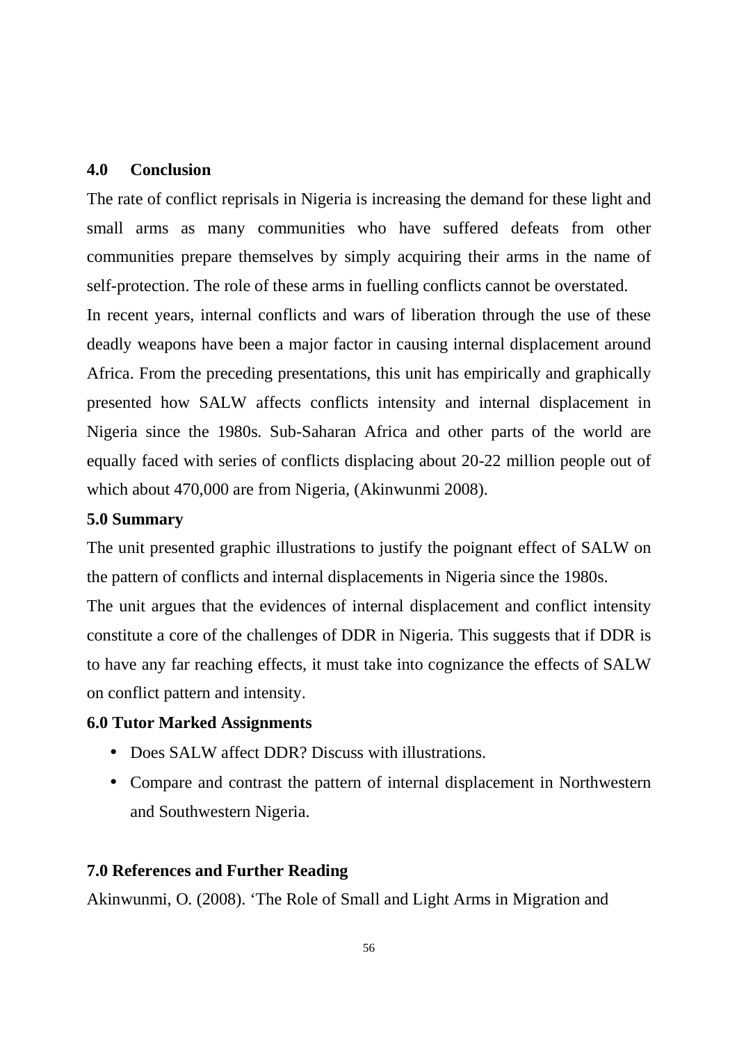## **4.0 Conclusion**

The rate of conflict reprisals in Nigeria is increasing the demand for these light and small arms as many communities who have suffered defeats from other communities prepare themselves by simply acquiring their arms in the name of self-protection. The role of these arms in fuelling conflicts cannot be overstated.

In recent years, internal conflicts and wars of liberation through the use of these deadly weapons have been a major factor in causing internal displacement around Africa. From the preceding presentations, this unit has empirically and graphically presented how SALW affects conflicts intensity and internal displacement in Nigeria since the 1980s. Sub-Saharan Africa and other parts of the world are equally faced with series of conflicts displacing about 20-22 million people out of which about 470,000 are from Nigeria, (Akinwunmi 2008).

## **5.0 Summary**

The unit presented graphic illustrations to justify the poignant effect of SALW on the pattern of conflicts and internal displacements in Nigeria since the 1980s. The unit argues that the evidences of internal displacement and conflict intensity constitute a core of the challenges of DDR in Nigeria. This suggests that if DDR is to have any far reaching effects, it must take into cognizance the effects of SALW on conflict pattern and intensity.

## **6.0 Tutor Marked Assignments**

- Does SALW affect DDR? Discuss with illustrations.
- Compare and contrast the pattern of internal displacement in Northwestern and Southwestern Nigeria.

## **7.0 References and Further Reading**

Akinwunmi, O. (2008). 'The Role of Small and Light Arms in Migration and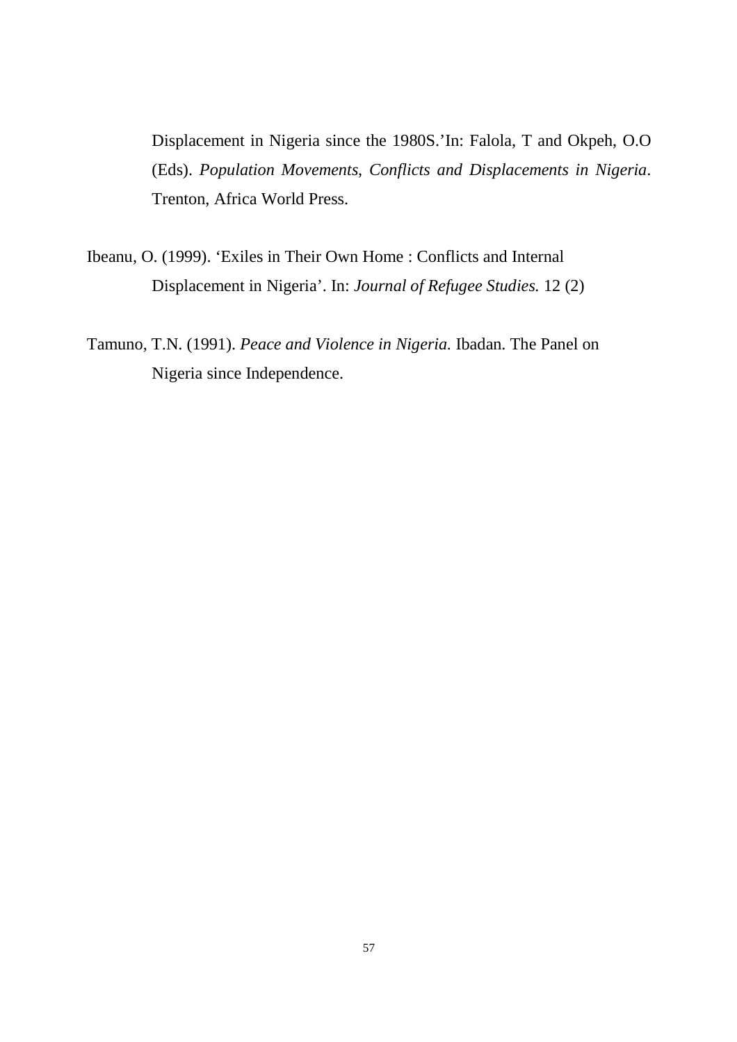Displacement in Nigeria since the 1980S.'In: Falola, T and Okpeh, O.O (Eds). *Population Movements, Conflicts and Displacements in Nigeria*. Trenton, Africa World Press.

- Ibeanu, O. (1999). 'Exiles in Their Own Home : Conflicts and Internal Displacement in Nigeria'. In: *Journal of Refugee Studies.* 12 (2)
- Tamuno, T.N. (1991). *Peace and Violence in Nigeria.* Ibadan. The Panel on Nigeria since Independence.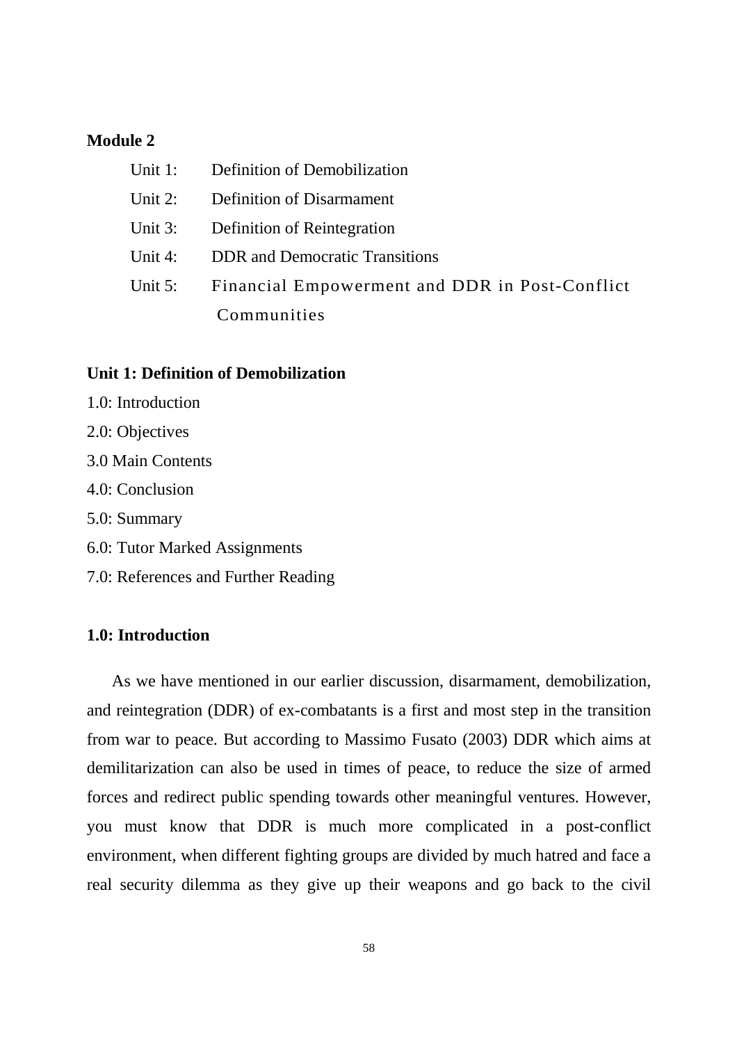#### **Module 2**

| Unit 1: Definition of Demobilization                   |
|--------------------------------------------------------|
| Unit 2: Definition of Disarmament                      |
| Unit 3: Definition of Reintegration                    |
| Unit 4: DDR and Democratic Transitions                 |
| Unit 5: Financial Empowerment and DDR in Post-Conflict |
| Communities                                            |

## **Unit 1: Definition of Demobilization**

1.0: Introduction 2.0: Objectives 3.0 Main Contents 4.0: Conclusion 5.0: Summary 6.0: Tutor Marked Assignments 7.0: References and Further Reading

## **1.0: Introduction**

 As we have mentioned in our earlier discussion, disarmament, demobilization, and reintegration (DDR) of ex-combatants is a first and most step in the transition from war to peace. But according to Massimo Fusato (2003) DDR which aims at demilitarization can also be used in times of peace, to reduce the size of armed forces and redirect public spending towards other meaningful ventures. However, you must know that DDR is much more complicated in a post-conflict environment, when different fighting groups are divided by much hatred and face a real security dilemma as they give up their weapons and go back to the civil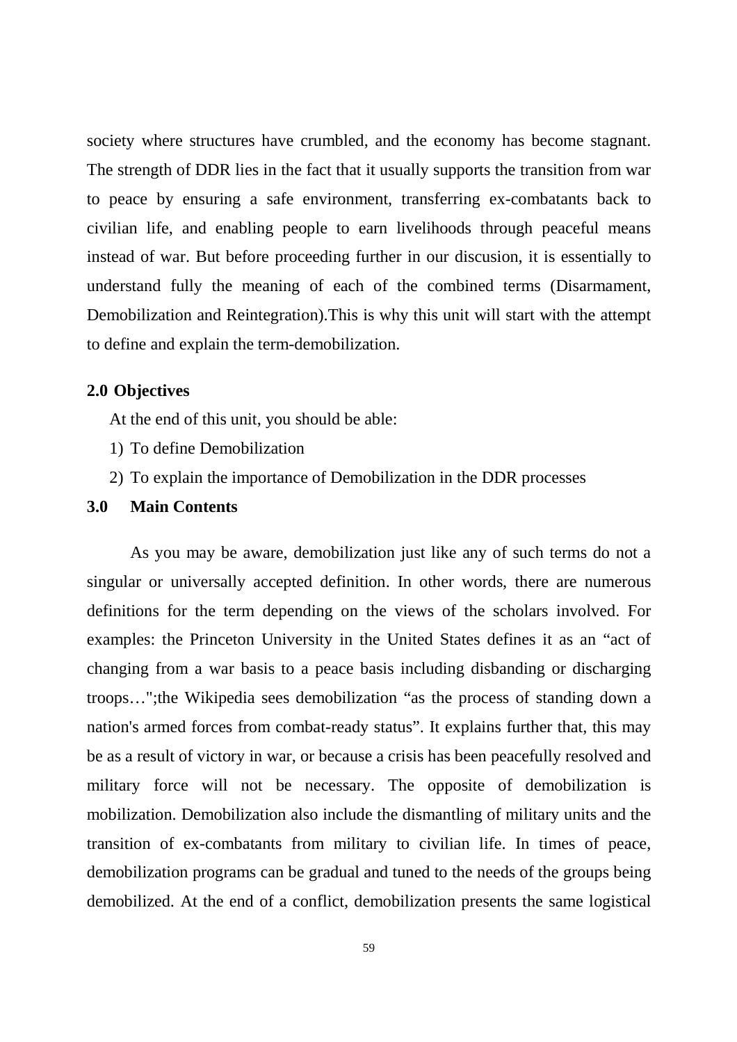society where structures have crumbled, and the economy has become stagnant. The strength of DDR lies in the fact that it usually supports the transition from war to peace by ensuring a safe environment, transferring ex-combatants back to civilian life, and enabling people to earn livelihoods through peaceful means instead of war. But before proceeding further in our discusion, it is essentially to understand fully the meaning of each of the combined terms (Disarmament, Demobilization and Reintegration).This is why this unit will start with the attempt to define and explain the term-demobilization.

## **2.0 Objectives**

At the end of this unit, you should be able:

- 1) To define Demobilization
- 2) To explain the importance of Demobilization in the DDR processes

## **3.0 Main Contents**

As you may be aware, demobilization just like any of such terms do not a singular or universally accepted definition. In other words, there are numerous definitions for the term depending on the views of the scholars involved. For examples: the Princeton University in the United States defines it as an "act of changing from a war basis to a peace basis including disbanding or discharging troops…";the Wikipedia sees demobilization "as the process of standing down a nation's armed forces from combat-ready status". It explains further that, this may be as a result of victory in war, or because a crisis has been peacefully resolved and military force will not be necessary. The opposite of demobilization is mobilization. Demobilization also include the dismantling of military units and the transition of ex-combatants from military to civilian life. In times of peace, demobilization programs can be gradual and tuned to the needs of the groups being demobilized. At the end of a conflict, demobilization presents the same logistical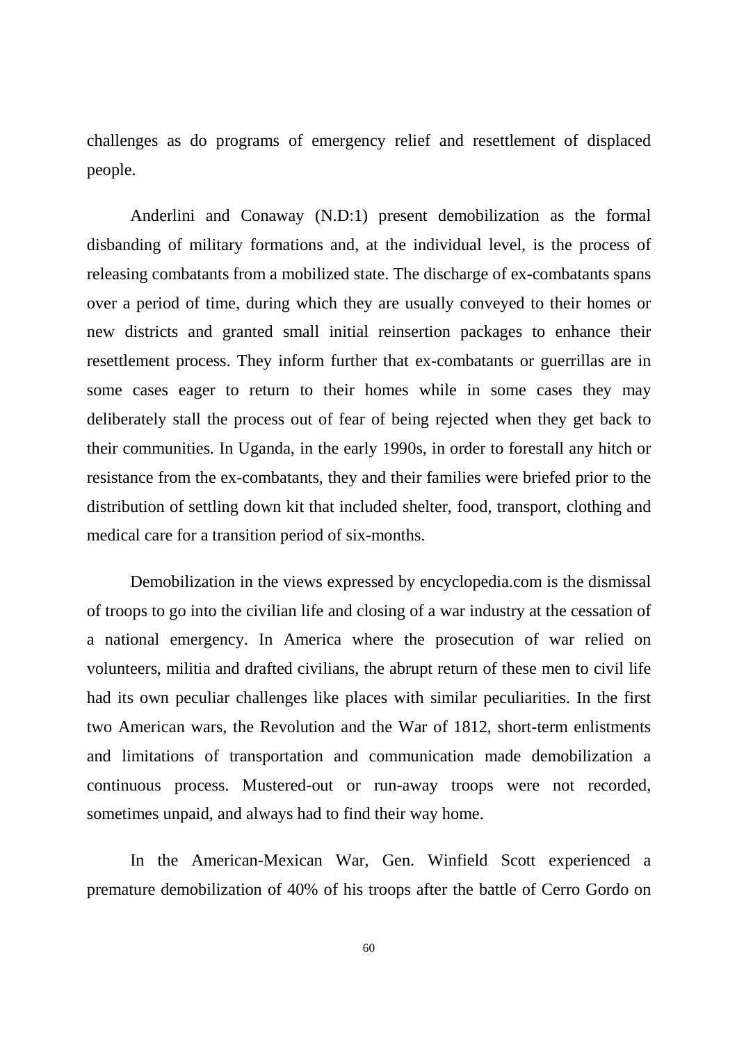challenges as do programs of emergency relief and resettlement of displaced people.

Anderlini and Conaway (N.D:1) present demobilization as the formal disbanding of military formations and, at the individual level, is the process of releasing combatants from a mobilized state. The discharge of ex-combatants spans over a period of time, during which they are usually conveyed to their homes or new districts and granted small initial reinsertion packages to enhance their resettlement process. They inform further that ex-combatants or guerrillas are in some cases eager to return to their homes while in some cases they may deliberately stall the process out of fear of being rejected when they get back to their communities. In Uganda, in the early 1990s, in order to forestall any hitch or resistance from the ex-combatants, they and their families were briefed prior to the distribution of settling down kit that included shelter, food, transport, clothing and medical care for a transition period of six-months.

Demobilization in the views expressed by encyclopedia.com is the dismissal of troops to go into the civilian life and closing of a war industry at the cessation of a national emergency. In America where the prosecution of war relied on volunteers, militia and drafted civilians, the abrupt return of these men to civil life had its own peculiar challenges like places with similar peculiarities. In the first two American wars, the Revolution and the War of 1812, short-term enlistments and limitations of transportation and communication made demobilization a continuous process. Mustered-out or run-away troops were not recorded, sometimes unpaid, and always had to find their way home.

In the American-Mexican War, Gen. Winfield Scott experienced a premature demobilization of 40% of his troops after the battle of Cerro Gordo on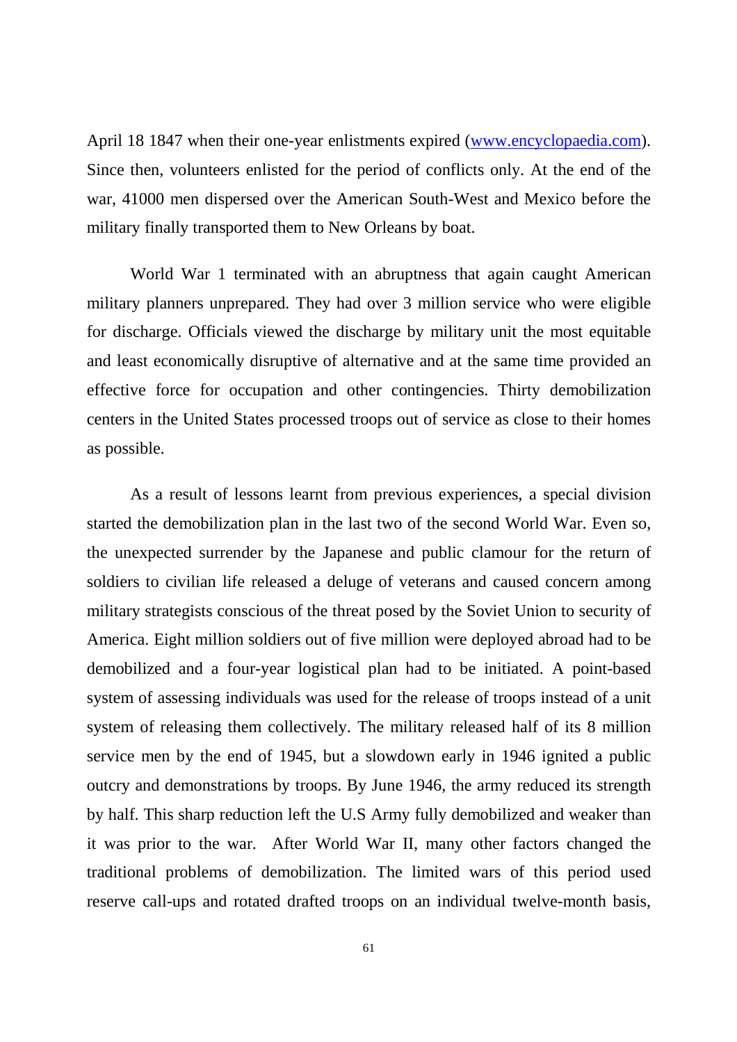April 18 1847 when their one-year enlistments expired (www.encyclopaedia.com). Since then, volunteers enlisted for the period of conflicts only. At the end of the war, 41000 men dispersed over the American South-West and Mexico before the military finally transported them to New Orleans by boat.

World War 1 terminated with an abruptness that again caught American military planners unprepared. They had over 3 million service who were eligible for discharge. Officials viewed the discharge by military unit the most equitable and least economically disruptive of alternative and at the same time provided an effective force for occupation and other contingencies. Thirty demobilization centers in the United States processed troops out of service as close to their homes as possible.

As a result of lessons learnt from previous experiences, a special division started the demobilization plan in the last two of the second World War. Even so, the unexpected surrender by the Japanese and public clamour for the return of soldiers to civilian life released a deluge of veterans and caused concern among military strategists conscious of the threat posed by the Soviet Union to security of America. Eight million soldiers out of five million were deployed abroad had to be demobilized and a four-year logistical plan had to be initiated. A point-based system of assessing individuals was used for the release of troops instead of a unit system of releasing them collectively. The military released half of its 8 million service men by the end of 1945, but a slowdown early in 1946 ignited a public outcry and demonstrations by troops. By June 1946, the army reduced its strength by half. This sharp reduction left the U.S Army fully demobilized and weaker than it was prior to the war. After World War II, many other factors changed the traditional problems of demobilization. The limited wars of this period used reserve call-ups and rotated drafted troops on an individual twelve-month basis,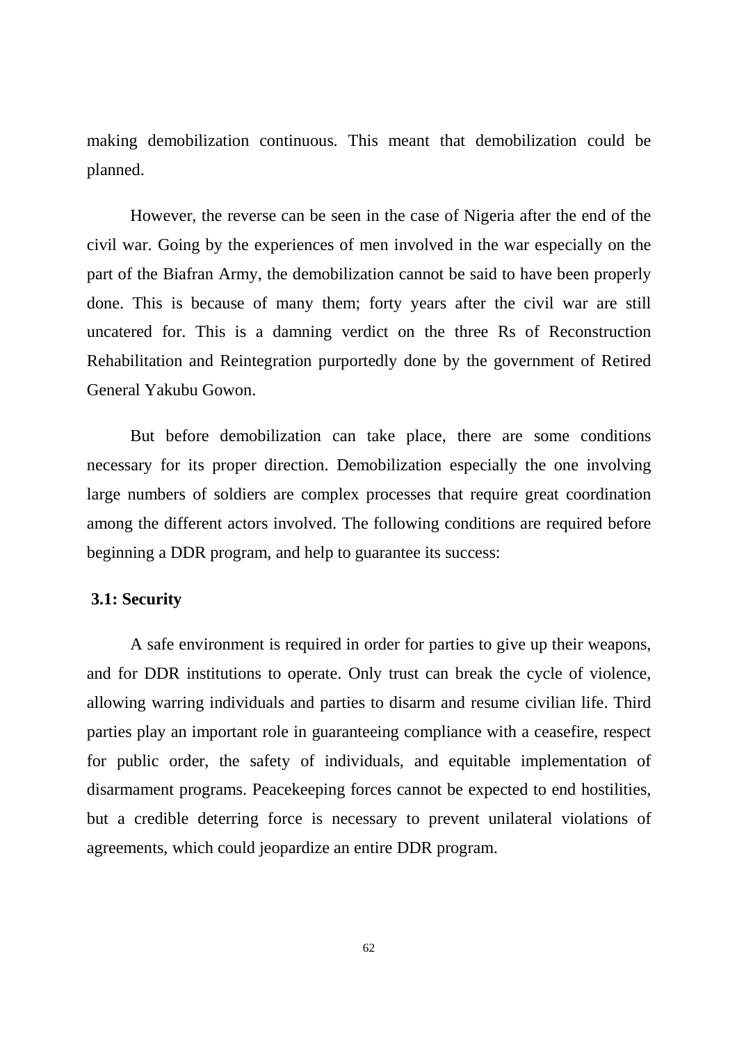making demobilization continuous. This meant that demobilization could be planned.

However, the reverse can be seen in the case of Nigeria after the end of the civil war. Going by the experiences of men involved in the war especially on the part of the Biafran Army, the demobilization cannot be said to have been properly done. This is because of many them; forty years after the civil war are still uncatered for. This is a damning verdict on the three Rs of Reconstruction Rehabilitation and Reintegration purportedly done by the government of Retired General Yakubu Gowon.

But before demobilization can take place, there are some conditions necessary for its proper direction. Demobilization especially the one involving large numbers of soldiers are complex processes that require great coordination among the different actors involved. The following conditions are required before beginning a DDR program, and help to guarantee its success:

#### **3.1: Security**

A safe environment is required in order for parties to give up their weapons, and for DDR institutions to operate. Only trust can break the cycle of violence, allowing warring individuals and parties to disarm and resume civilian life. Third parties play an important role in guaranteeing compliance with a ceasefire, respect for public order, the safety of individuals, and equitable implementation of disarmament programs. Peacekeeping forces cannot be expected to end hostilities, but a credible deterring force is necessary to prevent unilateral violations of agreements, which could jeopardize an entire DDR program.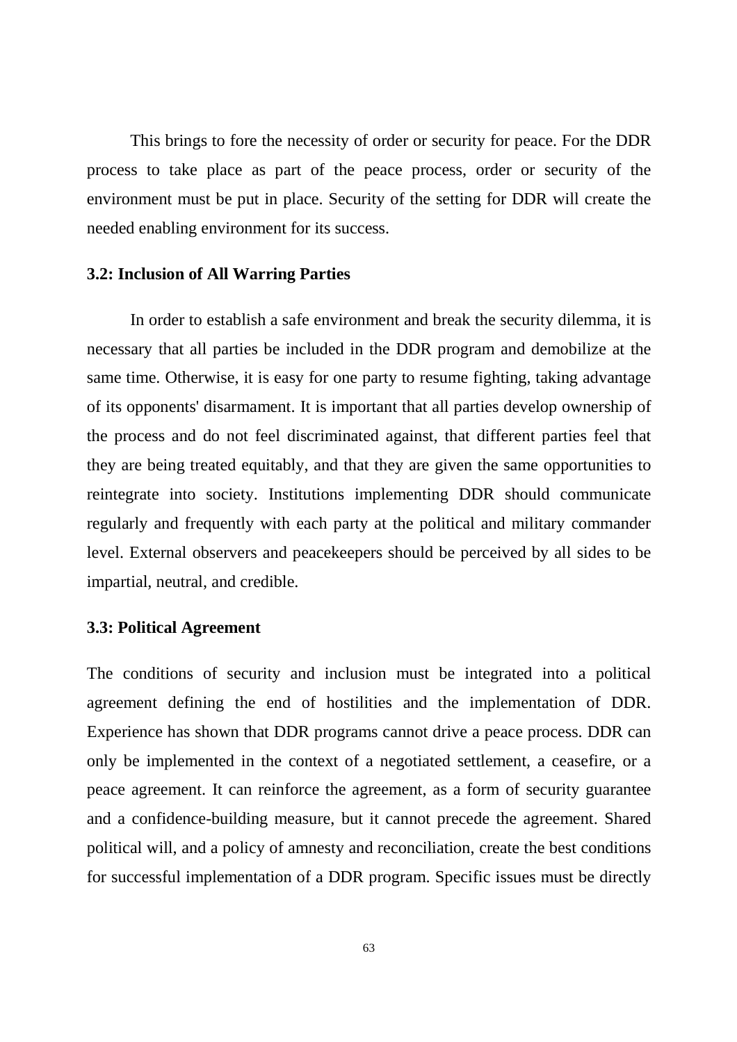This brings to fore the necessity of order or security for peace. For the DDR process to take place as part of the peace process, order or security of the environment must be put in place. Security of the setting for DDR will create the needed enabling environment for its success.

#### **3.2: Inclusion of All Warring Parties**

In order to establish a safe environment and break the security dilemma, it is necessary that all parties be included in the DDR program and demobilize at the same time. Otherwise, it is easy for one party to resume fighting, taking advantage of its opponents' disarmament. It is important that all parties develop ownership of the process and do not feel discriminated against, that different parties feel that they are being treated equitably, and that they are given the same opportunities to reintegrate into society. Institutions implementing DDR should communicate regularly and frequently with each party at the political and military commander level. External observers and peacekeepers should be perceived by all sides to be impartial, neutral, and credible.

#### **3.3: Political Agreement**

The conditions of security and inclusion must be integrated into a political agreement defining the end of hostilities and the implementation of DDR. Experience has shown that DDR programs cannot drive a peace process. DDR can only be implemented in the context of a negotiated settlement, a ceasefire, or a peace agreement. It can reinforce the agreement, as a form of security guarantee and a confidence-building measure, but it cannot precede the agreement. Shared political will, and a policy of amnesty and reconciliation, create the best conditions for successful implementation of a DDR program. Specific issues must be directly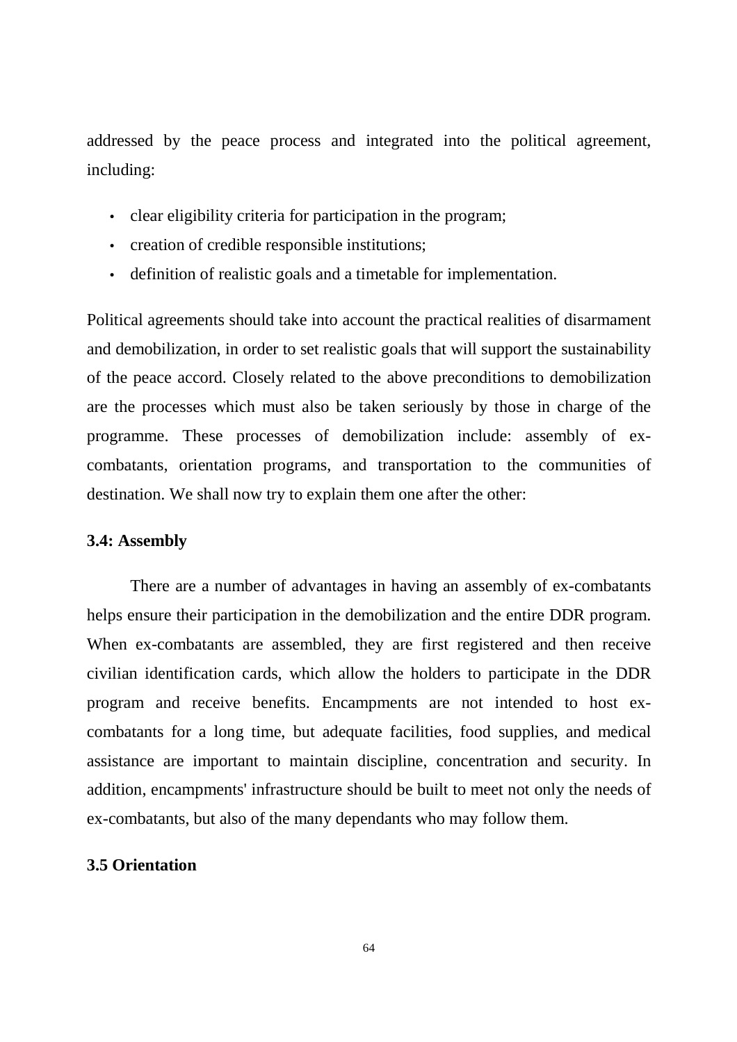addressed by the peace process and integrated into the political agreement, including:

- clear eligibility criteria for participation in the program;
- creation of credible responsible institutions;
- definition of realistic goals and a timetable for implementation.

Political agreements should take into account the practical realities of disarmament and demobilization, in order to set realistic goals that will support the sustainability of the peace accord. Closely related to the above preconditions to demobilization are the processes which must also be taken seriously by those in charge of the programme. These processes of demobilization include: assembly of excombatants, orientation programs, and transportation to the communities of destination. We shall now try to explain them one after the other:

#### **3.4: Assembly**

 There are a number of advantages in having an assembly of ex-combatants helps ensure their participation in the demobilization and the entire DDR program. When ex-combatants are assembled, they are first registered and then receive civilian identification cards, which allow the holders to participate in the DDR program and receive benefits. Encampments are not intended to host excombatants for a long time, but adequate facilities, food supplies, and medical assistance are important to maintain discipline, concentration and security. In addition, encampments' infrastructure should be built to meet not only the needs of ex-combatants, but also of the many dependants who may follow them.

#### **3.5 Orientation**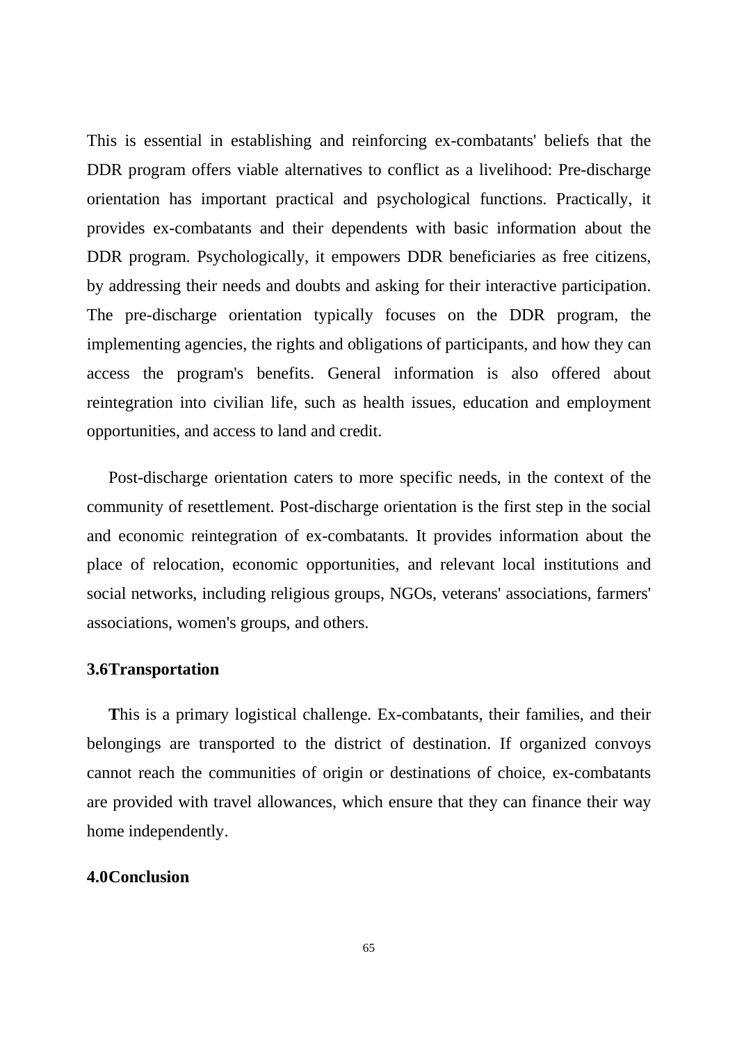This is essential in establishing and reinforcing ex-combatants' beliefs that the DDR program offers viable alternatives to conflict as a livelihood: Pre-discharge orientation has important practical and psychological functions. Practically, it provides ex-combatants and their dependents with basic information about the DDR program. Psychologically, it empowers DDR beneficiaries as free citizens, by addressing their needs and doubts and asking for their interactive participation. The pre-discharge orientation typically focuses on the DDR program, the implementing agencies, the rights and obligations of participants, and how they can access the program's benefits. General information is also offered about reintegration into civilian life, such as health issues, education and employment opportunities, and access to land and credit.

Post-discharge orientation caters to more specific needs, in the context of the community of resettlement. Post-discharge orientation is the first step in the social and economic reintegration of ex-combatants. It provides information about the place of relocation, economic opportunities, and relevant local institutions and social networks, including religious groups, NGOs, veterans' associations, farmers' associations, women's groups, and others.

#### **3.6Transportation**

**T**his is a primary logistical challenge. Ex-combatants, their families, and their belongings are transported to the district of destination. If organized convoys cannot reach the communities of origin or destinations of choice, ex-combatants are provided with travel allowances, which ensure that they can finance their way home independently.

## **4.0Conclusion**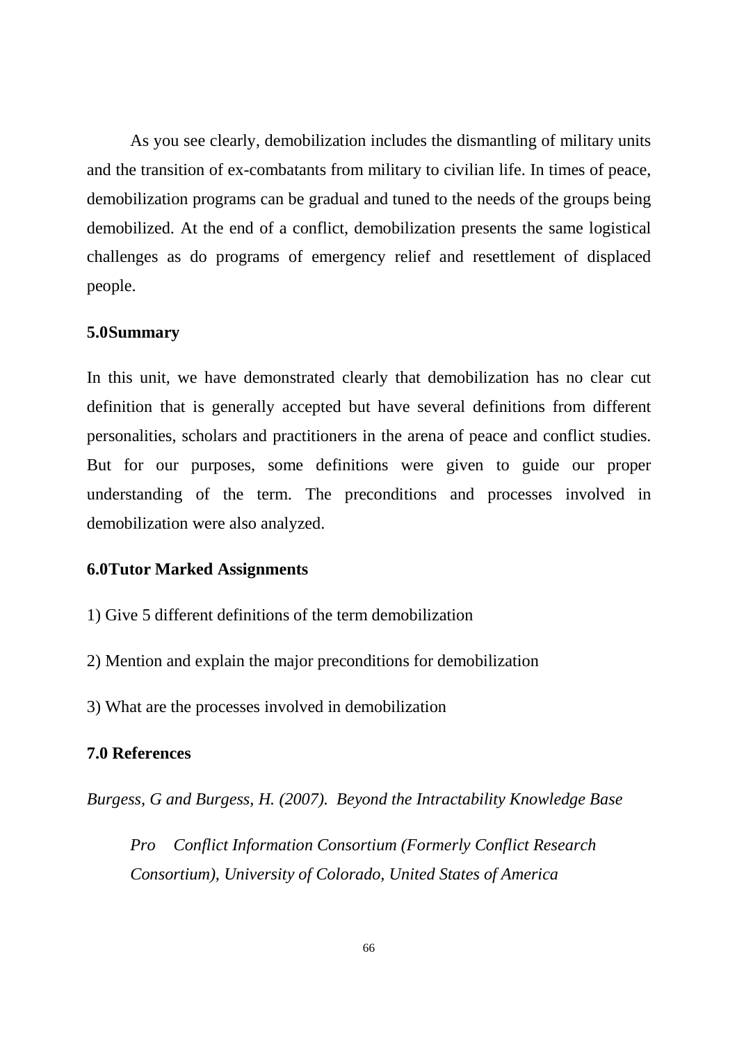As you see clearly, demobilization includes the dismantling of military units and the transition of ex-combatants from military to civilian life. In times of peace, demobilization programs can be gradual and tuned to the needs of the groups being demobilized. At the end of a conflict, demobilization presents the same logistical challenges as do programs of emergency relief and resettlement of displaced people.

#### **5.0Summary**

In this unit, we have demonstrated clearly that demobilization has no clear cut definition that is generally accepted but have several definitions from different personalities, scholars and practitioners in the arena of peace and conflict studies. But for our purposes, some definitions were given to guide our proper understanding of the term. The preconditions and processes involved in demobilization were also analyzed.

#### **6.0Tutor Marked Assignments**

- 1) Give 5 different definitions of the term demobilization
- 2) Mention and explain the major preconditions for demobilization
- 3) What are the processes involved in demobilization

## **7.0 References**

*Burgess, G and Burgess, H. (2007). Beyond the Intractability Knowledge Base* 

*Pro Conflict Information Consortium (Formerly Conflict Research Consortium), University of Colorado, United States of America*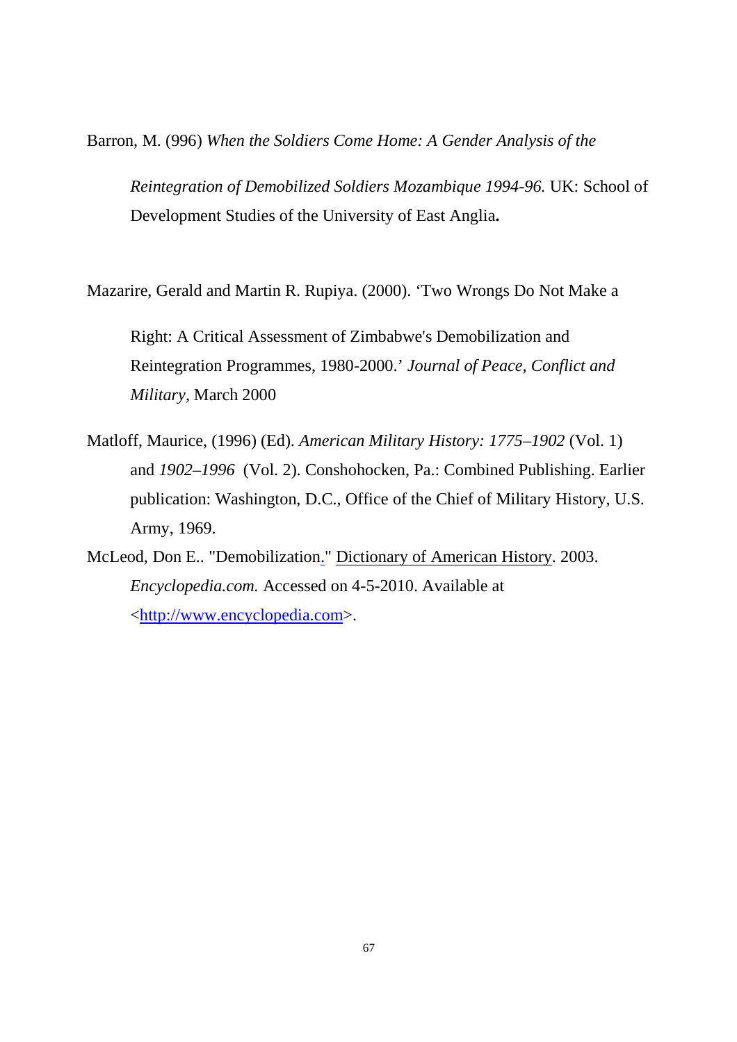Barron, M. (996) *When the Soldiers Come Home: A Gender Analysis of the* 

*Reintegration of Demobilized Soldiers Mozambique 1994-96.* UK: School of Development Studies of the University of East Anglia**.** 

Mazarire, Gerald and Martin R. Rupiya. (2000). 'Two Wrongs Do Not Make a

Right: A Critical Assessment of Zimbabwe's Demobilization and Reintegration Programmes, 1980-2000.' *Journal of Peace, Conflict and Military*, March 2000

- Matloff, Maurice, (1996) (Ed). *American Military History: 1775–1902* (Vol. 1) and *1902–1996* (Vol. 2). Conshohocken, Pa.: Combined Publishing. Earlier publication: Washington, D.C., Office of the Chief of Military History, U.S. Army, 1969.
- McLeod, Don E.. "Demobilization." Dictionary of American History. 2003. *Encyclopedia.com.* Accessed on 4-5-2010. Available at <http://www.encyclopedia.com>.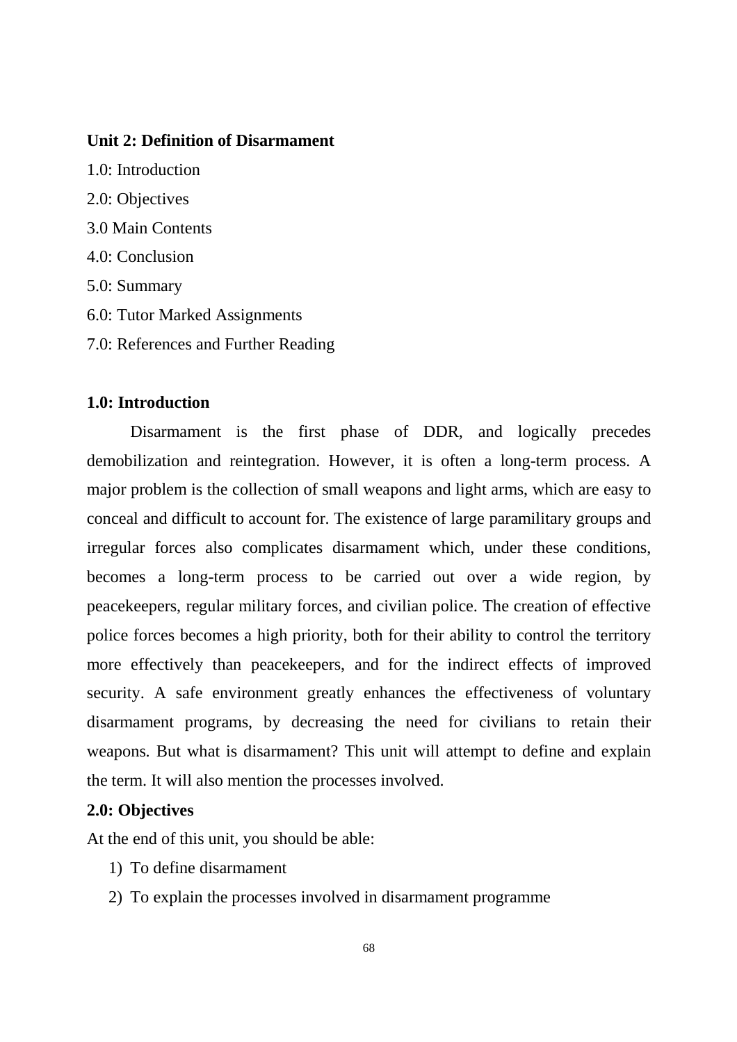#### **Unit 2: Definition of Disarmament**

1.0: Introduction 2.0: Objectives 3.0 Main Contents 4.0: Conclusion 5.0: Summary 6.0: Tutor Marked Assignments 7.0: References and Further Reading

## **1.0: Introduction**

Disarmament is the first phase of DDR, and logically precedes demobilization and reintegration. However, it is often a long-term process. A major problem is the collection of small weapons and light arms, which are easy to conceal and difficult to account for. The existence of large paramilitary groups and irregular forces also complicates disarmament which, under these conditions, becomes a long-term process to be carried out over a wide region, by peacekeepers, regular military forces, and civilian police. The creation of effective police forces becomes a high priority, both for their ability to control the territory more effectively than peacekeepers, and for the indirect effects of improved security. A safe environment greatly enhances the effectiveness of voluntary disarmament programs, by decreasing the need for civilians to retain their weapons. But what is disarmament? This unit will attempt to define and explain the term. It will also mention the processes involved.

#### **2.0: Objectives**

At the end of this unit, you should be able:

- 1) To define disarmament
- 2) To explain the processes involved in disarmament programme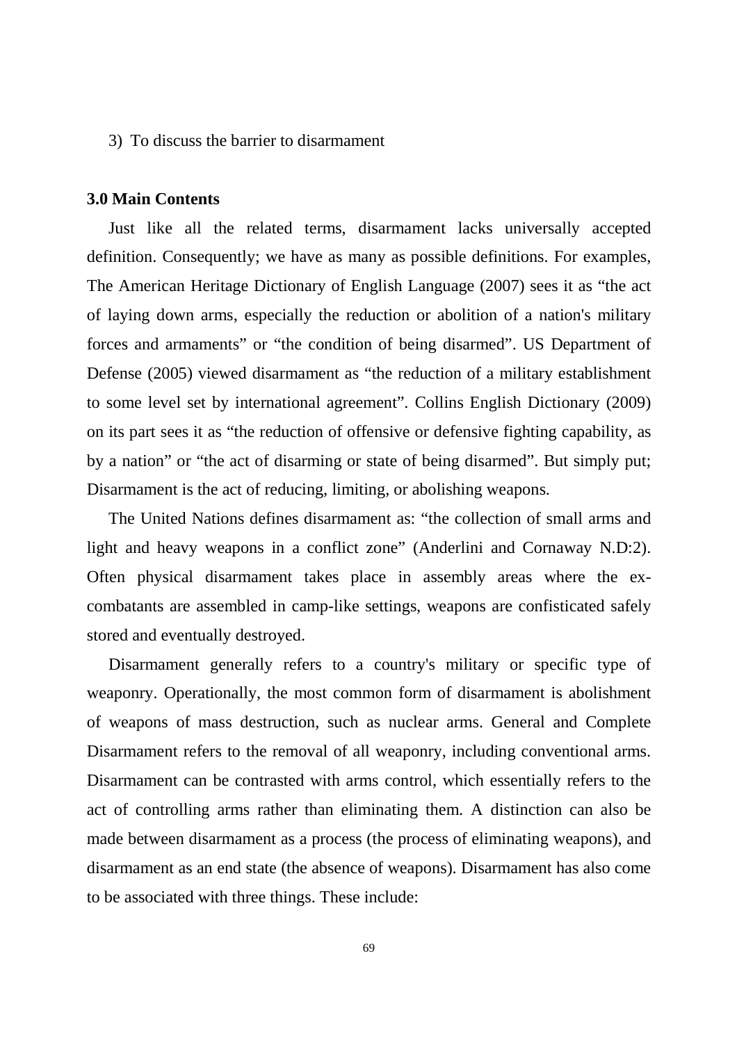#### 3) To discuss the barrier to disarmament

#### **3.0 Main Contents**

Just like all the related terms, disarmament lacks universally accepted definition. Consequently; we have as many as possible definitions. For examples, The American Heritage Dictionary of English Language (2007) sees it as "the act of laying down arms, especially the reduction or abolition of a nation's military forces and armaments" or "the condition of being disarmed". US Department of Defense (2005) viewed disarmament as "the reduction of a military establishment to some level set by international agreement". Collins English Dictionary (2009) on its part sees it as "the reduction of offensive or defensive fighting capability, as by a nation" or "the act of disarming or state of being disarmed". But simply put; Disarmament is the act of reducing, limiting, or abolishing weapons.

The United Nations defines disarmament as: "the collection of small arms and light and heavy weapons in a conflict zone" (Anderlini and Cornaway N.D:2). Often physical disarmament takes place in assembly areas where the excombatants are assembled in camp-like settings, weapons are confisticated safely stored and eventually destroyed.

Disarmament generally refers to a country's military or specific type of weaponry. Operationally, the most common form of disarmament is abolishment of weapons of mass destruction, such as nuclear arms. General and Complete Disarmament refers to the removal of all weaponry, including conventional arms. Disarmament can be contrasted with arms control, which essentially refers to the act of controlling arms rather than eliminating them. A distinction can also be made between disarmament as a process (the process of eliminating weapons), and disarmament as an end state (the absence of weapons). Disarmament has also come to be associated with three things. These include: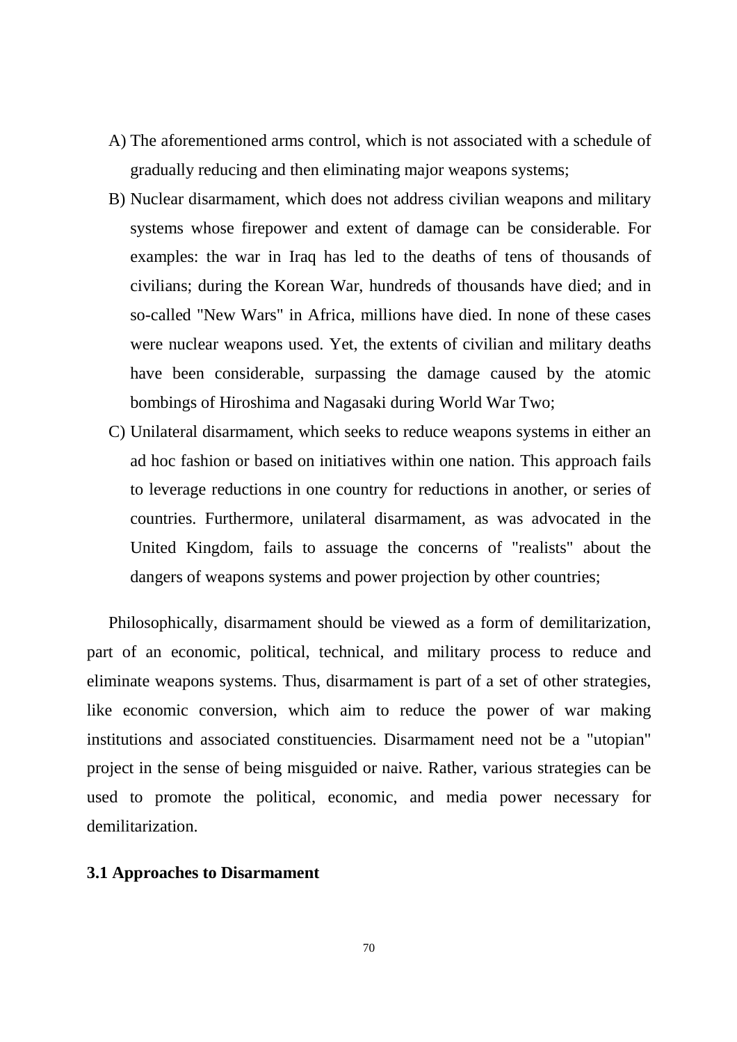- A) The aforementioned arms control, which is not associated with a schedule of gradually reducing and then eliminating major weapons systems;
- B) Nuclear disarmament, which does not address civilian weapons and military systems whose firepower and extent of damage can be considerable. For examples: the war in Iraq has led to the deaths of tens of thousands of civilians; during the Korean War, hundreds of thousands have died; and in so-called "New Wars" in Africa, millions have died. In none of these cases were nuclear weapons used. Yet, the extents of civilian and military deaths have been considerable, surpassing the damage caused by the atomic bombings of Hiroshima and Nagasaki during World War Two;
- C) Unilateral disarmament, which seeks to reduce weapons systems in either an ad hoc fashion or based on initiatives within one nation. This approach fails to leverage reductions in one country for reductions in another, or series of countries. Furthermore, unilateral disarmament, as was advocated in the United Kingdom, fails to assuage the concerns of "realists" about the dangers of weapons systems and power projection by other countries;

Philosophically, disarmament should be viewed as a form of demilitarization, part of an economic, political, technical, and military process to reduce and eliminate weapons systems. Thus, disarmament is part of a set of other strategies, like economic conversion, which aim to reduce the power of war making institutions and associated constituencies. Disarmament need not be a "utopian" project in the sense of being misguided or naive. Rather, various strategies can be used to promote the political, economic, and media power necessary for demilitarization.

#### **3.1 Approaches to Disarmament**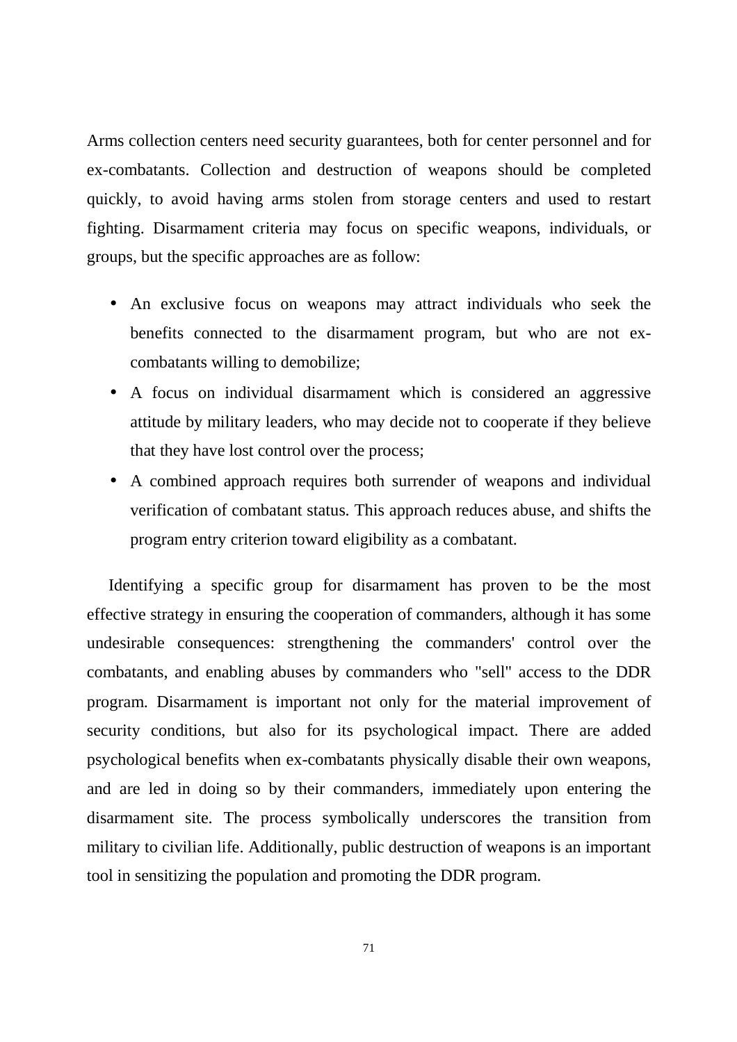Arms collection centers need security guarantees, both for center personnel and for ex-combatants. Collection and destruction of weapons should be completed quickly, to avoid having arms stolen from storage centers and used to restart fighting. Disarmament criteria may focus on specific weapons, individuals, or groups, but the specific approaches are as follow:

- An exclusive focus on weapons may attract individuals who seek the benefits connected to the disarmament program, but who are not excombatants willing to demobilize;
- A focus on individual disarmament which is considered an aggressive attitude by military leaders, who may decide not to cooperate if they believe that they have lost control over the process;
- A combined approach requires both surrender of weapons and individual verification of combatant status. This approach reduces abuse, and shifts the program entry criterion toward eligibility as a combatant.

Identifying a specific group for disarmament has proven to be the most effective strategy in ensuring the cooperation of commanders, although it has some undesirable consequences: strengthening the commanders' control over the combatants, and enabling abuses by commanders who "sell" access to the DDR program. Disarmament is important not only for the material improvement of security conditions, but also for its psychological impact. There are added psychological benefits when ex-combatants physically disable their own weapons, and are led in doing so by their commanders, immediately upon entering the disarmament site. The process symbolically underscores the transition from military to civilian life. Additionally, public destruction of weapons is an important tool in sensitizing the population and promoting the DDR program.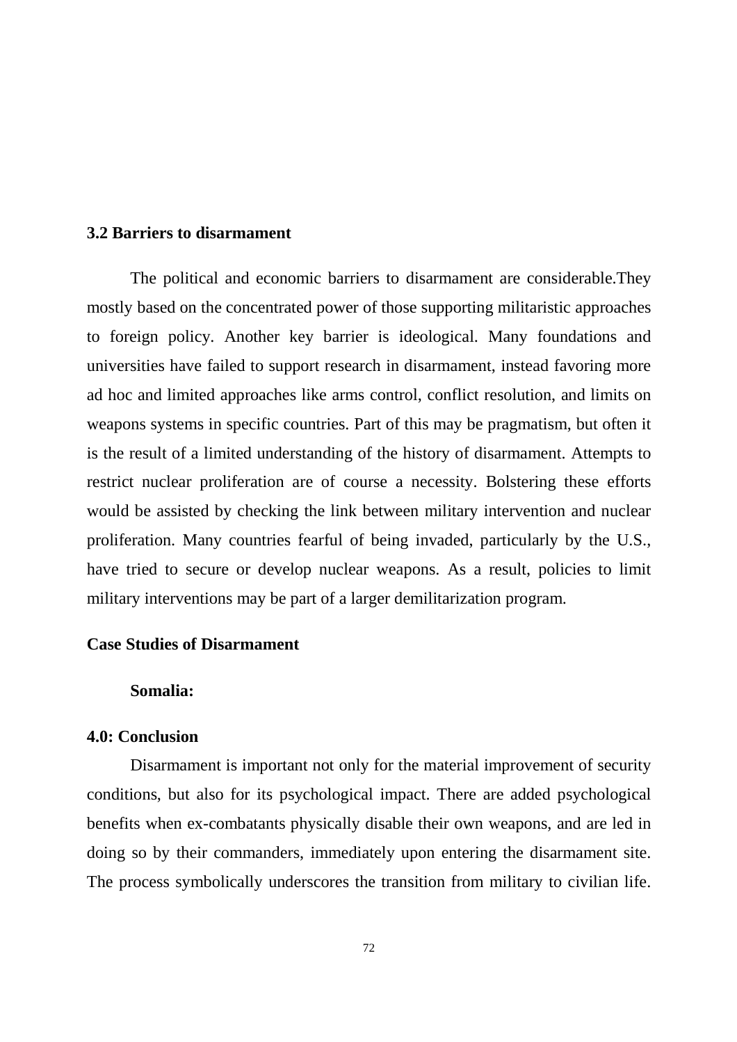## **3.2 Barriers to disarmament**

The political and economic barriers to disarmament are considerable.They mostly based on the concentrated power of those supporting militaristic approaches to foreign policy. Another key barrier is ideological. Many foundations and universities have failed to support research in disarmament, instead favoring more ad hoc and limited approaches like arms control, conflict resolution, and limits on weapons systems in specific countries. Part of this may be pragmatism, but often it is the result of a limited understanding of the history of disarmament. Attempts to restrict nuclear proliferation are of course a necessity. Bolstering these efforts would be assisted by checking the link between military intervention and nuclear proliferation. Many countries fearful of being invaded, particularly by the U.S., have tried to secure or develop nuclear weapons. As a result, policies to limit military interventions may be part of a larger demilitarization program.

## **Case Studies of Disarmament**

#### **Somalia:**

#### **4.0: Conclusion**

Disarmament is important not only for the material improvement of security conditions, but also for its psychological impact. There are added psychological benefits when ex-combatants physically disable their own weapons, and are led in doing so by their commanders, immediately upon entering the disarmament site. The process symbolically underscores the transition from military to civilian life.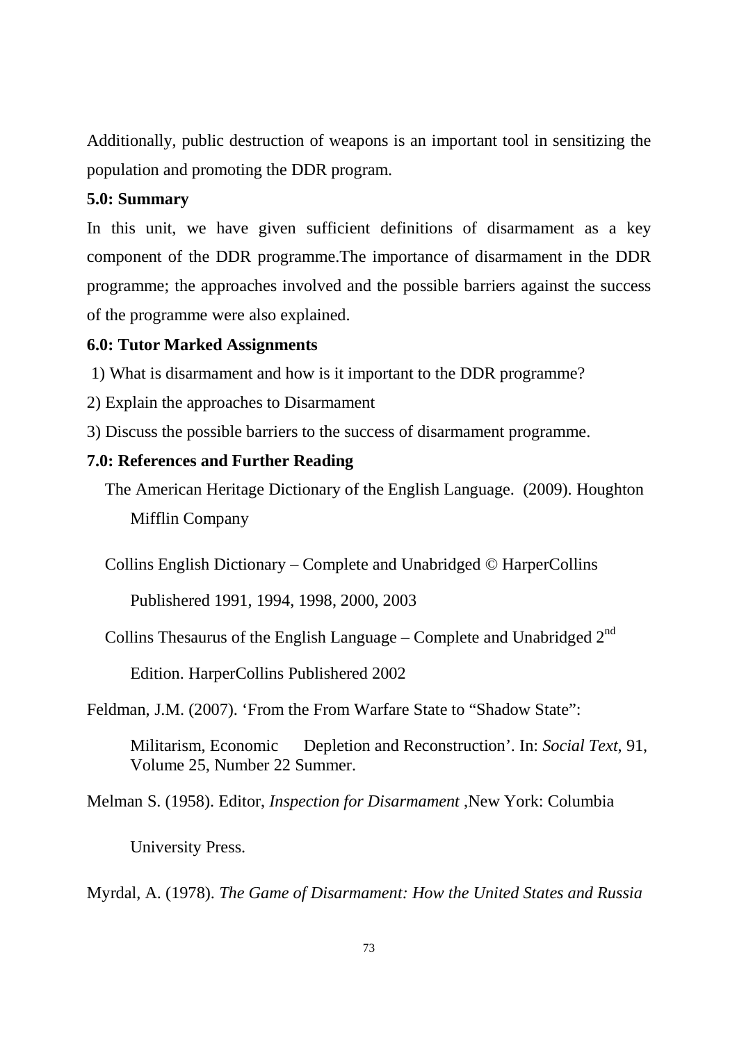Additionally, public destruction of weapons is an important tool in sensitizing the population and promoting the DDR program.

### **5.0: Summary**

In this unit, we have given sufficient definitions of disarmament as a key component of the DDR programme.The importance of disarmament in the DDR programme; the approaches involved and the possible barriers against the success of the programme were also explained.

### **6.0: Tutor Marked Assignments**

- 1) What is disarmament and how is it important to the DDR programme?
- 2) Explain the approaches to Disarmament
- 3) Discuss the possible barriers to the success of disarmament programme.

### **7.0: References and Further Reading**

The American Heritage Dictionary of the English Language. (2009). Houghton Mifflin Company

Collins English Dictionary – Complete and Unabridged © HarperCollins

Publishered 1991, 1994, 1998, 2000, 2003

Collins Thesaurus of the English Language – Complete and Unabridged  $2<sup>nd</sup>$ 

Edition. HarperCollins Publishered 2002

Feldman, J.M. (2007). 'From the From Warfare State to "Shadow State":

Militarism, Economic Depletion and Reconstruction'. In: *Social Text*, 91, Volume 25, Number 22 Summer.

Melman S. (1958). Editor, *Inspection for Disarmament* ,New York: Columbia

University Press.

Myrdal, A. (1978). *The Game of Disarmament: How the United States and Russia*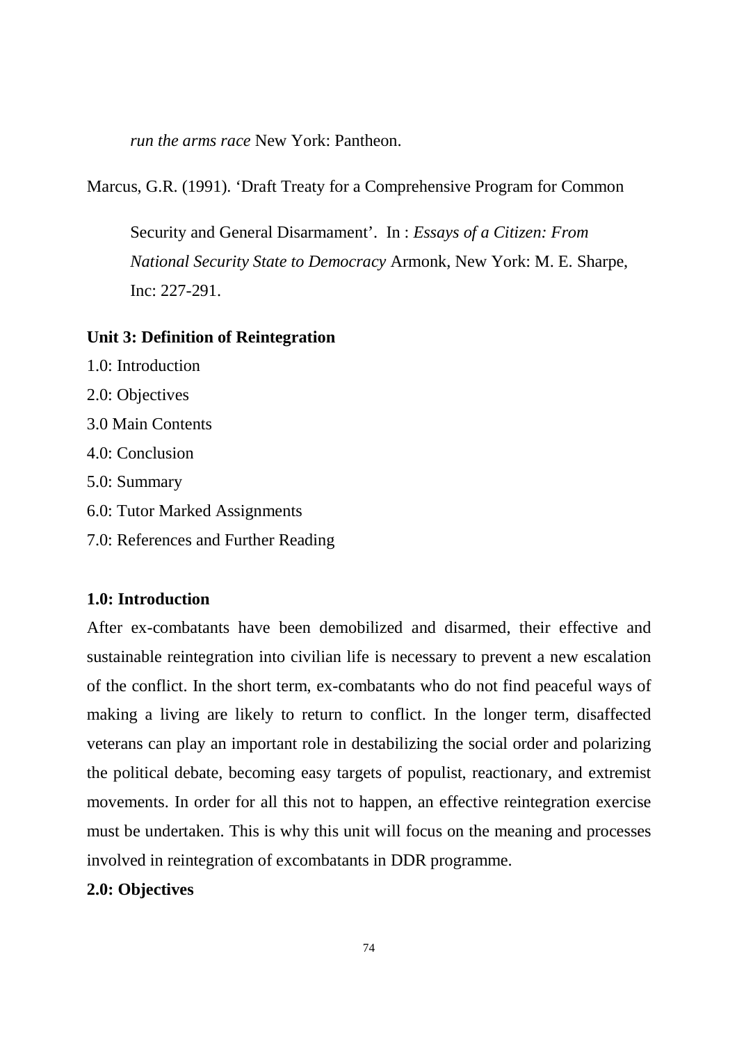*run the arms race* New York: Pantheon.

Marcus, G.R. (1991). 'Draft Treaty for a Comprehensive Program for Common

Security and General Disarmament'. In : *Essays of a Citizen: From National Security State to Democracy* Armonk, New York: M. E. Sharpe, Inc: 227-291.

#### **Unit 3: Definition of Reintegration**

1.0: Introduction 2.0: Objectives 3.0 Main Contents 4.0: Conclusion 5.0: Summary 6.0: Tutor Marked Assignments 7.0: References and Further Reading

#### **1.0: Introduction**

After ex-combatants have been demobilized and disarmed, their effective and sustainable reintegration into civilian life is necessary to prevent a new escalation of the conflict. In the short term, ex-combatants who do not find peaceful ways of making a living are likely to return to conflict. In the longer term, disaffected veterans can play an important role in destabilizing the social order and polarizing the political debate, becoming easy targets of populist, reactionary, and extremist movements. In order for all this not to happen, an effective reintegration exercise must be undertaken. This is why this unit will focus on the meaning and processes involved in reintegration of excombatants in DDR programme.

### **2.0: Objectives**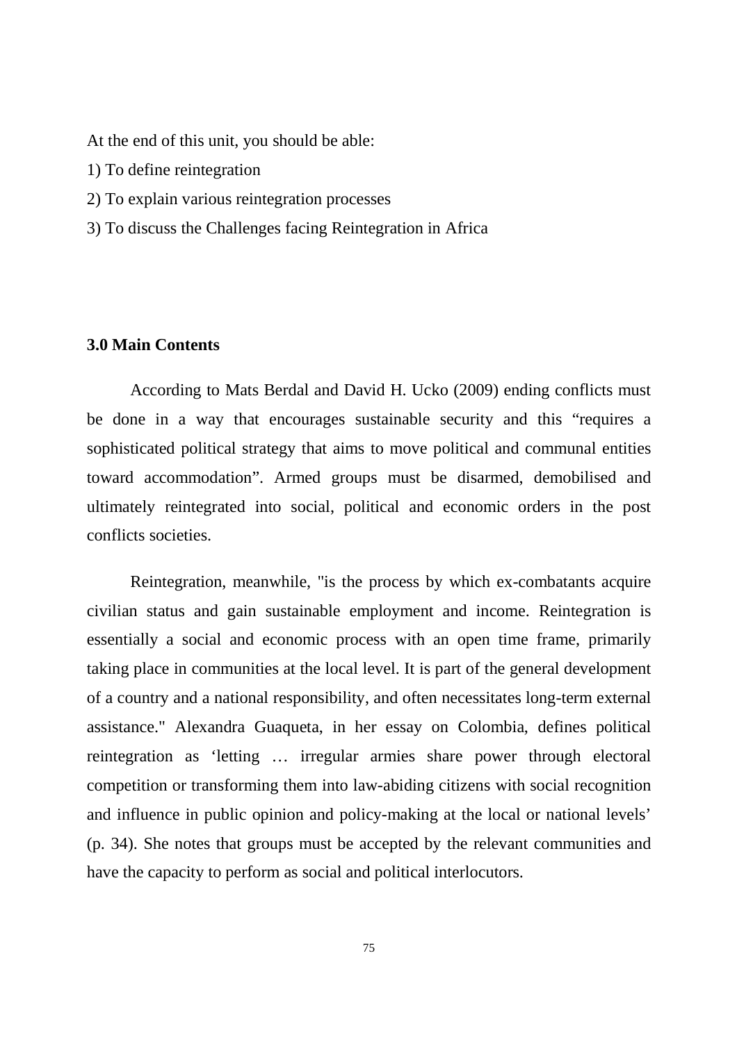At the end of this unit, you should be able:

- 1) To define reintegration
- 2) To explain various reintegration processes
- 3) To discuss the Challenges facing Reintegration in Africa

### **3.0 Main Contents**

According to Mats Berdal and David H. Ucko (2009) ending conflicts must be done in a way that encourages sustainable security and this "requires a sophisticated political strategy that aims to move political and communal entities toward accommodation". Armed groups must be disarmed, demobilised and ultimately reintegrated into social, political and economic orders in the post conflicts societies.

Reintegration, meanwhile, "is the process by which ex-combatants acquire civilian status and gain sustainable employment and income. Reintegration is essentially a social and economic process with an open time frame, primarily taking place in communities at the local level. It is part of the general development of a country and a national responsibility, and often necessitates long-term external assistance." Alexandra Guaqueta, in her essay on Colombia, defines political reintegration as 'letting … irregular armies share power through electoral competition or transforming them into law-abiding citizens with social recognition and influence in public opinion and policy-making at the local or national levels' (p. 34). She notes that groups must be accepted by the relevant communities and have the capacity to perform as social and political interlocutors.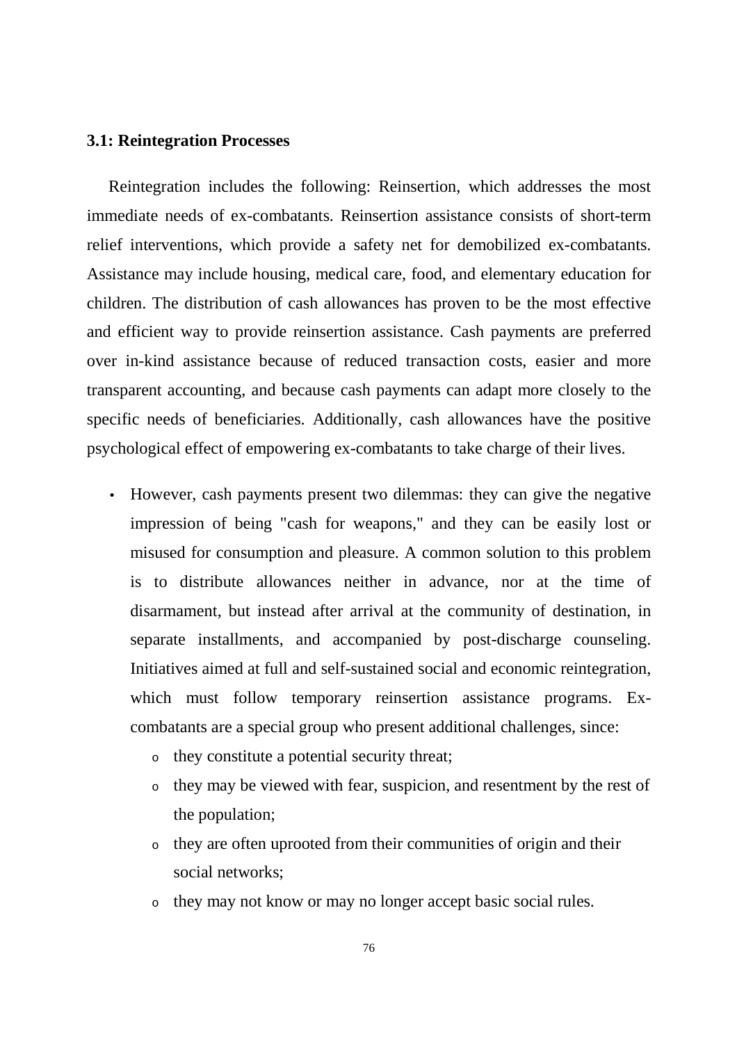#### **3.1: Reintegration Processes**

Reintegration includes the following: Reinsertion, which addresses the most immediate needs of ex-combatants. Reinsertion assistance consists of short-term relief interventions, which provide a safety net for demobilized ex-combatants. Assistance may include housing, medical care, food, and elementary education for children. The distribution of cash allowances has proven to be the most effective and efficient way to provide reinsertion assistance. Cash payments are preferred over in-kind assistance because of reduced transaction costs, easier and more transparent accounting, and because cash payments can adapt more closely to the specific needs of beneficiaries. Additionally, cash allowances have the positive psychological effect of empowering ex-combatants to take charge of their lives.

- However, cash payments present two dilemmas: they can give the negative impression of being "cash for weapons," and they can be easily lost or misused for consumption and pleasure. A common solution to this problem is to distribute allowances neither in advance, nor at the time of disarmament, but instead after arrival at the community of destination, in separate installments, and accompanied by post-discharge counseling. Initiatives aimed at full and self-sustained social and economic reintegration, which must follow temporary reinsertion assistance programs. Excombatants are a special group who present additional challenges, since:
	- o they constitute a potential security threat;
	- o they may be viewed with fear, suspicion, and resentment by the rest of the population;
	- o they are often uprooted from their communities of origin and their social networks;
	- o they may not know or may no longer accept basic social rules.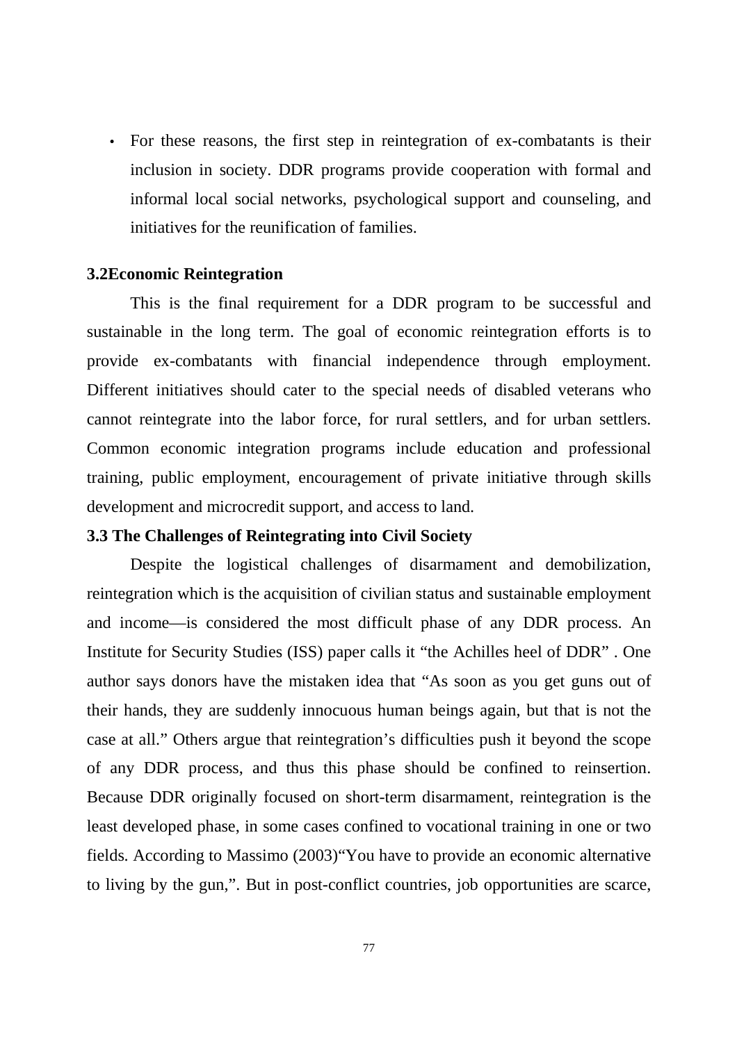• For these reasons, the first step in reintegration of ex-combatants is their inclusion in society. DDR programs provide cooperation with formal and informal local social networks, psychological support and counseling, and initiatives for the reunification of families.

#### **3.2Economic Reintegration**

This is the final requirement for a DDR program to be successful and sustainable in the long term. The goal of economic reintegration efforts is to provide ex-combatants with financial independence through employment. Different initiatives should cater to the special needs of disabled veterans who cannot reintegrate into the labor force, for rural settlers, and for urban settlers. Common economic integration programs include education and professional training, public employment, encouragement of private initiative through skills development and microcredit support, and access to land.

### **3.3 The Challenges of Reintegrating into Civil Society**

Despite the logistical challenges of disarmament and demobilization, reintegration which is the acquisition of civilian status and sustainable employment and income—is considered the most difficult phase of any DDR process. An Institute for Security Studies (ISS) paper calls it "the Achilles heel of DDR" . One author says donors have the mistaken idea that "As soon as you get guns out of their hands, they are suddenly innocuous human beings again, but that is not the case at all." Others argue that reintegration's difficulties push it beyond the scope of any DDR process, and thus this phase should be confined to reinsertion. Because DDR originally focused on short-term disarmament, reintegration is the least developed phase, in some cases confined to vocational training in one or two fields. According to Massimo (2003)"You have to provide an economic alternative to living by the gun,". But in post-conflict countries, job opportunities are scarce,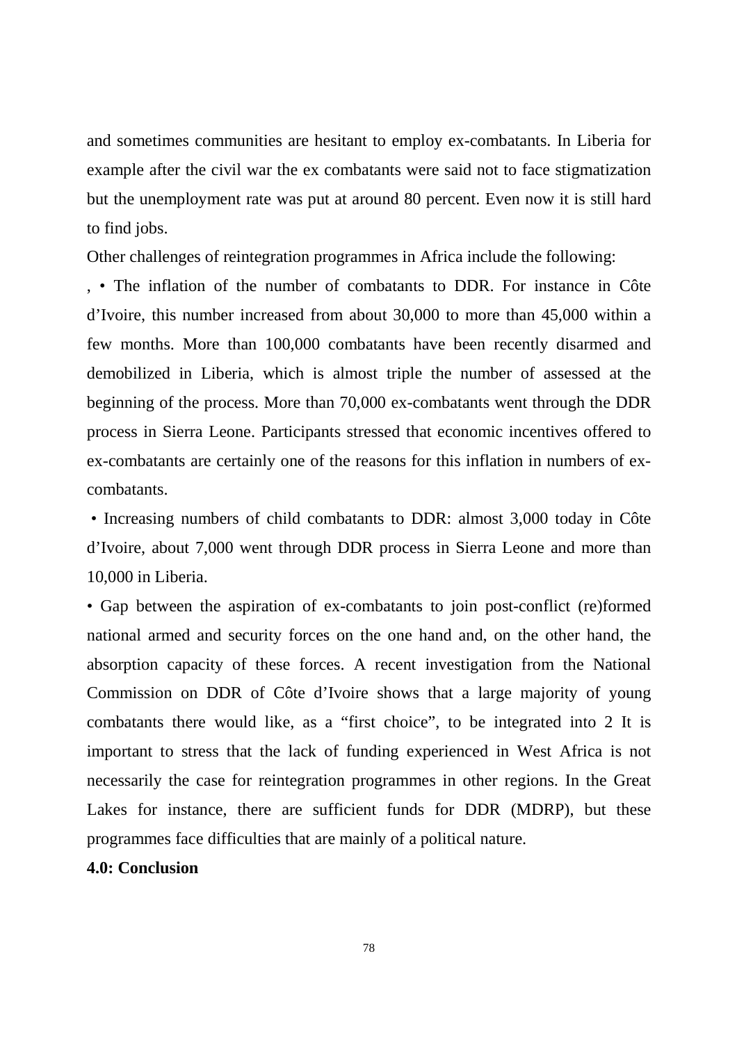and sometimes communities are hesitant to employ ex-combatants. In Liberia for example after the civil war the ex combatants were said not to face stigmatization but the unemployment rate was put at around 80 percent. Even now it is still hard to find jobs.

Other challenges of reintegration programmes in Africa include the following:

, • The inflation of the number of combatants to DDR. For instance in Côte d'Ivoire, this number increased from about 30,000 to more than 45,000 within a few months. More than 100,000 combatants have been recently disarmed and demobilized in Liberia, which is almost triple the number of assessed at the beginning of the process. More than 70,000 ex-combatants went through the DDR process in Sierra Leone. Participants stressed that economic incentives offered to ex-combatants are certainly one of the reasons for this inflation in numbers of excombatants.

 • Increasing numbers of child combatants to DDR: almost 3,000 today in Côte d'Ivoire, about 7,000 went through DDR process in Sierra Leone and more than 10,000 in Liberia.

• Gap between the aspiration of ex-combatants to join post-conflict (re)formed national armed and security forces on the one hand and, on the other hand, the absorption capacity of these forces. A recent investigation from the National Commission on DDR of Côte d'Ivoire shows that a large majority of young combatants there would like, as a "first choice", to be integrated into 2 It is important to stress that the lack of funding experienced in West Africa is not necessarily the case for reintegration programmes in other regions. In the Great Lakes for instance, there are sufficient funds for DDR (MDRP), but these programmes face difficulties that are mainly of a political nature.

### **4.0: Conclusion**

78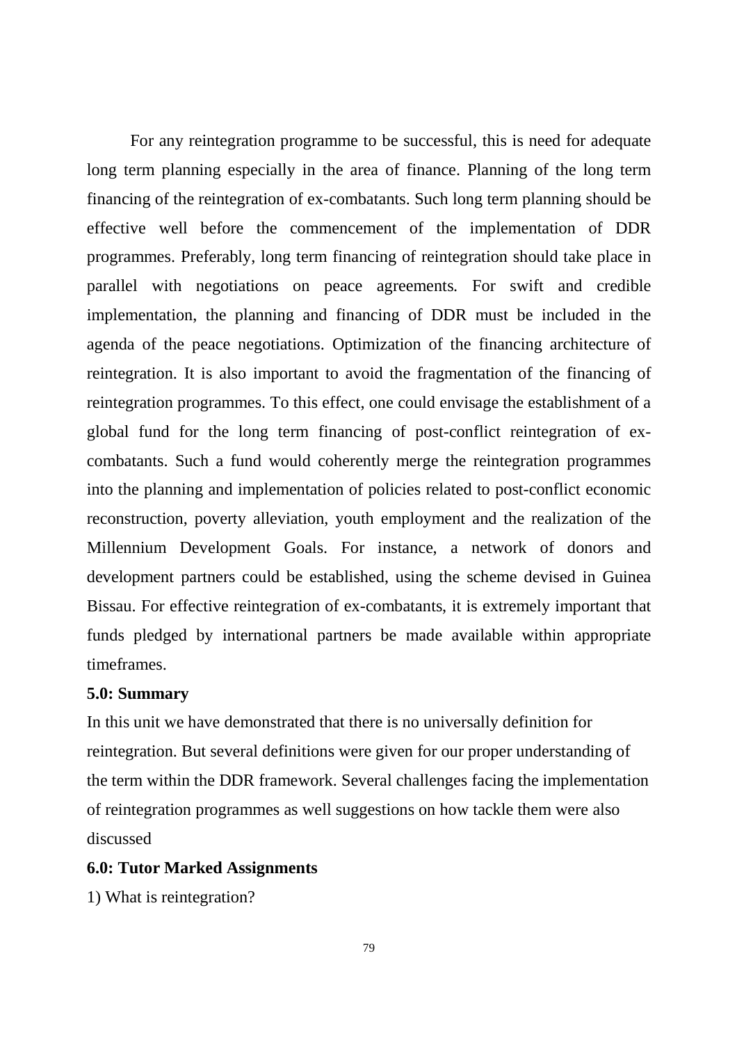For any reintegration programme to be successful, this is need for adequate long term planning especially in the area of finance. Planning of the long term financing of the reintegration of ex-combatants. Such long term planning should be effective well before the commencement of the implementation of DDR programmes. Preferably, long term financing of reintegration should take place in parallel with negotiations on peace agreements. For swift and credible implementation, the planning and financing of DDR must be included in the agenda of the peace negotiations. Optimization of the financing architecture of reintegration. It is also important to avoid the fragmentation of the financing of reintegration programmes. To this effect, one could envisage the establishment of a global fund for the long term financing of post-conflict reintegration of excombatants. Such a fund would coherently merge the reintegration programmes into the planning and implementation of policies related to post-conflict economic reconstruction, poverty alleviation, youth employment and the realization of the Millennium Development Goals. For instance, a network of donors and development partners could be established, using the scheme devised in Guinea Bissau. For effective reintegration of ex-combatants, it is extremely important that funds pledged by international partners be made available within appropriate timeframes.

#### **5.0: Summary**

In this unit we have demonstrated that there is no universally definition for reintegration. But several definitions were given for our proper understanding of the term within the DDR framework. Several challenges facing the implementation of reintegration programmes as well suggestions on how tackle them were also discussed

#### **6.0: Tutor Marked Assignments**

1) What is reintegration?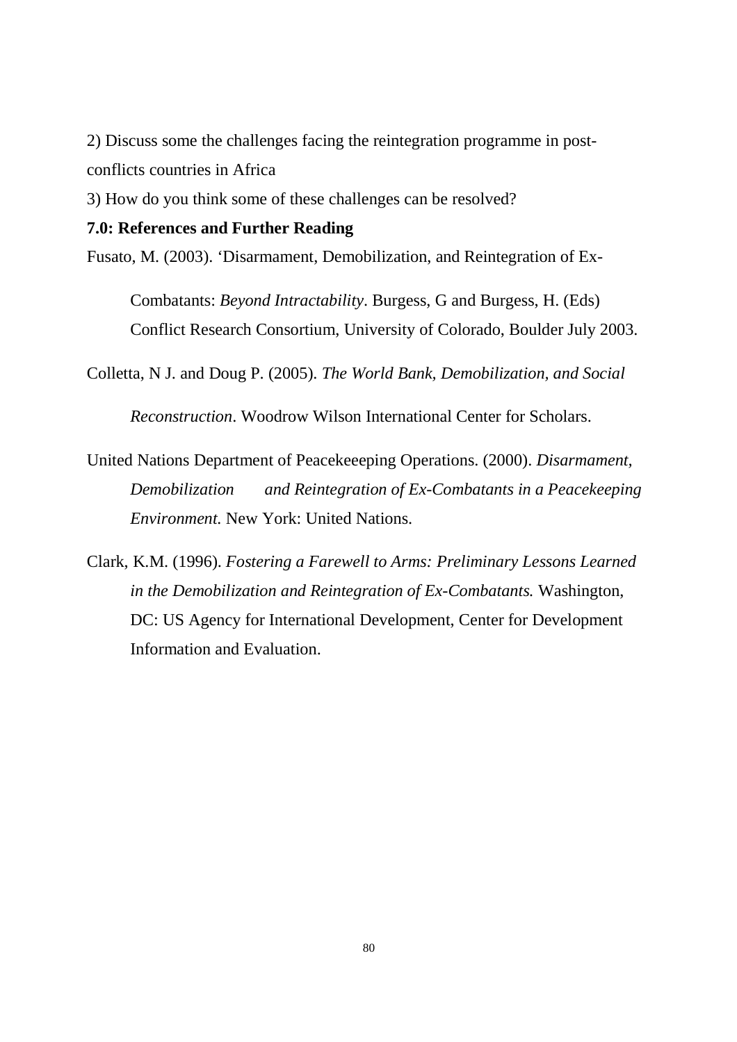2) Discuss some the challenges facing the reintegration programme in postconflicts countries in Africa

3) How do you think some of these challenges can be resolved?

# **7.0: References and Further Reading**

Fusato, M. (2003). 'Disarmament, Demobilization, and Reintegration of Ex-

Combatants: *Beyond Intractability*. Burgess, G and Burgess, H. (Eds) Conflict Research Consortium, University of Colorado, Boulder July 2003.

Colletta, N J. and Doug P. (2005). *The World Bank, Demobilization, and Social* 

*Reconstruction*. Woodrow Wilson International Center for Scholars.

- United Nations Department of Peacekeeeping Operations. (2000). *Disarmament, Demobilization and Reintegration of Ex-Combatants in a Peacekeeping Environment.* New York: United Nations.
- Clark, K.M. (1996). *Fostering a Farewell to Arms: Preliminary Lessons Learned in the Demobilization and Reintegration of Ex-Combatants.* Washington, DC: US Agency for International Development, Center for Development Information and Evaluation.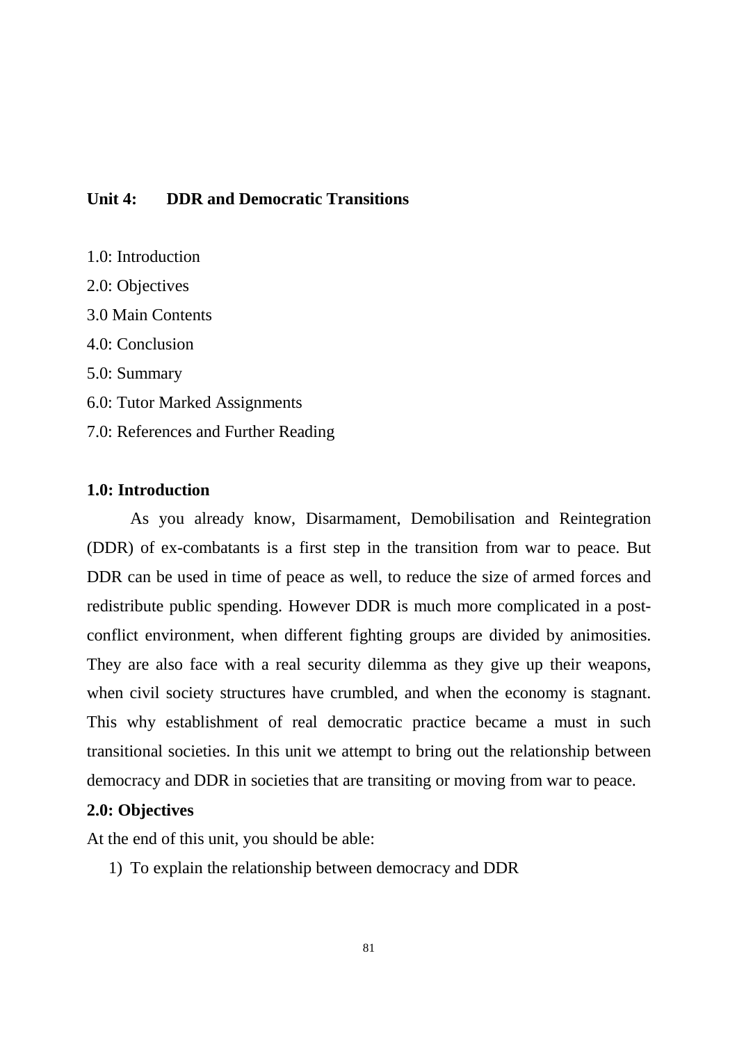### **Unit 4: DDR and Democratic Transitions**

1.0: Introduction 2.0: Objectives 3.0 Main Contents 4.0: Conclusion 5.0: Summary 6.0: Tutor Marked Assignments 7.0: References and Further Reading

#### **1.0: Introduction**

As you already know, Disarmament, Demobilisation and Reintegration (DDR) of ex-combatants is a first step in the transition from war to peace. But DDR can be used in time of peace as well, to reduce the size of armed forces and redistribute public spending. However DDR is much more complicated in a postconflict environment, when different fighting groups are divided by animosities. They are also face with a real security dilemma as they give up their weapons, when civil society structures have crumbled, and when the economy is stagnant. This why establishment of real democratic practice became a must in such transitional societies. In this unit we attempt to bring out the relationship between democracy and DDR in societies that are transiting or moving from war to peace.

### **2.0: Objectives**

At the end of this unit, you should be able:

1) To explain the relationship between democracy and DDR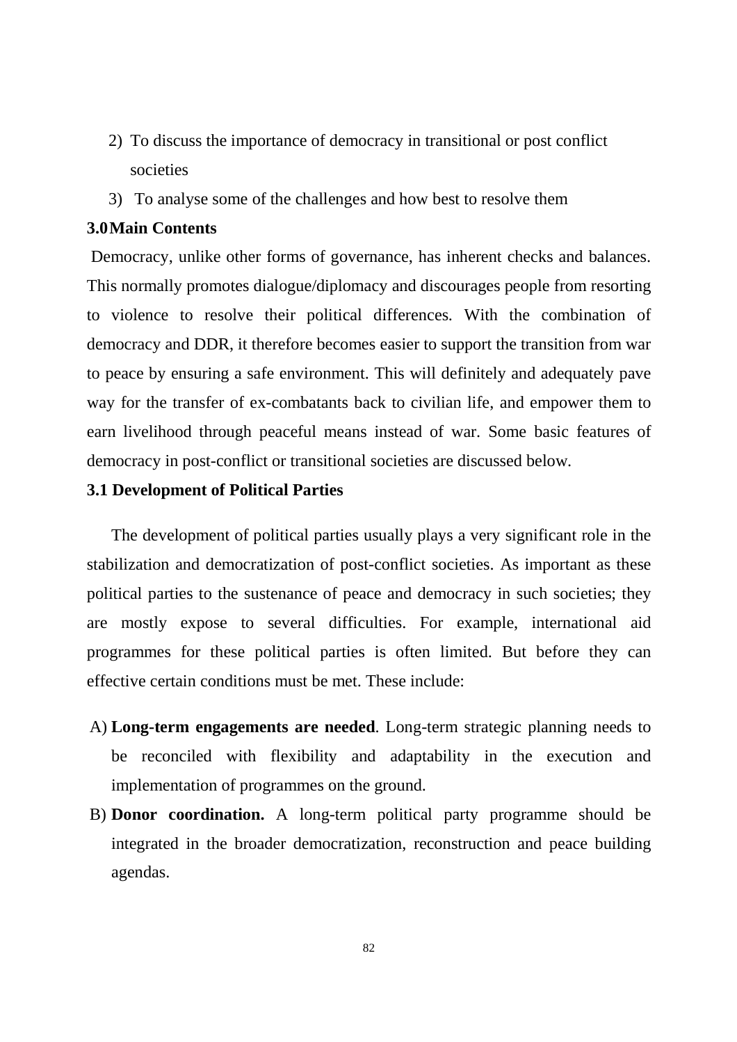- 2) To discuss the importance of democracy in transitional or post conflict societies
- 3) To analyse some of the challenges and how best to resolve them

### **3.0Main Contents**

 Democracy, unlike other forms of governance, has inherent checks and balances. This normally promotes dialogue/diplomacy and discourages people from resorting to violence to resolve their political differences. With the combination of democracy and DDR, it therefore becomes easier to support the transition from war to peace by ensuring a safe environment. This will definitely and adequately pave way for the transfer of ex-combatants back to civilian life, and empower them to earn livelihood through peaceful means instead of war. Some basic features of democracy in post-conflict or transitional societies are discussed below.

#### **3.1 Development of Political Parties**

The development of political parties usually plays a very significant role in the stabilization and democratization of post-conflict societies. As important as these political parties to the sustenance of peace and democracy in such societies; they are mostly expose to several difficulties. For example, international aid programmes for these political parties is often limited. But before they can effective certain conditions must be met. These include:

- A) **Long-term engagements are needed**. Long-term strategic planning needs to be reconciled with flexibility and adaptability in the execution and implementation of programmes on the ground.
- B) **Donor coordination.** A long-term political party programme should be integrated in the broader democratization, reconstruction and peace building agendas.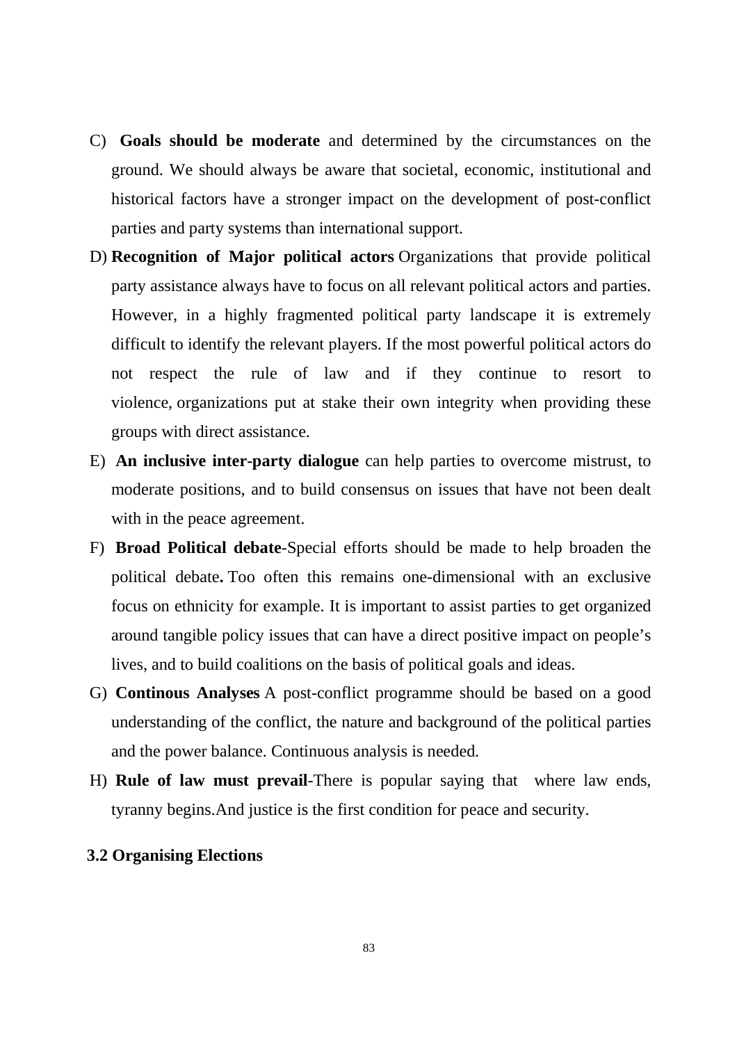- C) **Goals should be moderate** and determined by the circumstances on the ground. We should always be aware that societal, economic, institutional and historical factors have a stronger impact on the development of post-conflict parties and party systems than international support.
- D) **Recognition of Major political actors** Organizations that provide political party assistance always have to focus on all relevant political actors and parties. However, in a highly fragmented political party landscape it is extremely difficult to identify the relevant players. If the most powerful political actors do not respect the rule of law and if they continue to resort to violence, organizations put at stake their own integrity when providing these groups with direct assistance.
- E) **An inclusive inter-party dialogue** can help parties to overcome mistrust, to moderate positions, and to build consensus on issues that have not been dealt with in the peace agreement.
- F) **Broad Political debate**-Special efforts should be made to help broaden the political debate**.** Too often this remains one-dimensional with an exclusive focus on ethnicity for example. It is important to assist parties to get organized around tangible policy issues that can have a direct positive impact on people's lives, and to build coalitions on the basis of political goals and ideas.
- G) **Continous Analyses** A post-conflict programme should be based on a good understanding of the conflict, the nature and background of the political parties and the power balance. Continuous analysis is needed.
- H) **Rule of law must prevail**-There is popular saying that where law ends, tyranny begins.And justice is the first condition for peace and security.

### **3.2 Organising Elections**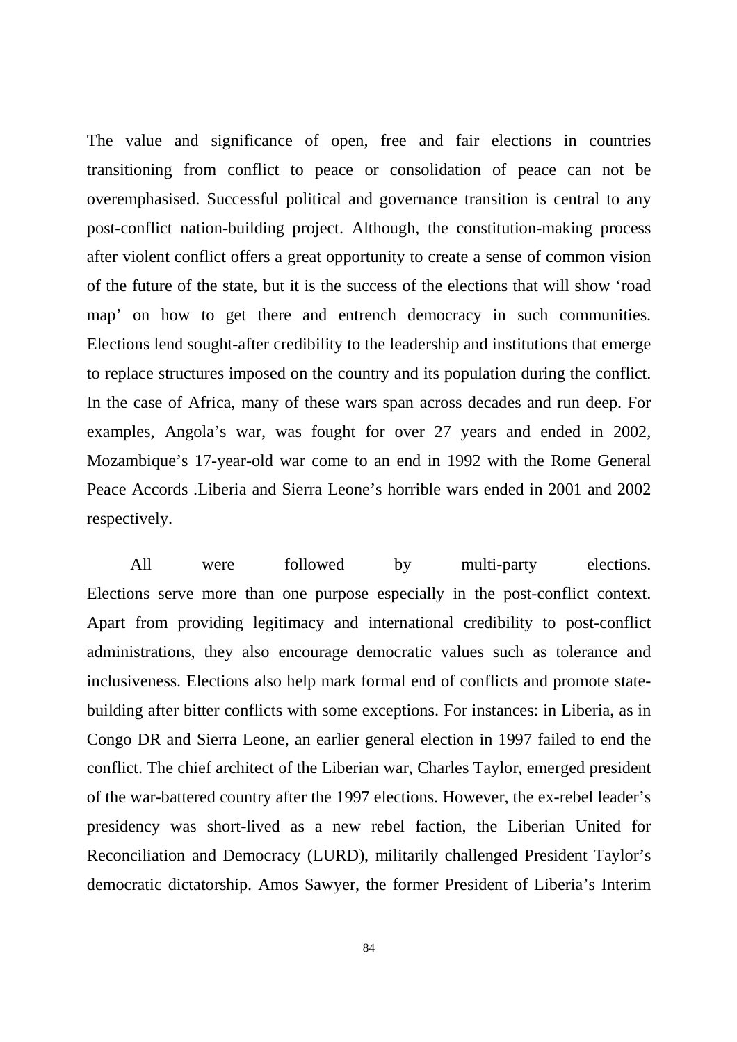The value and significance of open, free and fair elections in countries transitioning from conflict to peace or consolidation of peace can not be overemphasised. Successful political and governance transition is central to any post-conflict nation-building project. Although, the constitution-making process after violent conflict offers a great opportunity to create a sense of common vision of the future of the state, but it is the success of the elections that will show 'road map' on how to get there and entrench democracy in such communities. Elections lend sought-after credibility to the leadership and institutions that emerge to replace structures imposed on the country and its population during the conflict. In the case of Africa, many of these wars span across decades and run deep. For examples, Angola's war, was fought for over 27 years and ended in 2002, Mozambique's 17-year-old war come to an end in 1992 with the Rome General Peace Accords .Liberia and Sierra Leone's horrible wars ended in 2001 and 2002 respectively.

All were followed by multi-party elections. Elections serve more than one purpose especially in the post-conflict context. Apart from providing legitimacy and international credibility to post-conflict administrations, they also encourage democratic values such as tolerance and inclusiveness. Elections also help mark formal end of conflicts and promote statebuilding after bitter conflicts with some exceptions. For instances: in Liberia, as in Congo DR and Sierra Leone, an earlier general election in 1997 failed to end the conflict. The chief architect of the Liberian war, Charles Taylor, emerged president of the war-battered country after the 1997 elections. However, the ex-rebel leader's presidency was short-lived as a new rebel faction, the Liberian United for Reconciliation and Democracy (LURD), militarily challenged President Taylor's democratic dictatorship. Amos Sawyer, the former President of Liberia's Interim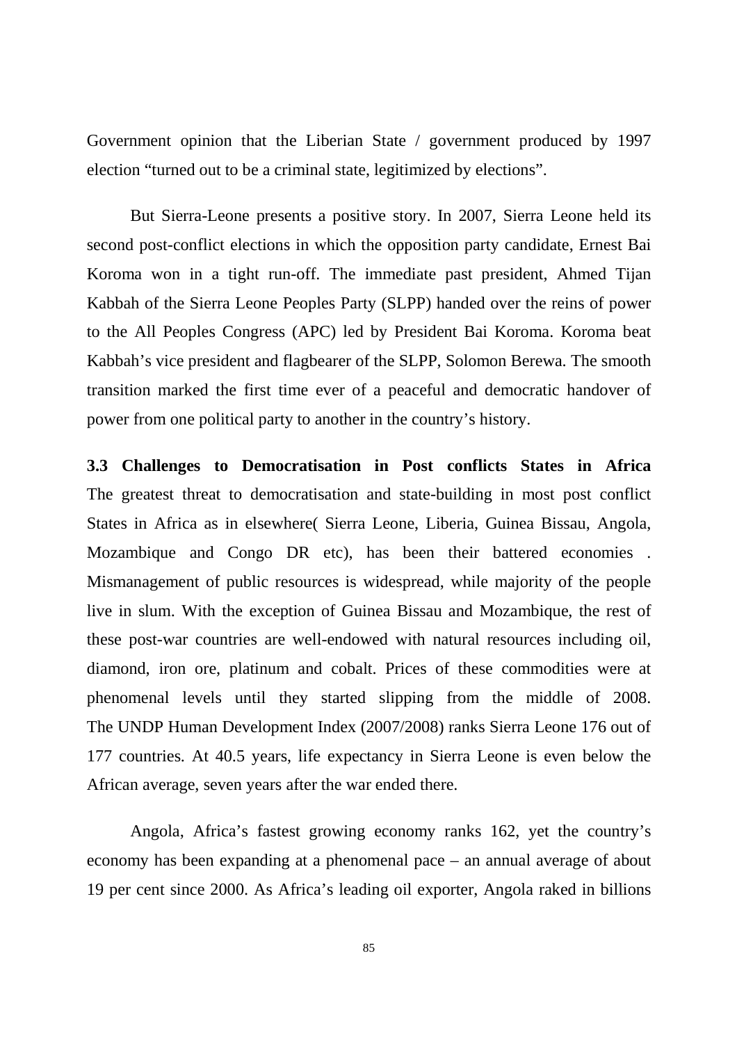Government opinion that the Liberian State / government produced by 1997 election "turned out to be a criminal state, legitimized by elections".

But Sierra-Leone presents a positive story. In 2007, Sierra Leone held its second post-conflict elections in which the opposition party candidate, Ernest Bai Koroma won in a tight run-off. The immediate past president, Ahmed Tijan Kabbah of the Sierra Leone Peoples Party (SLPP) handed over the reins of power to the All Peoples Congress (APC) led by President Bai Koroma. Koroma beat Kabbah's vice president and flagbearer of the SLPP, Solomon Berewa. The smooth transition marked the first time ever of a peaceful and democratic handover of power from one political party to another in the country's history.

**3.3 Challenges to Democratisation in Post conflicts States in Africa** The greatest threat to democratisation and state-building in most post conflict States in Africa as in elsewhere( Sierra Leone, Liberia, Guinea Bissau, Angola, Mozambique and Congo DR etc), has been their battered economies . Mismanagement of public resources is widespread, while majority of the people live in slum. With the exception of Guinea Bissau and Mozambique, the rest of these post-war countries are well-endowed with natural resources including oil, diamond, iron ore, platinum and cobalt. Prices of these commodities were at phenomenal levels until they started slipping from the middle of 2008. The UNDP Human Development Index (2007/2008) ranks Sierra Leone 176 out of 177 countries. At 40.5 years, life expectancy in Sierra Leone is even below the African average, seven years after the war ended there.

Angola, Africa's fastest growing economy ranks 162, yet the country's economy has been expanding at a phenomenal pace – an annual average of about 19 per cent since 2000. As Africa's leading oil exporter, Angola raked in billions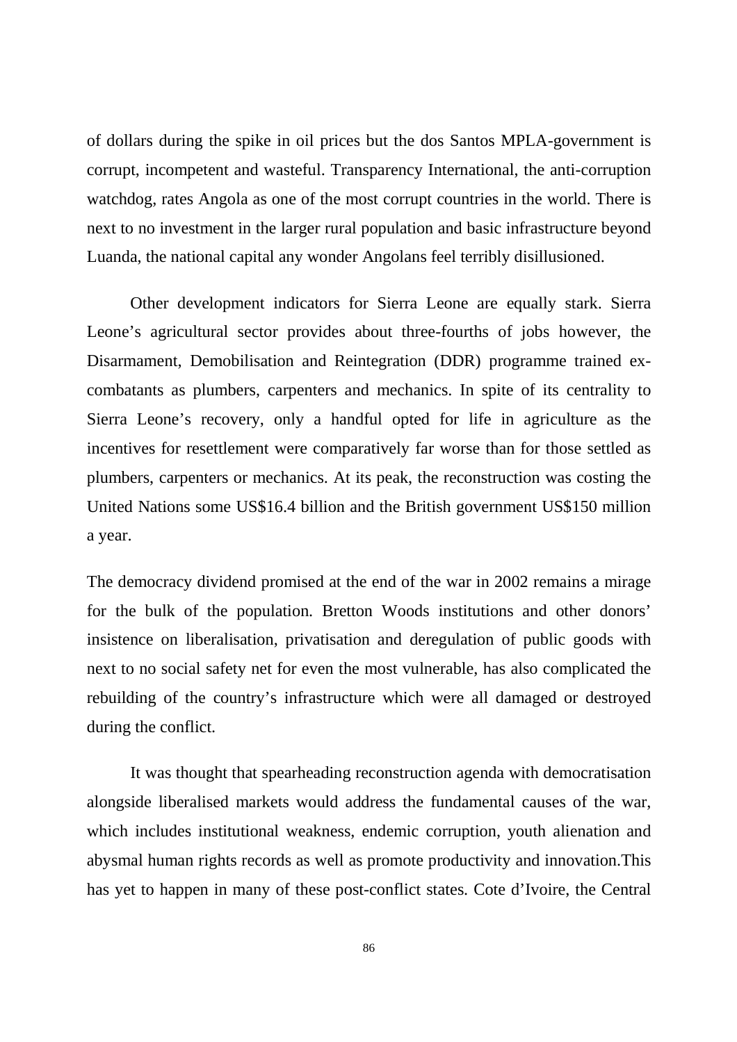of dollars during the spike in oil prices but the dos Santos MPLA-government is corrupt, incompetent and wasteful. Transparency International, the anti-corruption watchdog, rates Angola as one of the most corrupt countries in the world. There is next to no investment in the larger rural population and basic infrastructure beyond Luanda, the national capital any wonder Angolans feel terribly disillusioned.

Other development indicators for Sierra Leone are equally stark. Sierra Leone's agricultural sector provides about three-fourths of jobs however, the Disarmament, Demobilisation and Reintegration (DDR) programme trained excombatants as plumbers, carpenters and mechanics. In spite of its centrality to Sierra Leone's recovery, only a handful opted for life in agriculture as the incentives for resettlement were comparatively far worse than for those settled as plumbers, carpenters or mechanics. At its peak, the reconstruction was costing the United Nations some US\$16.4 billion and the British government US\$150 million a year.

The democracy dividend promised at the end of the war in 2002 remains a mirage for the bulk of the population. Bretton Woods institutions and other donors' insistence on liberalisation, privatisation and deregulation of public goods with next to no social safety net for even the most vulnerable, has also complicated the rebuilding of the country's infrastructure which were all damaged or destroyed during the conflict.

It was thought that spearheading reconstruction agenda with democratisation alongside liberalised markets would address the fundamental causes of the war, which includes institutional weakness, endemic corruption, youth alienation and abysmal human rights records as well as promote productivity and innovation.This has yet to happen in many of these post-conflict states. Cote d'Ivoire, the Central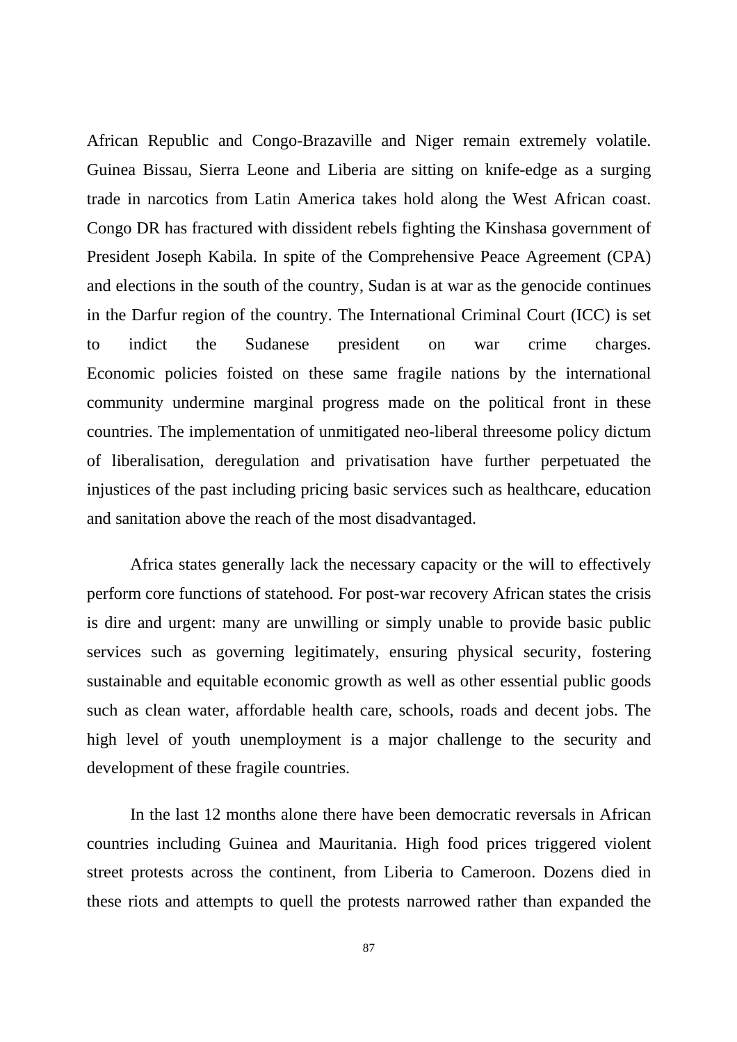African Republic and Congo-Brazaville and Niger remain extremely volatile. Guinea Bissau, Sierra Leone and Liberia are sitting on knife-edge as a surging trade in narcotics from Latin America takes hold along the West African coast. Congo DR has fractured with dissident rebels fighting the Kinshasa government of President Joseph Kabila. In spite of the Comprehensive Peace Agreement (CPA) and elections in the south of the country, Sudan is at war as the genocide continues in the Darfur region of the country. The International Criminal Court (ICC) is set to indict the Sudanese president on war crime charges. Economic policies foisted on these same fragile nations by the international community undermine marginal progress made on the political front in these countries. The implementation of unmitigated neo-liberal threesome policy dictum of liberalisation, deregulation and privatisation have further perpetuated the injustices of the past including pricing basic services such as healthcare, education and sanitation above the reach of the most disadvantaged.

Africa states generally lack the necessary capacity or the will to effectively perform core functions of statehood. For post-war recovery African states the crisis is dire and urgent: many are unwilling or simply unable to provide basic public services such as governing legitimately, ensuring physical security, fostering sustainable and equitable economic growth as well as other essential public goods such as clean water, affordable health care, schools, roads and decent jobs. The high level of youth unemployment is a major challenge to the security and development of these fragile countries.

In the last 12 months alone there have been democratic reversals in African countries including Guinea and Mauritania. High food prices triggered violent street protests across the continent, from Liberia to Cameroon. Dozens died in these riots and attempts to quell the protests narrowed rather than expanded the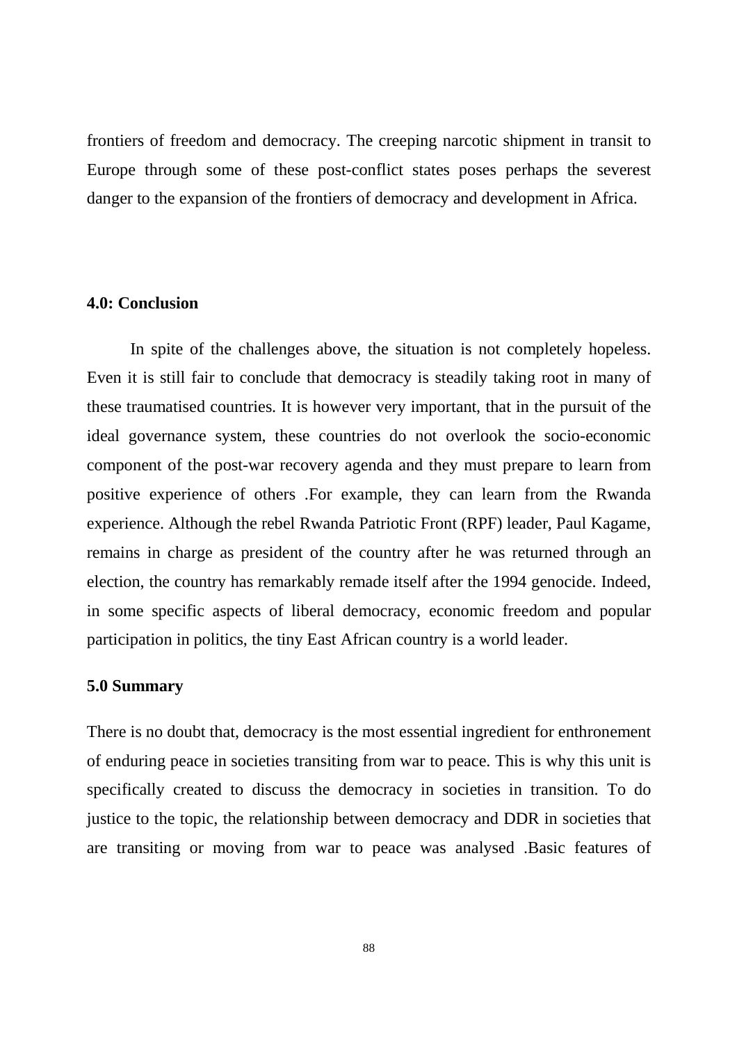frontiers of freedom and democracy. The creeping narcotic shipment in transit to Europe through some of these post-conflict states poses perhaps the severest danger to the expansion of the frontiers of democracy and development in Africa.

#### **4.0: Conclusion**

In spite of the challenges above, the situation is not completely hopeless. Even it is still fair to conclude that democracy is steadily taking root in many of these traumatised countries. It is however very important, that in the pursuit of the ideal governance system, these countries do not overlook the socio-economic component of the post-war recovery agenda and they must prepare to learn from positive experience of others .For example, they can learn from the Rwanda experience. Although the rebel Rwanda Patriotic Front (RPF) leader, Paul Kagame, remains in charge as president of the country after he was returned through an election, the country has remarkably remade itself after the 1994 genocide. Indeed, in some specific aspects of liberal democracy, economic freedom and popular participation in politics, the tiny East African country is a world leader.

### **5.0 Summary**

There is no doubt that, democracy is the most essential ingredient for enthronement of enduring peace in societies transiting from war to peace. This is why this unit is specifically created to discuss the democracy in societies in transition. To do justice to the topic, the relationship between democracy and DDR in societies that are transiting or moving from war to peace was analysed .Basic features of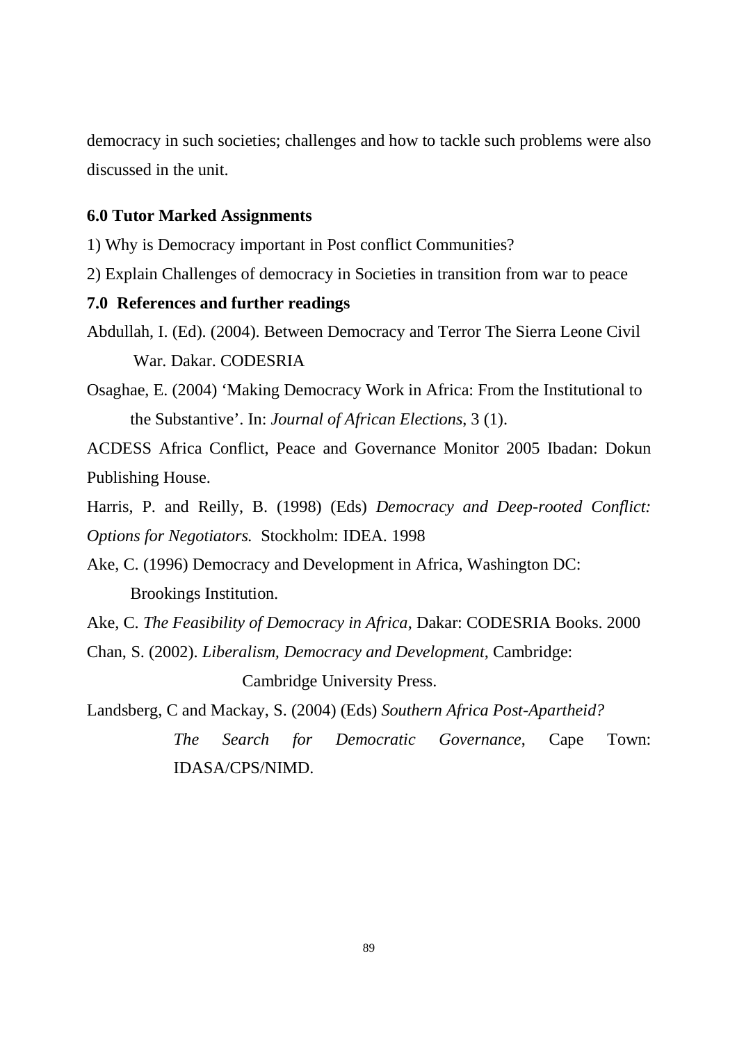democracy in such societies; challenges and how to tackle such problems were also discussed in the unit.

### **6.0 Tutor Marked Assignments**

- 1) Why is Democracy important in Post conflict Communities?
- 2) Explain Challenges of democracy in Societies in transition from war to peace

### **7.0 References and further readings**

- Abdullah, I. (Ed). (2004). Between Democracy and Terror The Sierra Leone Civil War. Dakar. CODESRIA
- Osaghae, E. (2004) 'Making Democracy Work in Africa: From the Institutional to the Substantive'. In: *Journal of African Elections*, 3 (1).

ACDESS Africa Conflict, Peace and Governance Monitor 2005 Ibadan: Dokun Publishing House.

Harris, P. and Reilly, B. (1998) (Eds) *Democracy and Deep-rooted Conflict: Options for Negotiators.* Stockholm: IDEA. 1998

Ake, C. (1996) Democracy and Development in Africa, Washington DC: Brookings Institution.

Ake, C. *The Feasibility of Democracy in Africa*, Dakar: CODESRIA Books. 2000 Chan, S. (2002). *Liberalism, Democracy and Development*, Cambridge:

Cambridge University Press.

Landsberg, C and Mackay, S. (2004) (Eds) *Southern Africa Post-Apartheid?* 

*The Search for Democratic Governance*, Cape Town: IDASA/CPS/NIMD.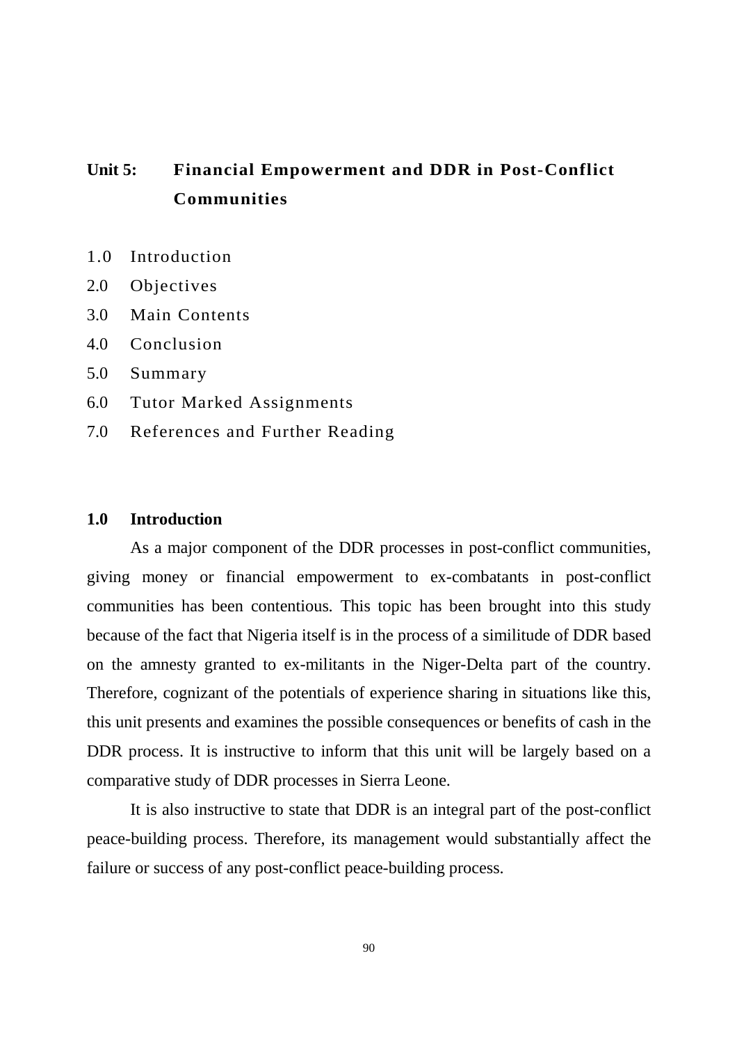# **Unit 5: Financial Empowerment and DDR in Post-Conflict Communities**

- 1.0 Introduction
- 2.0 Objectives
- 3.0 Main Contents
- 4.0 Conclusion
- 5.0 Summary
- 6.0 Tutor Marked Assignments
- 7.0 References and Further Reading

#### **1.0 Introduction**

 As a major component of the DDR processes in post-conflict communities, giving money or financial empowerment to ex-combatants in post-conflict communities has been contentious. This topic has been brought into this study because of the fact that Nigeria itself is in the process of a similitude of DDR based on the amnesty granted to ex-militants in the Niger-Delta part of the country. Therefore, cognizant of the potentials of experience sharing in situations like this, this unit presents and examines the possible consequences or benefits of cash in the DDR process. It is instructive to inform that this unit will be largely based on a comparative study of DDR processes in Sierra Leone.

 It is also instructive to state that DDR is an integral part of the post-conflict peace-building process. Therefore, its management would substantially affect the failure or success of any post-conflict peace-building process.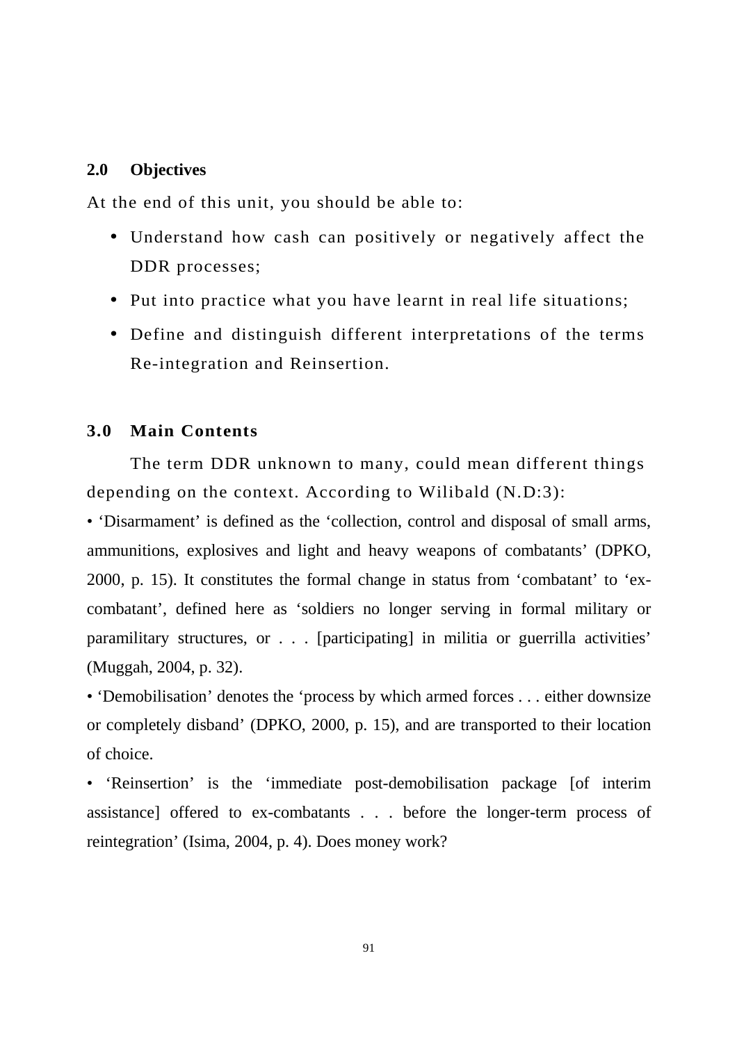### **2.0 Objectives**

At the end of this unit, you should be able to:

- Understand how cash can positively or negatively affect the DDR processes;
- Put into practice what you have learnt in real life situations;
- Define and distinguish different interpretations of the terms Re-integration and Reinsertion.

### **3.0 Main Contents**

 The term DDR unknown to many, could mean different things depending on the context. According to Wilibald (N.D:3):

• 'Disarmament' is defined as the 'collection, control and disposal of small arms, ammunitions, explosives and light and heavy weapons of combatants' (DPKO, 2000, p. 15). It constitutes the formal change in status from 'combatant' to 'excombatant', defined here as 'soldiers no longer serving in formal military or paramilitary structures, or . . . [participating] in militia or guerrilla activities' (Muggah, 2004, p. 32).

• 'Demobilisation' denotes the 'process by which armed forces . . . either downsize or completely disband' (DPKO, 2000, p. 15), and are transported to their location of choice.

• 'Reinsertion' is the 'immediate post-demobilisation package [of interim assistance] offered to ex-combatants . . . before the longer-term process of reintegration' (Isima, 2004, p. 4). Does money work?

91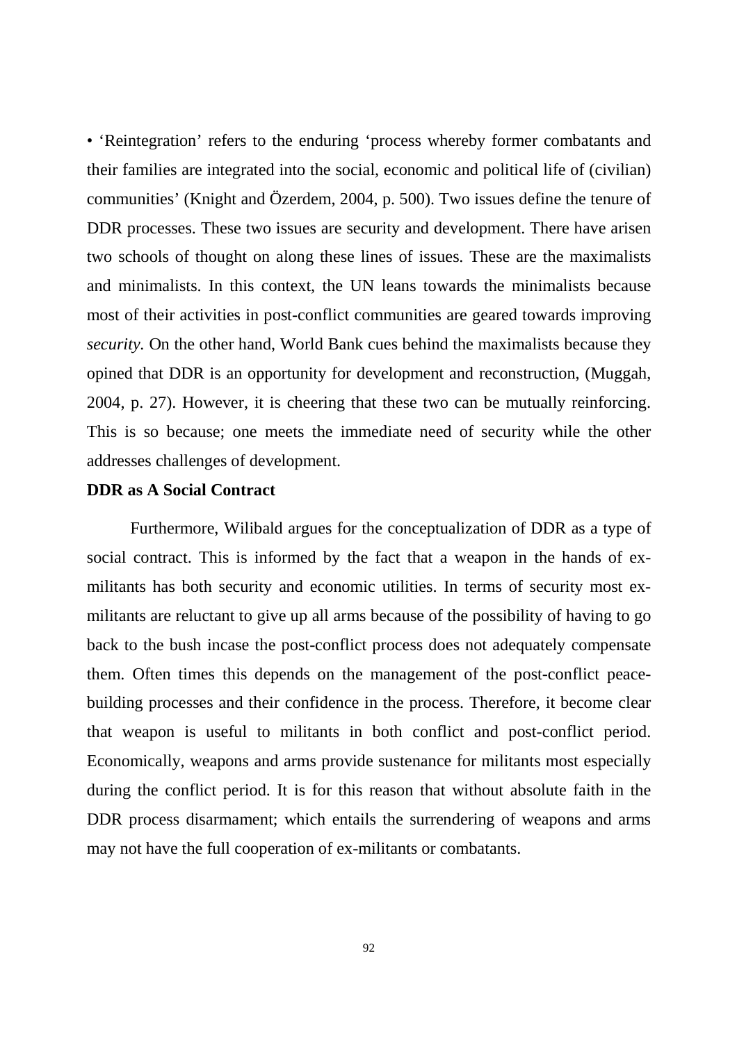• 'Reintegration' refers to the enduring 'process whereby former combatants and their families are integrated into the social, economic and political life of (civilian) communities' (Knight and Özerdem, 2004, p. 500). Two issues define the tenure of DDR processes. These two issues are security and development. There have arisen two schools of thought on along these lines of issues. These are the maximalists and minimalists. In this context, the UN leans towards the minimalists because most of their activities in post-conflict communities are geared towards improving *security.* On the other hand, World Bank cues behind the maximalists because they opined that DDR is an opportunity for development and reconstruction, (Muggah, 2004, p. 27). However, it is cheering that these two can be mutually reinforcing. This is so because; one meets the immediate need of security while the other addresses challenges of development.

#### **DDR as A Social Contract**

 Furthermore, Wilibald argues for the conceptualization of DDR as a type of social contract. This is informed by the fact that a weapon in the hands of exmilitants has both security and economic utilities. In terms of security most exmilitants are reluctant to give up all arms because of the possibility of having to go back to the bush incase the post-conflict process does not adequately compensate them. Often times this depends on the management of the post-conflict peacebuilding processes and their confidence in the process. Therefore, it become clear that weapon is useful to militants in both conflict and post-conflict period. Economically, weapons and arms provide sustenance for militants most especially during the conflict period. It is for this reason that without absolute faith in the DDR process disarmament; which entails the surrendering of weapons and arms may not have the full cooperation of ex-militants or combatants.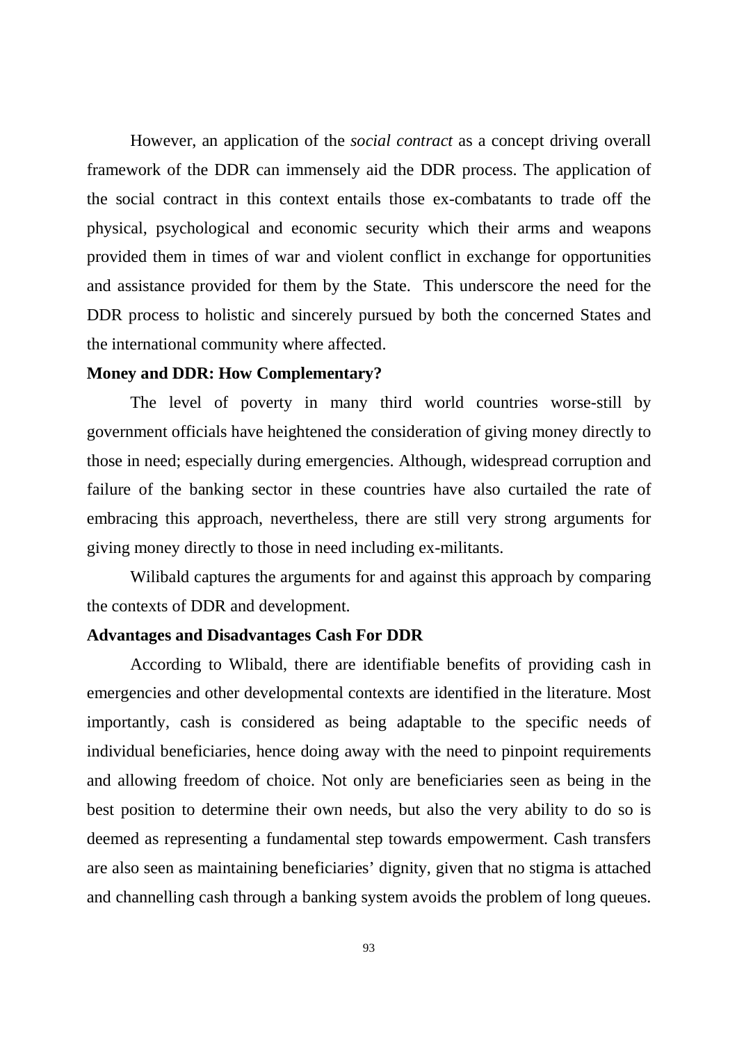However, an application of the *social contract* as a concept driving overall framework of the DDR can immensely aid the DDR process. The application of the social contract in this context entails those ex-combatants to trade off the physical, psychological and economic security which their arms and weapons provided them in times of war and violent conflict in exchange for opportunities and assistance provided for them by the State. This underscore the need for the DDR process to holistic and sincerely pursued by both the concerned States and the international community where affected.

# **Money and DDR: How Complementary?**

The level of poverty in many third world countries worse-still by government officials have heightened the consideration of giving money directly to those in need; especially during emergencies. Although, widespread corruption and failure of the banking sector in these countries have also curtailed the rate of embracing this approach, nevertheless, there are still very strong arguments for giving money directly to those in need including ex-militants.

 Wilibald captures the arguments for and against this approach by comparing the contexts of DDR and development.

#### **Advantages and Disadvantages Cash For DDR**

According to Wlibald, there are identifiable benefits of providing cash in emergencies and other developmental contexts are identified in the literature. Most importantly, cash is considered as being adaptable to the specific needs of individual beneficiaries, hence doing away with the need to pinpoint requirements and allowing freedom of choice. Not only are beneficiaries seen as being in the best position to determine their own needs, but also the very ability to do so is deemed as representing a fundamental step towards empowerment. Cash transfers are also seen as maintaining beneficiaries' dignity, given that no stigma is attached and channelling cash through a banking system avoids the problem of long queues.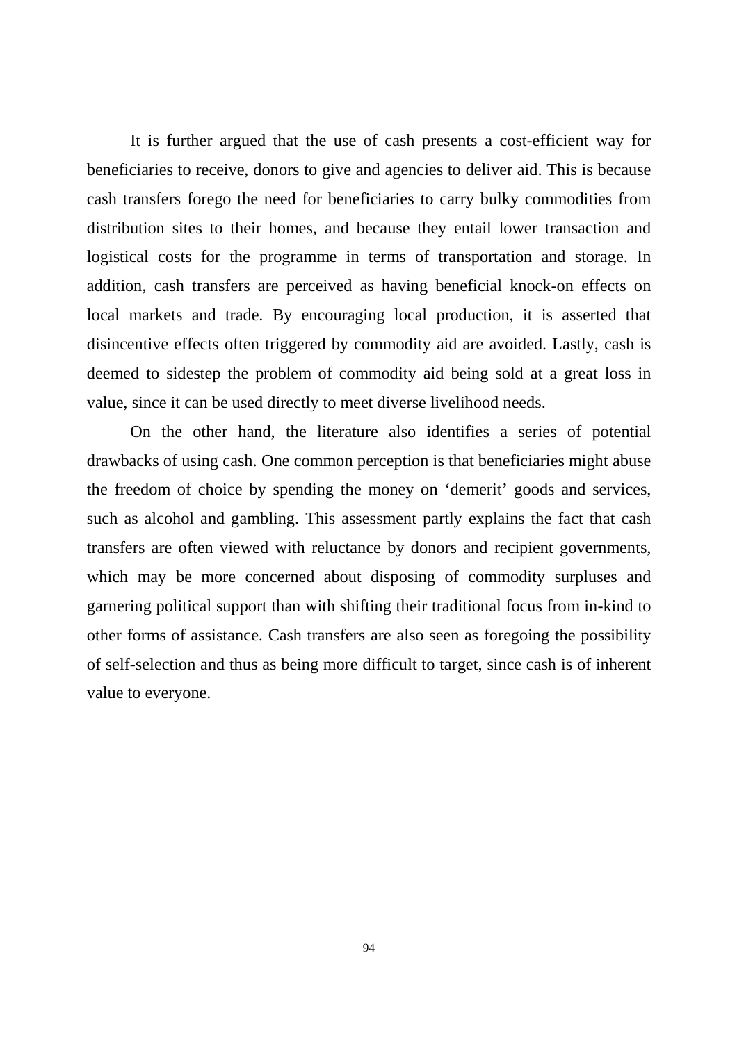It is further argued that the use of cash presents a cost-efficient way for beneficiaries to receive, donors to give and agencies to deliver aid. This is because cash transfers forego the need for beneficiaries to carry bulky commodities from distribution sites to their homes, and because they entail lower transaction and logistical costs for the programme in terms of transportation and storage. In addition, cash transfers are perceived as having beneficial knock-on effects on local markets and trade. By encouraging local production, it is asserted that disincentive effects often triggered by commodity aid are avoided. Lastly, cash is deemed to sidestep the problem of commodity aid being sold at a great loss in value, since it can be used directly to meet diverse livelihood needs.

On the other hand, the literature also identifies a series of potential drawbacks of using cash. One common perception is that beneficiaries might abuse the freedom of choice by spending the money on 'demerit' goods and services, such as alcohol and gambling. This assessment partly explains the fact that cash transfers are often viewed with reluctance by donors and recipient governments, which may be more concerned about disposing of commodity surpluses and garnering political support than with shifting their traditional focus from in-kind to other forms of assistance. Cash transfers are also seen as foregoing the possibility of self-selection and thus as being more difficult to target, since cash is of inherent value to everyone.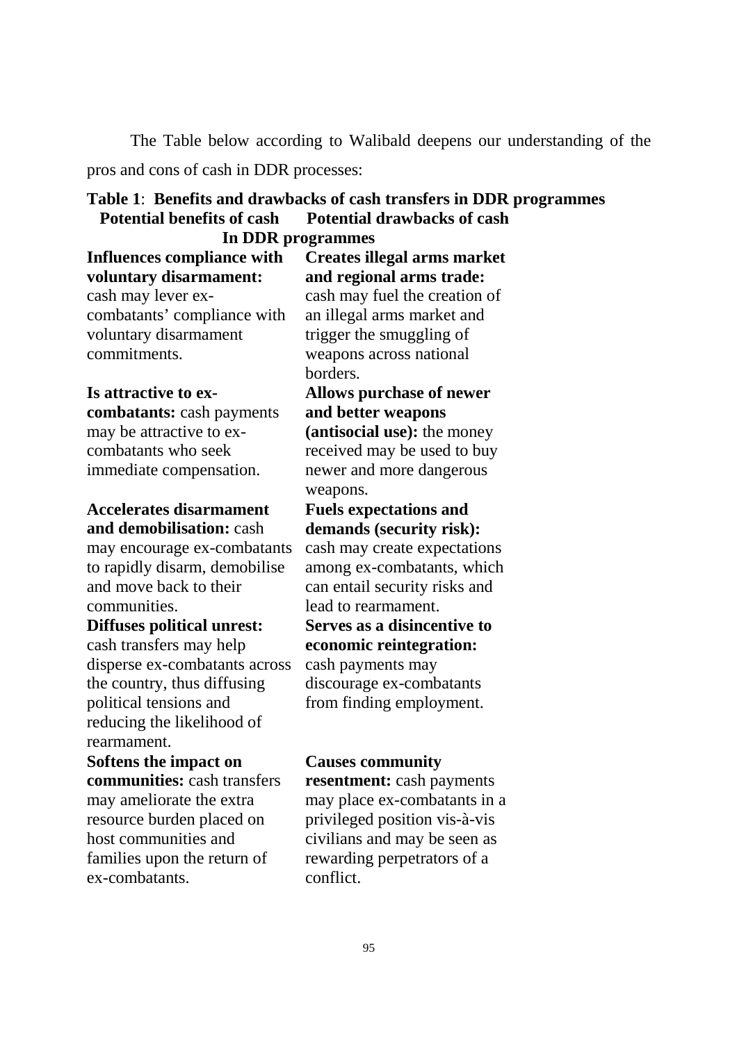The Table below according to Walibald deepens our understanding of the pros and cons of cash in DDR processes:

# **Table 1**: **Benefits and drawbacks of cash transfers in DDR programmes Potential benefits of cash Potential drawbacks of cash**

**In DDR programmes**

**Influences compliance with voluntary disarmament:** 

cash may lever excombatants' compliance with voluntary disarmament commitments.

**Is attractive to excombatants:** cash payments may be attractive to excombatants who seek immediate compensation.

# **Accelerates disarmament and demobilisation:** cash

may encourage ex-combatants to rapidly disarm, demobilise and move back to their communities.

**Diffuses political unrest:**  cash transfers may help disperse ex-combatants across the country, thus diffusing political tensions and reducing the likelihood of rearmament.

**Softens the impact on communities:** cash transfers may ameliorate the extra resource burden placed on host communities and families upon the return of ex-combatants.

**Creates illegal arms market and regional arms trade:**  cash may fuel the creation of an illegal arms market and trigger the smuggling of weapons across national borders.

**Allows purchase of newer and better weapons (antisocial use):** the money received may be used to buy newer and more dangerous weapons.

**Fuels expectations and demands (security risk):**  cash may create expectations among ex-combatants, which can entail security risks and lead to rearmament. **Serves as a disincentive to** 

**economic reintegration:** 

cash payments may discourage ex-combatants from finding employment.

**Causes community** 

**resentment:** cash payments may place ex-combatants in a privileged position vis-à-vis civilians and may be seen as rewarding perpetrators of a conflict.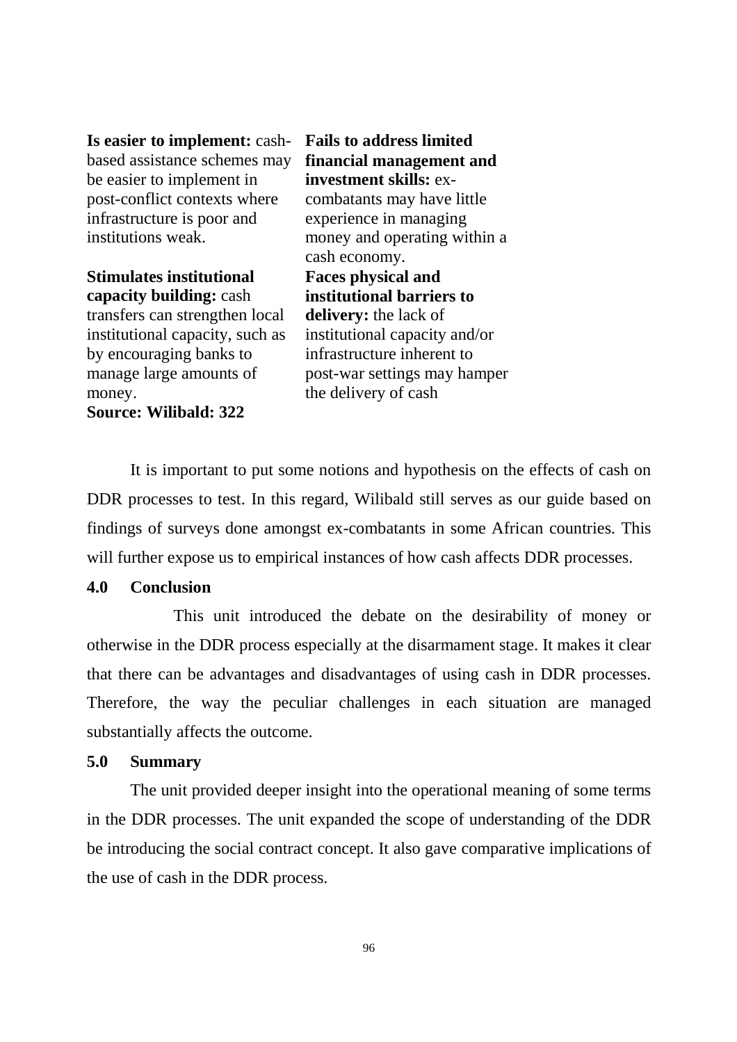**Is easier to implement:** cashbased assistance schemes may be easier to implement in post-conflict contexts where infrastructure is poor and institutions weak.

**Stimulates institutional capacity building:** cash transfers can strengthen local institutional capacity, such as by encouraging banks to manage large amounts of money. **Source: Wilibald: 322** 

**Fails to address limited financial management and investment skills:** excombatants may have little experience in managing money and operating within a cash economy. **Faces physical and institutional barriers to delivery:** the lack of institutional capacity and/or infrastructure inherent to post-war settings may hamper the delivery of cash

It is important to put some notions and hypothesis on the effects of cash on DDR processes to test. In this regard, Wilibald still serves as our guide based on findings of surveys done amongst ex-combatants in some African countries. This

will further expose us to empirical instances of how cash affects DDR processes.

### **4.0 Conclusion**

 This unit introduced the debate on the desirability of money or otherwise in the DDR process especially at the disarmament stage. It makes it clear that there can be advantages and disadvantages of using cash in DDR processes. Therefore, the way the peculiar challenges in each situation are managed substantially affects the outcome.

### **5.0 Summary**

The unit provided deeper insight into the operational meaning of some terms in the DDR processes. The unit expanded the scope of understanding of the DDR be introducing the social contract concept. It also gave comparative implications of the use of cash in the DDR process.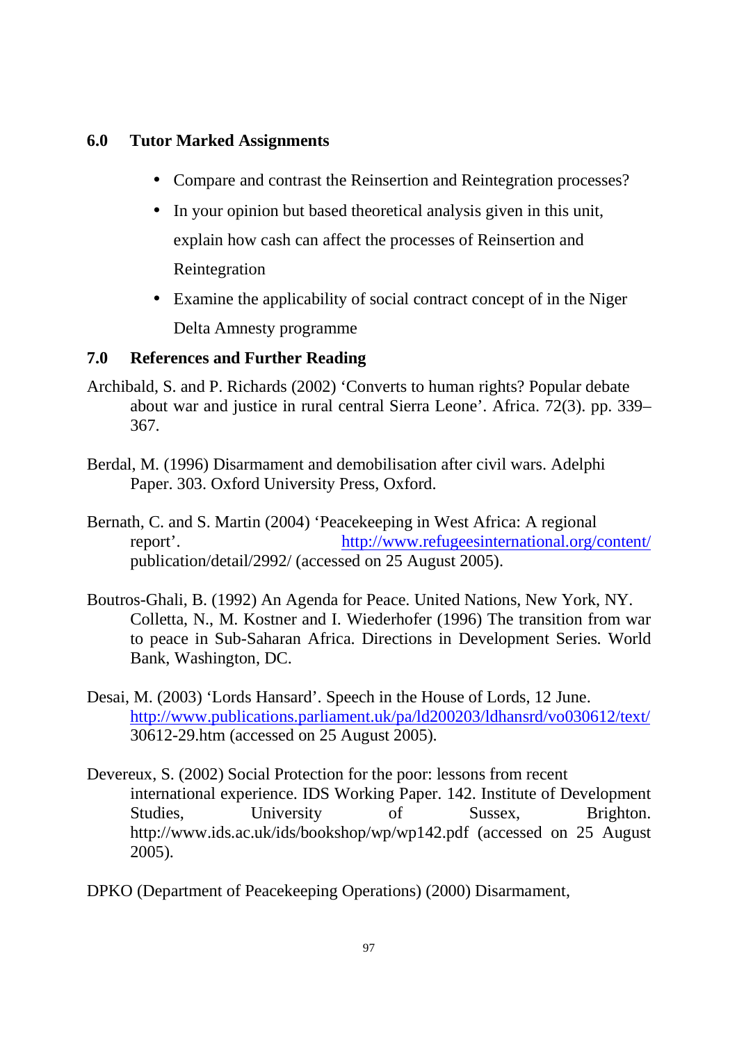# **6.0 Tutor Marked Assignments**

- Compare and contrast the Reinsertion and Reintegration processes?
- In your opinion but based theoretical analysis given in this unit, explain how cash can affect the processes of Reinsertion and Reintegration
- Examine the applicability of social contract concept of in the Niger Delta Amnesty programme

### **7.0 References and Further Reading**

- Archibald, S. and P. Richards (2002) 'Converts to human rights? Popular debate about war and justice in rural central Sierra Leone'. Africa. 72(3). pp. 339– 367.
- Berdal, M. (1996) Disarmament and demobilisation after civil wars. Adelphi Paper. 303. Oxford University Press, Oxford.
- Bernath, C. and S. Martin (2004) 'Peacekeeping in West Africa: A regional report'. http://www.refugeesinternational.org/content/ publication/detail/2992/ (accessed on 25 August 2005).
- Boutros-Ghali, B. (1992) An Agenda for Peace. United Nations, New York, NY. Colletta, N., M. Kostner and I. Wiederhofer (1996) The transition from war to peace in Sub-Saharan Africa. Directions in Development Series. World Bank, Washington, DC.
- Desai, M. (2003) 'Lords Hansard'. Speech in the House of Lords, 12 June. http://www.publications.parliament.uk/pa/ld200203/ldhansrd/vo030612/text/ 30612-29.htm (accessed on 25 August 2005).
- Devereux, S. (2002) Social Protection for the poor: lessons from recent international experience. IDS Working Paper. 142. Institute of Development Studies, University of Sussex, Brighton. http://www.ids.ac.uk/ids/bookshop/wp/wp142.pdf (accessed on 25 August 2005).
- DPKO (Department of Peacekeeping Operations) (2000) Disarmament,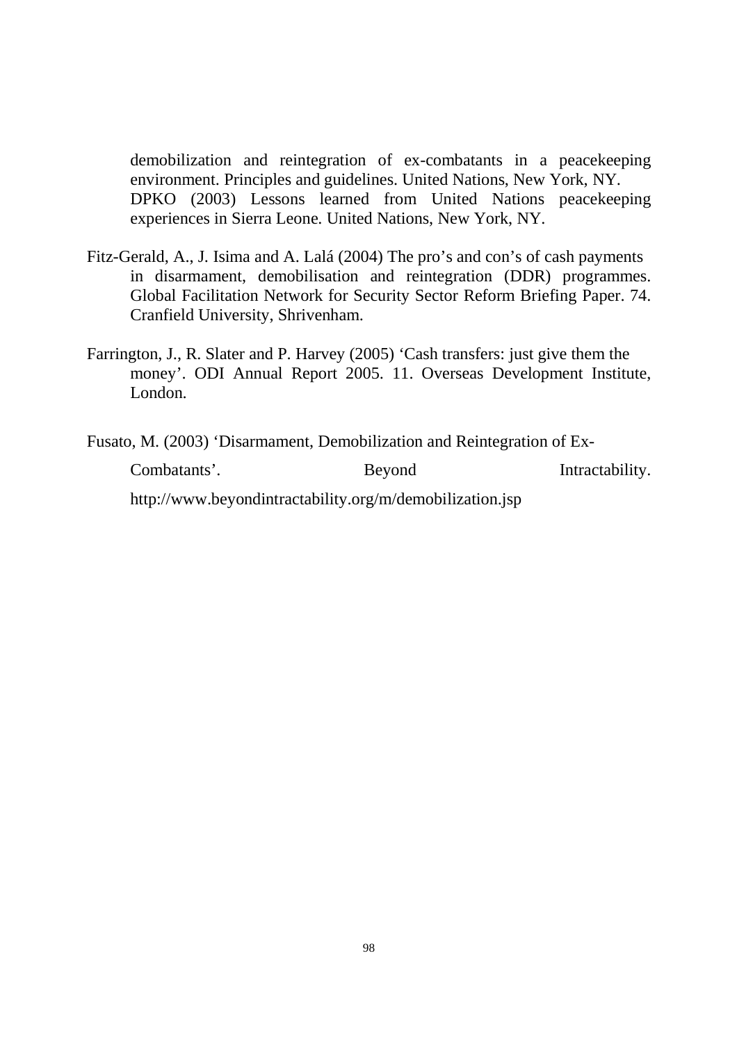demobilization and reintegration of ex-combatants in a peacekeeping environment. Principles and guidelines. United Nations, New York, NY. DPKO (2003) Lessons learned from United Nations peacekeeping experiences in Sierra Leone. United Nations, New York, NY.

- Fitz-Gerald, A., J. Isima and A. Lalá (2004) The pro's and con's of cash payments in disarmament, demobilisation and reintegration (DDR) programmes. Global Facilitation Network for Security Sector Reform Briefing Paper. 74. Cranfield University, Shrivenham.
- Farrington, J., R. Slater and P. Harvey (2005) 'Cash transfers: just give them the money'. ODI Annual Report 2005. 11. Overseas Development Institute, London.

Fusato, M. (2003) 'Disarmament, Demobilization and Reintegration of Ex-

Combatants'. Beyond Intractability. http://www.beyondintractability.org/m/demobilization.jsp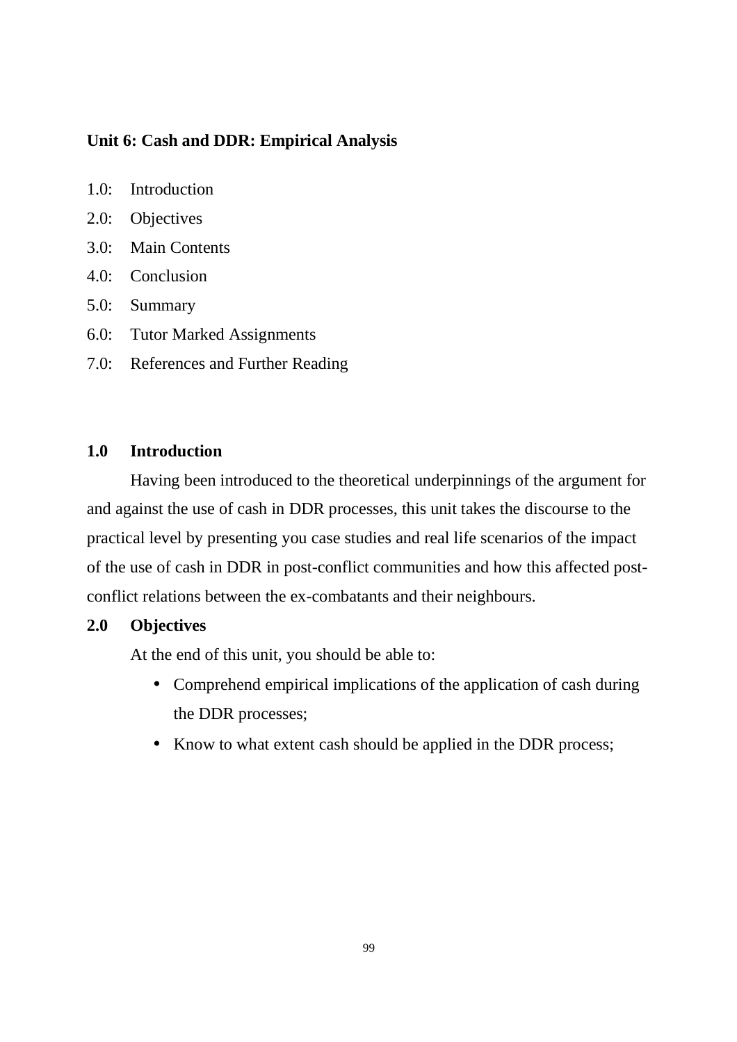# **Unit 6: Cash and DDR: Empirical Analysis**

- 1.0: Introduction
- 2.0: Objectives
- 3.0: Main Contents
- 4.0: Conclusion
- 5.0: Summary
- 6.0: Tutor Marked Assignments
- 7.0: References and Further Reading

# **1.0 Introduction**

Having been introduced to the theoretical underpinnings of the argument for and against the use of cash in DDR processes, this unit takes the discourse to the practical level by presenting you case studies and real life scenarios of the impact of the use of cash in DDR in post-conflict communities and how this affected postconflict relations between the ex-combatants and their neighbours.

# **2.0 Objectives**

At the end of this unit, you should be able to:

- Comprehend empirical implications of the application of cash during the DDR processes;
- Know to what extent cash should be applied in the DDR process;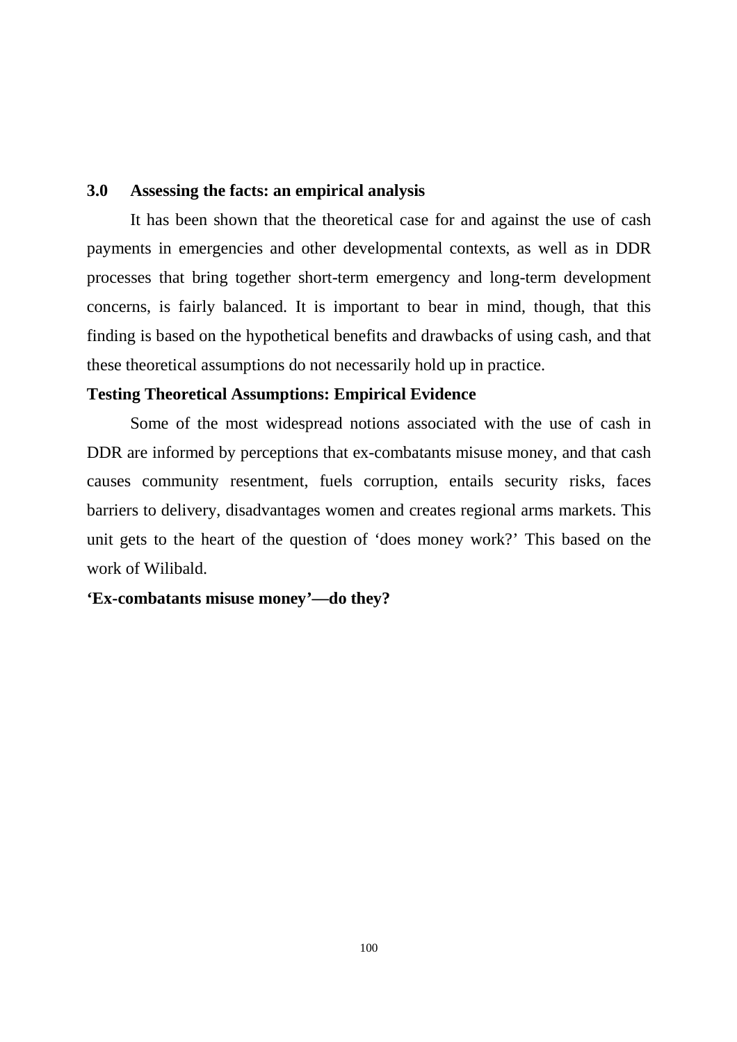### **3.0 Assessing the facts: an empirical analysis**

It has been shown that the theoretical case for and against the use of cash payments in emergencies and other developmental contexts, as well as in DDR processes that bring together short-term emergency and long-term development concerns, is fairly balanced. It is important to bear in mind, though, that this finding is based on the hypothetical benefits and drawbacks of using cash, and that these theoretical assumptions do not necessarily hold up in practice.

#### **Testing Theoretical Assumptions: Empirical Evidence**

Some of the most widespread notions associated with the use of cash in DDR are informed by perceptions that ex-combatants misuse money, and that cash causes community resentment, fuels corruption, entails security risks, faces barriers to delivery, disadvantages women and creates regional arms markets. This unit gets to the heart of the question of 'does money work?' This based on the work of Wilibald.

#### **'Ex-combatants misuse money'—do they?**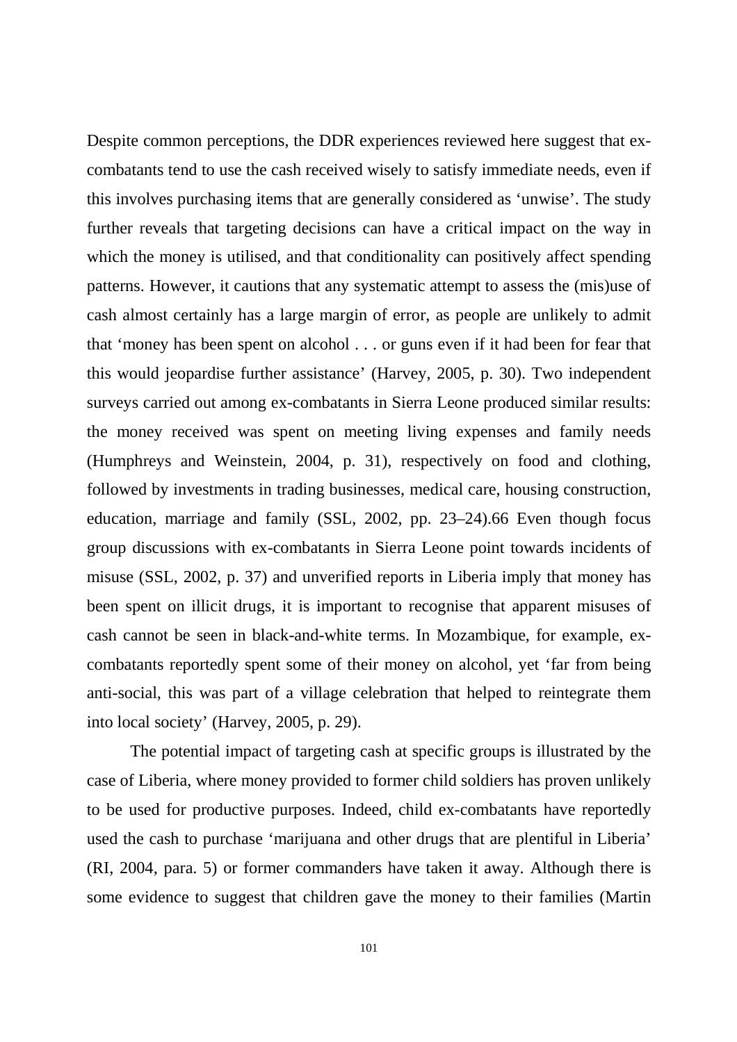Despite common perceptions, the DDR experiences reviewed here suggest that excombatants tend to use the cash received wisely to satisfy immediate needs, even if this involves purchasing items that are generally considered as 'unwise'. The study further reveals that targeting decisions can have a critical impact on the way in which the money is utilised, and that conditionality can positively affect spending patterns. However, it cautions that any systematic attempt to assess the (mis)use of cash almost certainly has a large margin of error, as people are unlikely to admit that 'money has been spent on alcohol . . . or guns even if it had been for fear that this would jeopardise further assistance' (Harvey, 2005, p. 30). Two independent surveys carried out among ex-combatants in Sierra Leone produced similar results: the money received was spent on meeting living expenses and family needs (Humphreys and Weinstein, 2004, p. 31), respectively on food and clothing, followed by investments in trading businesses, medical care, housing construction, education, marriage and family (SSL, 2002, pp. 23–24).66 Even though focus group discussions with ex-combatants in Sierra Leone point towards incidents of misuse (SSL, 2002, p. 37) and unverified reports in Liberia imply that money has been spent on illicit drugs, it is important to recognise that apparent misuses of cash cannot be seen in black-and-white terms. In Mozambique, for example, excombatants reportedly spent some of their money on alcohol, yet 'far from being anti-social, this was part of a village celebration that helped to reintegrate them into local society' (Harvey, 2005, p. 29).

The potential impact of targeting cash at specific groups is illustrated by the case of Liberia, where money provided to former child soldiers has proven unlikely to be used for productive purposes. Indeed, child ex-combatants have reportedly used the cash to purchase 'marijuana and other drugs that are plentiful in Liberia' (RI, 2004, para. 5) or former commanders have taken it away. Although there is some evidence to suggest that children gave the money to their families (Martin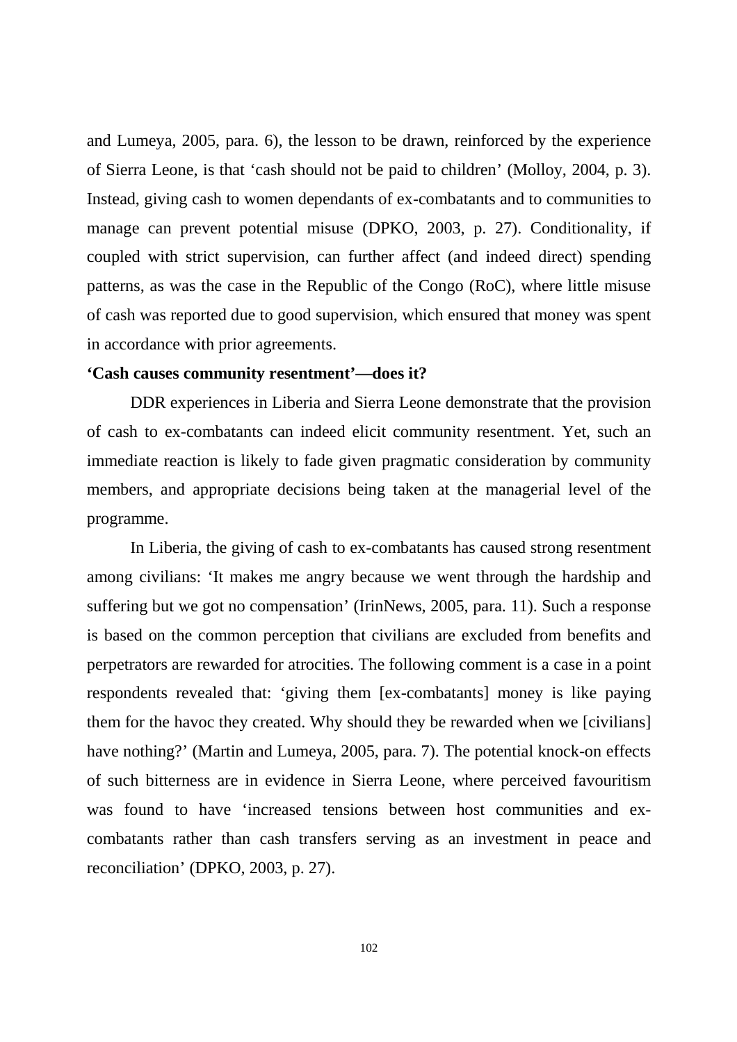and Lumeya, 2005, para. 6), the lesson to be drawn, reinforced by the experience of Sierra Leone, is that 'cash should not be paid to children' (Molloy, 2004, p. 3). Instead, giving cash to women dependants of ex-combatants and to communities to manage can prevent potential misuse (DPKO, 2003, p. 27). Conditionality, if coupled with strict supervision, can further affect (and indeed direct) spending patterns, as was the case in the Republic of the Congo (RoC), where little misuse of cash was reported due to good supervision, which ensured that money was spent in accordance with prior agreements.

### **'Cash causes community resentment'—does it?**

DDR experiences in Liberia and Sierra Leone demonstrate that the provision of cash to ex-combatants can indeed elicit community resentment. Yet, such an immediate reaction is likely to fade given pragmatic consideration by community members, and appropriate decisions being taken at the managerial level of the programme.

In Liberia, the giving of cash to ex-combatants has caused strong resentment among civilians: 'It makes me angry because we went through the hardship and suffering but we got no compensation' (IrinNews, 2005, para. 11). Such a response is based on the common perception that civilians are excluded from benefits and perpetrators are rewarded for atrocities. The following comment is a case in a point respondents revealed that: 'giving them [ex-combatants] money is like paying them for the havoc they created. Why should they be rewarded when we [civilians] have nothing?' (Martin and Lumeya, 2005, para. 7). The potential knock-on effects of such bitterness are in evidence in Sierra Leone, where perceived favouritism was found to have 'increased tensions between host communities and excombatants rather than cash transfers serving as an investment in peace and reconciliation' (DPKO, 2003, p. 27).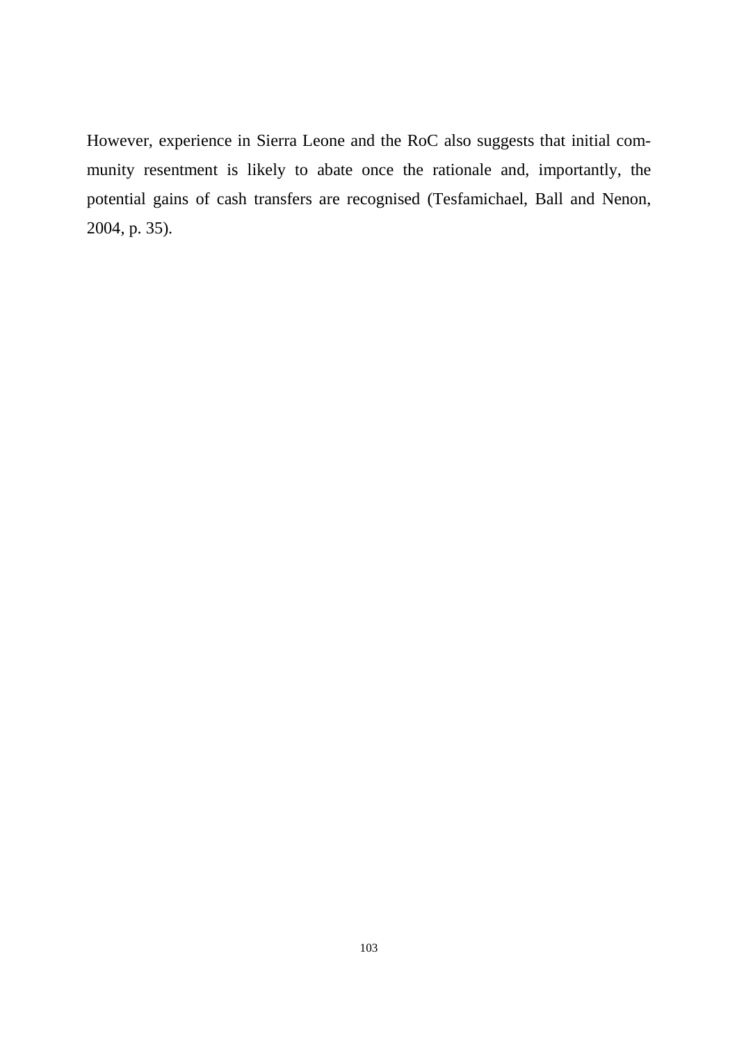However, experience in Sierra Leone and the RoC also suggests that initial community resentment is likely to abate once the rationale and, importantly, the potential gains of cash transfers are recognised (Tesfamichael, Ball and Nenon, 2004, p. 35).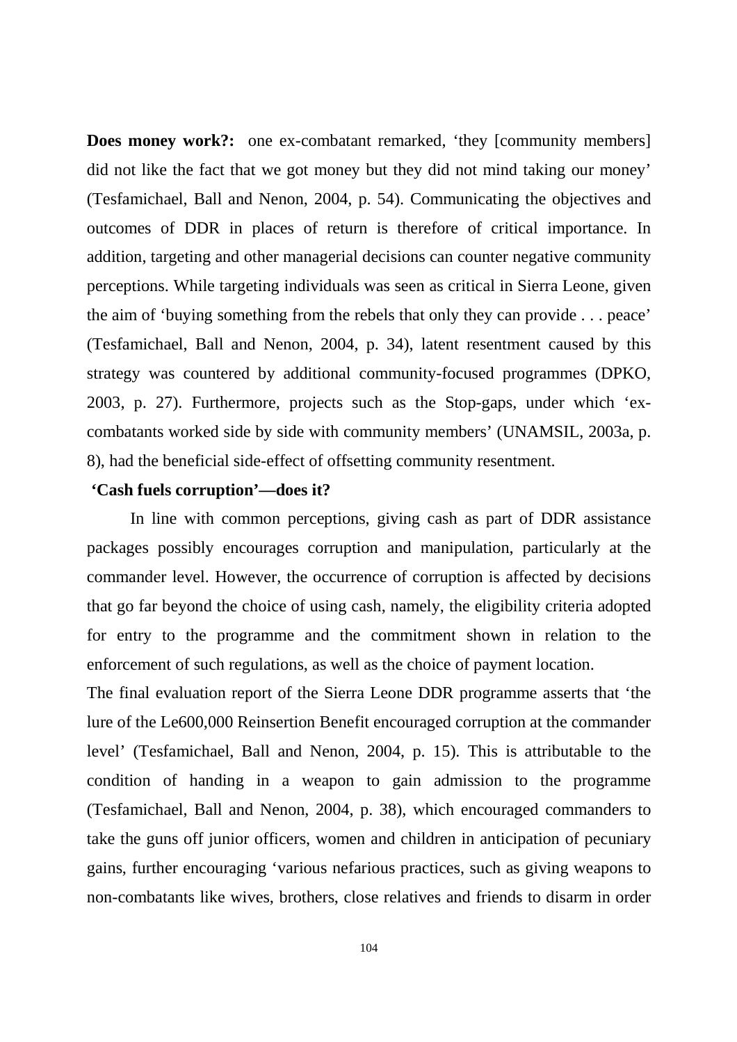**Does money work?:** one ex-combatant remarked, 'they [community members] did not like the fact that we got money but they did not mind taking our money' (Tesfamichael, Ball and Nenon, 2004, p. 54). Communicating the objectives and outcomes of DDR in places of return is therefore of critical importance. In addition, targeting and other managerial decisions can counter negative community perceptions. While targeting individuals was seen as critical in Sierra Leone, given the aim of 'buying something from the rebels that only they can provide . . . peace' (Tesfamichael, Ball and Nenon, 2004, p. 34), latent resentment caused by this strategy was countered by additional community-focused programmes (DPKO, 2003, p. 27). Furthermore, projects such as the Stop-gaps, under which 'excombatants worked side by side with community members' (UNAMSIL, 2003a, p. 8), had the beneficial side-effect of offsetting community resentment.

#### **'Cash fuels corruption'—does it?**

In line with common perceptions, giving cash as part of DDR assistance packages possibly encourages corruption and manipulation, particularly at the commander level. However, the occurrence of corruption is affected by decisions that go far beyond the choice of using cash, namely, the eligibility criteria adopted for entry to the programme and the commitment shown in relation to the enforcement of such regulations, as well as the choice of payment location.

The final evaluation report of the Sierra Leone DDR programme asserts that 'the lure of the Le600,000 Reinsertion Benefit encouraged corruption at the commander level' (Tesfamichael, Ball and Nenon, 2004, p. 15). This is attributable to the condition of handing in a weapon to gain admission to the programme (Tesfamichael, Ball and Nenon, 2004, p. 38), which encouraged commanders to take the guns off junior officers, women and children in anticipation of pecuniary gains, further encouraging 'various nefarious practices, such as giving weapons to non-combatants like wives, brothers, close relatives and friends to disarm in order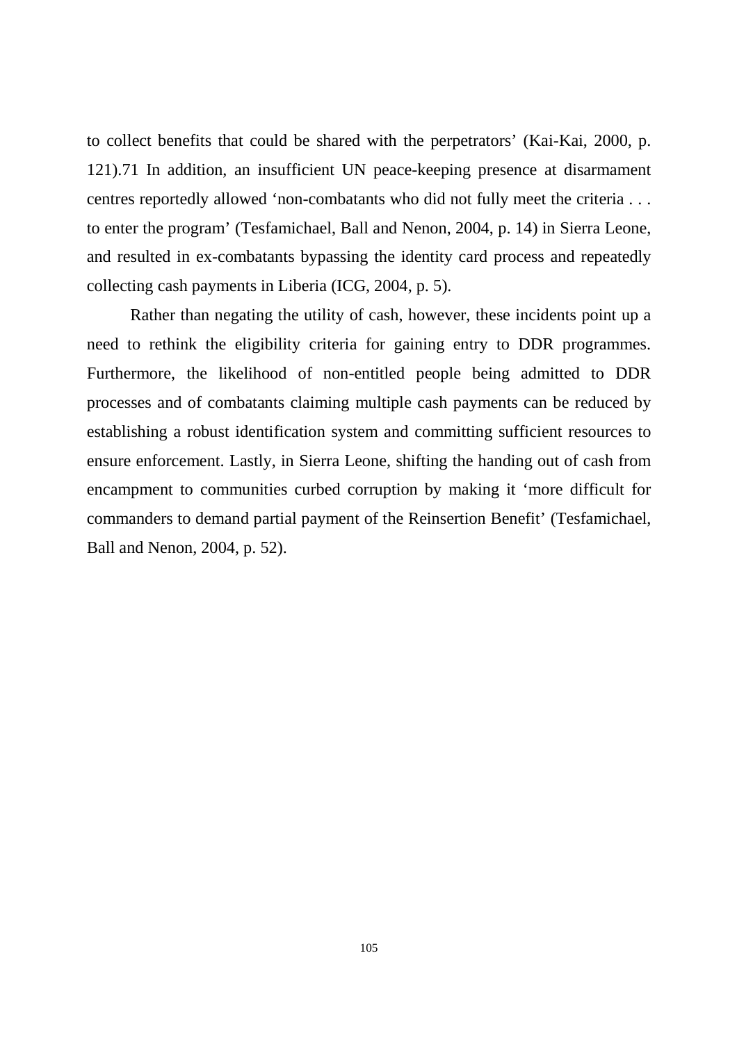to collect benefits that could be shared with the perpetrators' (Kai-Kai, 2000, p. 121).71 In addition, an insufficient UN peace-keeping presence at disarmament centres reportedly allowed 'non-combatants who did not fully meet the criteria . . . to enter the program' (Tesfamichael, Ball and Nenon, 2004, p. 14) in Sierra Leone, and resulted in ex-combatants bypassing the identity card process and repeatedly collecting cash payments in Liberia (ICG, 2004, p. 5).

Rather than negating the utility of cash, however, these incidents point up a need to rethink the eligibility criteria for gaining entry to DDR programmes. Furthermore, the likelihood of non-entitled people being admitted to DDR processes and of combatants claiming multiple cash payments can be reduced by establishing a robust identification system and committing sufficient resources to ensure enforcement. Lastly, in Sierra Leone, shifting the handing out of cash from encampment to communities curbed corruption by making it 'more difficult for commanders to demand partial payment of the Reinsertion Benefit' (Tesfamichael, Ball and Nenon, 2004, p. 52).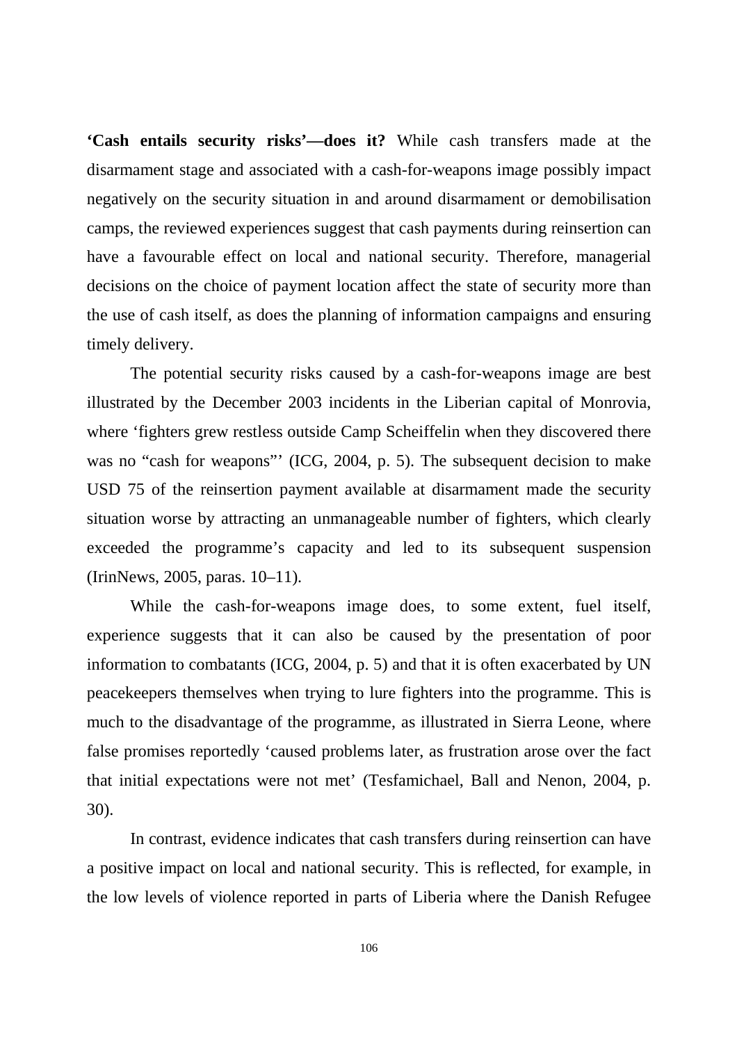**'Cash entails security risks'—does it?** While cash transfers made at the disarmament stage and associated with a cash-for-weapons image possibly impact negatively on the security situation in and around disarmament or demobilisation camps, the reviewed experiences suggest that cash payments during reinsertion can have a favourable effect on local and national security. Therefore, managerial decisions on the choice of payment location affect the state of security more than the use of cash itself, as does the planning of information campaigns and ensuring timely delivery.

The potential security risks caused by a cash-for-weapons image are best illustrated by the December 2003 incidents in the Liberian capital of Monrovia, where 'fighters grew restless outside Camp Scheiffelin when they discovered there was no "cash for weapons"' (ICG, 2004, p. 5). The subsequent decision to make USD 75 of the reinsertion payment available at disarmament made the security situation worse by attracting an unmanageable number of fighters, which clearly exceeded the programme's capacity and led to its subsequent suspension (IrinNews, 2005, paras. 10–11).

While the cash-for-weapons image does, to some extent, fuel itself, experience suggests that it can also be caused by the presentation of poor information to combatants (ICG, 2004, p. 5) and that it is often exacerbated by UN peacekeepers themselves when trying to lure fighters into the programme. This is much to the disadvantage of the programme, as illustrated in Sierra Leone, where false promises reportedly 'caused problems later, as frustration arose over the fact that initial expectations were not met' (Tesfamichael, Ball and Nenon, 2004, p. 30).

In contrast, evidence indicates that cash transfers during reinsertion can have a positive impact on local and national security. This is reflected, for example, in the low levels of violence reported in parts of Liberia where the Danish Refugee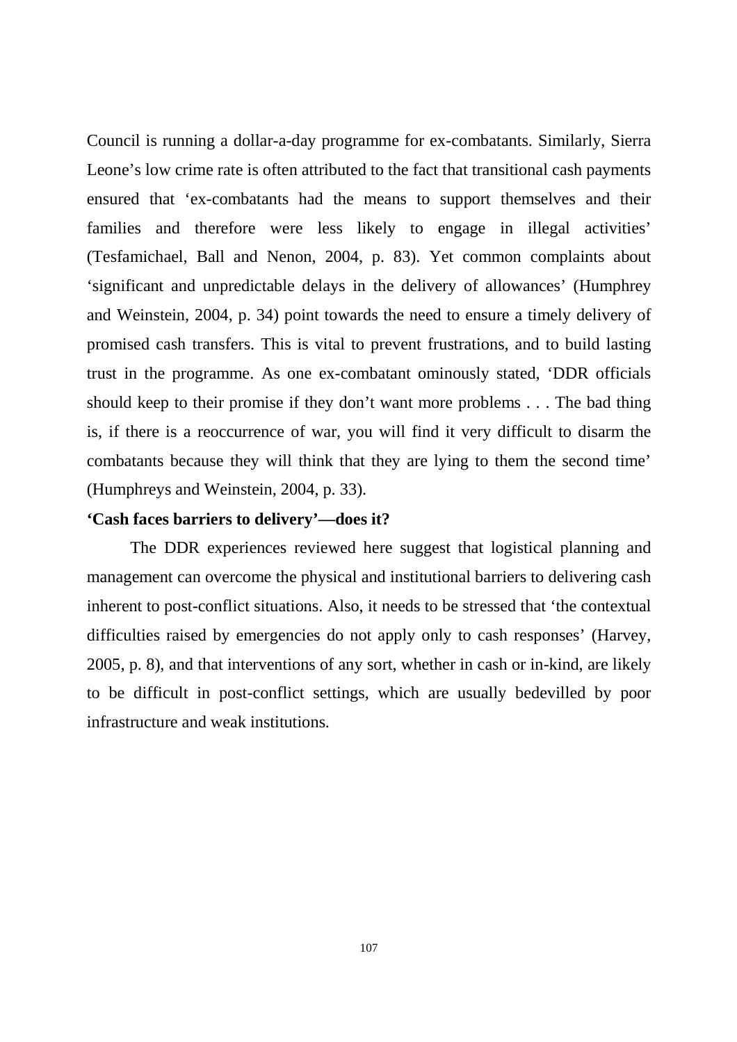Council is running a dollar-a-day programme for ex-combatants. Similarly, Sierra Leone's low crime rate is often attributed to the fact that transitional cash payments ensured that 'ex-combatants had the means to support themselves and their families and therefore were less likely to engage in illegal activities' (Tesfamichael, Ball and Nenon, 2004, p. 83). Yet common complaints about 'significant and unpredictable delays in the delivery of allowances' (Humphrey and Weinstein, 2004, p. 34) point towards the need to ensure a timely delivery of promised cash transfers. This is vital to prevent frustrations, and to build lasting trust in the programme. As one ex-combatant ominously stated, 'DDR officials should keep to their promise if they don't want more problems . . . The bad thing is, if there is a reoccurrence of war, you will find it very difficult to disarm the combatants because they will think that they are lying to them the second time' (Humphreys and Weinstein, 2004, p. 33).

#### **'Cash faces barriers to delivery'—does it?**

The DDR experiences reviewed here suggest that logistical planning and management can overcome the physical and institutional barriers to delivering cash inherent to post-conflict situations. Also, it needs to be stressed that 'the contextual difficulties raised by emergencies do not apply only to cash responses' (Harvey, 2005, p. 8), and that interventions of any sort, whether in cash or in-kind, are likely to be difficult in post-conflict settings, which are usually bedevilled by poor infrastructure and weak institutions.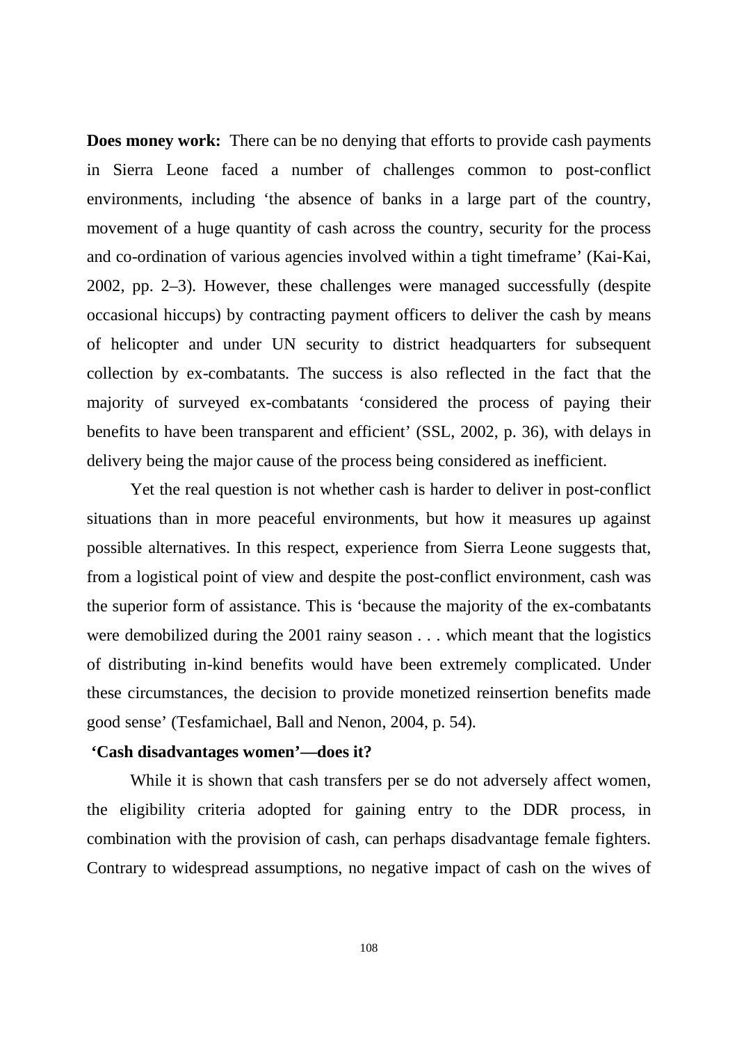**Does money work:** There can be no denying that efforts to provide cash payments in Sierra Leone faced a number of challenges common to post-conflict environments, including 'the absence of banks in a large part of the country, movement of a huge quantity of cash across the country, security for the process and co-ordination of various agencies involved within a tight timeframe' (Kai-Kai, 2002, pp. 2–3). However, these challenges were managed successfully (despite occasional hiccups) by contracting payment officers to deliver the cash by means of helicopter and under UN security to district headquarters for subsequent collection by ex-combatants. The success is also reflected in the fact that the majority of surveyed ex-combatants 'considered the process of paying their benefits to have been transparent and efficient' (SSL, 2002, p. 36), with delays in delivery being the major cause of the process being considered as inefficient.

Yet the real question is not whether cash is harder to deliver in post-conflict situations than in more peaceful environments, but how it measures up against possible alternatives. In this respect, experience from Sierra Leone suggests that, from a logistical point of view and despite the post-conflict environment, cash was the superior form of assistance. This is 'because the majority of the ex-combatants were demobilized during the 2001 rainy season . . . which meant that the logistics of distributing in-kind benefits would have been extremely complicated. Under these circumstances, the decision to provide monetized reinsertion benefits made good sense' (Tesfamichael, Ball and Nenon, 2004, p. 54).

### **'Cash disadvantages women'—does it?**

While it is shown that cash transfers per se do not adversely affect women, the eligibility criteria adopted for gaining entry to the DDR process, in combination with the provision of cash, can perhaps disadvantage female fighters. Contrary to widespread assumptions, no negative impact of cash on the wives of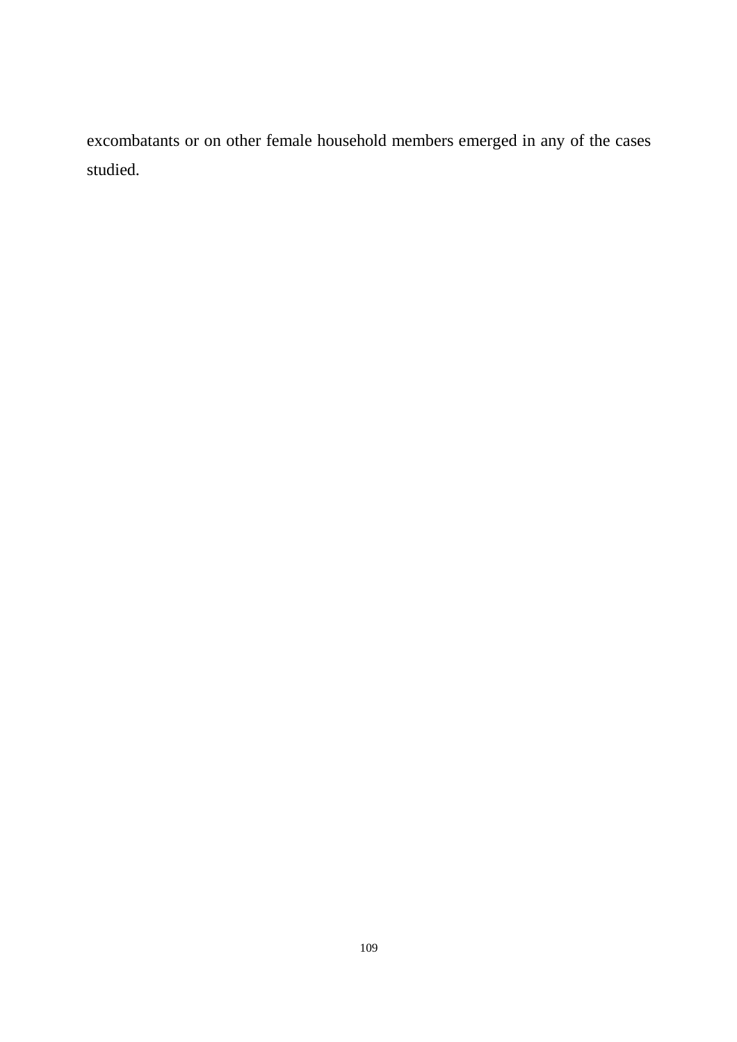excombatants or on other female household members emerged in any of the cases studied.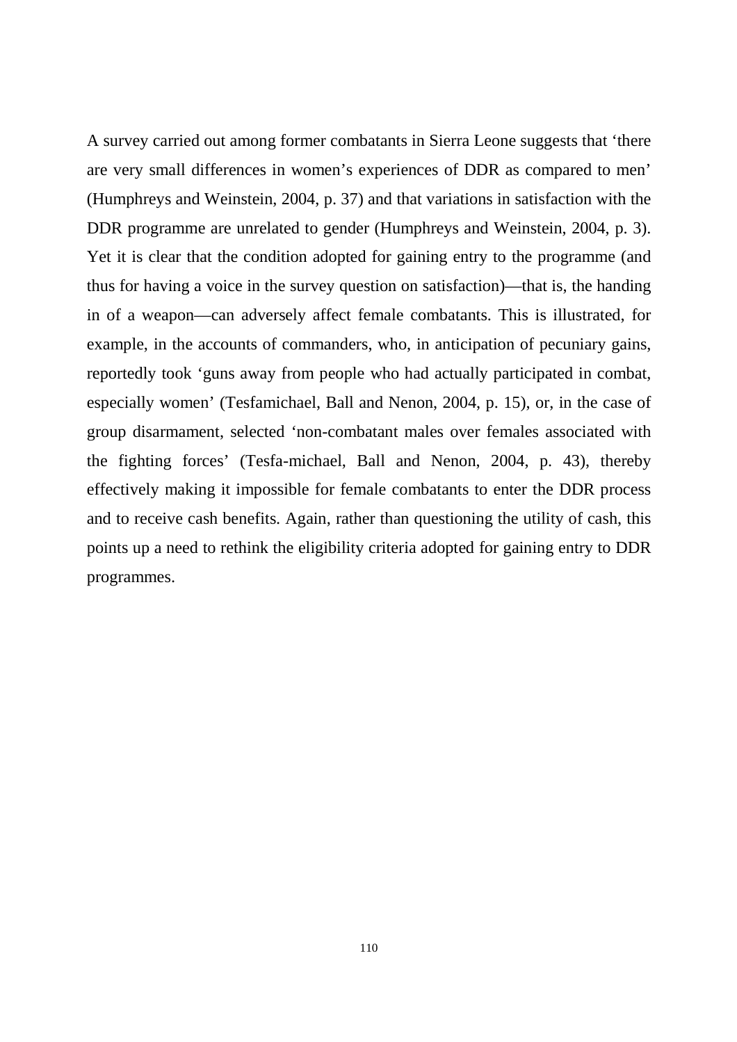A survey carried out among former combatants in Sierra Leone suggests that 'there are very small differences in women's experiences of DDR as compared to men' (Humphreys and Weinstein, 2004, p. 37) and that variations in satisfaction with the DDR programme are unrelated to gender (Humphreys and Weinstein, 2004, p. 3). Yet it is clear that the condition adopted for gaining entry to the programme (and thus for having a voice in the survey question on satisfaction)—that is, the handing in of a weapon—can adversely affect female combatants. This is illustrated, for example, in the accounts of commanders, who, in anticipation of pecuniary gains, reportedly took 'guns away from people who had actually participated in combat, especially women' (Tesfamichael, Ball and Nenon, 2004, p. 15), or, in the case of group disarmament, selected 'non-combatant males over females associated with the fighting forces' (Tesfa-michael, Ball and Nenon, 2004, p. 43), thereby effectively making it impossible for female combatants to enter the DDR process and to receive cash benefits. Again, rather than questioning the utility of cash, this points up a need to rethink the eligibility criteria adopted for gaining entry to DDR programmes.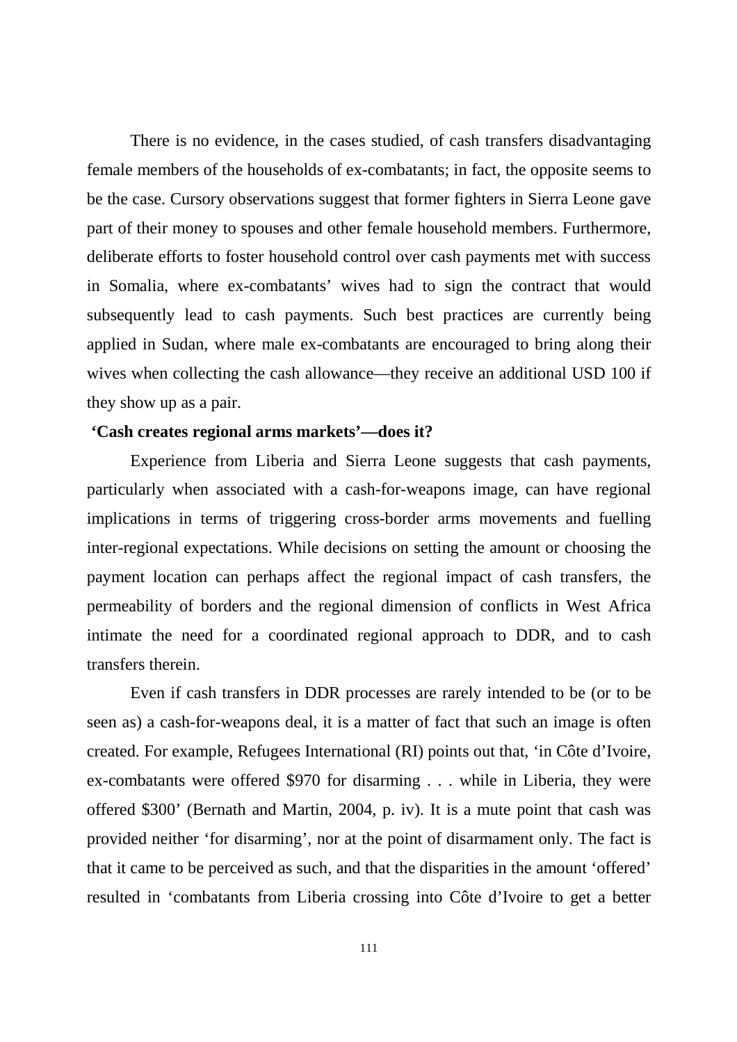There is no evidence, in the cases studied, of cash transfers disadvantaging female members of the households of ex-combatants; in fact, the opposite seems to be the case. Cursory observations suggest that former fighters in Sierra Leone gave part of their money to spouses and other female household members. Furthermore, deliberate efforts to foster household control over cash payments met with success in Somalia, where ex-combatants' wives had to sign the contract that would subsequently lead to cash payments. Such best practices are currently being applied in Sudan, where male ex-combatants are encouraged to bring along their wives when collecting the cash allowance—they receive an additional USD 100 if they show up as a pair.

#### **'Cash creates regional arms markets'—does it?**

Experience from Liberia and Sierra Leone suggests that cash payments, particularly when associated with a cash-for-weapons image, can have regional implications in terms of triggering cross-border arms movements and fuelling inter-regional expectations. While decisions on setting the amount or choosing the payment location can perhaps affect the regional impact of cash transfers, the permeability of borders and the regional dimension of conflicts in West Africa intimate the need for a coordinated regional approach to DDR, and to cash transfers therein.

Even if cash transfers in DDR processes are rarely intended to be (or to be seen as) a cash-for-weapons deal, it is a matter of fact that such an image is often created. For example, Refugees International (RI) points out that, 'in Côte d'Ivoire, ex-combatants were offered \$970 for disarming . . . while in Liberia, they were offered \$300' (Bernath and Martin, 2004, p. iv). It is a mute point that cash was provided neither 'for disarming', nor at the point of disarmament only. The fact is that it came to be perceived as such, and that the disparities in the amount 'offered' resulted in 'combatants from Liberia crossing into Côte d'Ivoire to get a better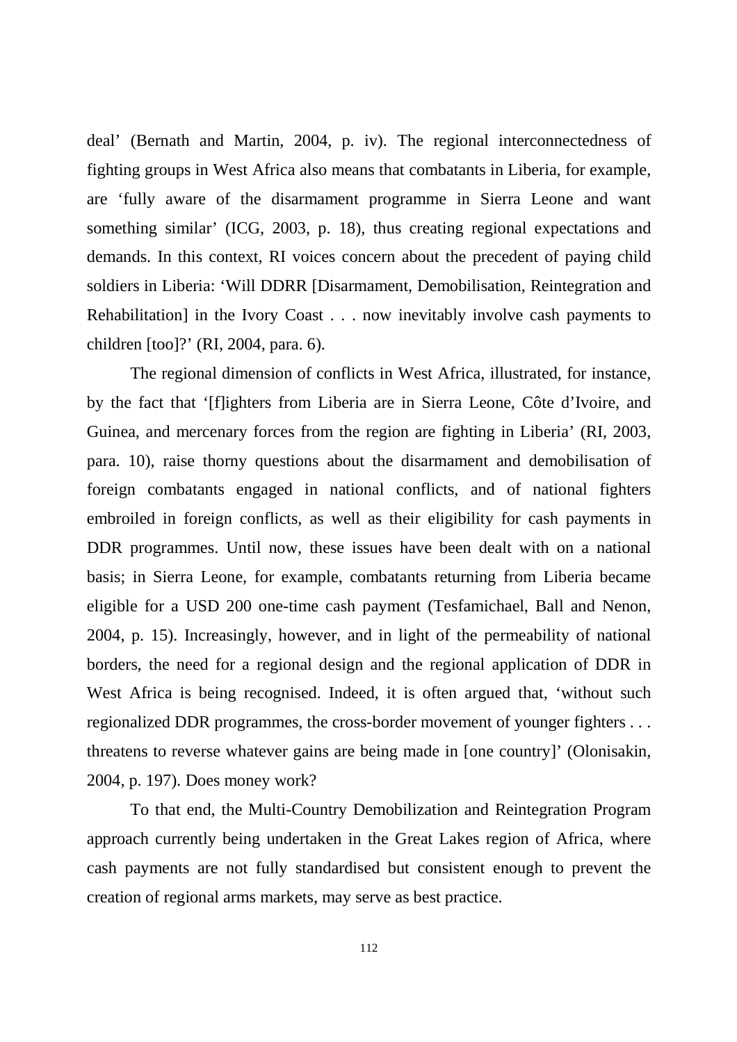deal' (Bernath and Martin, 2004, p. iv). The regional interconnectedness of fighting groups in West Africa also means that combatants in Liberia, for example, are 'fully aware of the disarmament programme in Sierra Leone and want something similar' (ICG, 2003, p. 18), thus creating regional expectations and demands. In this context, RI voices concern about the precedent of paying child soldiers in Liberia: 'Will DDRR [Disarmament, Demobilisation, Reintegration and Rehabilitation] in the Ivory Coast . . . now inevitably involve cash payments to children [too]?' (RI, 2004, para. 6).

The regional dimension of conflicts in West Africa, illustrated, for instance, by the fact that '[f]ighters from Liberia are in Sierra Leone, Côte d'Ivoire, and Guinea, and mercenary forces from the region are fighting in Liberia' (RI, 2003, para. 10), raise thorny questions about the disarmament and demobilisation of foreign combatants engaged in national conflicts, and of national fighters embroiled in foreign conflicts, as well as their eligibility for cash payments in DDR programmes. Until now, these issues have been dealt with on a national basis; in Sierra Leone, for example, combatants returning from Liberia became eligible for a USD 200 one-time cash payment (Tesfamichael, Ball and Nenon, 2004, p. 15). Increasingly, however, and in light of the permeability of national borders, the need for a regional design and the regional application of DDR in West Africa is being recognised. Indeed, it is often argued that, 'without such regionalized DDR programmes, the cross-border movement of younger fighters . . . threatens to reverse whatever gains are being made in [one country]' (Olonisakin, 2004, p. 197). Does money work?

To that end, the Multi-Country Demobilization and Reintegration Program approach currently being undertaken in the Great Lakes region of Africa, where cash payments are not fully standardised but consistent enough to prevent the creation of regional arms markets, may serve as best practice.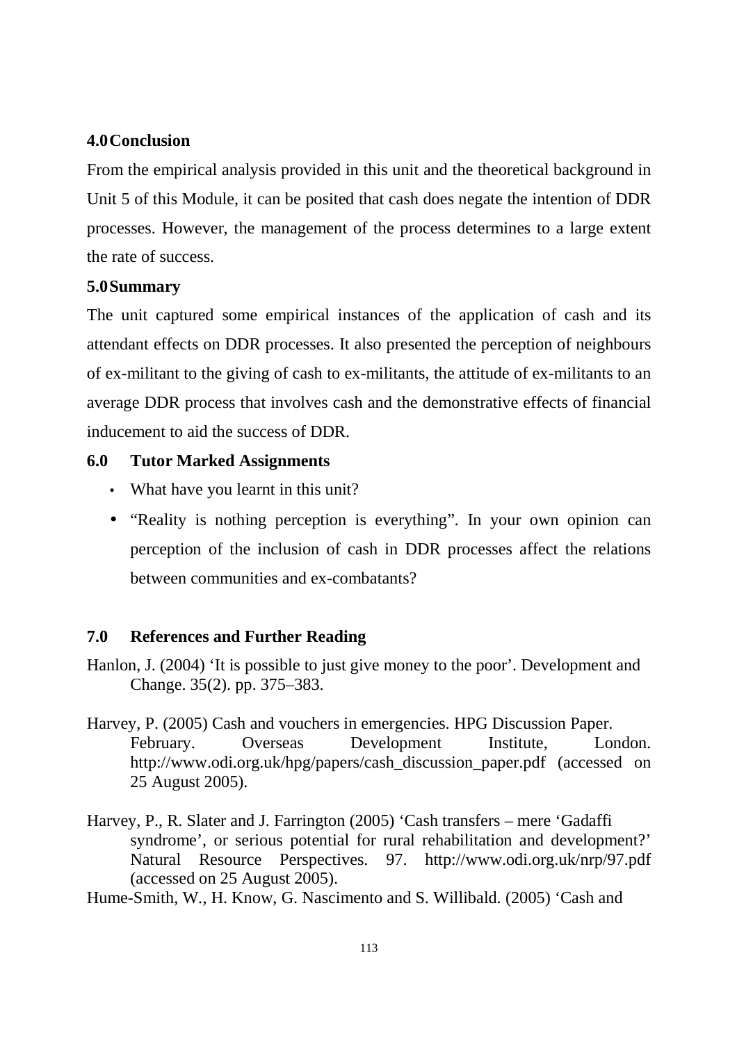# **4.0Conclusion**

From the empirical analysis provided in this unit and the theoretical background in Unit 5 of this Module, it can be posited that cash does negate the intention of DDR processes. However, the management of the process determines to a large extent the rate of success.

## **5.0Summary**

The unit captured some empirical instances of the application of cash and its attendant effects on DDR processes. It also presented the perception of neighbours of ex-militant to the giving of cash to ex-militants, the attitude of ex-militants to an average DDR process that involves cash and the demonstrative effects of financial inducement to aid the success of DDR.

# **6.0 Tutor Marked Assignments**

- What have you learnt in this unit?
- "Reality is nothing perception is everything". In your own opinion can perception of the inclusion of cash in DDR processes affect the relations between communities and ex-combatants?

# **7.0 References and Further Reading**

Hanlon, J. (2004) 'It is possible to just give money to the poor'. Development and Change. 35(2). pp. 375–383.

- Harvey, P. (2005) Cash and vouchers in emergencies. HPG Discussion Paper. February. Overseas Development Institute, London. http://www.odi.org.uk/hpg/papers/cash\_discussion\_paper.pdf (accessed on 25 August 2005).
- Harvey, P., R. Slater and J. Farrington (2005) 'Cash transfers mere 'Gadaffi syndrome', or serious potential for rural rehabilitation and development?' Natural Resource Perspectives. 97. http://www.odi.org.uk/nrp/97.pdf (accessed on 25 August 2005).
- Hume-Smith, W., H. Know, G. Nascimento and S. Willibald. (2005) 'Cash and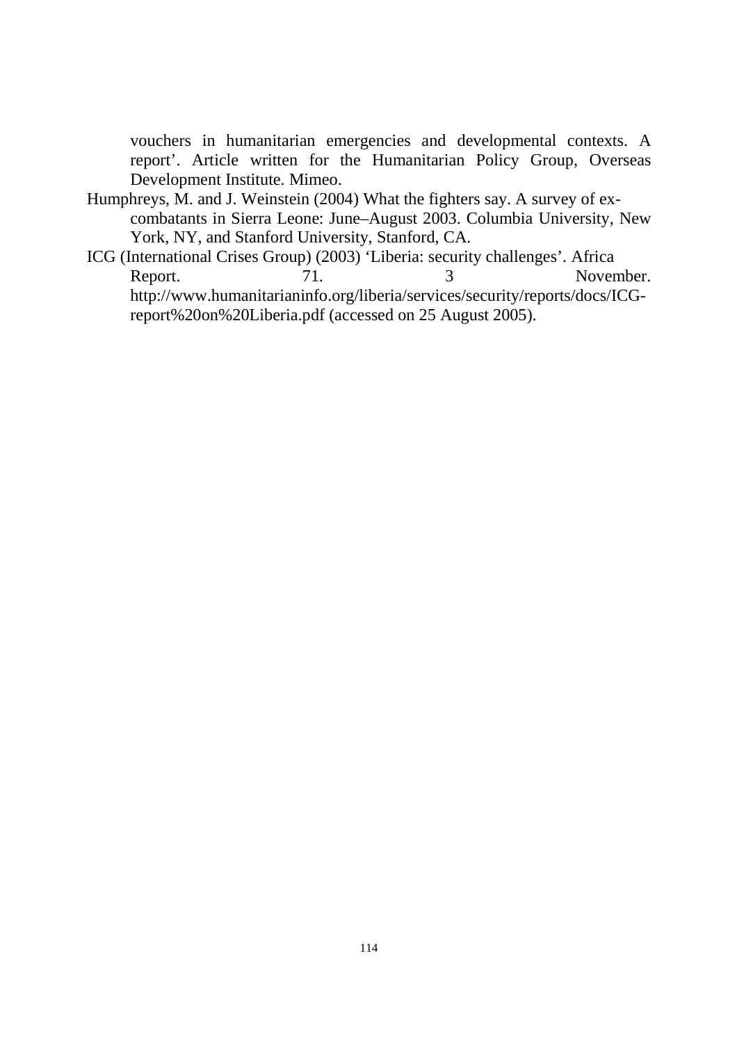vouchers in humanitarian emergencies and developmental contexts. A report'. Article written for the Humanitarian Policy Group, Overseas Development Institute. Mimeo.

- Humphreys, M. and J. Weinstein (2004) What the fighters say. A survey of excombatants in Sierra Leone: June–August 2003. Columbia University, New York, NY, and Stanford University, Stanford, CA.
- ICG (International Crises Group) (2003) 'Liberia: security challenges'. Africa Report. 71. 3 November. http://www.humanitarianinfo.org/liberia/services/security/reports/docs/ICGreport%20on%20Liberia.pdf (accessed on 25 August 2005).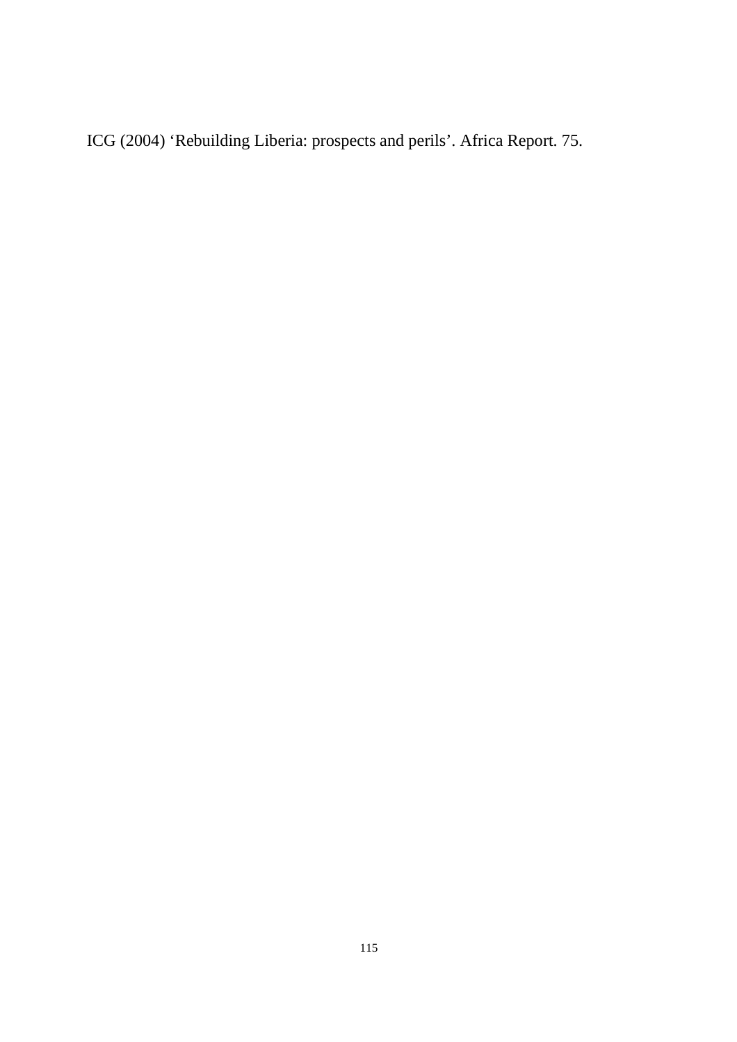ICG (2004) 'Rebuilding Liberia: prospects and perils'. Africa Report. 75.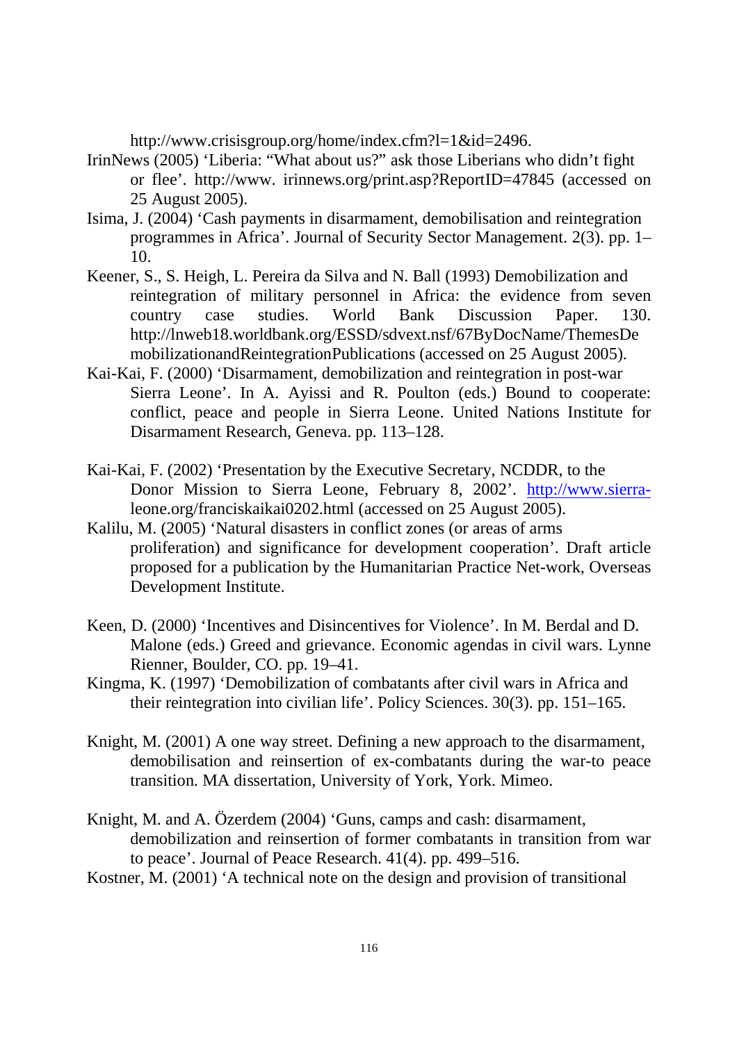http://www.crisisgroup.org/home/index.cfm?l=1&id=2496.

- IrinNews (2005) 'Liberia: "What about us?" ask those Liberians who didn't fight or flee'. http://www. irinnews.org/print.asp?ReportID=47845 (accessed on 25 August 2005).
- Isima, J. (2004) 'Cash payments in disarmament, demobilisation and reintegration programmes in Africa'. Journal of Security Sector Management. 2(3). pp. 1– 10.
- Keener, S., S. Heigh, L. Pereira da Silva and N. Ball (1993) Demobilization and reintegration of military personnel in Africa: the evidence from seven country case studies. World Bank Discussion Paper. 130. http://lnweb18.worldbank.org/ESSD/sdvext.nsf/67ByDocName/ThemesDe mobilizationandReintegrationPublications (accessed on 25 August 2005).
- Kai-Kai, F. (2000) 'Disarmament, demobilization and reintegration in post-war Sierra Leone'. In A. Ayissi and R. Poulton (eds.) Bound to cooperate: conflict, peace and people in Sierra Leone. United Nations Institute for Disarmament Research, Geneva. pp. 113–128.
- Kai-Kai, F. (2002) 'Presentation by the Executive Secretary, NCDDR, to the Donor Mission to Sierra Leone, February 8, 2002'. http://www.sierraleone.org/franciskaikai0202.html (accessed on 25 August 2005).
- Kalilu, M. (2005) 'Natural disasters in conflict zones (or areas of arms proliferation) and significance for development cooperation'. Draft article proposed for a publication by the Humanitarian Practice Net-work, Overseas Development Institute.
- Keen, D. (2000) 'Incentives and Disincentives for Violence'. In M. Berdal and D. Malone (eds.) Greed and grievance. Economic agendas in civil wars. Lynne Rienner, Boulder, CO. pp. 19–41.
- Kingma, K. (1997) 'Demobilization of combatants after civil wars in Africa and their reintegration into civilian life'. Policy Sciences. 30(3). pp. 151–165.
- Knight, M. (2001) A one way street. Defining a new approach to the disarmament, demobilisation and reinsertion of ex-combatants during the war-to peace transition. MA dissertation, University of York, York. Mimeo.
- Knight, M. and A. Özerdem (2004) 'Guns, camps and cash: disarmament, demobilization and reinsertion of former combatants in transition from war to peace'. Journal of Peace Research. 41(4). pp. 499–516.

Kostner, M. (2001) 'A technical note on the design and provision of transitional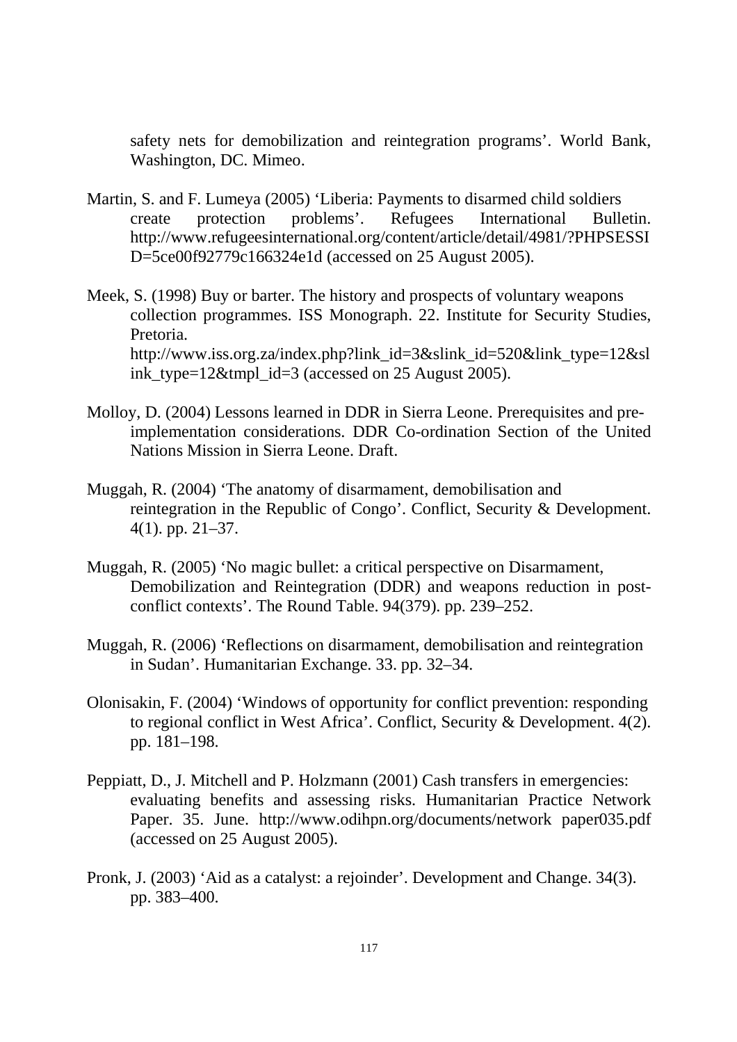safety nets for demobilization and reintegration programs'. World Bank, Washington, DC. Mimeo.

- Martin, S. and F. Lumeya (2005) 'Liberia: Payments to disarmed child soldiers create protection problems'. Refugees International Bulletin. http://www.refugeesinternational.org/content/article/detail/4981/?PHPSESSI D=5ce00f92779c166324e1d (accessed on 25 August 2005).
- Meek, S. (1998) Buy or barter. The history and prospects of voluntary weapons collection programmes. ISS Monograph. 22. Institute for Security Studies, Pretoria. http://www.iss.org.za/index.php?link\_id=3&slink\_id=520&link\_type=12&sl ink type=12&tmpl id=3 (accessed on 25 August 2005).
- Molloy, D. (2004) Lessons learned in DDR in Sierra Leone. Prerequisites and preimplementation considerations. DDR Co-ordination Section of the United Nations Mission in Sierra Leone. Draft.
- Muggah, R. (2004) 'The anatomy of disarmament, demobilisation and reintegration in the Republic of Congo'. Conflict, Security & Development. 4(1). pp. 21–37.
- Muggah, R. (2005) 'No magic bullet: a critical perspective on Disarmament, Demobilization and Reintegration (DDR) and weapons reduction in postconflict contexts'. The Round Table. 94(379). pp. 239–252.
- Muggah, R. (2006) 'Reflections on disarmament, demobilisation and reintegration in Sudan'. Humanitarian Exchange. 33. pp. 32–34.
- Olonisakin, F. (2004) 'Windows of opportunity for conflict prevention: responding to regional conflict in West Africa'. Conflict, Security & Development. 4(2). pp. 181–198.
- Peppiatt, D., J. Mitchell and P. Holzmann (2001) Cash transfers in emergencies: evaluating benefits and assessing risks. Humanitarian Practice Network Paper. 35. June. http://www.odihpn.org/documents/network paper035.pdf (accessed on 25 August 2005).
- Pronk, J. (2003) 'Aid as a catalyst: a rejoinder'. Development and Change. 34(3). pp. 383–400.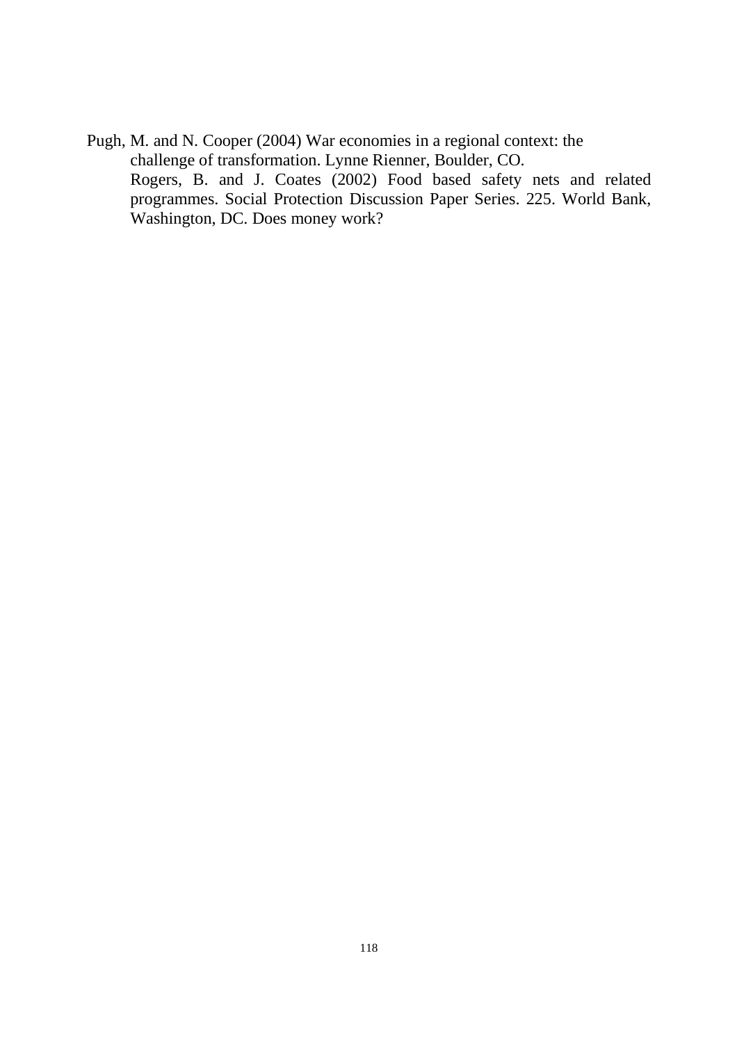Pugh, M. and N. Cooper (2004) War economies in a regional context: the challenge of transformation. Lynne Rienner, Boulder, CO. Rogers, B. and J. Coates (2002) Food based safety nets and related programmes. Social Protection Discussion Paper Series. 225. World Bank, Washington, DC. Does money work?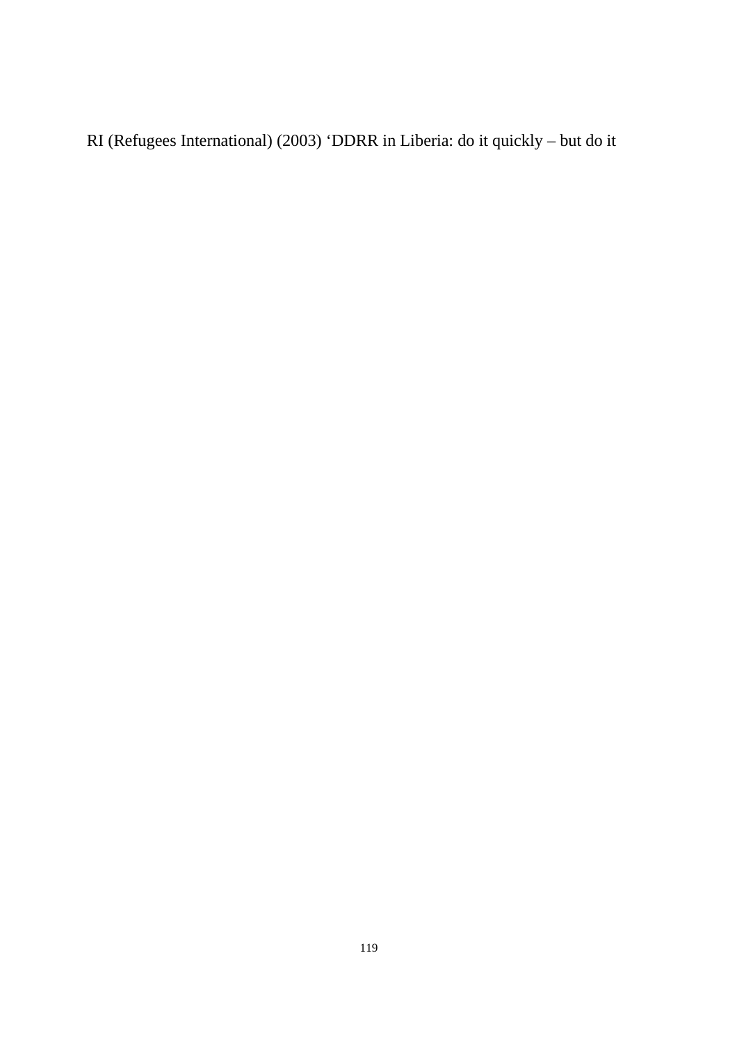RI (Refugees International) (2003) 'DDRR in Liberia: do it quickly – but do it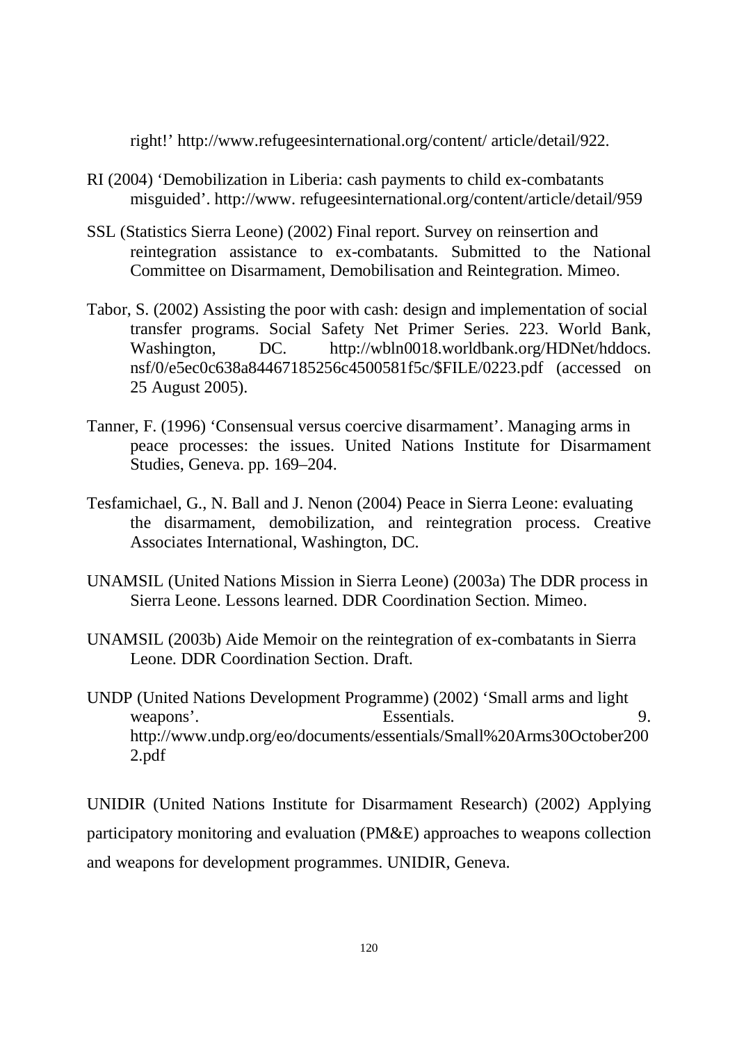right!' http://www.refugeesinternational.org/content/ article/detail/922.

- RI (2004) 'Demobilization in Liberia: cash payments to child ex-combatants misguided'. http://www. refugeesinternational.org/content/article/detail/959
- SSL (Statistics Sierra Leone) (2002) Final report. Survey on reinsertion and reintegration assistance to ex-combatants. Submitted to the National Committee on Disarmament, Demobilisation and Reintegration. Mimeo.
- Tabor, S. (2002) Assisting the poor with cash: design and implementation of social transfer programs. Social Safety Net Primer Series. 223. World Bank, Washington, DC. http://wbln0018.worldbank.org/HDNet/hddocs. nsf/0/e5ec0c638a84467185256c4500581f5c/\$FILE/0223.pdf (accessed on 25 August 2005).
- Tanner, F. (1996) 'Consensual versus coercive disarmament'. Managing arms in peace processes: the issues. United Nations Institute for Disarmament Studies, Geneva. pp. 169–204.
- Tesfamichael, G., N. Ball and J. Nenon (2004) Peace in Sierra Leone: evaluating the disarmament, demobilization, and reintegration process. Creative Associates International, Washington, DC.
- UNAMSIL (United Nations Mission in Sierra Leone) (2003a) The DDR process in Sierra Leone. Lessons learned. DDR Coordination Section. Mimeo.
- UNAMSIL (2003b) Aide Memoir on the reintegration of ex-combatants in Sierra Leone. DDR Coordination Section. Draft.
- UNDP (United Nations Development Programme) (2002) 'Small arms and light weapons'. Contract Essentials. Contract of the Beaumont of the Beaumont of the Second Contract of the Second Contract of the Second Contract of the Second Contract of the Second Contract of the Second Contract of the Secon http://www.undp.org/eo/documents/essentials/Small%20Arms30October200 2.pdf

UNIDIR (United Nations Institute for Disarmament Research) (2002) Applying participatory monitoring and evaluation (PM&E) approaches to weapons collection and weapons for development programmes. UNIDIR, Geneva.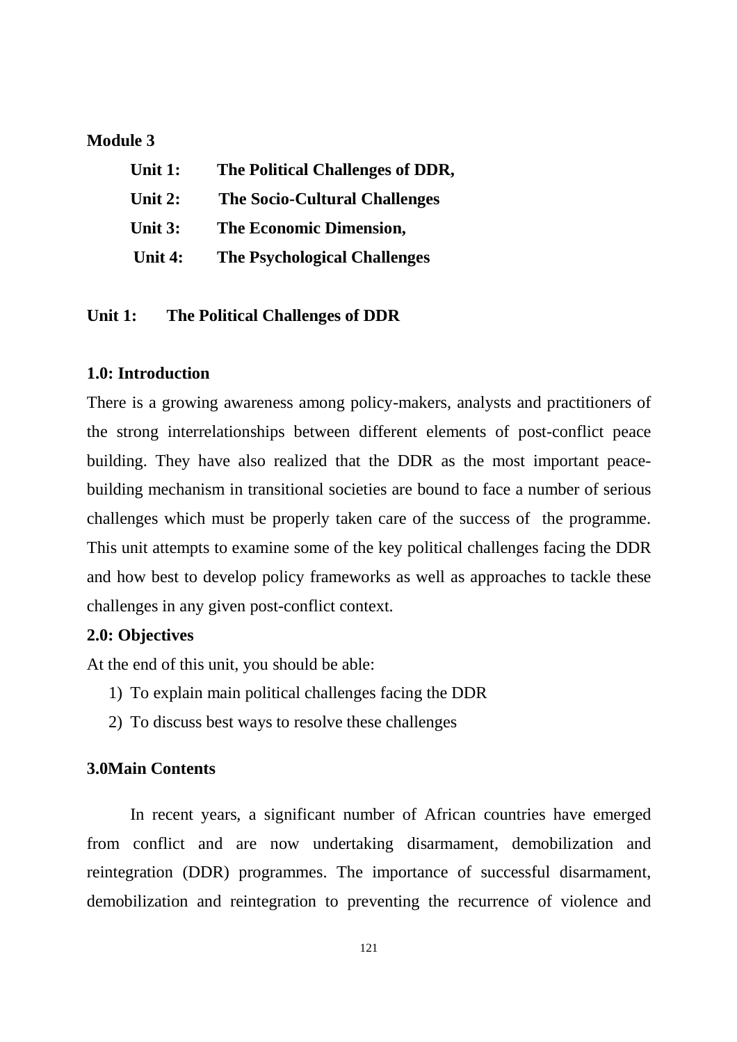### **Module 3**

| Unit $1:$ | The Political Challenges of DDR,     |
|-----------|--------------------------------------|
| Unit $2:$ | <b>The Socio-Cultural Challenges</b> |
| Unit $3:$ | The Economic Dimension,              |
| Unit 4:   | <b>The Psychological Challenges</b>  |

# **Unit 1: The Political Challenges of DDR**

### **1.0: Introduction**

There is a growing awareness among policy-makers, analysts and practitioners of the strong interrelationships between different elements of post-conflict peace building. They have also realized that the DDR as the most important peacebuilding mechanism in transitional societies are bound to face a number of serious challenges which must be properly taken care of the success of the programme. This unit attempts to examine some of the key political challenges facing the DDR and how best to develop policy frameworks as well as approaches to tackle these challenges in any given post-conflict context.

### **2.0: Objectives**

At the end of this unit, you should be able:

- 1) To explain main political challenges facing the DDR
- 2) To discuss best ways to resolve these challenges

# **3.0Main Contents**

 In recent years, a significant number of African countries have emerged from conflict and are now undertaking disarmament, demobilization and reintegration (DDR) programmes. The importance of successful disarmament, demobilization and reintegration to preventing the recurrence of violence and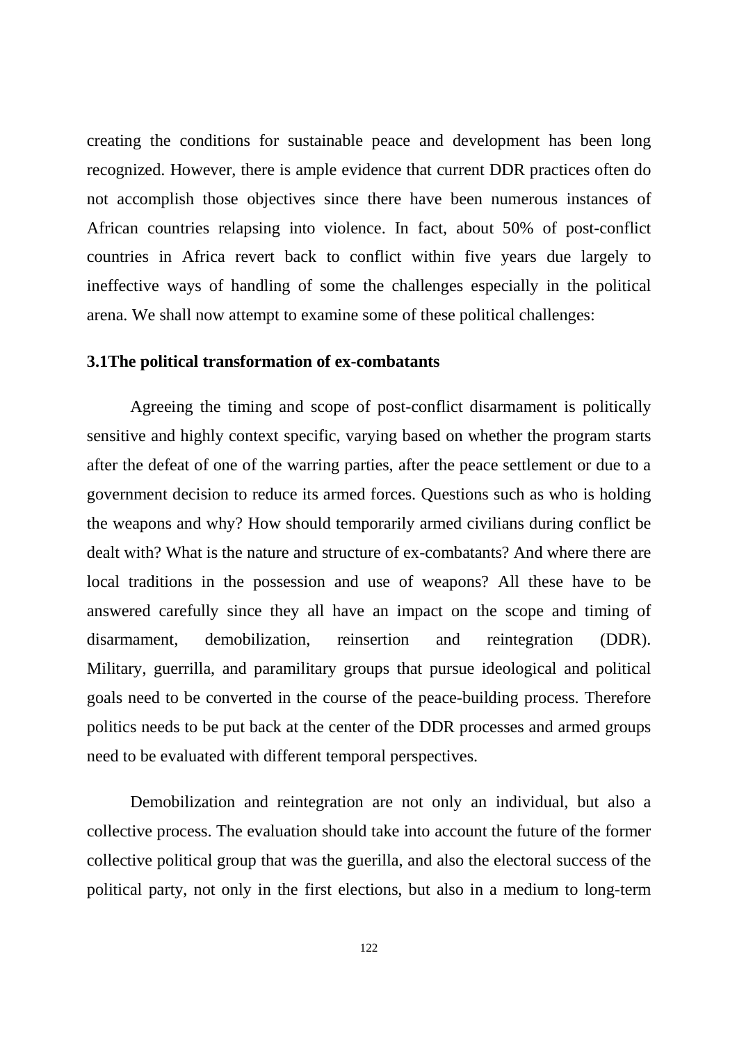creating the conditions for sustainable peace and development has been long recognized. However, there is ample evidence that current DDR practices often do not accomplish those objectives since there have been numerous instances of African countries relapsing into violence. In fact, about 50% of post-conflict countries in Africa revert back to conflict within five years due largely to ineffective ways of handling of some the challenges especially in the political arena. We shall now attempt to examine some of these political challenges:

#### **3.1The political transformation of ex-combatants**

Agreeing the timing and scope of post-conflict disarmament is politically sensitive and highly context specific, varying based on whether the program starts after the defeat of one of the warring parties, after the peace settlement or due to a government decision to reduce its armed forces. Questions such as who is holding the weapons and why? How should temporarily armed civilians during conflict be dealt with? What is the nature and structure of ex-combatants? And where there are local traditions in the possession and use of weapons? All these have to be answered carefully since they all have an impact on the scope and timing of disarmament, demobilization, reinsertion and reintegration (DDR). Military, guerrilla, and paramilitary groups that pursue ideological and political goals need to be converted in the course of the peace-building process. Therefore politics needs to be put back at the center of the DDR processes and armed groups need to be evaluated with different temporal perspectives.

Demobilization and reintegration are not only an individual, but also a collective process. The evaluation should take into account the future of the former collective political group that was the guerilla, and also the electoral success of the political party, not only in the first elections, but also in a medium to long-term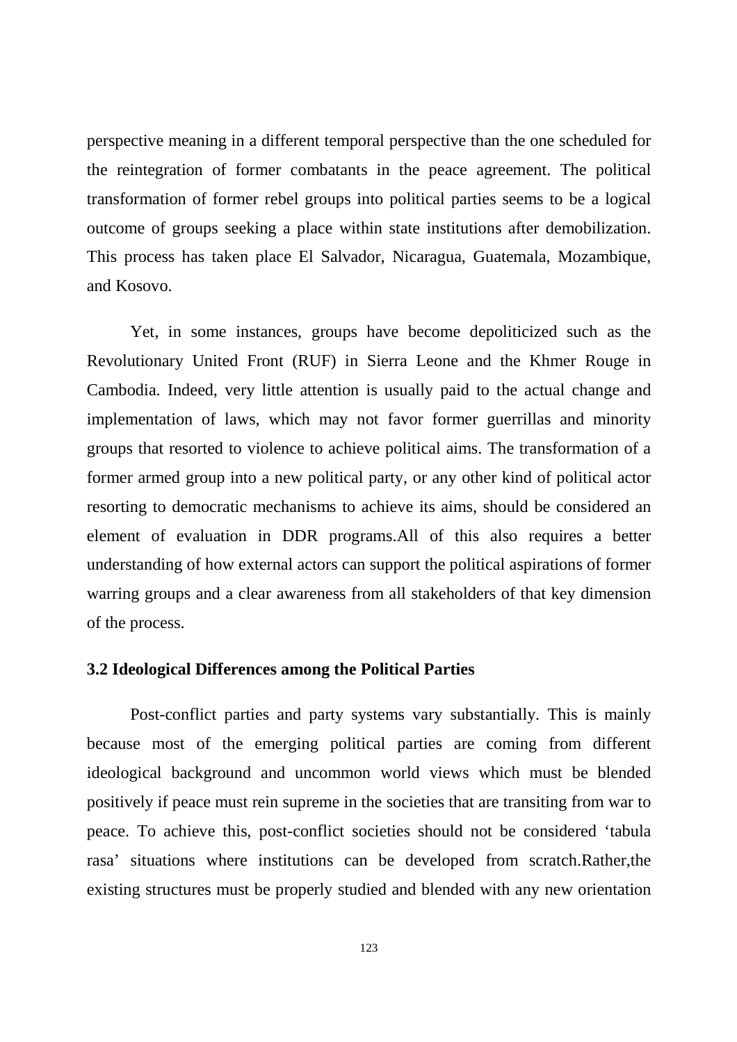perspective meaning in a different temporal perspective than the one scheduled for the reintegration of former combatants in the peace agreement. The political transformation of former rebel groups into political parties seems to be a logical outcome of groups seeking a place within state institutions after demobilization. This process has taken place El Salvador, Nicaragua, Guatemala, Mozambique, and Kosovo.

Yet, in some instances, groups have become depoliticized such as the Revolutionary United Front (RUF) in Sierra Leone and the Khmer Rouge in Cambodia. Indeed, very little attention is usually paid to the actual change and implementation of laws, which may not favor former guerrillas and minority groups that resorted to violence to achieve political aims. The transformation of a former armed group into a new political party, or any other kind of political actor resorting to democratic mechanisms to achieve its aims, should be considered an element of evaluation in DDR programs.All of this also requires a better understanding of how external actors can support the political aspirations of former warring groups and a clear awareness from all stakeholders of that key dimension of the process.

#### **3.2 Ideological Differences among the Political Parties**

Post-conflict parties and party systems vary substantially. This is mainly because most of the emerging political parties are coming from different ideological background and uncommon world views which must be blended positively if peace must rein supreme in the societies that are transiting from war to peace. To achieve this, post-conflict societies should not be considered 'tabula rasa' situations where institutions can be developed from scratch.Rather,the existing structures must be properly studied and blended with any new orientation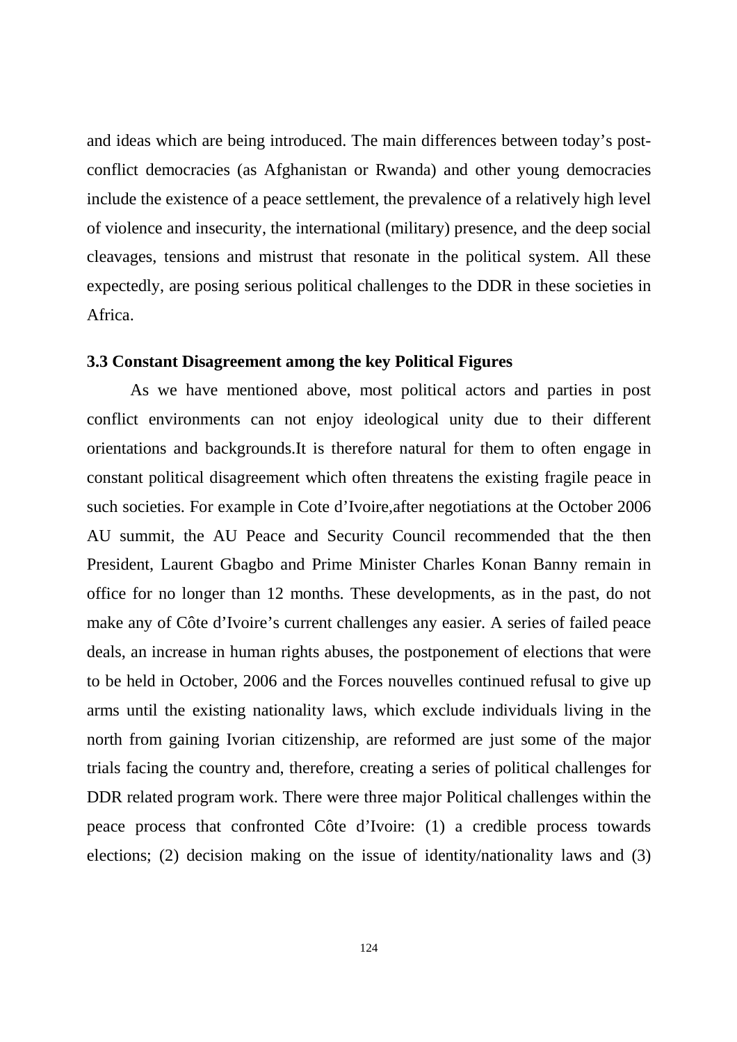and ideas which are being introduced. The main differences between today's postconflict democracies (as Afghanistan or Rwanda) and other young democracies include the existence of a peace settlement, the prevalence of a relatively high level of violence and insecurity, the international (military) presence, and the deep social cleavages, tensions and mistrust that resonate in the political system. All these expectedly, are posing serious political challenges to the DDR in these societies in Africa.

#### **3.3 Constant Disagreement among the key Political Figures**

As we have mentioned above, most political actors and parties in post conflict environments can not enjoy ideological unity due to their different orientations and backgrounds.It is therefore natural for them to often engage in constant political disagreement which often threatens the existing fragile peace in such societies. For example in Cote d'Ivoire,after negotiations at the October 2006 AU summit, the AU Peace and Security Council recommended that the then President, Laurent Gbagbo and Prime Minister Charles Konan Banny remain in office for no longer than 12 months. These developments, as in the past, do not make any of Côte d'Ivoire's current challenges any easier. A series of failed peace deals, an increase in human rights abuses, the postponement of elections that were to be held in October, 2006 and the Forces nouvelles continued refusal to give up arms until the existing nationality laws, which exclude individuals living in the north from gaining Ivorian citizenship, are reformed are just some of the major trials facing the country and, therefore, creating a series of political challenges for DDR related program work. There were three major Political challenges within the peace process that confronted Côte d'Ivoire: (1) a credible process towards elections; (2) decision making on the issue of identity/nationality laws and (3)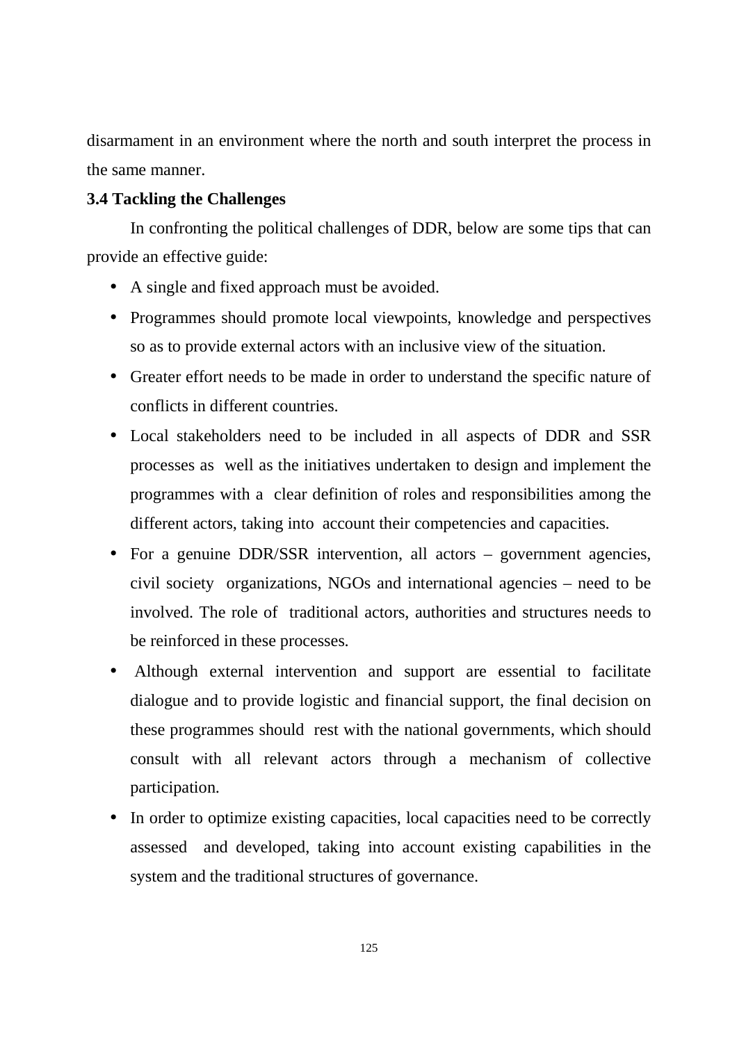disarmament in an environment where the north and south interpret the process in the same manner.

# **3.4 Tackling the Challenges**

In confronting the political challenges of DDR, below are some tips that can provide an effective guide:

- A single and fixed approach must be avoided.
- Programmes should promote local viewpoints, knowledge and perspectives so as to provide external actors with an inclusive view of the situation.
- Greater effort needs to be made in order to understand the specific nature of conflicts in different countries.
- Local stakeholders need to be included in all aspects of DDR and SSR processes as well as the initiatives undertaken to design and implement the programmes with a clear definition of roles and responsibilities among the different actors, taking into account their competencies and capacities.
- For a genuine DDR/SSR intervention, all actors government agencies, civil society organizations, NGOs and international agencies – need to be involved. The role of traditional actors, authorities and structures needs to be reinforced in these processes.
- Although external intervention and support are essential to facilitate dialogue and to provide logistic and financial support, the final decision on these programmes should rest with the national governments, which should consult with all relevant actors through a mechanism of collective participation.
- In order to optimize existing capacities, local capacities need to be correctly assessed and developed, taking into account existing capabilities in the system and the traditional structures of governance.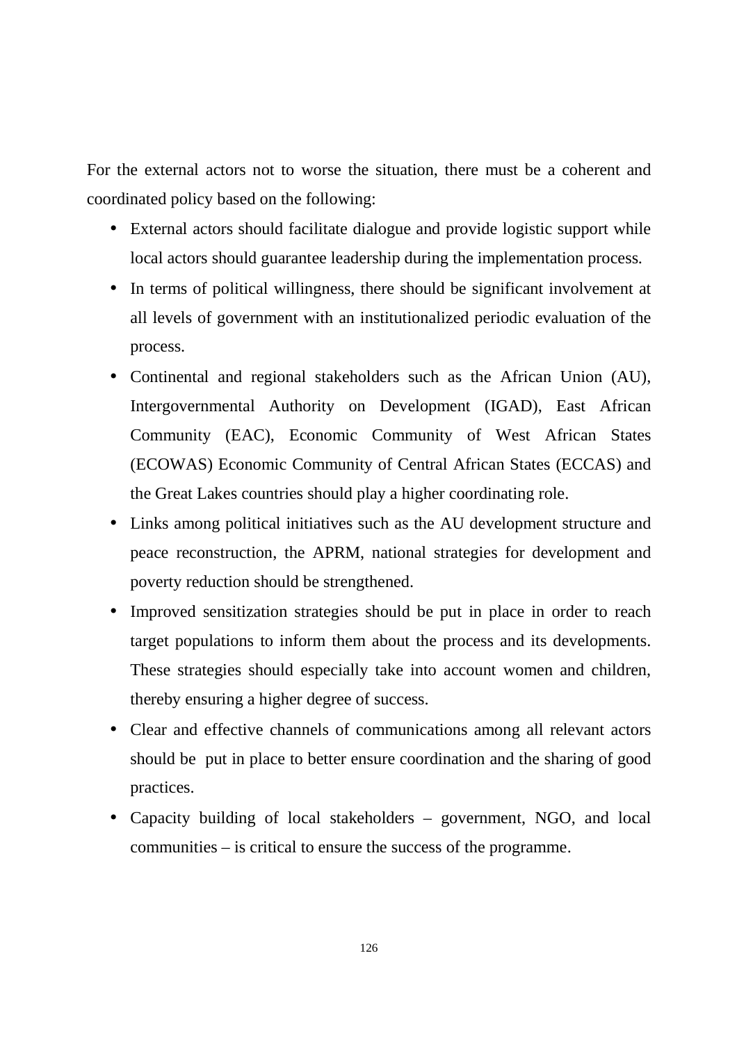For the external actors not to worse the situation, there must be a coherent and coordinated policy based on the following:

- External actors should facilitate dialogue and provide logistic support while local actors should guarantee leadership during the implementation process.
- In terms of political willingness, there should be significant involvement at all levels of government with an institutionalized periodic evaluation of the process.
- Continental and regional stakeholders such as the African Union (AU), Intergovernmental Authority on Development (IGAD), East African Community (EAC), Economic Community of West African States (ECOWAS) Economic Community of Central African States (ECCAS) and the Great Lakes countries should play a higher coordinating role.
- Links among political initiatives such as the AU development structure and peace reconstruction, the APRM, national strategies for development and poverty reduction should be strengthened.
- Improved sensitization strategies should be put in place in order to reach target populations to inform them about the process and its developments. These strategies should especially take into account women and children, thereby ensuring a higher degree of success.
- Clear and effective channels of communications among all relevant actors should be put in place to better ensure coordination and the sharing of good practices.
- Capacity building of local stakeholders government, NGO, and local communities – is critical to ensure the success of the programme.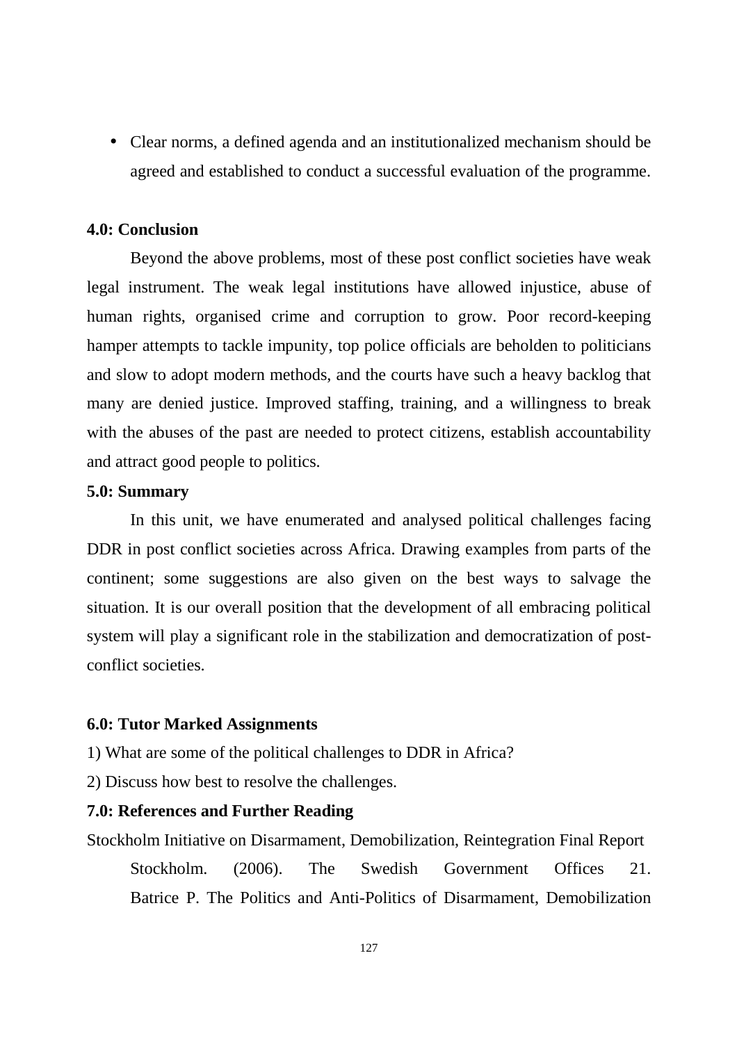• Clear norms, a defined agenda and an institutionalized mechanism should be agreed and established to conduct a successful evaluation of the programme.

## **4.0: Conclusion**

Beyond the above problems, most of these post conflict societies have weak legal instrument. The weak legal institutions have allowed injustice, abuse of human rights, organised crime and corruption to grow. Poor record-keeping hamper attempts to tackle impunity, top police officials are beholden to politicians and slow to adopt modern methods, and the courts have such a heavy backlog that many are denied justice. Improved staffing, training, and a willingness to break with the abuses of the past are needed to protect citizens, establish accountability and attract good people to politics.

#### **5.0: Summary**

In this unit, we have enumerated and analysed political challenges facing DDR in post conflict societies across Africa. Drawing examples from parts of the continent; some suggestions are also given on the best ways to salvage the situation. It is our overall position that the development of all embracing political system will play a significant role in the stabilization and democratization of postconflict societies.

## **6.0: Tutor Marked Assignments**

1) What are some of the political challenges to DDR in Africa?

2) Discuss how best to resolve the challenges.

## **7.0: References and Further Reading**

Stockholm Initiative on Disarmament, Demobilization, Reintegration Final Report Stockholm. (2006). The Swedish Government Offices 21. Batrice P. The Politics and Anti-Politics of Disarmament, Demobilization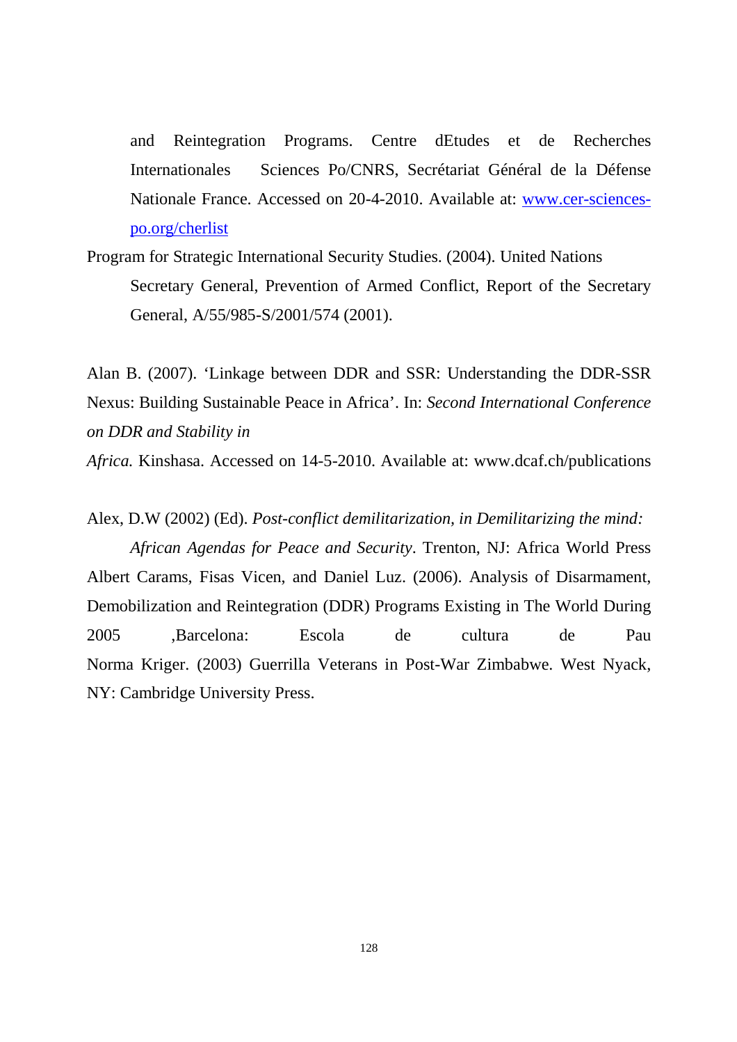and Reintegration Programs. Centre dEtudes et de Recherches Internationales Sciences Po/CNRS, Secrétariat Général de la Défense Nationale France. Accessed on 20-4-2010. Available at: www.cer-sciencespo.org/cherlist

Program for Strategic International Security Studies. (2004). United Nations Secretary General, Prevention of Armed Conflict, Report of the Secretary General, A/55/985-S/2001/574 (2001).

Alan B. (2007). 'Linkage between DDR and SSR: Understanding the DDR-SSR Nexus: Building Sustainable Peace in Africa'. In: *Second International Conference on DDR and Stability in* 

*Africa.* Kinshasa. Accessed on 14-5-2010. Available at: www.dcaf.ch/publications

Alex, D.W (2002) (Ed). *Post-conflict demilitarization, in Demilitarizing the mind: African Agendas for Peace and Security*. Trenton, NJ: Africa World Press Albert Carams, Fisas Vicen, and Daniel Luz. (2006). Analysis of Disarmament, Demobilization and Reintegration (DDR) Programs Existing in The World During 2005 ,Barcelona: Escola de cultura de Pau Norma Kriger. (2003) Guerrilla Veterans in Post-War Zimbabwe. West Nyack, NY: Cambridge University Press.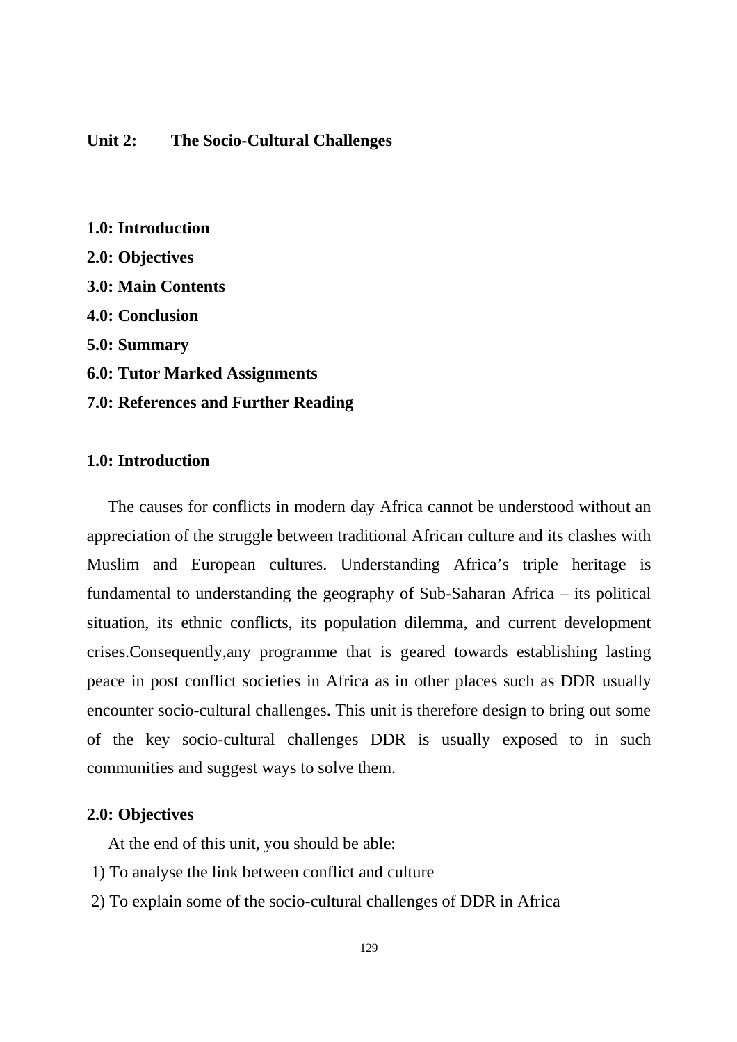#### **Unit 2: The Socio-Cultural Challenges**

**1.0: Introduction 2.0: Objectives 3.0: Main Contents 4.0: Conclusion 5.0: Summary 6.0: Tutor Marked Assignments 7.0: References and Further Reading** 

## **1.0: Introduction**

 The causes for conflicts in modern day Africa cannot be understood without an appreciation of the struggle between traditional African culture and its clashes with Muslim and European cultures. Understanding Africa's triple heritage is fundamental to understanding the geography of Sub-Saharan Africa – its political situation, its ethnic conflicts, its population dilemma, and current development crises.Consequently,any programme that is geared towards establishing lasting peace in post conflict societies in Africa as in other places such as DDR usually encounter socio-cultural challenges. This unit is therefore design to bring out some of the key socio-cultural challenges DDR is usually exposed to in such communities and suggest ways to solve them.

#### **2.0: Objectives**

At the end of this unit, you should be able:

- 1) To analyse the link between conflict and culture
- 2) To explain some of the socio-cultural challenges of DDR in Africa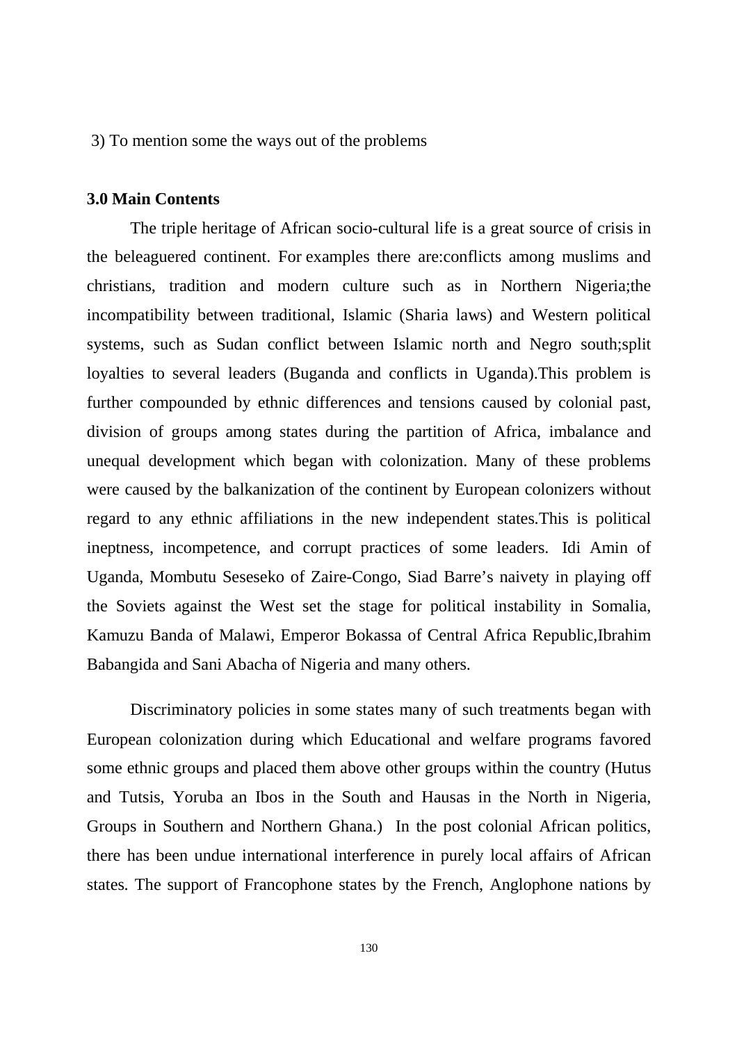3) To mention some the ways out of the problems

## **3.0 Main Contents**

 The triple heritage of African socio-cultural life is a great source of crisis in the beleaguered continent. For examples there are:conflicts among muslims and christians, tradition and modern culture such as in Northern Nigeria;the incompatibility between traditional, Islamic (Sharia laws) and Western political systems, such as Sudan conflict between Islamic north and Negro south;split loyalties to several leaders (Buganda and conflicts in Uganda).This problem is further compounded by ethnic differences and tensions caused by colonial past, division of groups among states during the partition of Africa, imbalance and unequal development which began with colonization. Many of these problems were caused by the balkanization of the continent by European colonizers without regard to any ethnic affiliations in the new independent states.This is political ineptness, incompetence, and corrupt practices of some leaders. Idi Amin of Uganda, Mombutu Seseseko of Zaire-Congo, Siad Barre's naivety in playing off the Soviets against the West set the stage for political instability in Somalia, Kamuzu Banda of Malawi, Emperor Bokassa of Central Africa Republic,Ibrahim Babangida and Sani Abacha of Nigeria and many others.

Discriminatory policies in some states many of such treatments began with European colonization during which Educational and welfare programs favored some ethnic groups and placed them above other groups within the country (Hutus and Tutsis, Yoruba an Ibos in the South and Hausas in the North in Nigeria, Groups in Southern and Northern Ghana.) In the post colonial African politics, there has been undue international interference in purely local affairs of African states. The support of Francophone states by the French, Anglophone nations by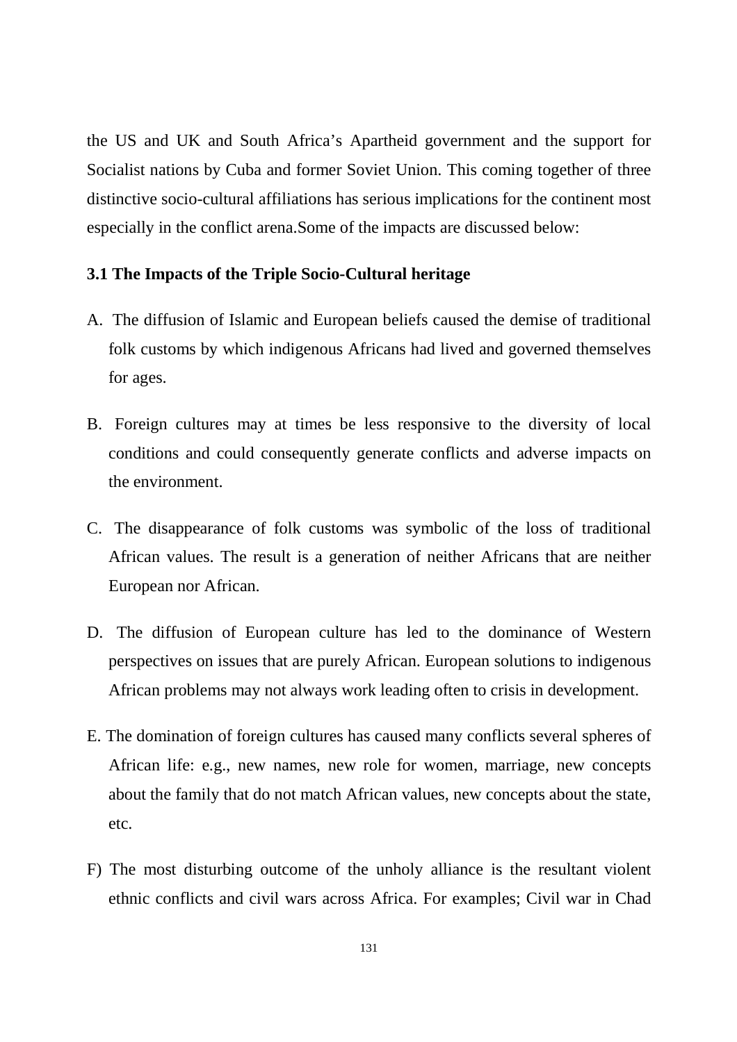the US and UK and South Africa's Apartheid government and the support for Socialist nations by Cuba and former Soviet Union. This coming together of three distinctive socio-cultural affiliations has serious implications for the continent most especially in the conflict arena.Some of the impacts are discussed below:

# **3.1 The Impacts of the Triple Socio-Cultural heritage**

- A. The diffusion of Islamic and European beliefs caused the demise of traditional folk customs by which indigenous Africans had lived and governed themselves for ages.
- B. Foreign cultures may at times be less responsive to the diversity of local conditions and could consequently generate conflicts and adverse impacts on the environment.
- C. The disappearance of folk customs was symbolic of the loss of traditional African values. The result is a generation of neither Africans that are neither European nor African.
- D. The diffusion of European culture has led to the dominance of Western perspectives on issues that are purely African. European solutions to indigenous African problems may not always work leading often to crisis in development.
- E. The domination of foreign cultures has caused many conflicts several spheres of African life: e.g., new names, new role for women, marriage, new concepts about the family that do not match African values, new concepts about the state, etc.
- F) The most disturbing outcome of the unholy alliance is the resultant violent ethnic conflicts and civil wars across Africa. For examples; Civil war in Chad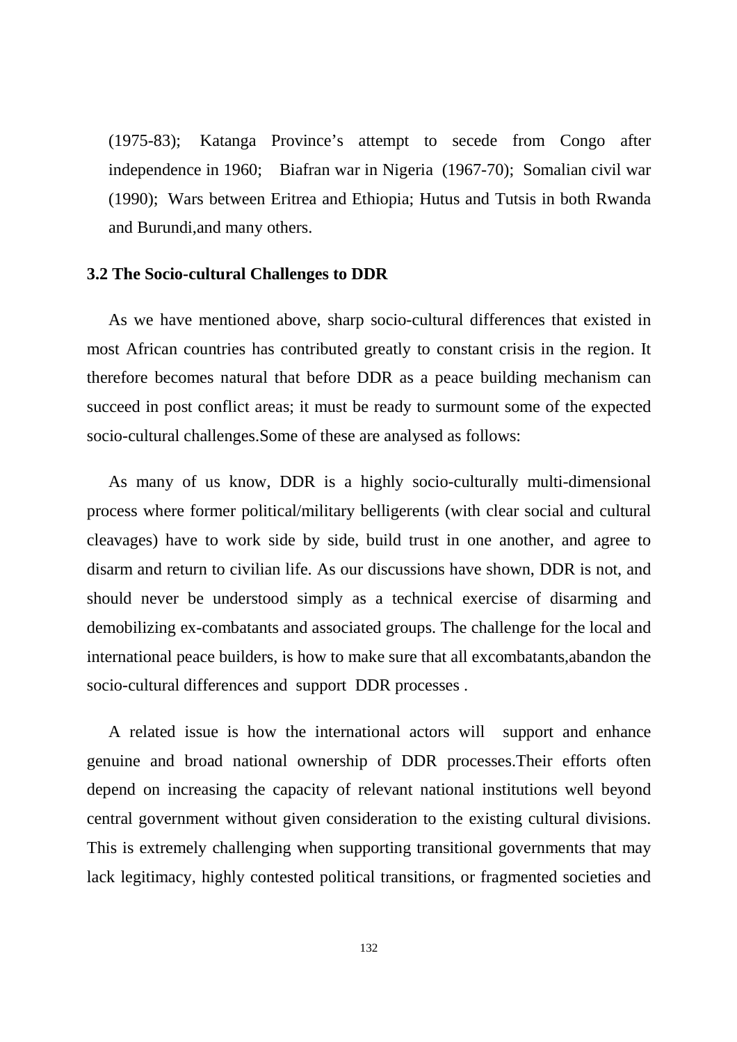(1975-83); Katanga Province's attempt to secede from Congo after independence in 1960; Biafran war in Nigeria (1967-70); Somalian civil war (1990); Wars between Eritrea and Ethiopia; Hutus and Tutsis in both Rwanda and Burundi,and many others.

#### **3.2 The Socio-cultural Challenges to DDR**

As we have mentioned above, sharp socio-cultural differences that existed in most African countries has contributed greatly to constant crisis in the region. It therefore becomes natural that before DDR as a peace building mechanism can succeed in post conflict areas; it must be ready to surmount some of the expected socio-cultural challenges.Some of these are analysed as follows:

As many of us know, DDR is a highly socio-culturally multi-dimensional process where former political/military belligerents (with clear social and cultural cleavages) have to work side by side, build trust in one another, and agree to disarm and return to civilian life. As our discussions have shown, DDR is not, and should never be understood simply as a technical exercise of disarming and demobilizing ex-combatants and associated groups. The challenge for the local and international peace builders, is how to make sure that all excombatants,abandon the socio-cultural differences and support DDR processes .

A related issue is how the international actors will support and enhance genuine and broad national ownership of DDR processes.Their efforts often depend on increasing the capacity of relevant national institutions well beyond central government without given consideration to the existing cultural divisions. This is extremely challenging when supporting transitional governments that may lack legitimacy, highly contested political transitions, or fragmented societies and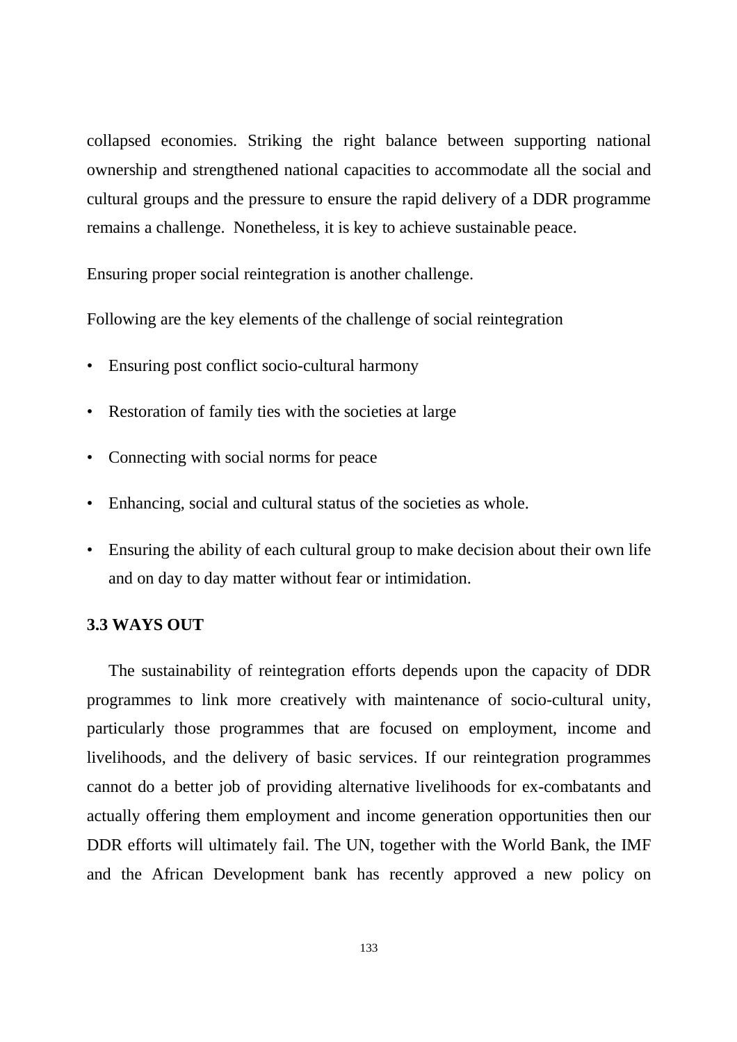collapsed economies. Striking the right balance between supporting national ownership and strengthened national capacities to accommodate all the social and cultural groups and the pressure to ensure the rapid delivery of a DDR programme remains a challenge. Nonetheless, it is key to achieve sustainable peace.

Ensuring proper social reintegration is another challenge.

Following are the key elements of the challenge of social reintegration

- Ensuring post conflict socio-cultural harmony
- Restoration of family ties with the societies at large
- Connecting with social norms for peace
- Enhancing, social and cultural status of the societies as whole.
- Ensuring the ability of each cultural group to make decision about their own life and on day to day matter without fear or intimidation.

# **3.3 WAYS OUT**

The sustainability of reintegration efforts depends upon the capacity of DDR programmes to link more creatively with maintenance of socio-cultural unity, particularly those programmes that are focused on employment, income and livelihoods, and the delivery of basic services. If our reintegration programmes cannot do a better job of providing alternative livelihoods for ex-combatants and actually offering them employment and income generation opportunities then our DDR efforts will ultimately fail. The UN, together with the World Bank, the IMF and the African Development bank has recently approved a new policy on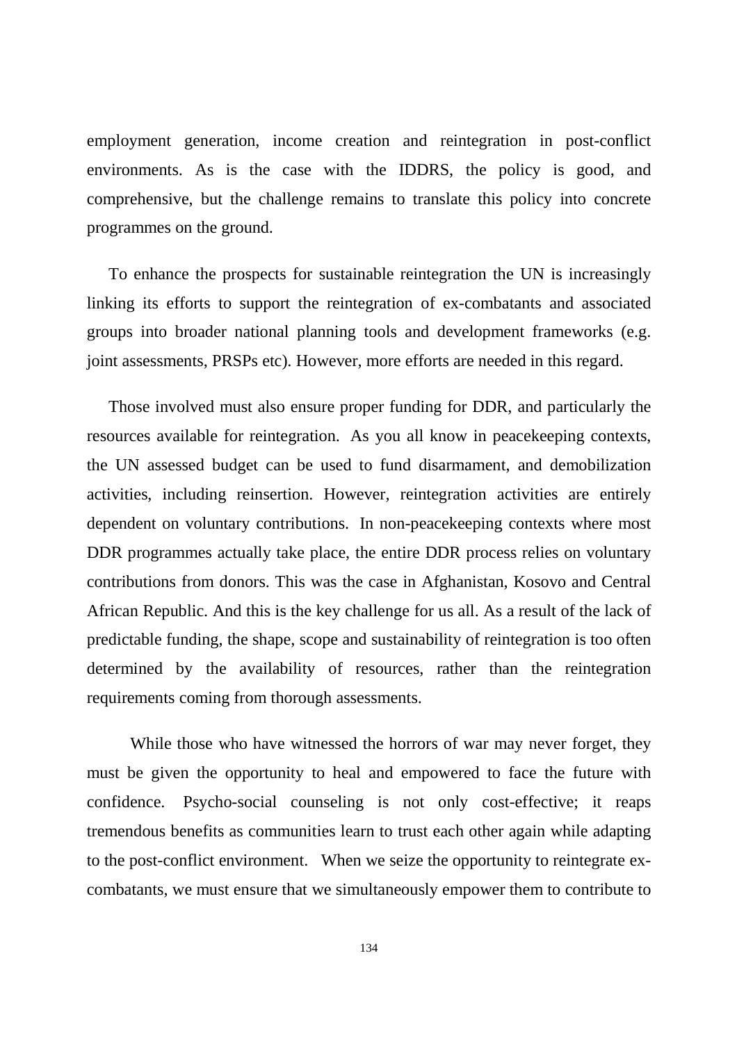employment generation, income creation and reintegration in post-conflict environments. As is the case with the IDDRS, the policy is good, and comprehensive, but the challenge remains to translate this policy into concrete programmes on the ground.

To enhance the prospects for sustainable reintegration the UN is increasingly linking its efforts to support the reintegration of ex-combatants and associated groups into broader national planning tools and development frameworks (e.g. joint assessments, PRSPs etc). However, more efforts are needed in this regard.

Those involved must also ensure proper funding for DDR, and particularly the resources available for reintegration. As you all know in peacekeeping contexts, the UN assessed budget can be used to fund disarmament, and demobilization activities, including reinsertion. However, reintegration activities are entirely dependent on voluntary contributions. In non-peacekeeping contexts where most DDR programmes actually take place, the entire DDR process relies on voluntary contributions from donors. This was the case in Afghanistan, Kosovo and Central African Republic. And this is the key challenge for us all. As a result of the lack of predictable funding, the shape, scope and sustainability of reintegration is too often determined by the availability of resources, rather than the reintegration requirements coming from thorough assessments.

While those who have witnessed the horrors of war may never forget, they must be given the opportunity to heal and empowered to face the future with confidence. Psycho-social counseling is not only cost-effective; it reaps tremendous benefits as communities learn to trust each other again while adapting to the post-conflict environment. When we seize the opportunity to reintegrate excombatants, we must ensure that we simultaneously empower them to contribute to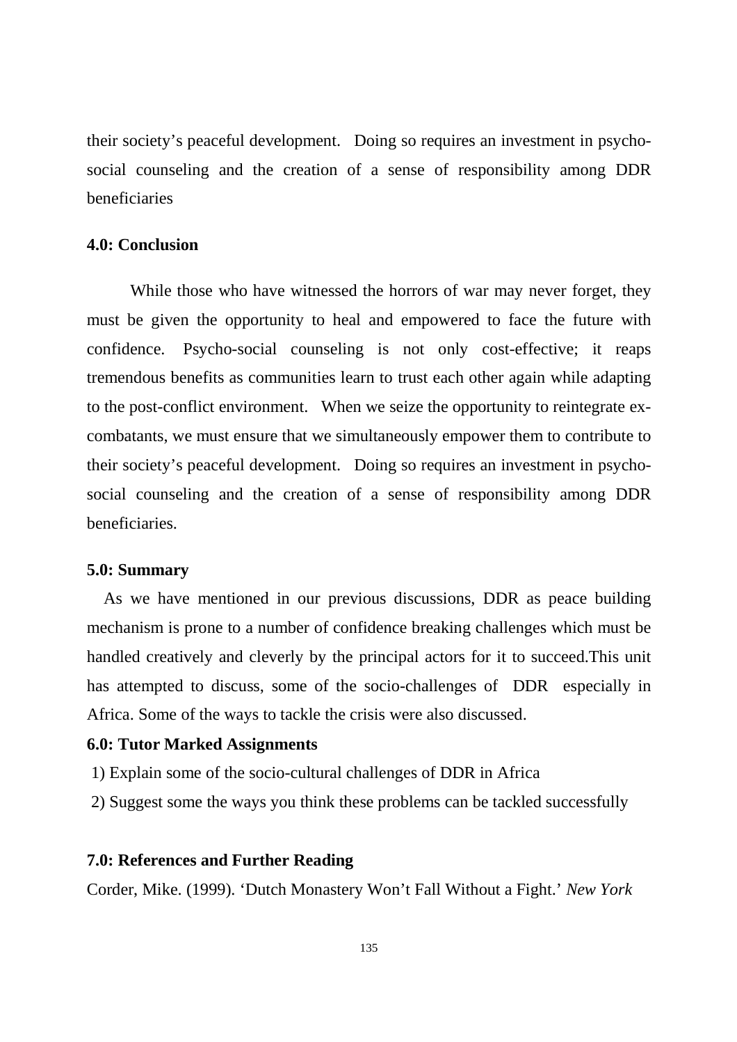their society's peaceful development. Doing so requires an investment in psychosocial counseling and the creation of a sense of responsibility among DDR beneficiaries

# **4.0: Conclusion**

While those who have witnessed the horrors of war may never forget, they must be given the opportunity to heal and empowered to face the future with confidence. Psycho-social counseling is not only cost-effective; it reaps tremendous benefits as communities learn to trust each other again while adapting to the post-conflict environment. When we seize the opportunity to reintegrate excombatants, we must ensure that we simultaneously empower them to contribute to their society's peaceful development. Doing so requires an investment in psychosocial counseling and the creation of a sense of responsibility among DDR beneficiaries.

### **5.0: Summary**

 As we have mentioned in our previous discussions, DDR as peace building mechanism is prone to a number of confidence breaking challenges which must be handled creatively and cleverly by the principal actors for it to succeed.This unit has attempted to discuss, some of the socio-challenges of DDR especially in Africa. Some of the ways to tackle the crisis were also discussed.

### **6.0: Tutor Marked Assignments**

- 1) Explain some of the socio-cultural challenges of DDR in Africa
- 2) Suggest some the ways you think these problems can be tackled successfully

## **7.0: References and Further Reading**

Corder, Mike. (1999). 'Dutch Monastery Won't Fall Without a Fight.' *New York*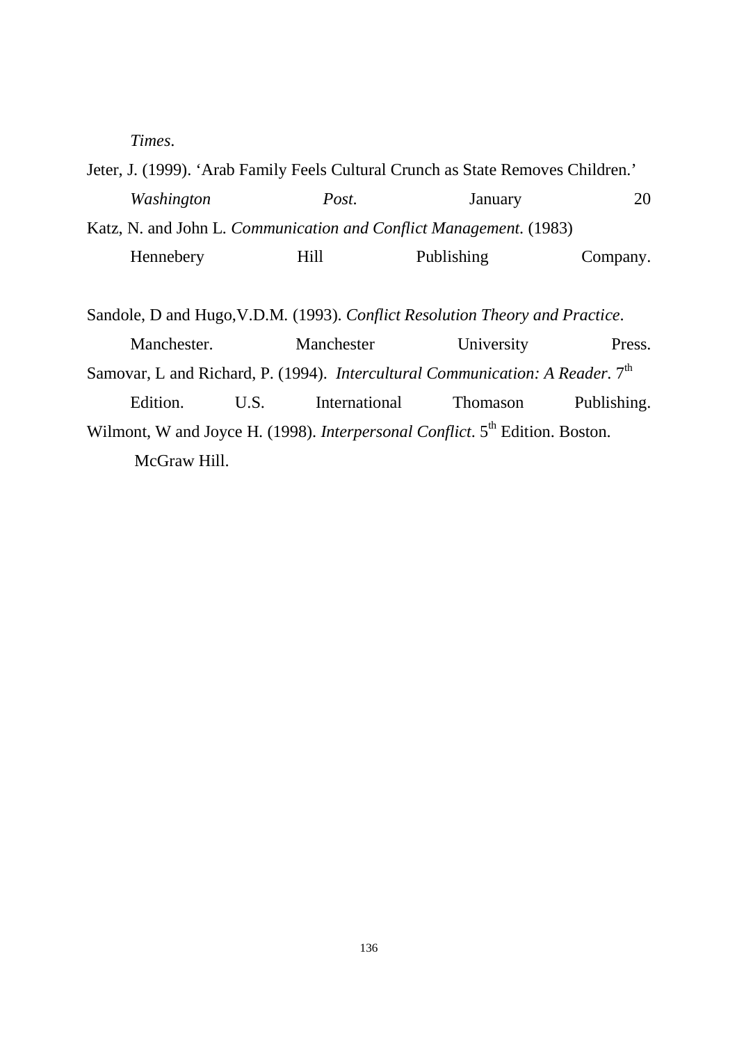*Times*.

| Jeter, J. (1999). 'Arab Family Feels Cultural Crunch as State Removes Children.' |       |            |          |
|----------------------------------------------------------------------------------|-------|------------|----------|
| Washington                                                                       | Post. | January    | 20       |
| Katz, N. and John L. Communication and Conflict Management. (1983)               |       |            |          |
| Hennebery                                                                        | Hill  | Publishing | Company. |

Sandole, D and Hugo,V.D.M*.* (1993). *Conflict Resolution Theory and Practice*. Manchester. Manchester University Press. Samovar, L and Richard, P. (1994). *Intercultural Communication: A Reader*. 7<sup>th</sup> Edition. U.S. International Thomason Publishing. Wilmont, W and Joyce H. (1998). *Interpersonal Conflict*. 5<sup>th</sup> Edition. Boston. McGraw Hill.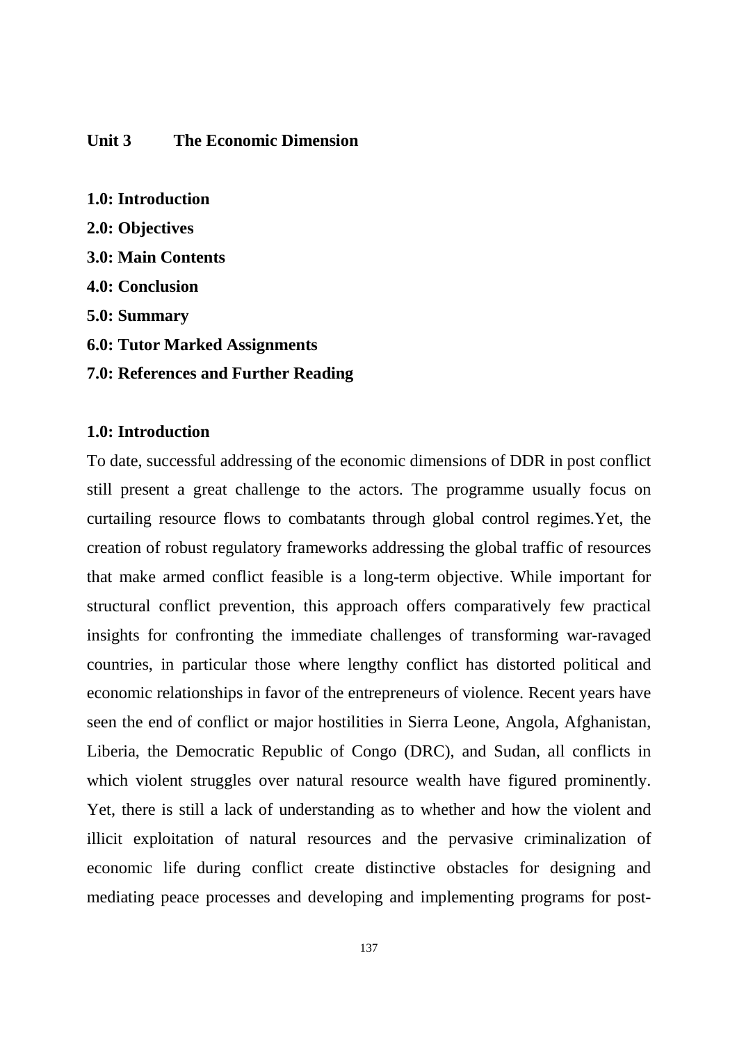### **Unit 3 The Economic Dimension**

**1.0: Introduction 2.0: Objectives 3.0: Main Contents 4.0: Conclusion 5.0: Summary 6.0: Tutor Marked Assignments 7.0: References and Further Reading** 

# **1.0: Introduction**

To date, successful addressing of the economic dimensions of DDR in post conflict still present a great challenge to the actors. The programme usually focus on curtailing resource flows to combatants through global control regimes.Yet, the creation of robust regulatory frameworks addressing the global traffic of resources that make armed conflict feasible is a long-term objective. While important for structural conflict prevention, this approach offers comparatively few practical insights for confronting the immediate challenges of transforming war-ravaged countries, in particular those where lengthy conflict has distorted political and economic relationships in favor of the entrepreneurs of violence. Recent years have seen the end of conflict or major hostilities in Sierra Leone, Angola, Afghanistan, Liberia, the Democratic Republic of Congo (DRC), and Sudan, all conflicts in which violent struggles over natural resource wealth have figured prominently. Yet, there is still a lack of understanding as to whether and how the violent and illicit exploitation of natural resources and the pervasive criminalization of economic life during conflict create distinctive obstacles for designing and mediating peace processes and developing and implementing programs for post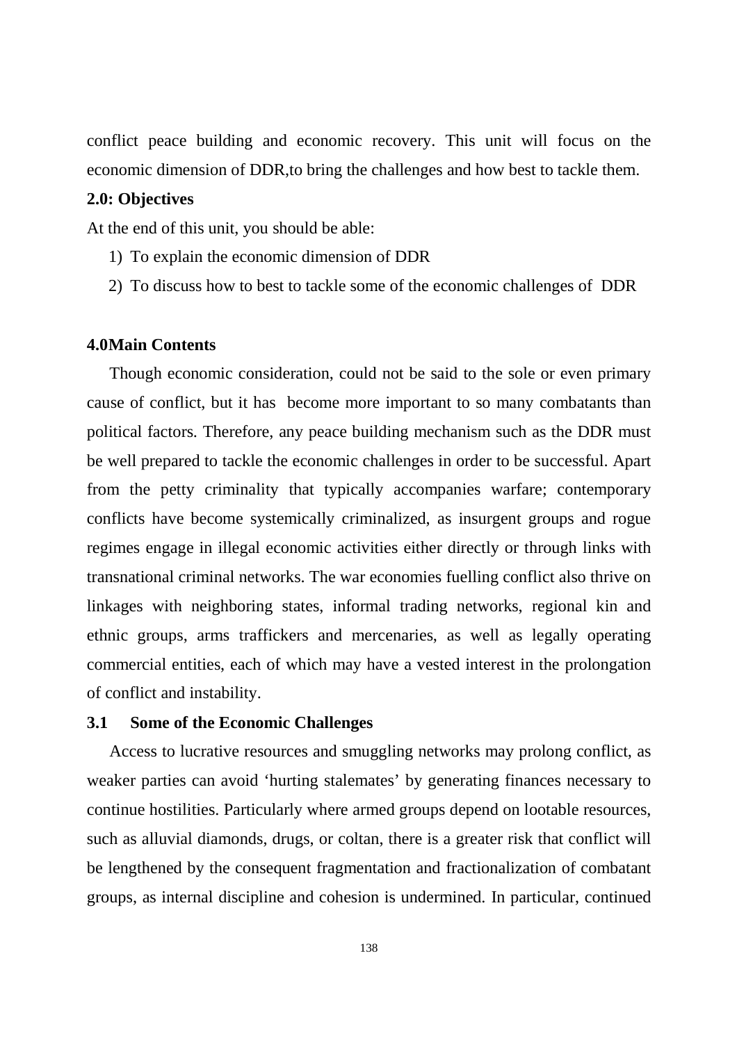conflict peace building and economic recovery. This unit will focus on the economic dimension of DDR,to bring the challenges and how best to tackle them.

# **2.0: Objectives**

At the end of this unit, you should be able:

- 1) To explain the economic dimension of DDR
- 2) To discuss how to best to tackle some of the economic challenges of DDR

### **4.0Main Contents**

Though economic consideration, could not be said to the sole or even primary cause of conflict, but it has become more important to so many combatants than political factors. Therefore, any peace building mechanism such as the DDR must be well prepared to tackle the economic challenges in order to be successful. Apart from the petty criminality that typically accompanies warfare; contemporary conflicts have become systemically criminalized, as insurgent groups and rogue regimes engage in illegal economic activities either directly or through links with transnational criminal networks. The war economies fuelling conflict also thrive on linkages with neighboring states, informal trading networks, regional kin and ethnic groups, arms traffickers and mercenaries, as well as legally operating commercial entities, each of which may have a vested interest in the prolongation of conflict and instability.

### **3.1 Some of the Economic Challenges**

Access to lucrative resources and smuggling networks may prolong conflict, as weaker parties can avoid 'hurting stalemates' by generating finances necessary to continue hostilities. Particularly where armed groups depend on lootable resources, such as alluvial diamonds, drugs, or coltan, there is a greater risk that conflict will be lengthened by the consequent fragmentation and fractionalization of combatant groups, as internal discipline and cohesion is undermined. In particular, continued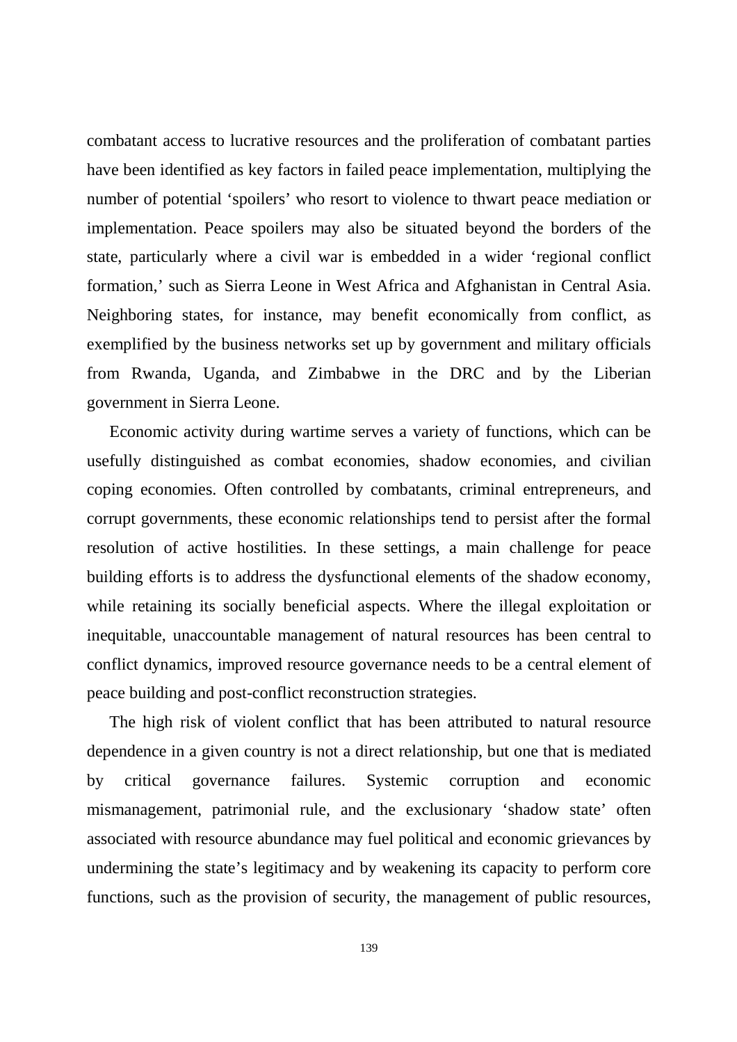combatant access to lucrative resources and the proliferation of combatant parties have been identified as key factors in failed peace implementation, multiplying the number of potential 'spoilers' who resort to violence to thwart peace mediation or implementation. Peace spoilers may also be situated beyond the borders of the state, particularly where a civil war is embedded in a wider 'regional conflict formation,' such as Sierra Leone in West Africa and Afghanistan in Central Asia. Neighboring states, for instance, may benefit economically from conflict, as exemplified by the business networks set up by government and military officials from Rwanda, Uganda, and Zimbabwe in the DRC and by the Liberian government in Sierra Leone.

Economic activity during wartime serves a variety of functions, which can be usefully distinguished as combat economies, shadow economies, and civilian coping economies. Often controlled by combatants, criminal entrepreneurs, and corrupt governments, these economic relationships tend to persist after the formal resolution of active hostilities. In these settings, a main challenge for peace building efforts is to address the dysfunctional elements of the shadow economy, while retaining its socially beneficial aspects. Where the illegal exploitation or inequitable, unaccountable management of natural resources has been central to conflict dynamics, improved resource governance needs to be a central element of peace building and post-conflict reconstruction strategies.

The high risk of violent conflict that has been attributed to natural resource dependence in a given country is not a direct relationship, but one that is mediated by critical governance failures. Systemic corruption and economic mismanagement, patrimonial rule, and the exclusionary 'shadow state' often associated with resource abundance may fuel political and economic grievances by undermining the state's legitimacy and by weakening its capacity to perform core functions, such as the provision of security, the management of public resources,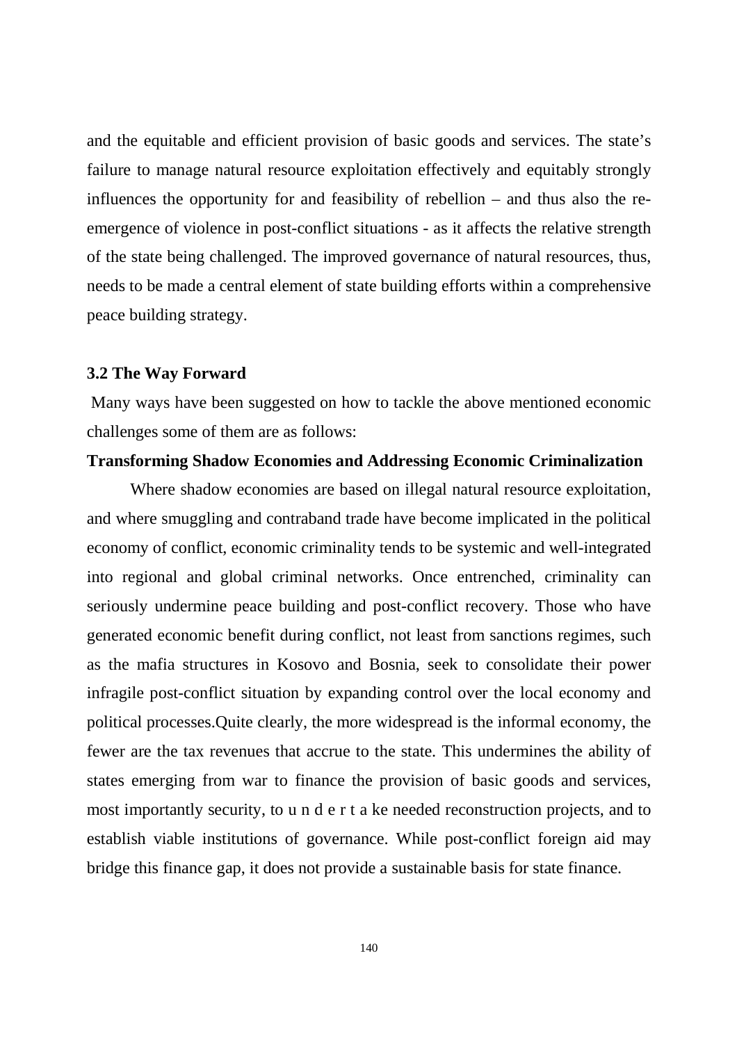and the equitable and efficient provision of basic goods and services. The state's failure to manage natural resource exploitation effectively and equitably strongly influences the opportunity for and feasibility of rebellion – and thus also the reemergence of violence in post-conflict situations - as it affects the relative strength of the state being challenged. The improved governance of natural resources, thus, needs to be made a central element of state building efforts within a comprehensive peace building strategy.

## **3.2 The Way Forward**

 Many ways have been suggested on how to tackle the above mentioned economic challenges some of them are as follows:

#### **Transforming Shadow Economies and Addressing Economic Criminalization**

Where shadow economies are based on illegal natural resource exploitation, and where smuggling and contraband trade have become implicated in the political economy of conflict, economic criminality tends to be systemic and well-integrated into regional and global criminal networks. Once entrenched, criminality can seriously undermine peace building and post-conflict recovery. Those who have generated economic benefit during conflict, not least from sanctions regimes, such as the mafia structures in Kosovo and Bosnia, seek to consolidate their power infragile post-conflict situation by expanding control over the local economy and political processes.Quite clearly, the more widespread is the informal economy, the fewer are the tax revenues that accrue to the state. This undermines the ability of states emerging from war to finance the provision of basic goods and services, most importantly security, to u n d e r t a ke needed reconstruction projects, and to establish viable institutions of governance. While post-conflict foreign aid may bridge this finance gap, it does not provide a sustainable basis for state finance.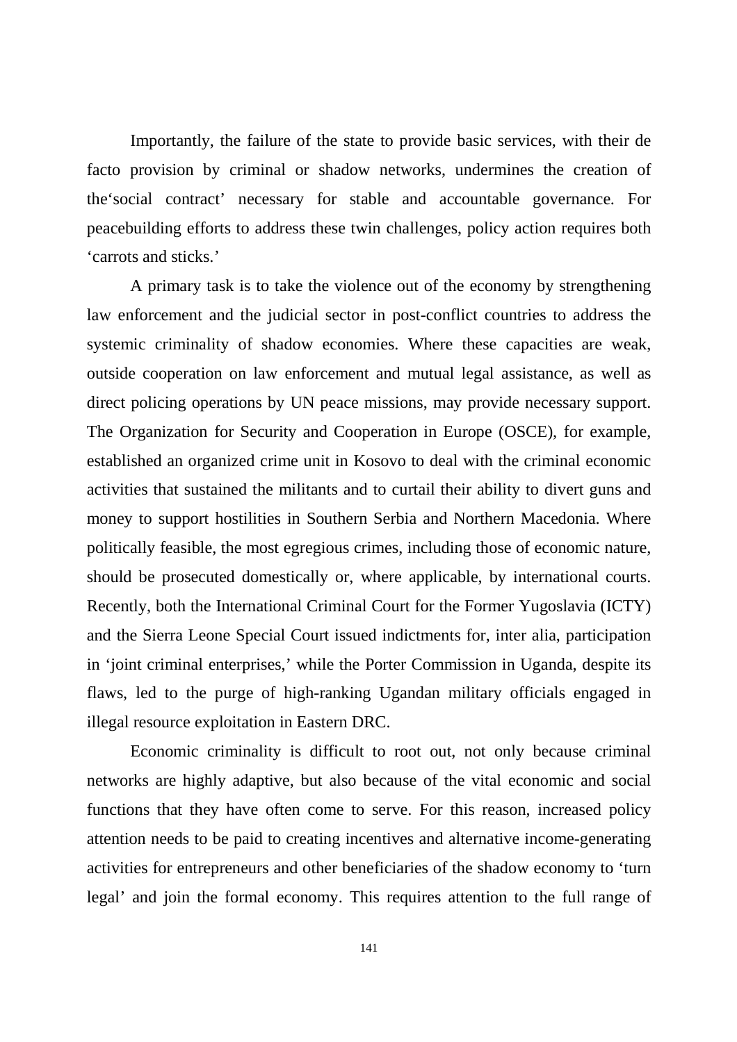Importantly, the failure of the state to provide basic services, with their de facto provision by criminal or shadow networks, undermines the creation of the'social contract' necessary for stable and accountable governance. For peacebuilding efforts to address these twin challenges, policy action requires both 'carrots and sticks.'

A primary task is to take the violence out of the economy by strengthening law enforcement and the judicial sector in post-conflict countries to address the systemic criminality of shadow economies. Where these capacities are weak, outside cooperation on law enforcement and mutual legal assistance, as well as direct policing operations by UN peace missions, may provide necessary support. The Organization for Security and Cooperation in Europe (OSCE), for example, established an organized crime unit in Kosovo to deal with the criminal economic activities that sustained the militants and to curtail their ability to divert guns and money to support hostilities in Southern Serbia and Northern Macedonia. Where politically feasible, the most egregious crimes, including those of economic nature, should be prosecuted domestically or, where applicable, by international courts. Recently, both the International Criminal Court for the Former Yugoslavia (ICTY) and the Sierra Leone Special Court issued indictments for, inter alia, participation in 'joint criminal enterprises,' while the Porter Commission in Uganda, despite its flaws, led to the purge of high-ranking Ugandan military officials engaged in illegal resource exploitation in Eastern DRC.

Economic criminality is difficult to root out, not only because criminal networks are highly adaptive, but also because of the vital economic and social functions that they have often come to serve. For this reason, increased policy attention needs to be paid to creating incentives and alternative income-generating activities for entrepreneurs and other beneficiaries of the shadow economy to 'turn legal' and join the formal economy. This requires attention to the full range of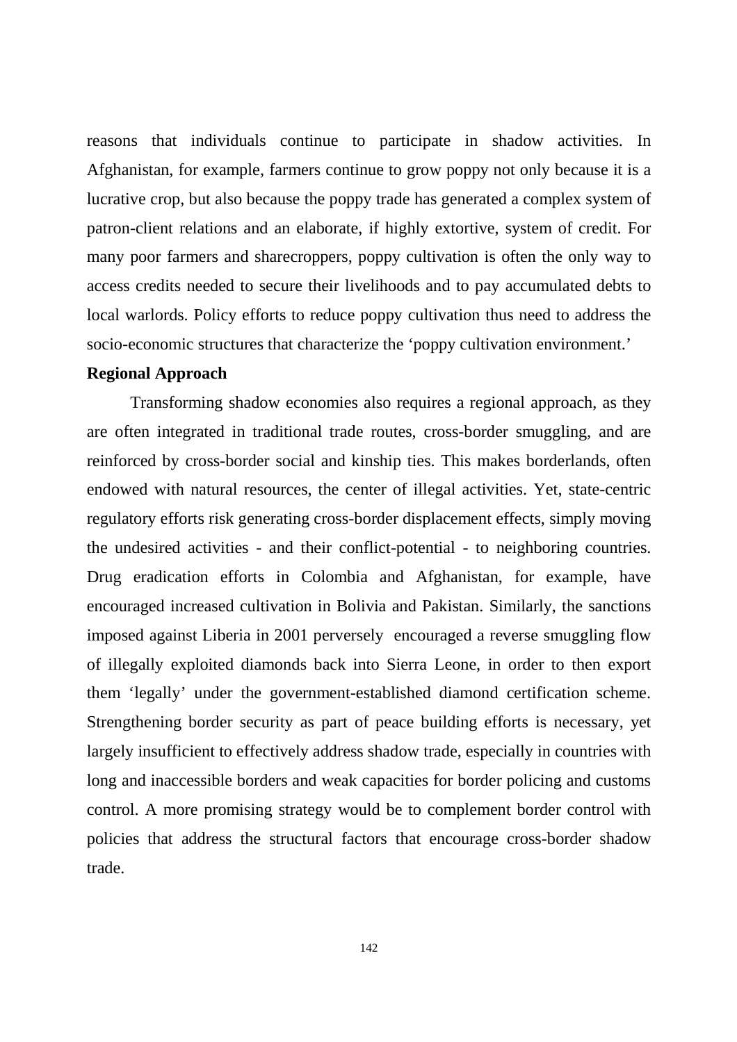reasons that individuals continue to participate in shadow activities. In Afghanistan, for example, farmers continue to grow poppy not only because it is a lucrative crop, but also because the poppy trade has generated a complex system of patron-client relations and an elaborate, if highly extortive, system of credit. For many poor farmers and sharecroppers, poppy cultivation is often the only way to access credits needed to secure their livelihoods and to pay accumulated debts to local warlords. Policy efforts to reduce poppy cultivation thus need to address the socio-economic structures that characterize the 'poppy cultivation environment.'

# **Regional Approach**

Transforming shadow economies also requires a regional approach, as they are often integrated in traditional trade routes, cross-border smuggling, and are reinforced by cross-border social and kinship ties. This makes borderlands, often endowed with natural resources, the center of illegal activities. Yet, state-centric regulatory efforts risk generating cross-border displacement effects, simply moving the undesired activities - and their conflict-potential - to neighboring countries. Drug eradication efforts in Colombia and Afghanistan, for example, have encouraged increased cultivation in Bolivia and Pakistan. Similarly, the sanctions imposed against Liberia in 2001 perversely encouraged a reverse smuggling flow of illegally exploited diamonds back into Sierra Leone, in order to then export them 'legally' under the government-established diamond certification scheme. Strengthening border security as part of peace building efforts is necessary, yet largely insufficient to effectively address shadow trade, especially in countries with long and inaccessible borders and weak capacities for border policing and customs control. A more promising strategy would be to complement border control with policies that address the structural factors that encourage cross-border shadow trade.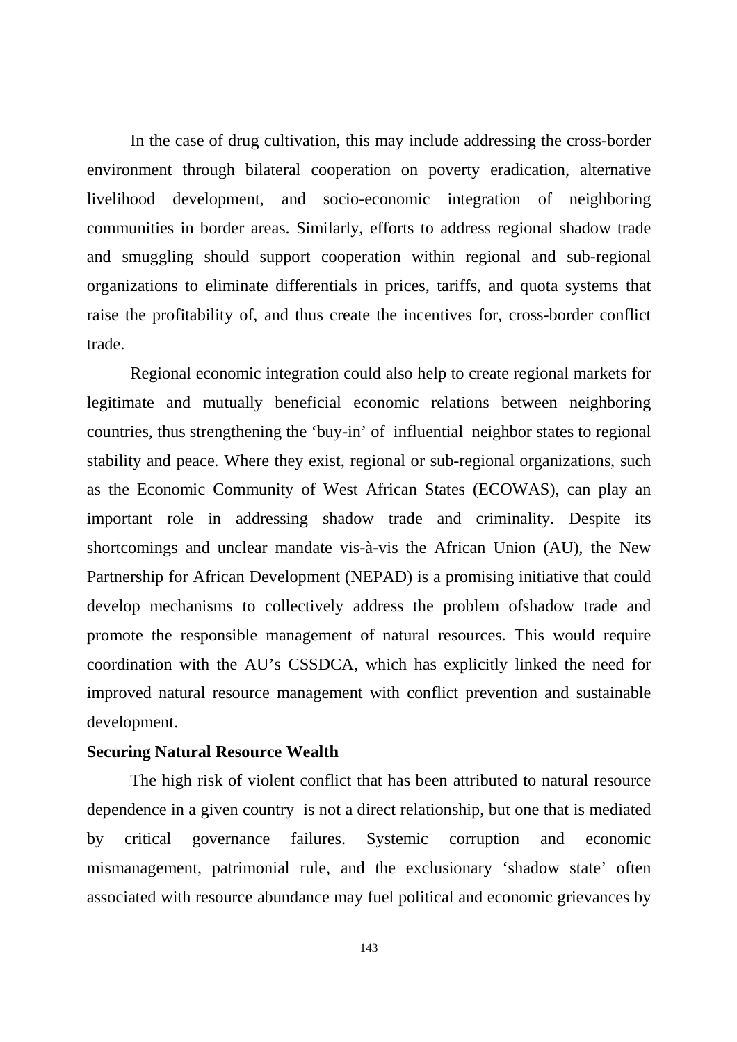In the case of drug cultivation, this may include addressing the cross-border environment through bilateral cooperation on poverty eradication, alternative livelihood development, and socio-economic integration of neighboring communities in border areas. Similarly, efforts to address regional shadow trade and smuggling should support cooperation within regional and sub-regional organizations to eliminate differentials in prices, tariffs, and quota systems that raise the profitability of, and thus create the incentives for, cross-border conflict trade.

Regional economic integration could also help to create regional markets for legitimate and mutually beneficial economic relations between neighboring countries, thus strengthening the 'buy-in' of influential neighbor states to regional stability and peace. Where they exist, regional or sub-regional organizations, such as the Economic Community of West African States (ECOWAS), can play an important role in addressing shadow trade and criminality. Despite its shortcomings and unclear mandate vis-à-vis the African Union (AU), the New Partnership for African Development (NEPAD) is a promising initiative that could develop mechanisms to collectively address the problem ofshadow trade and promote the responsible management of natural resources. This would require coordination with the AU's CSSDCA, which has explicitly linked the need for improved natural resource management with conflict prevention and sustainable development.

### **Securing Natural Resource Wealth**

The high risk of violent conflict that has been attributed to natural resource dependence in a given country is not a direct relationship, but one that is mediated by critical governance failures. Systemic corruption and economic mismanagement, patrimonial rule, and the exclusionary 'shadow state' often associated with resource abundance may fuel political and economic grievances by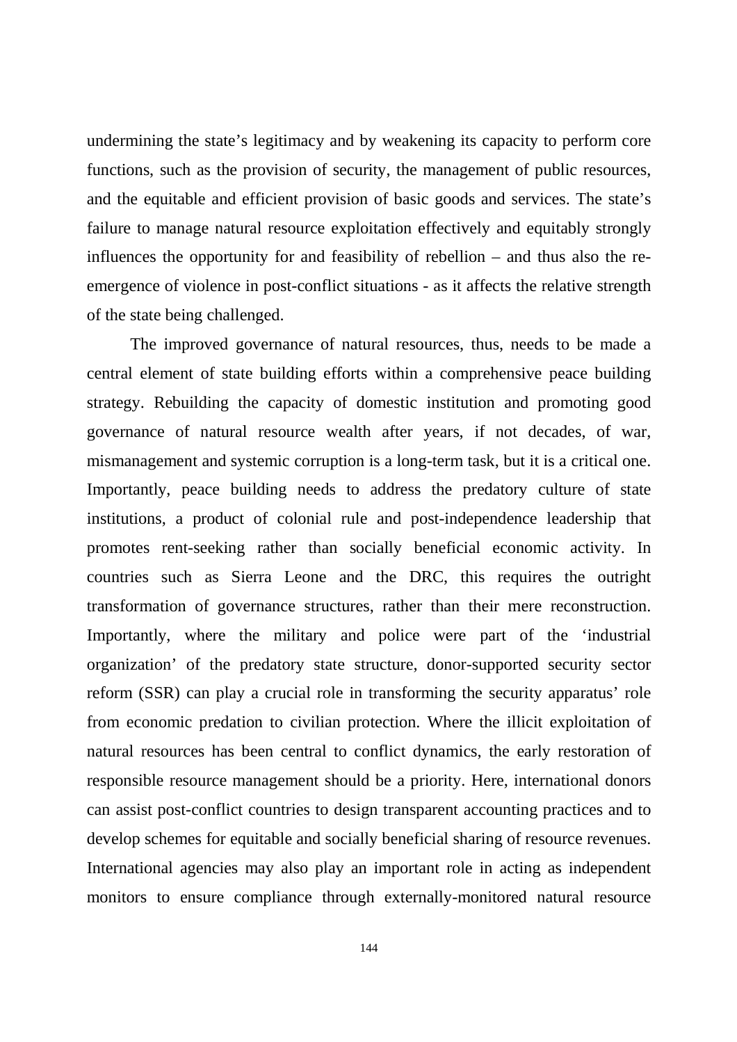undermining the state's legitimacy and by weakening its capacity to perform core functions, such as the provision of security, the management of public resources, and the equitable and efficient provision of basic goods and services. The state's failure to manage natural resource exploitation effectively and equitably strongly influences the opportunity for and feasibility of rebellion – and thus also the reemergence of violence in post-conflict situations - as it affects the relative strength of the state being challenged.

The improved governance of natural resources, thus, needs to be made a central element of state building efforts within a comprehensive peace building strategy. Rebuilding the capacity of domestic institution and promoting good governance of natural resource wealth after years, if not decades, of war, mismanagement and systemic corruption is a long-term task, but it is a critical one. Importantly, peace building needs to address the predatory culture of state institutions, a product of colonial rule and post-independence leadership that promotes rent-seeking rather than socially beneficial economic activity. In countries such as Sierra Leone and the DRC, this requires the outright transformation of governance structures, rather than their mere reconstruction. Importantly, where the military and police were part of the 'industrial organization' of the predatory state structure, donor-supported security sector reform (SSR) can play a crucial role in transforming the security apparatus' role from economic predation to civilian protection. Where the illicit exploitation of natural resources has been central to conflict dynamics, the early restoration of responsible resource management should be a priority. Here, international donors can assist post-conflict countries to design transparent accounting practices and to develop schemes for equitable and socially beneficial sharing of resource revenues. International agencies may also play an important role in acting as independent monitors to ensure compliance through externally-monitored natural resource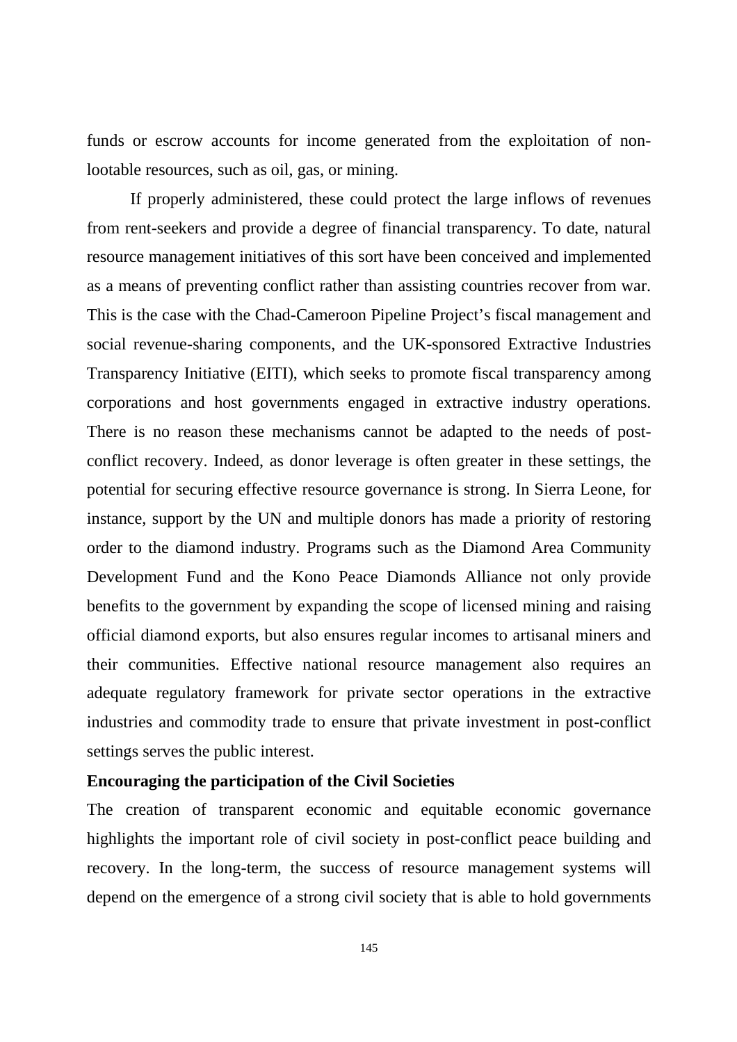funds or escrow accounts for income generated from the exploitation of nonlootable resources, such as oil, gas, or mining.

If properly administered, these could protect the large inflows of revenues from rent-seekers and provide a degree of financial transparency. To date, natural resource management initiatives of this sort have been conceived and implemented as a means of preventing conflict rather than assisting countries recover from war. This is the case with the Chad-Cameroon Pipeline Project's fiscal management and social revenue-sharing components, and the UK-sponsored Extractive Industries Transparency Initiative (EITI), which seeks to promote fiscal transparency among corporations and host governments engaged in extractive industry operations. There is no reason these mechanisms cannot be adapted to the needs of postconflict recovery. Indeed, as donor leverage is often greater in these settings, the potential for securing effective resource governance is strong. In Sierra Leone, for instance, support by the UN and multiple donors has made a priority of restoring order to the diamond industry. Programs such as the Diamond Area Community Development Fund and the Kono Peace Diamonds Alliance not only provide benefits to the government by expanding the scope of licensed mining and raising official diamond exports, but also ensures regular incomes to artisanal miners and their communities. Effective national resource management also requires an adequate regulatory framework for private sector operations in the extractive industries and commodity trade to ensure that private investment in post-conflict settings serves the public interest.

#### **Encouraging the participation of the Civil Societies**

The creation of transparent economic and equitable economic governance highlights the important role of civil society in post-conflict peace building and recovery. In the long-term, the success of resource management systems will depend on the emergence of a strong civil society that is able to hold governments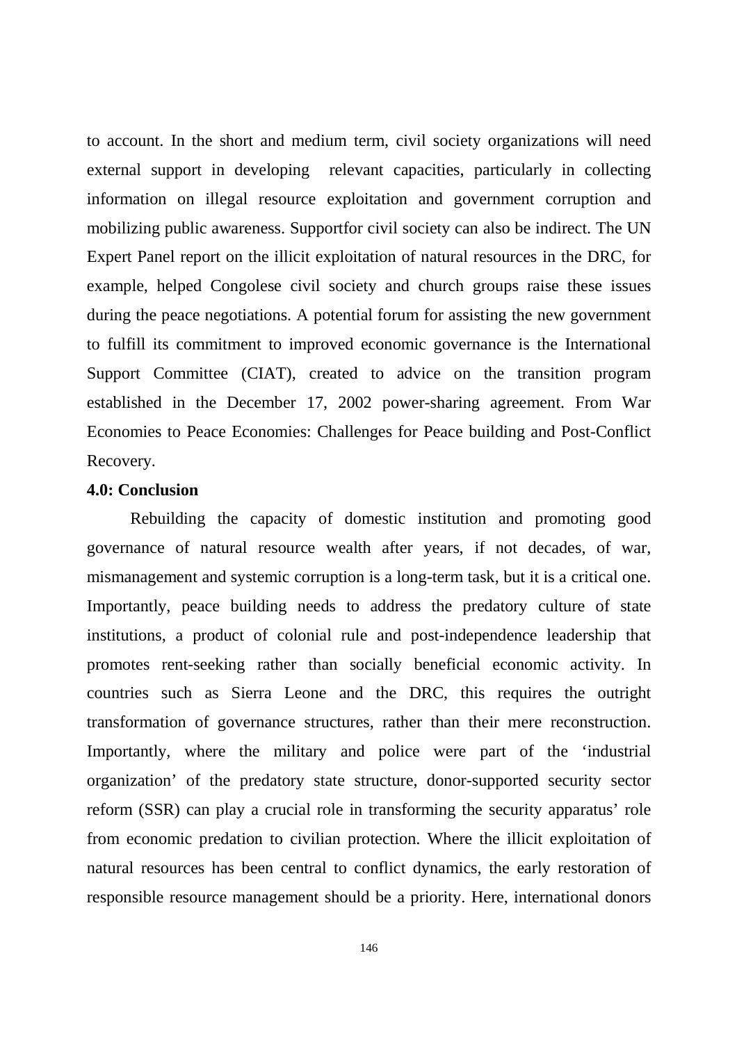to account. In the short and medium term, civil society organizations will need external support in developing relevant capacities, particularly in collecting information on illegal resource exploitation and government corruption and mobilizing public awareness. Supportfor civil society can also be indirect. The UN Expert Panel report on the illicit exploitation of natural resources in the DRC, for example, helped Congolese civil society and church groups raise these issues during the peace negotiations. A potential forum for assisting the new government to fulfill its commitment to improved economic governance is the International Support Committee (CIAT), created to advice on the transition program established in the December 17, 2002 power-sharing agreement. From War Economies to Peace Economies: Challenges for Peace building and Post-Conflict Recovery.

### **4.0: Conclusion**

Rebuilding the capacity of domestic institution and promoting good governance of natural resource wealth after years, if not decades, of war, mismanagement and systemic corruption is a long-term task, but it is a critical one. Importantly, peace building needs to address the predatory culture of state institutions, a product of colonial rule and post-independence leadership that promotes rent-seeking rather than socially beneficial economic activity. In countries such as Sierra Leone and the DRC, this requires the outright transformation of governance structures, rather than their mere reconstruction. Importantly, where the military and police were part of the 'industrial organization' of the predatory state structure, donor-supported security sector reform (SSR) can play a crucial role in transforming the security apparatus' role from economic predation to civilian protection. Where the illicit exploitation of natural resources has been central to conflict dynamics, the early restoration of responsible resource management should be a priority. Here, international donors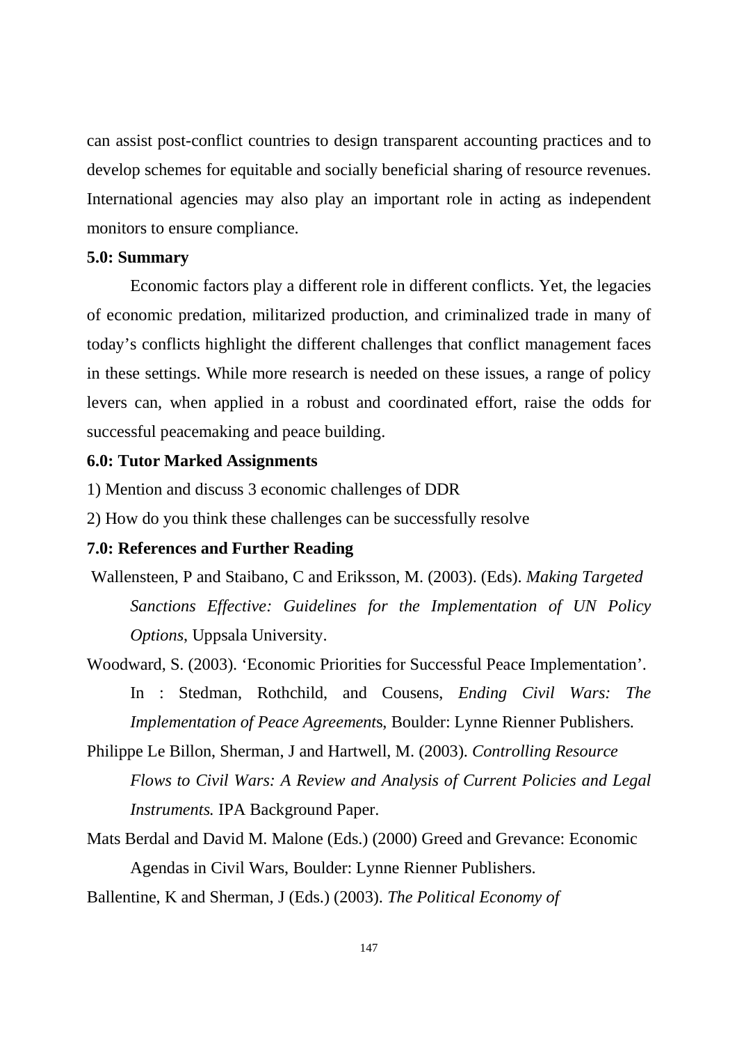can assist post-conflict countries to design transparent accounting practices and to develop schemes for equitable and socially beneficial sharing of resource revenues. International agencies may also play an important role in acting as independent monitors to ensure compliance.

#### **5.0: Summary**

Economic factors play a different role in different conflicts. Yet, the legacies of economic predation, militarized production, and criminalized trade in many of today's conflicts highlight the different challenges that conflict management faces in these settings. While more research is needed on these issues, a range of policy levers can, when applied in a robust and coordinated effort, raise the odds for successful peacemaking and peace building.

### **6.0: Tutor Marked Assignments**

1) Mention and discuss 3 economic challenges of DDR

2) How do you think these challenges can be successfully resolve

# **7.0: References and Further Reading**

- Wallensteen, P and Staibano, C and Eriksson, M. (2003). (Eds). *Making Targeted Sanctions Effective: Guidelines for the Implementation of UN Policy Options*, Uppsala University.
- Woodward, S. (2003). 'Economic Priorities for Successful Peace Implementation'. In : Stedman, Rothchild, and Cousens, *Ending Civil Wars: The Implementation of Peace Agreement*s, Boulder: Lynne Rienner Publishers.
- Philippe Le Billon, Sherman, J and Hartwell, M. (2003). *Controlling Resource Flows to Civil Wars: A Review and Analysis of Current Policies and Legal Instruments.* IPA Background Paper.
- Mats Berdal and David M. Malone (Eds.) (2000) Greed and Grevance: Economic Agendas in Civil Wars, Boulder: Lynne Rienner Publishers.
- Ballentine, K and Sherman, J (Eds.) (2003). *The Political Economy of*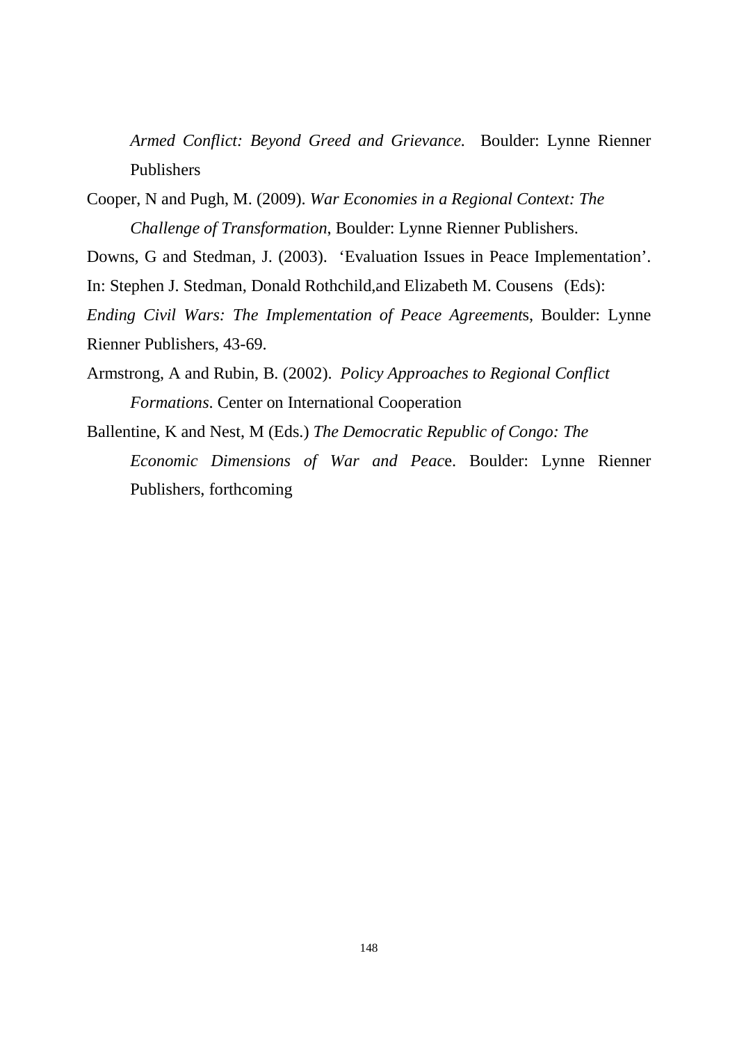*Armed Conflict: Beyond Greed and Grievance.* Boulder: Lynne Rienner Publishers

Cooper, N and Pugh, M. (2009). *War Economies in a Regional Context: The Challenge of Transformation*, Boulder: Lynne Rienner Publishers.

Downs, G and Stedman, J. (2003). 'Evaluation Issues in Peace Implementation'.

- In: Stephen J. Stedman, Donald Rothchild,and Elizabeth M. Cousens (Eds):
- *Ending Civil Wars: The Implementation of Peace Agreement*s, Boulder: Lynne Rienner Publishers, 43-69.
- Armstrong, A and Rubin, B. (2002). *Policy Approaches to Regional Conflict Formations*. Center on International Cooperation
- Ballentine, K and Nest, M (Eds.) *The Democratic Republic of Congo: The Economic Dimensions of War and Peac*e. Boulder: Lynne Rienner Publishers, forthcoming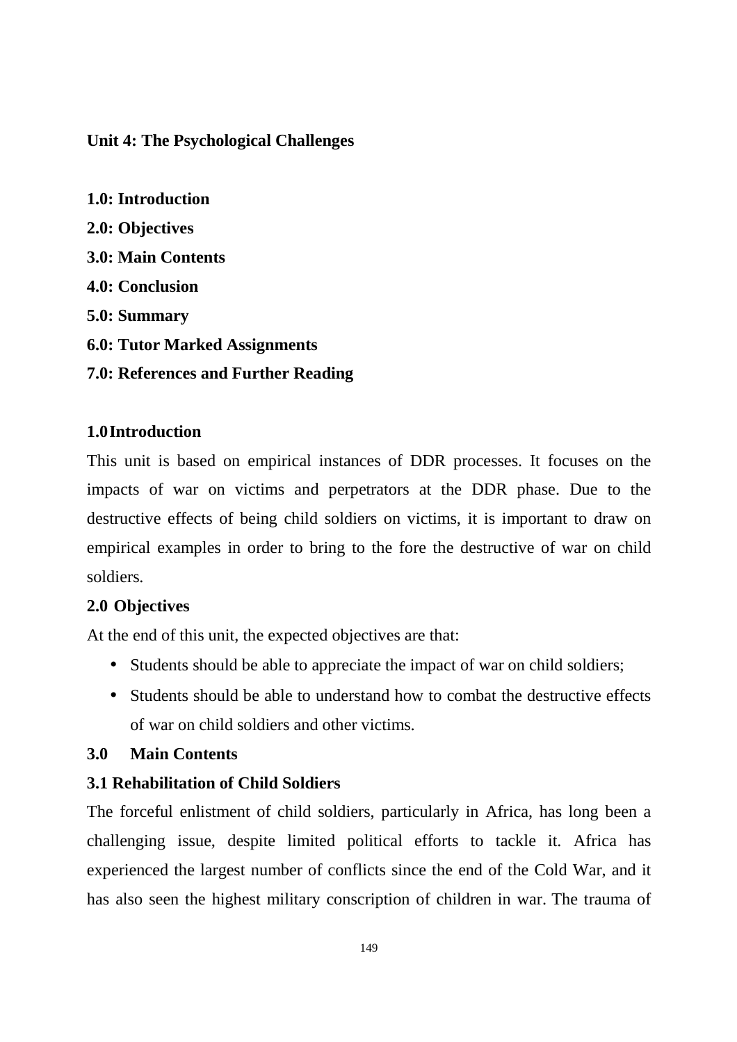# **Unit 4: The Psychological Challenges**

**1.0: Introduction 2.0: Objectives 3.0: Main Contents 4.0: Conclusion 5.0: Summary 6.0: Tutor Marked Assignments 7.0: References and Further Reading** 

# **1.0Introduction**

This unit is based on empirical instances of DDR processes. It focuses on the impacts of war on victims and perpetrators at the DDR phase. Due to the destructive effects of being child soldiers on victims, it is important to draw on empirical examples in order to bring to the fore the destructive of war on child soldiers.

# **2.0 Objectives**

At the end of this unit, the expected objectives are that:

- Students should be able to appreciate the impact of war on child soldiers;
- Students should be able to understand how to combat the destructive effects of war on child soldiers and other victims.

# **3.0 Main Contents**

# **3.1 Rehabilitation of Child Soldiers**

The forceful enlistment of child soldiers, particularly in Africa, has long been a challenging issue, despite limited political efforts to tackle it. Africa has experienced the largest number of conflicts since the end of the Cold War, and it has also seen the highest military conscription of children in war. The trauma of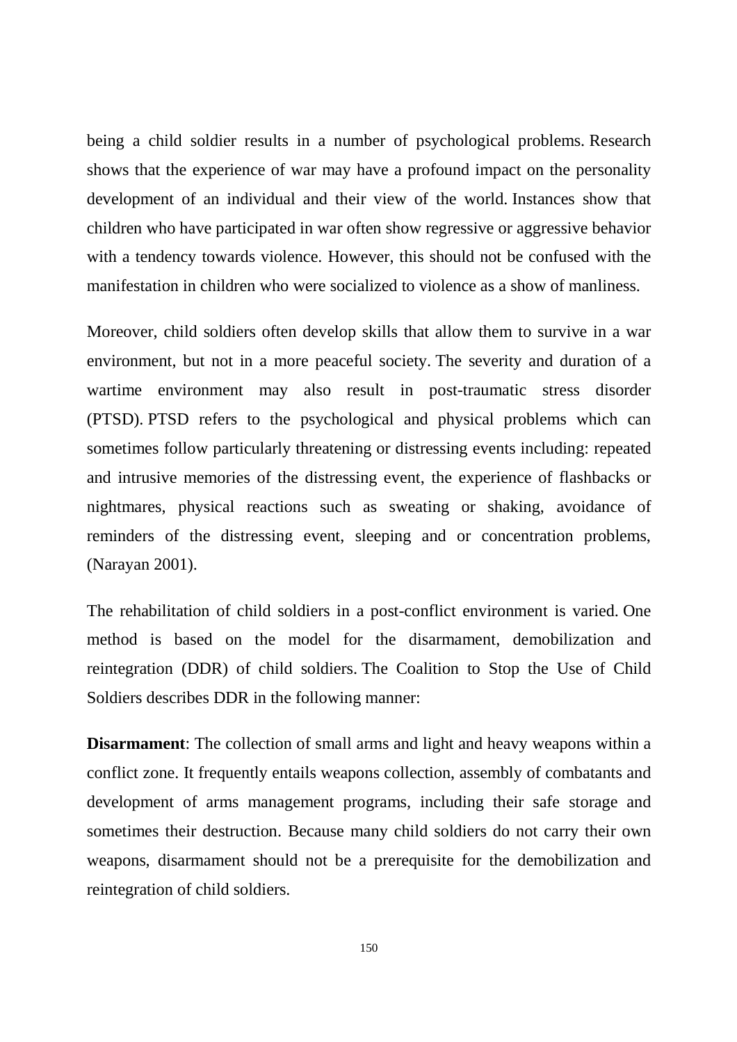being a child soldier results in a number of psychological problems. Research shows that the experience of war may have a profound impact on the personality development of an individual and their view of the world. Instances show that children who have participated in war often show regressive or aggressive behavior with a tendency towards violence. However, this should not be confused with the manifestation in children who were socialized to violence as a show of manliness.

Moreover, child soldiers often develop skills that allow them to survive in a war environment, but not in a more peaceful society. The severity and duration of a wartime environment may also result in post-traumatic stress disorder (PTSD). PTSD refers to the psychological and physical problems which can sometimes follow particularly threatening or distressing events including: repeated and intrusive memories of the distressing event, the experience of flashbacks or nightmares, physical reactions such as sweating or shaking, avoidance of reminders of the distressing event, sleeping and or concentration problems, (Narayan 2001).

The rehabilitation of child soldiers in a post-conflict environment is varied. One method is based on the model for the disarmament, demobilization and reintegration (DDR) of child soldiers. The Coalition to Stop the Use of Child Soldiers describes DDR in the following manner:

**Disarmament:** The collection of small arms and light and heavy weapons within a conflict zone. It frequently entails weapons collection, assembly of combatants and development of arms management programs, including their safe storage and sometimes their destruction. Because many child soldiers do not carry their own weapons, disarmament should not be a prerequisite for the demobilization and reintegration of child soldiers.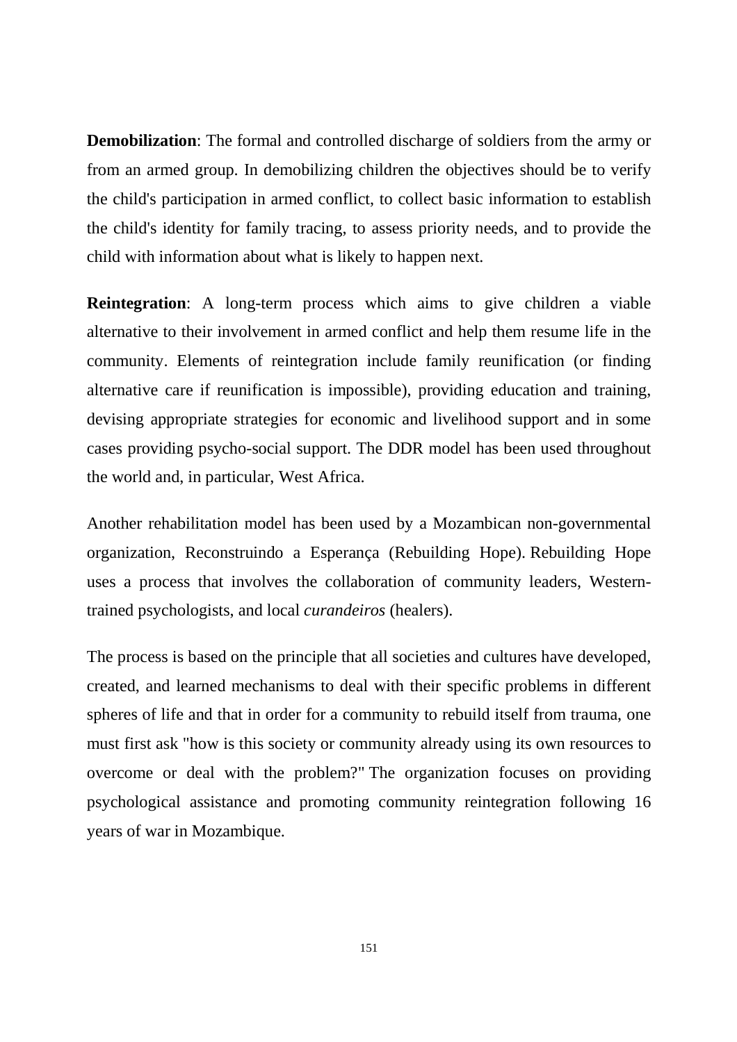**Demobilization**: The formal and controlled discharge of soldiers from the army or from an armed group. In demobilizing children the objectives should be to verify the child's participation in armed conflict, to collect basic information to establish the child's identity for family tracing, to assess priority needs, and to provide the child with information about what is likely to happen next.

**Reintegration**: A long-term process which aims to give children a viable alternative to their involvement in armed conflict and help them resume life in the community. Elements of reintegration include family reunification (or finding alternative care if reunification is impossible), providing education and training, devising appropriate strategies for economic and livelihood support and in some cases providing psycho-social support. The DDR model has been used throughout the world and, in particular, West Africa.

Another rehabilitation model has been used by a Mozambican non-governmental organization, Reconstruindo a Esperança (Rebuilding Hope). Rebuilding Hope uses a process that involves the collaboration of community leaders, Westerntrained psychologists, and local *curandeiros* (healers).

The process is based on the principle that all societies and cultures have developed, created, and learned mechanisms to deal with their specific problems in different spheres of life and that in order for a community to rebuild itself from trauma, one must first ask "how is this society or community already using its own resources to overcome or deal with the problem?" The organization focuses on providing psychological assistance and promoting community reintegration following 16 years of war in Mozambique.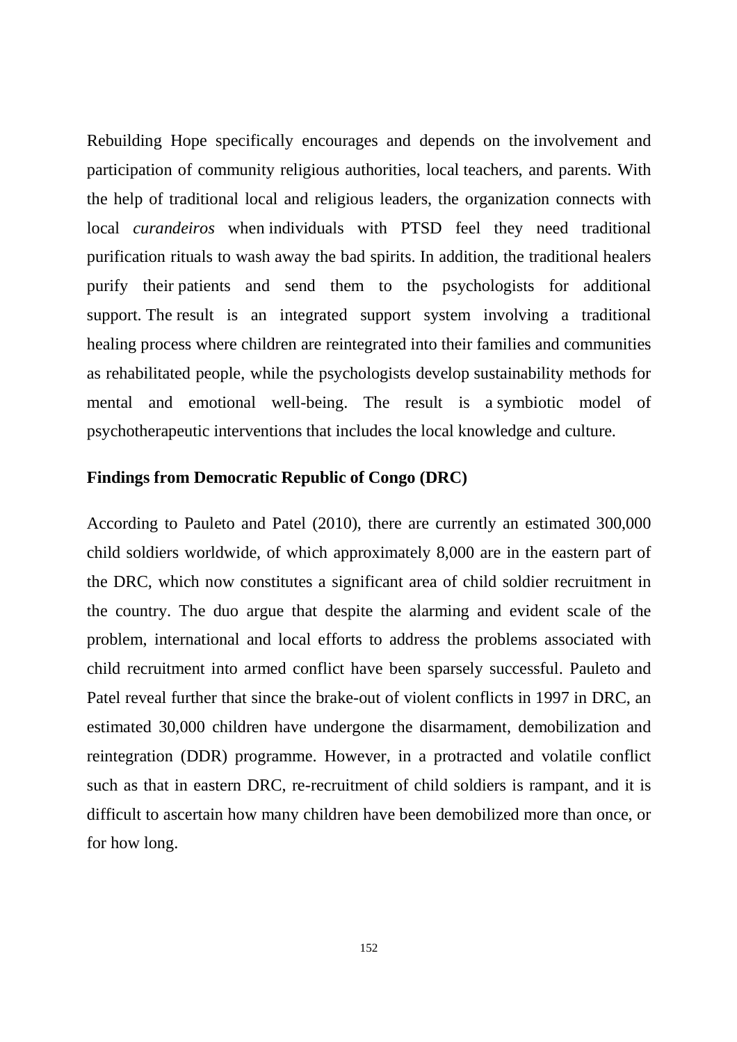Rebuilding Hope specifically encourages and depends on the involvement and participation of community religious authorities, local teachers, and parents. With the help of traditional local and religious leaders, the organization connects with local *curandeiros* when individuals with PTSD feel they need traditional purification rituals to wash away the bad spirits. In addition, the traditional healers purify their patients and send them to the psychologists for additional support. The result is an integrated support system involving a traditional healing process where children are reintegrated into their families and communities as rehabilitated people, while the psychologists develop sustainability methods for mental and emotional well-being. The result is a symbiotic model of psychotherapeutic interventions that includes the local knowledge and culture.

#### **Findings from Democratic Republic of Congo (DRC)**

According to Pauleto and Patel (2010), there are currently an estimated 300,000 child soldiers worldwide, of which approximately 8,000 are in the eastern part of the DRC, which now constitutes a significant area of child soldier recruitment in the country. The duo argue that despite the alarming and evident scale of the problem, international and local efforts to address the problems associated with child recruitment into armed conflict have been sparsely successful. Pauleto and Patel reveal further that since the brake-out of violent conflicts in 1997 in DRC, an estimated 30,000 children have undergone the disarmament, demobilization and reintegration (DDR) programme. However, in a protracted and volatile conflict such as that in eastern DRC, re-recruitment of child soldiers is rampant, and it is difficult to ascertain how many children have been demobilized more than once, or for how long.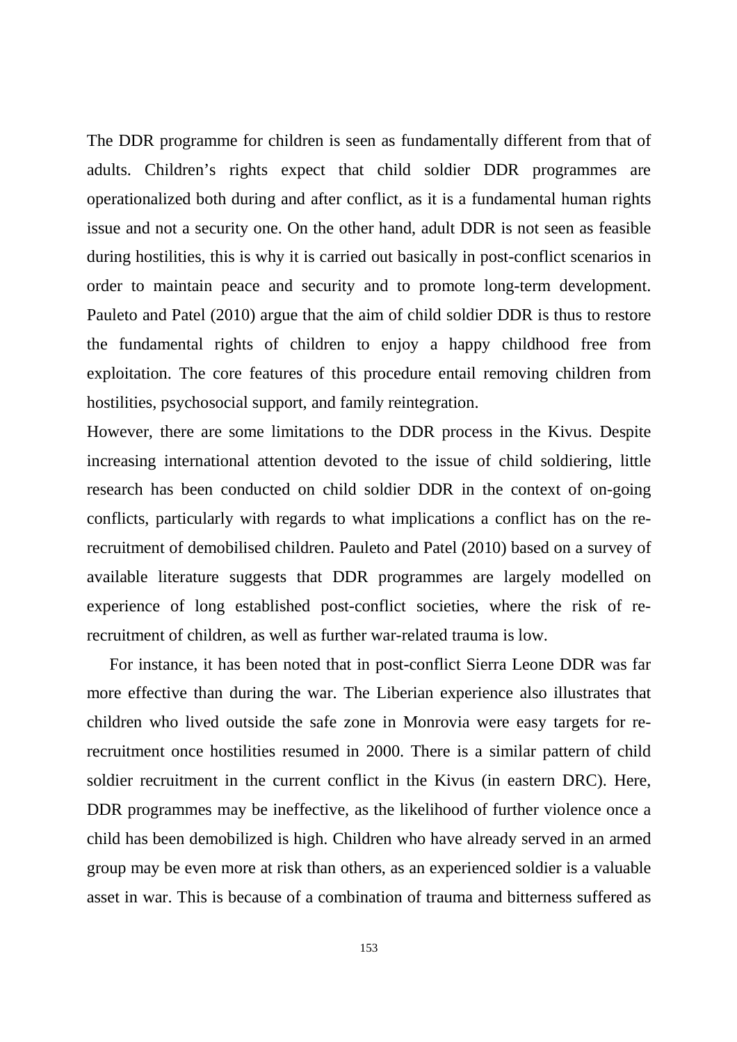The DDR programme for children is seen as fundamentally different from that of adults. Children's rights expect that child soldier DDR programmes are operationalized both during and after conflict, as it is a fundamental human rights issue and not a security one. On the other hand, adult DDR is not seen as feasible during hostilities, this is why it is carried out basically in post-conflict scenarios in order to maintain peace and security and to promote long-term development. Pauleto and Patel (2010) argue that the aim of child soldier DDR is thus to restore the fundamental rights of children to enjoy a happy childhood free from exploitation. The core features of this procedure entail removing children from hostilities, psychosocial support, and family reintegration.

However, there are some limitations to the DDR process in the Kivus. Despite increasing international attention devoted to the issue of child soldiering, little research has been conducted on child soldier DDR in the context of on-going conflicts, particularly with regards to what implications a conflict has on the rerecruitment of demobilised children. Pauleto and Patel (2010) based on a survey of available literature suggests that DDR programmes are largely modelled on experience of long established post-conflict societies, where the risk of rerecruitment of children, as well as further war-related trauma is low.

For instance, it has been noted that in post-conflict Sierra Leone DDR was far more effective than during the war. The Liberian experience also illustrates that children who lived outside the safe zone in Monrovia were easy targets for rerecruitment once hostilities resumed in 2000. There is a similar pattern of child soldier recruitment in the current conflict in the Kivus (in eastern DRC). Here, DDR programmes may be ineffective, as the likelihood of further violence once a child has been demobilized is high. Children who have already served in an armed group may be even more at risk than others, as an experienced soldier is a valuable asset in war. This is because of a combination of trauma and bitterness suffered as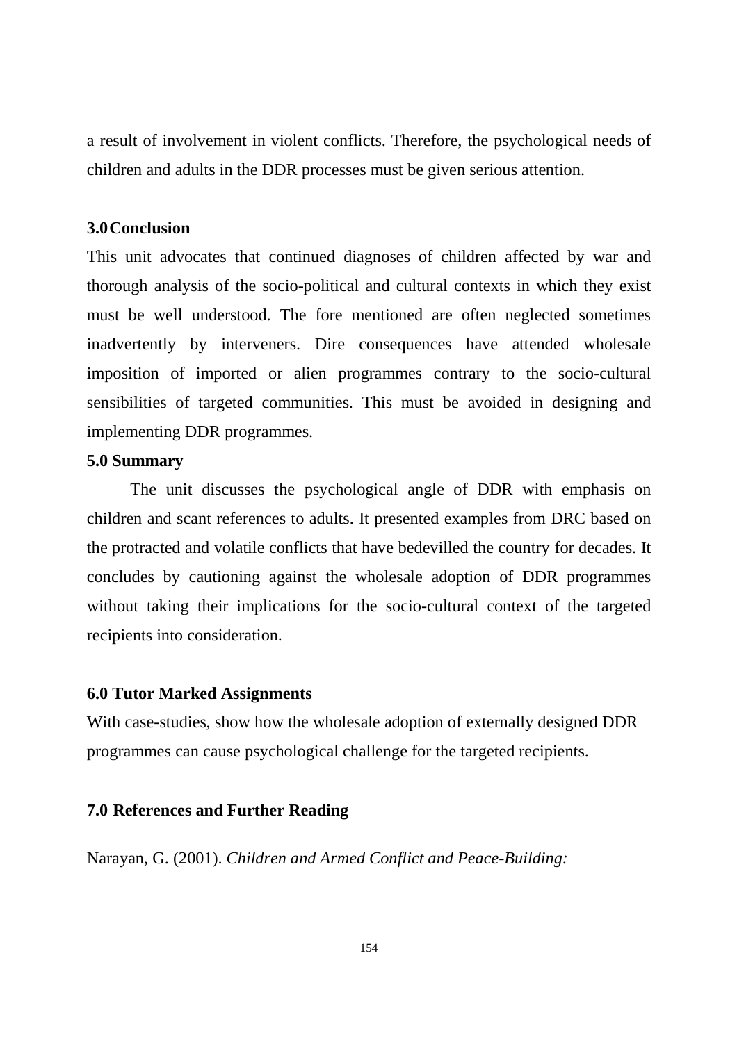a result of involvement in violent conflicts. Therefore, the psychological needs of children and adults in the DDR processes must be given serious attention.

### **3.0Conclusion**

This unit advocates that continued diagnoses of children affected by war and thorough analysis of the socio-political and cultural contexts in which they exist must be well understood. The fore mentioned are often neglected sometimes inadvertently by interveners. Dire consequences have attended wholesale imposition of imported or alien programmes contrary to the socio-cultural sensibilities of targeted communities. This must be avoided in designing and implementing DDR programmes.

### **5.0 Summary**

 The unit discusses the psychological angle of DDR with emphasis on children and scant references to adults. It presented examples from DRC based on the protracted and volatile conflicts that have bedevilled the country for decades. It concludes by cautioning against the wholesale adoption of DDR programmes without taking their implications for the socio-cultural context of the targeted recipients into consideration.

#### **6.0 Tutor Marked Assignments**

With case-studies, show how the wholesale adoption of externally designed DDR programmes can cause psychological challenge for the targeted recipients.

#### **7.0 References and Further Reading**

Narayan, G. (2001). *Children and Armed Conflict and Peace-Building:*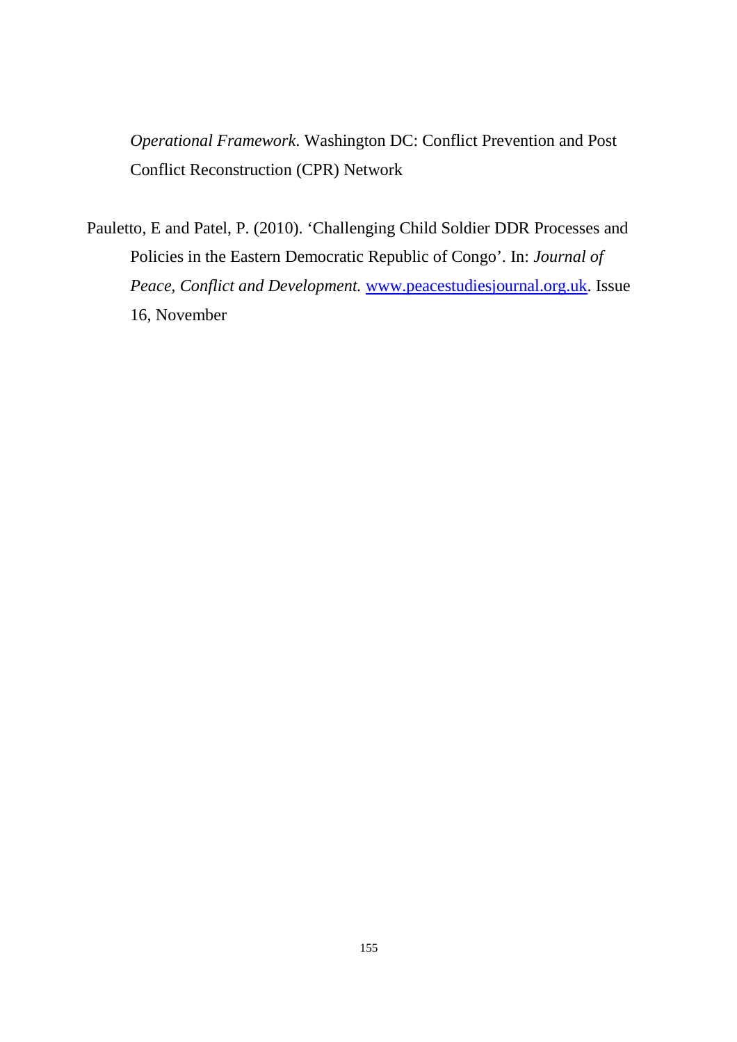*Operational Framework*. Washington DC: Conflict Prevention and Post Conflict Reconstruction (CPR) Network

Pauletto, E and Patel, P. (2010). 'Challenging Child Soldier DDR Processes and Policies in the Eastern Democratic Republic of Congo'. In: *Journal of Peace, Conflict and Development.* www.peacestudiesjournal.org.uk. Issue 16, November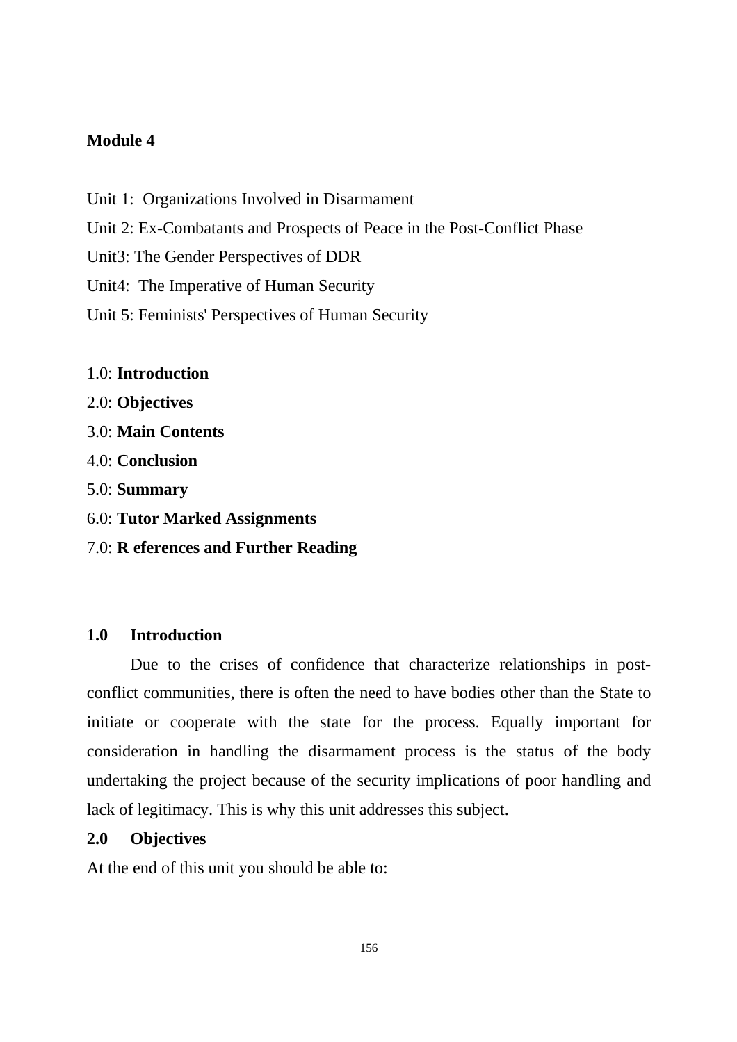## **Module 4**

- Unit 1: Organizations Involved in Disarmament Unit 2: Ex-Combatants and Prospects of Peace in the Post-Conflict Phase Unit3: The Gender Perspectives of DDR Unit4: The Imperative of Human Security Unit 5: Feminists' Perspectives of Human Security
- 1.0: **Introduction**  2.0: **Objectives**  3.0: **Main Contents** 4.0: **Conclusion**  5.0: **Summary**  6.0: **Tutor Marked Assignments** 7.0: **R eferences and Further Reading**

# **1.0 Introduction**

 Due to the crises of confidence that characterize relationships in postconflict communities, there is often the need to have bodies other than the State to initiate or cooperate with the state for the process. Equally important for consideration in handling the disarmament process is the status of the body undertaking the project because of the security implications of poor handling and lack of legitimacy. This is why this unit addresses this subject.

### **2.0 Objectives**

At the end of this unit you should be able to: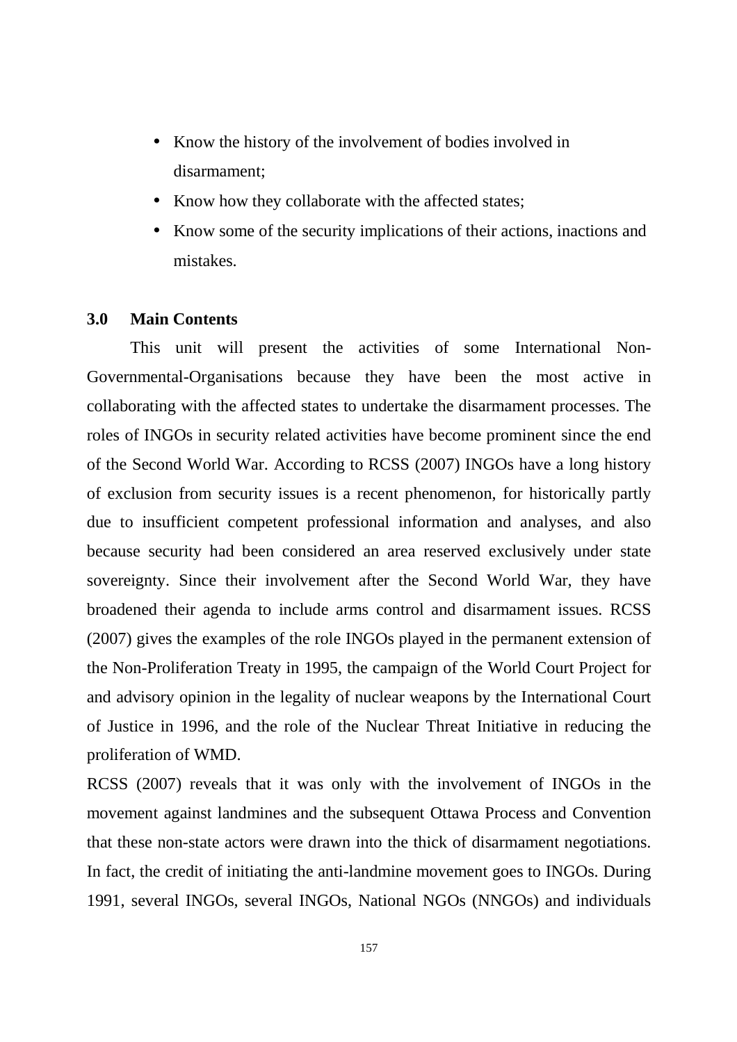- Know the history of the involvement of bodies involved in disarmament;
- Know how they collaborate with the affected states;
- Know some of the security implications of their actions, inactions and mistakes.

## **3.0 Main Contents**

 This unit will present the activities of some International Non-Governmental-Organisations because they have been the most active in collaborating with the affected states to undertake the disarmament processes. The roles of INGOs in security related activities have become prominent since the end of the Second World War. According to RCSS (2007) INGOs have a long history of exclusion from security issues is a recent phenomenon, for historically partly due to insufficient competent professional information and analyses, and also because security had been considered an area reserved exclusively under state sovereignty. Since their involvement after the Second World War, they have broadened their agenda to include arms control and disarmament issues. RCSS (2007) gives the examples of the role INGOs played in the permanent extension of the Non-Proliferation Treaty in 1995, the campaign of the World Court Project for and advisory opinion in the legality of nuclear weapons by the International Court of Justice in 1996, and the role of the Nuclear Threat Initiative in reducing the proliferation of WMD.

RCSS (2007) reveals that it was only with the involvement of INGOs in the movement against landmines and the subsequent Ottawa Process and Convention that these non-state actors were drawn into the thick of disarmament negotiations. In fact, the credit of initiating the anti-landmine movement goes to INGOs. During 1991, several INGOs, several INGOs, National NGOs (NNGOs) and individuals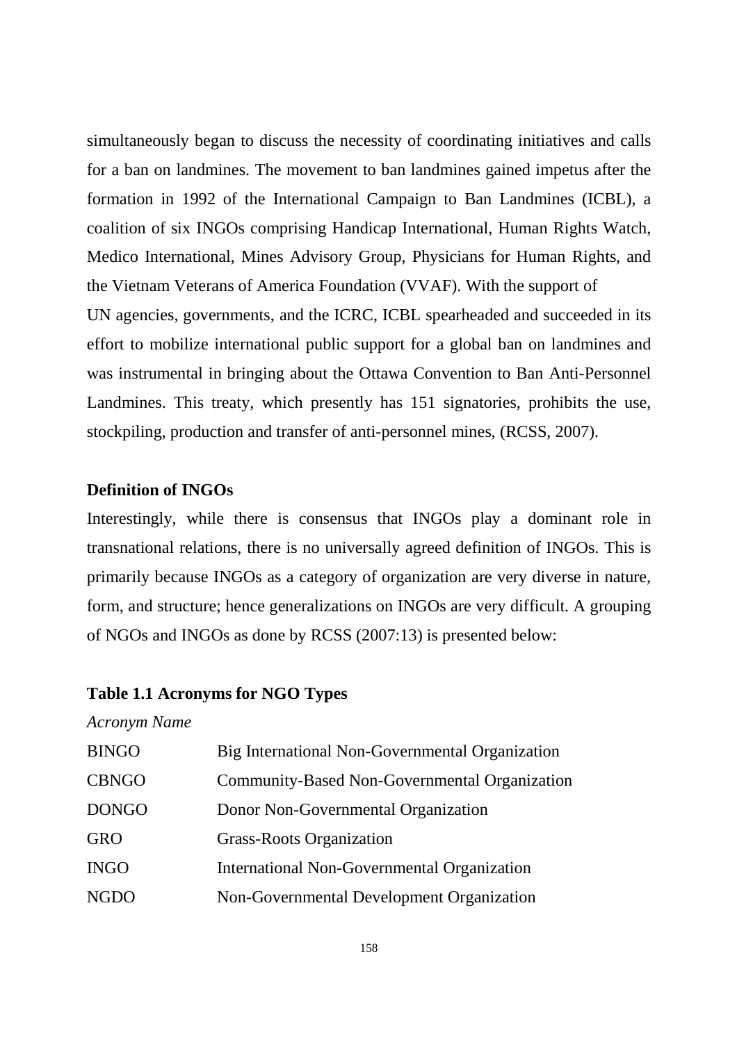simultaneously began to discuss the necessity of coordinating initiatives and calls for a ban on landmines. The movement to ban landmines gained impetus after the formation in 1992 of the International Campaign to Ban Landmines (ICBL), a coalition of six INGOs comprising Handicap International, Human Rights Watch, Medico International, Mines Advisory Group, Physicians for Human Rights, and the Vietnam Veterans of America Foundation (VVAF). With the support of UN agencies, governments, and the ICRC, ICBL spearheaded and succeeded in its effort to mobilize international public support for a global ban on landmines and was instrumental in bringing about the Ottawa Convention to Ban Anti-Personnel Landmines. This treaty, which presently has 151 signatories, prohibits the use, stockpiling, production and transfer of anti-personnel mines, (RCSS, 2007).

### **Definition of INGOs**

Interestingly, while there is consensus that INGOs play a dominant role in transnational relations, there is no universally agreed definition of INGOs. This is primarily because INGOs as a category of organization are very diverse in nature, form, and structure; hence generalizations on INGOs are very difficult. A grouping of NGOs and INGOs as done by RCSS (2007:13) is presented below:

#### **Table 1.1 Acronyms for NGO Types**

*Acronym Name* 

| <b>BINGO</b> | Big International Non-Governmental Organization    |
|--------------|----------------------------------------------------|
| <b>CBNGO</b> | Community-Based Non-Governmental Organization      |
| <b>DONGO</b> | Donor Non-Governmental Organization                |
| <b>GRO</b>   | <b>Grass-Roots Organization</b>                    |
| <b>INGO</b>  | <b>International Non-Governmental Organization</b> |
| <b>NGDO</b>  | Non-Governmental Development Organization          |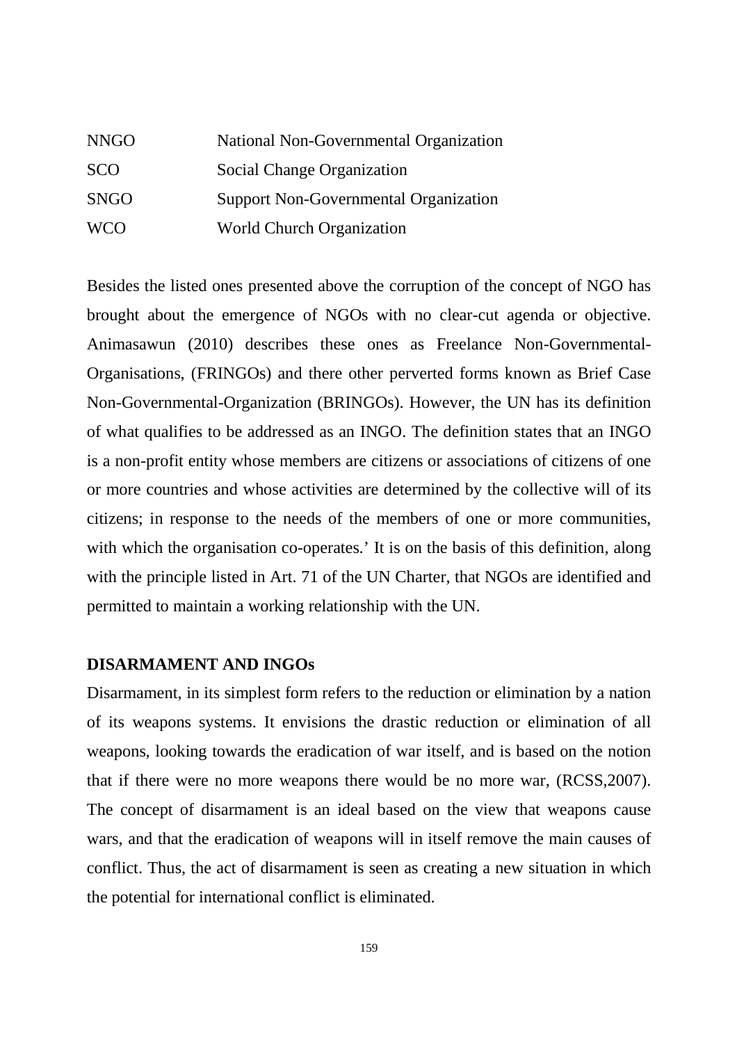| <b>NNGO</b> | National Non-Governmental Organization       |
|-------------|----------------------------------------------|
| <b>SCO</b>  | Social Change Organization                   |
| <b>SNGO</b> | <b>Support Non-Governmental Organization</b> |
| <b>WCO</b>  | World Church Organization                    |

Besides the listed ones presented above the corruption of the concept of NGO has brought about the emergence of NGOs with no clear-cut agenda or objective. Animasawun (2010) describes these ones as Freelance Non-Governmental-Organisations, (FRINGOs) and there other perverted forms known as Brief Case Non-Governmental-Organization (BRINGOs). However, the UN has its definition of what qualifies to be addressed as an INGO. The definition states that an INGO is a non-profit entity whose members are citizens or associations of citizens of one or more countries and whose activities are determined by the collective will of its citizens; in response to the needs of the members of one or more communities, with which the organisation co-operates.' It is on the basis of this definition, along with the principle listed in Art. 71 of the UN Charter, that NGOs are identified and permitted to maintain a working relationship with the UN.

#### **DISARMAMENT AND INGOs**

Disarmament, in its simplest form refers to the reduction or elimination by a nation of its weapons systems. It envisions the drastic reduction or elimination of all weapons, looking towards the eradication of war itself, and is based on the notion that if there were no more weapons there would be no more war, (RCSS,2007). The concept of disarmament is an ideal based on the view that weapons cause wars, and that the eradication of weapons will in itself remove the main causes of conflict. Thus, the act of disarmament is seen as creating a new situation in which the potential for international conflict is eliminated.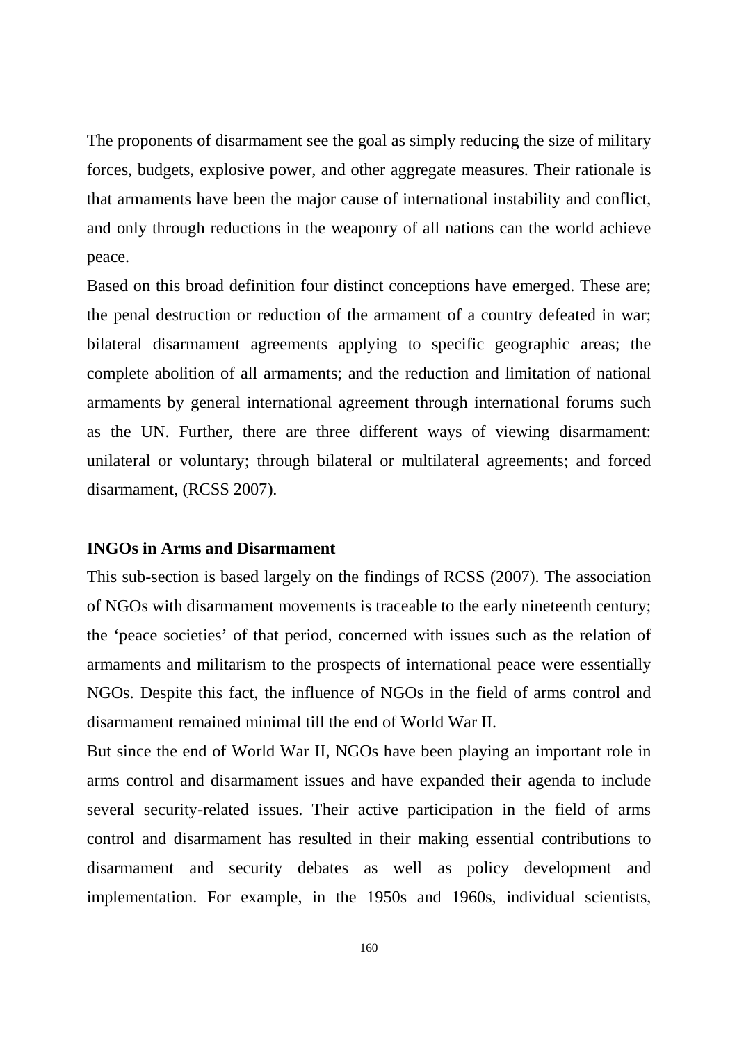The proponents of disarmament see the goal as simply reducing the size of military forces, budgets, explosive power, and other aggregate measures. Their rationale is that armaments have been the major cause of international instability and conflict, and only through reductions in the weaponry of all nations can the world achieve peace.

Based on this broad definition four distinct conceptions have emerged. These are; the penal destruction or reduction of the armament of a country defeated in war; bilateral disarmament agreements applying to specific geographic areas; the complete abolition of all armaments; and the reduction and limitation of national armaments by general international agreement through international forums such as the UN. Further, there are three different ways of viewing disarmament: unilateral or voluntary; through bilateral or multilateral agreements; and forced disarmament, (RCSS 2007).

### **INGOs in Arms and Disarmament**

This sub-section is based largely on the findings of RCSS (2007). The association of NGOs with disarmament movements is traceable to the early nineteenth century; the 'peace societies' of that period, concerned with issues such as the relation of armaments and militarism to the prospects of international peace were essentially NGOs. Despite this fact, the influence of NGOs in the field of arms control and disarmament remained minimal till the end of World War II.

But since the end of World War II, NGOs have been playing an important role in arms control and disarmament issues and have expanded their agenda to include several security-related issues. Their active participation in the field of arms control and disarmament has resulted in their making essential contributions to disarmament and security debates as well as policy development and implementation. For example, in the 1950s and 1960s, individual scientists,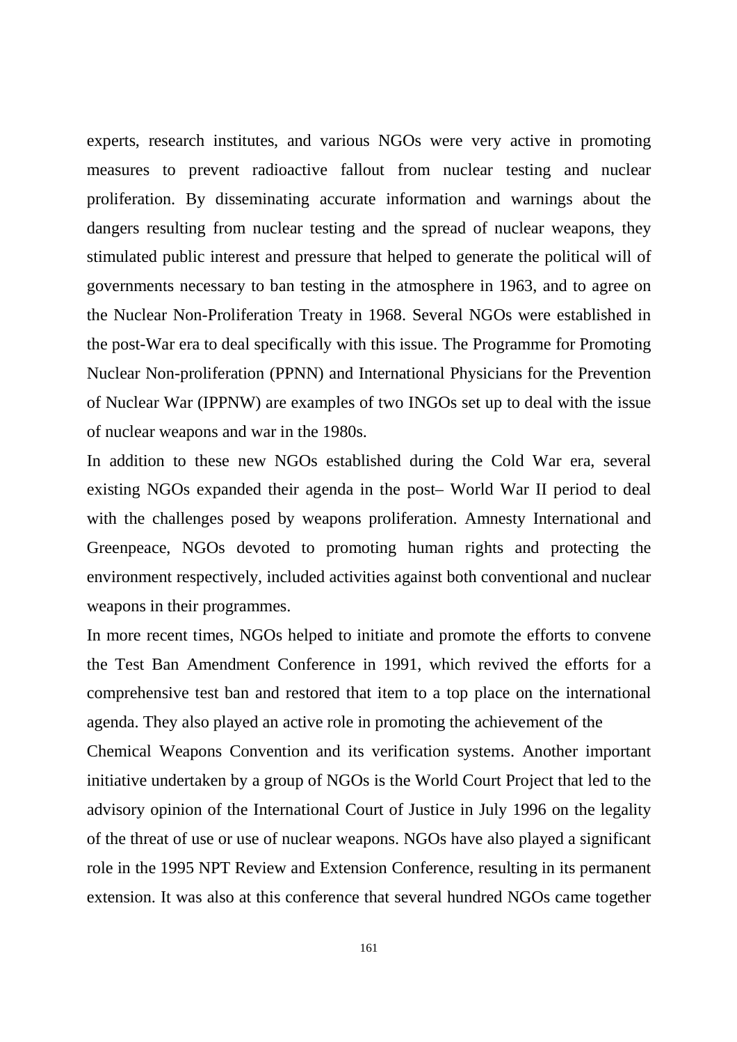experts, research institutes, and various NGOs were very active in promoting measures to prevent radioactive fallout from nuclear testing and nuclear proliferation. By disseminating accurate information and warnings about the dangers resulting from nuclear testing and the spread of nuclear weapons, they stimulated public interest and pressure that helped to generate the political will of governments necessary to ban testing in the atmosphere in 1963, and to agree on the Nuclear Non-Proliferation Treaty in 1968. Several NGOs were established in the post-War era to deal specifically with this issue. The Programme for Promoting Nuclear Non-proliferation (PPNN) and International Physicians for the Prevention of Nuclear War (IPPNW) are examples of two INGOs set up to deal with the issue of nuclear weapons and war in the 1980s.

In addition to these new NGOs established during the Cold War era, several existing NGOs expanded their agenda in the post– World War II period to deal with the challenges posed by weapons proliferation. Amnesty International and Greenpeace, NGOs devoted to promoting human rights and protecting the environment respectively, included activities against both conventional and nuclear weapons in their programmes.

In more recent times, NGOs helped to initiate and promote the efforts to convene the Test Ban Amendment Conference in 1991, which revived the efforts for a comprehensive test ban and restored that item to a top place on the international agenda. They also played an active role in promoting the achievement of the Chemical Weapons Convention and its verification systems. Another important initiative undertaken by a group of NGOs is the World Court Project that led to the advisory opinion of the International Court of Justice in July 1996 on the legality of the threat of use or use of nuclear weapons. NGOs have also played a significant role in the 1995 NPT Review and Extension Conference, resulting in its permanent extension. It was also at this conference that several hundred NGOs came together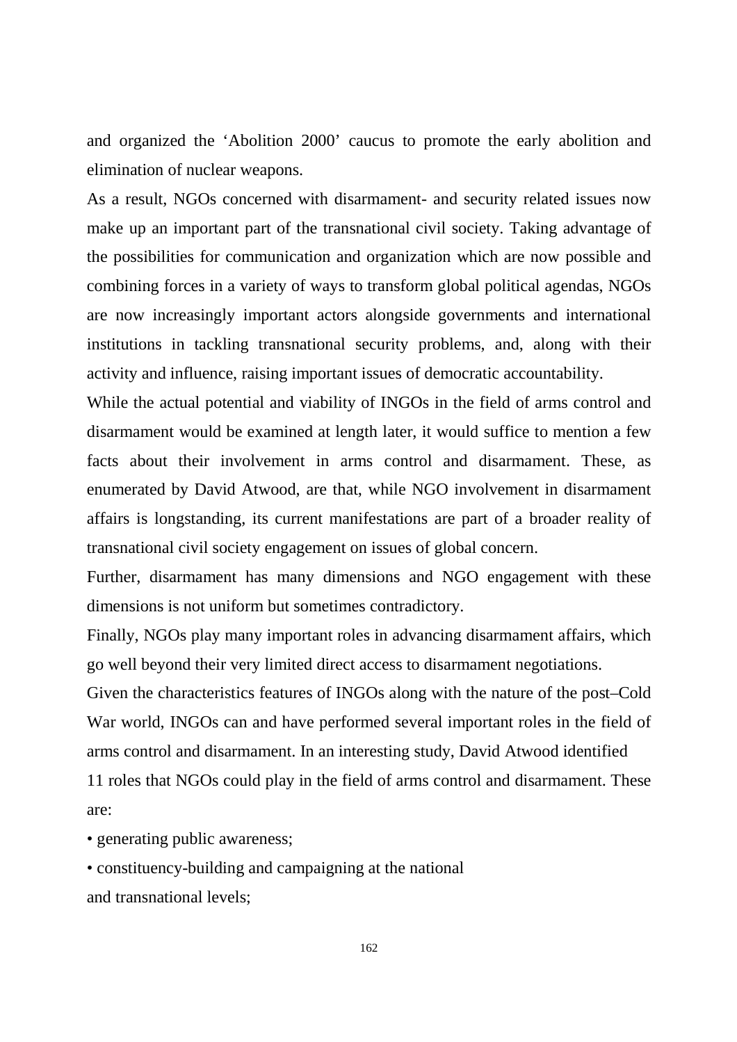and organized the 'Abolition 2000' caucus to promote the early abolition and elimination of nuclear weapons.

As a result, NGOs concerned with disarmament- and security related issues now make up an important part of the transnational civil society. Taking advantage of the possibilities for communication and organization which are now possible and combining forces in a variety of ways to transform global political agendas, NGOs are now increasingly important actors alongside governments and international institutions in tackling transnational security problems, and, along with their activity and influence, raising important issues of democratic accountability.

While the actual potential and viability of INGOs in the field of arms control and disarmament would be examined at length later, it would suffice to mention a few facts about their involvement in arms control and disarmament. These, as enumerated by David Atwood, are that, while NGO involvement in disarmament affairs is longstanding, its current manifestations are part of a broader reality of transnational civil society engagement on issues of global concern.

Further, disarmament has many dimensions and NGO engagement with these dimensions is not uniform but sometimes contradictory.

Finally, NGOs play many important roles in advancing disarmament affairs, which go well beyond their very limited direct access to disarmament negotiations.

Given the characteristics features of INGOs along with the nature of the post–Cold War world, INGOs can and have performed several important roles in the field of arms control and disarmament. In an interesting study, David Atwood identified 11 roles that NGOs could play in the field of arms control and disarmament. These are:

• generating public awareness;

• constituency-building and campaigning at the national and transnational levels;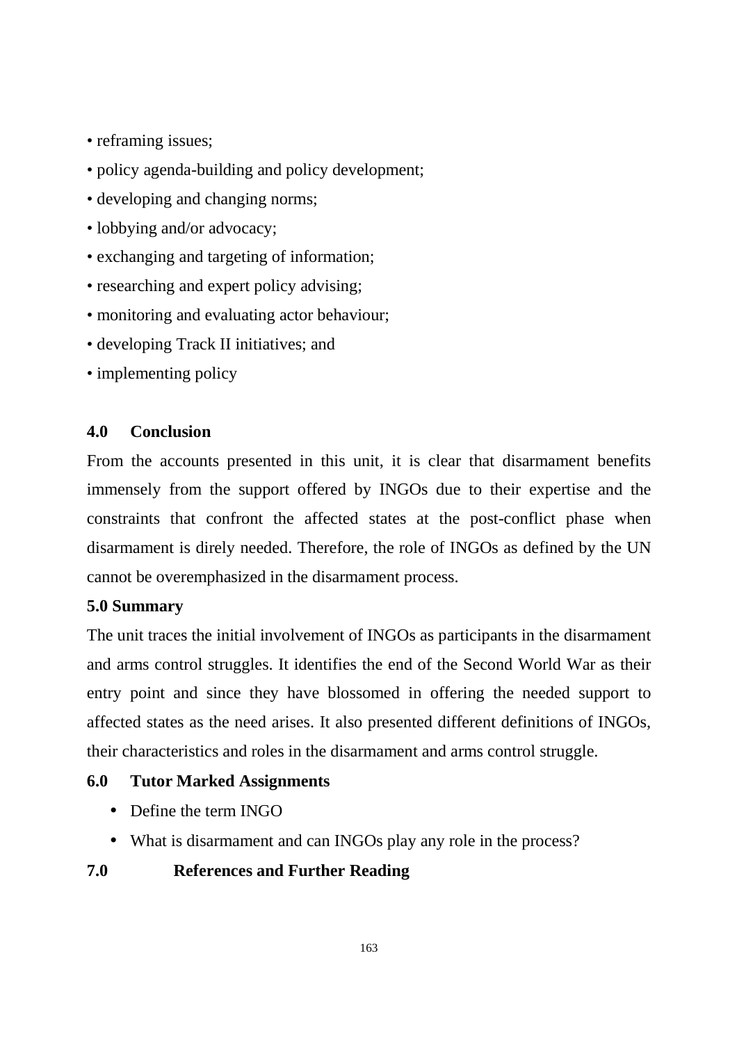- reframing issues;
- policy agenda-building and policy development;
- developing and changing norms;
- lobbying and/or advocacy;
- exchanging and targeting of information;
- researching and expert policy advising;
- monitoring and evaluating actor behaviour;
- developing Track II initiatives; and
- implementing policy

### **4.0 Conclusion**

From the accounts presented in this unit, it is clear that disarmament benefits immensely from the support offered by INGOs due to their expertise and the constraints that confront the affected states at the post-conflict phase when disarmament is direly needed. Therefore, the role of INGOs as defined by the UN cannot be overemphasized in the disarmament process.

### **5.0 Summary**

The unit traces the initial involvement of INGOs as participants in the disarmament and arms control struggles. It identifies the end of the Second World War as their entry point and since they have blossomed in offering the needed support to affected states as the need arises. It also presented different definitions of INGOs, their characteristics and roles in the disarmament and arms control struggle.

# **6.0 Tutor Marked Assignments**

- Define the term **INGO**
- What is disarmament and can INGOs play any role in the process?

# **7.0 References and Further Reading**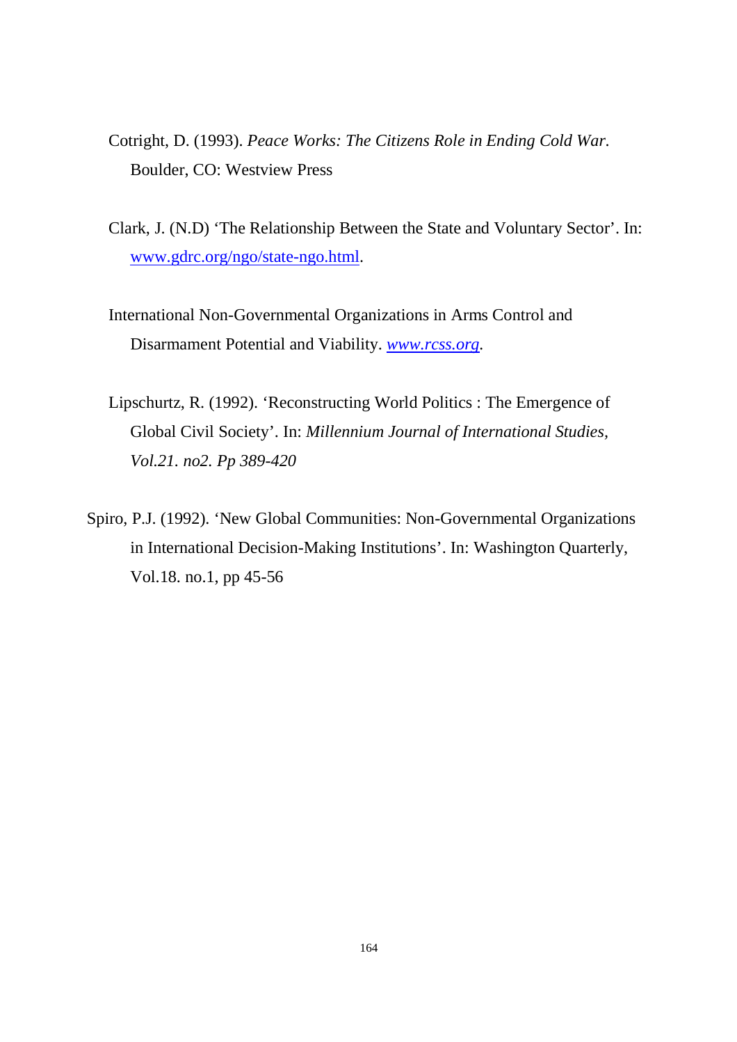- Cotright, D. (1993). *Peace Works: The Citizens Role in Ending Cold War*. Boulder, CO: Westview Press
- Clark, J. (N.D) 'The Relationship Between the State and Voluntary Sector'. In: www.gdrc.org/ngo/state-ngo.html.
- International Non-Governmental Organizations in Arms Control and Disarmament Potential and Viability. *www.rcss.org.*
- Lipschurtz, R. (1992). 'Reconstructing World Politics : The Emergence of Global Civil Society'. In: *Millennium Journal of International Studies, Vol.21. no2. Pp 389-420*
- Spiro, P.J. (1992). 'New Global Communities: Non-Governmental Organizations in International Decision-Making Institutions'. In: Washington Quarterly, Vol.18. no.1, pp 45-56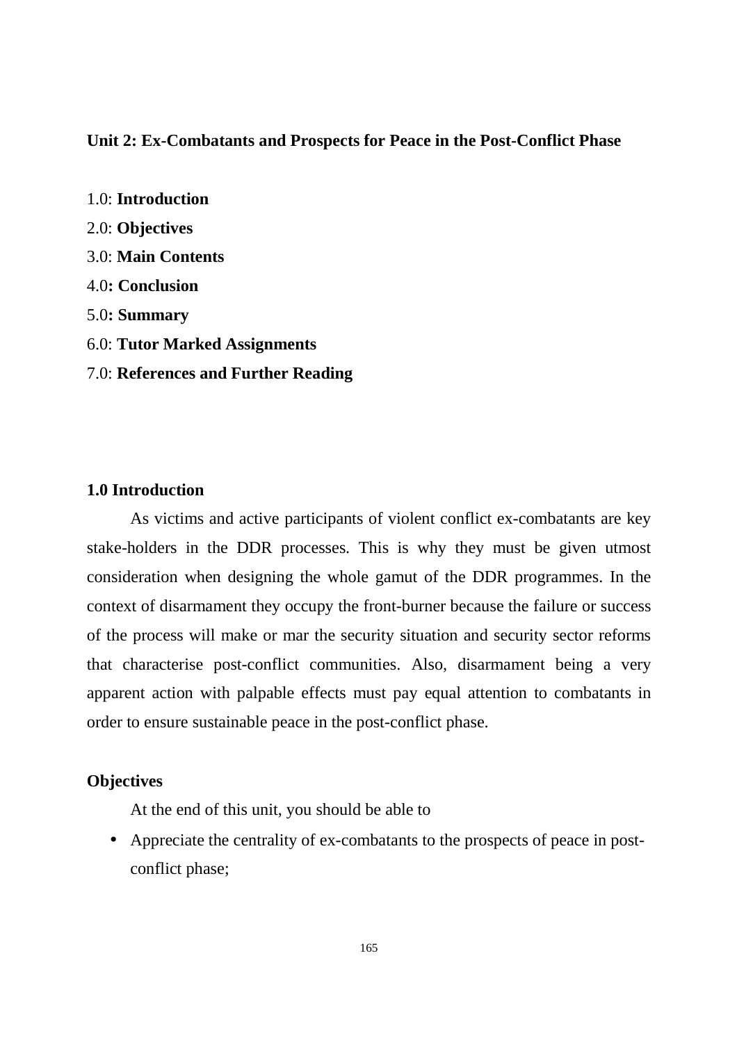#### **Unit 2: Ex-Combatants and Prospects for Peace in the Post-Conflict Phase**

1.0: **Introduction**  2.0: **Objectives**  3.0: **Main Contents** 4.0**: Conclusion**  5.0**: Summary** 6.0: **Tutor Marked Assignments** 7.0: **References and Further Reading** 

### **1.0 Introduction**

 As victims and active participants of violent conflict ex-combatants are key stake-holders in the DDR processes. This is why they must be given utmost consideration when designing the whole gamut of the DDR programmes. In the context of disarmament they occupy the front-burner because the failure or success of the process will make or mar the security situation and security sector reforms that characterise post-conflict communities. Also, disarmament being a very apparent action with palpable effects must pay equal attention to combatants in order to ensure sustainable peace in the post-conflict phase.

### **Objectives**

At the end of this unit, you should be able to

• Appreciate the centrality of ex-combatants to the prospects of peace in postconflict phase;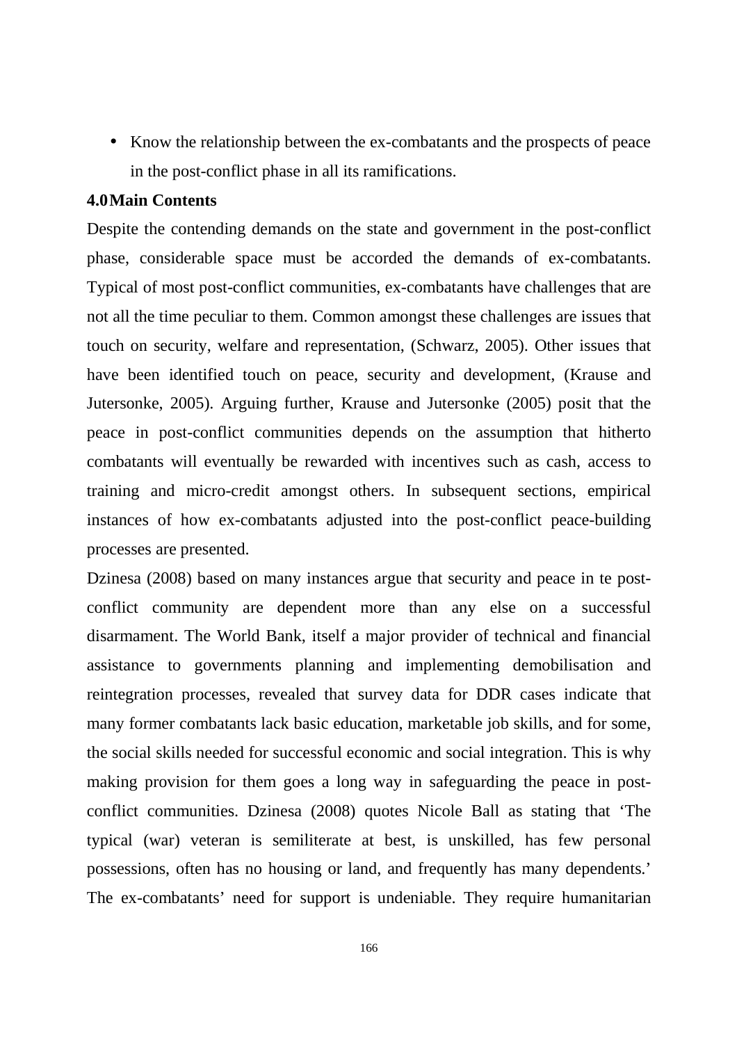• Know the relationship between the ex-combatants and the prospects of peace in the post-conflict phase in all its ramifications.

### **4.0Main Contents**

Despite the contending demands on the state and government in the post-conflict phase, considerable space must be accorded the demands of ex-combatants. Typical of most post-conflict communities, ex-combatants have challenges that are not all the time peculiar to them. Common amongst these challenges are issues that touch on security, welfare and representation, (Schwarz, 2005). Other issues that have been identified touch on peace, security and development, (Krause and Jutersonke, 2005). Arguing further, Krause and Jutersonke (2005) posit that the peace in post-conflict communities depends on the assumption that hitherto combatants will eventually be rewarded with incentives such as cash, access to training and micro-credit amongst others. In subsequent sections, empirical instances of how ex-combatants adjusted into the post-conflict peace-building processes are presented.

Dzinesa (2008) based on many instances argue that security and peace in te postconflict community are dependent more than any else on a successful disarmament. The World Bank, itself a major provider of technical and financial assistance to governments planning and implementing demobilisation and reintegration processes, revealed that survey data for DDR cases indicate that many former combatants lack basic education, marketable job skills, and for some, the social skills needed for successful economic and social integration. This is why making provision for them goes a long way in safeguarding the peace in postconflict communities. Dzinesa (2008) quotes Nicole Ball as stating that 'The typical (war) veteran is semiliterate at best, is unskilled, has few personal possessions, often has no housing or land, and frequently has many dependents.' The ex-combatants' need for support is undeniable. They require humanitarian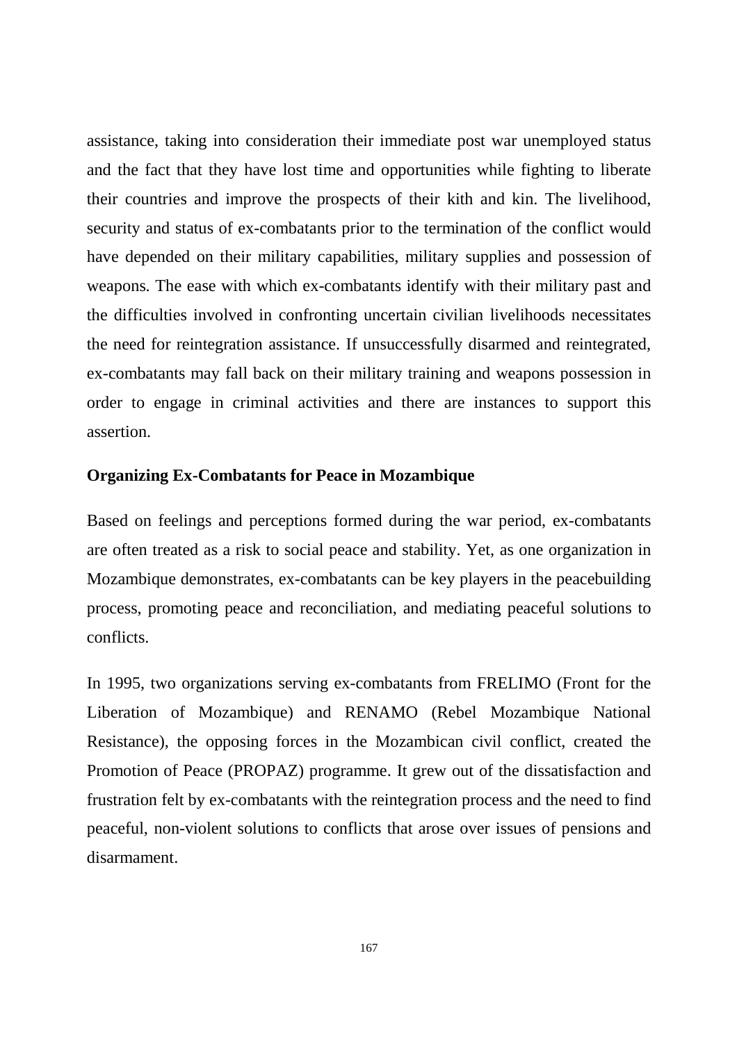assistance, taking into consideration their immediate post war unemployed status and the fact that they have lost time and opportunities while fighting to liberate their countries and improve the prospects of their kith and kin. The livelihood, security and status of ex-combatants prior to the termination of the conflict would have depended on their military capabilities, military supplies and possession of weapons. The ease with which ex-combatants identify with their military past and the difficulties involved in confronting uncertain civilian livelihoods necessitates the need for reintegration assistance. If unsuccessfully disarmed and reintegrated, ex-combatants may fall back on their military training and weapons possession in order to engage in criminal activities and there are instances to support this assertion.

#### **Organizing Ex-Combatants for Peace in Mozambique**

Based on feelings and perceptions formed during the war period, ex-combatants are often treated as a risk to social peace and stability. Yet, as one organization in Mozambique demonstrates, ex-combatants can be key players in the peacebuilding process, promoting peace and reconciliation, and mediating peaceful solutions to conflicts.

In 1995, two organizations serving ex-combatants from FRELIMO (Front for the Liberation of Mozambique) and RENAMO (Rebel Mozambique National Resistance), the opposing forces in the Mozambican civil conflict, created the Promotion of Peace (PROPAZ) programme. It grew out of the dissatisfaction and frustration felt by ex-combatants with the reintegration process and the need to find peaceful, non-violent solutions to conflicts that arose over issues of pensions and disarmament.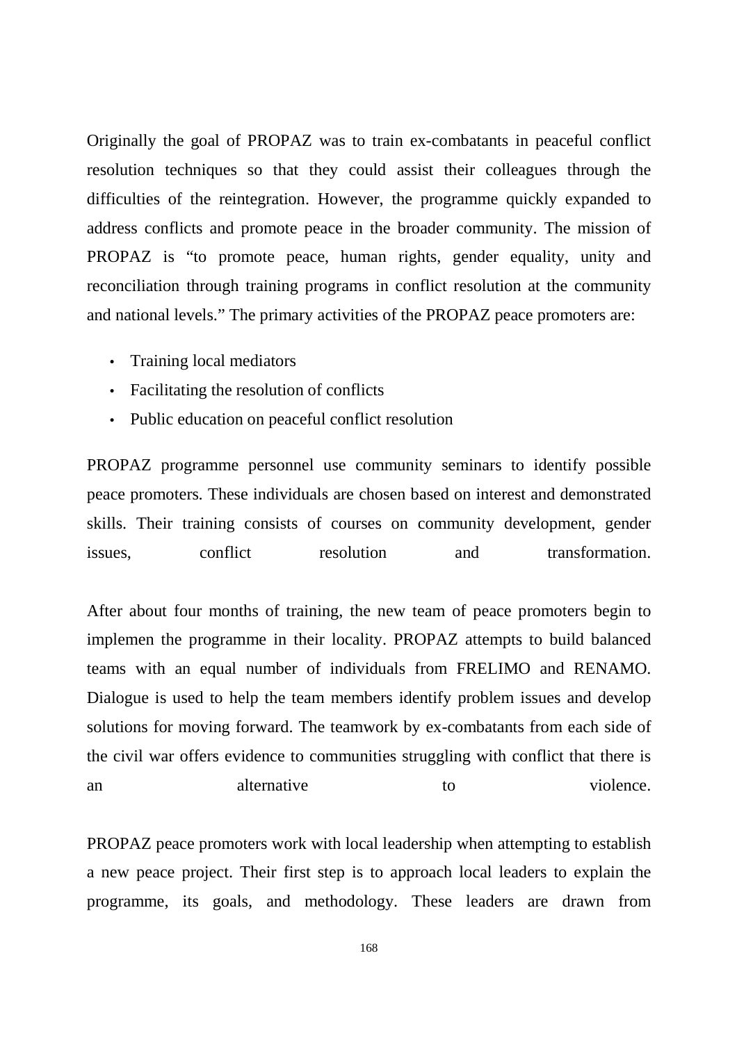Originally the goal of PROPAZ was to train ex-combatants in peaceful conflict resolution techniques so that they could assist their colleagues through the difficulties of the reintegration. However, the programme quickly expanded to address conflicts and promote peace in the broader community. The mission of PROPAZ is "to promote peace, human rights, gender equality, unity and reconciliation through training programs in conflict resolution at the community and national levels." The primary activities of the PROPAZ peace promoters are:

- Training local mediators
- Facilitating the resolution of conflicts
- Public education on peaceful conflict resolution

PROPAZ programme personnel use community seminars to identify possible peace promoters. These individuals are chosen based on interest and demonstrated skills. Their training consists of courses on community development, gender issues. conflict resolution and transformation.

After about four months of training, the new team of peace promoters begin to implemen the programme in their locality. PROPAZ attempts to build balanced teams with an equal number of individuals from FRELIMO and RENAMO. Dialogue is used to help the team members identify problem issues and develop solutions for moving forward. The teamwork by ex-combatants from each side of the civil war offers evidence to communities struggling with conflict that there is an alternative to violence.

PROPAZ peace promoters work with local leadership when attempting to establish a new peace project. Their first step is to approach local leaders to explain the programme, its goals, and methodology. These leaders are drawn from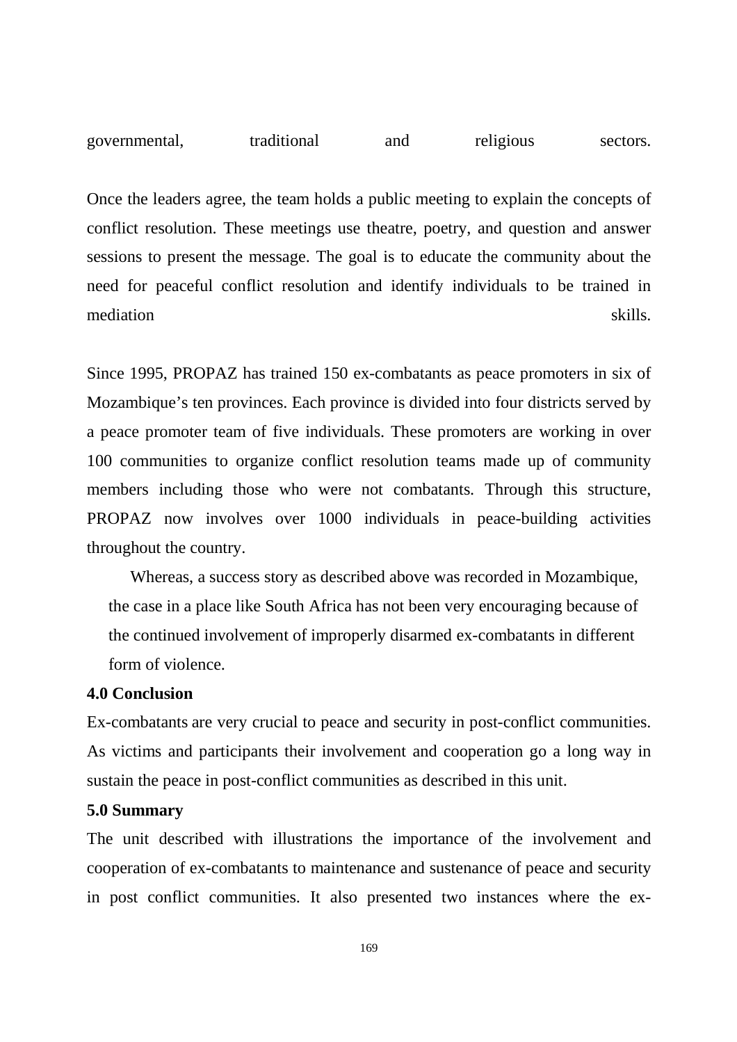governmental, traditional and religious sectors.

Once the leaders agree, the team holds a public meeting to explain the concepts of conflict resolution. These meetings use theatre, poetry, and question and answer sessions to present the message. The goal is to educate the community about the need for peaceful conflict resolution and identify individuals to be trained in mediation skills.

Since 1995, PROPAZ has trained 150 ex-combatants as peace promoters in six of Mozambique's ten provinces. Each province is divided into four districts served by a peace promoter team of five individuals. These promoters are working in over 100 communities to organize conflict resolution teams made up of community members including those who were not combatants. Through this structure, PROPAZ now involves over 1000 individuals in peace-building activities throughout the country.

 Whereas, a success story as described above was recorded in Mozambique, the case in a place like South Africa has not been very encouraging because of the continued involvement of improperly disarmed ex-combatants in different form of violence.

### **4.0 Conclusion**

Ex-combatants are very crucial to peace and security in post-conflict communities. As victims and participants their involvement and cooperation go a long way in sustain the peace in post-conflict communities as described in this unit.

#### **5.0 Summary**

The unit described with illustrations the importance of the involvement and cooperation of ex-combatants to maintenance and sustenance of peace and security in post conflict communities. It also presented two instances where the ex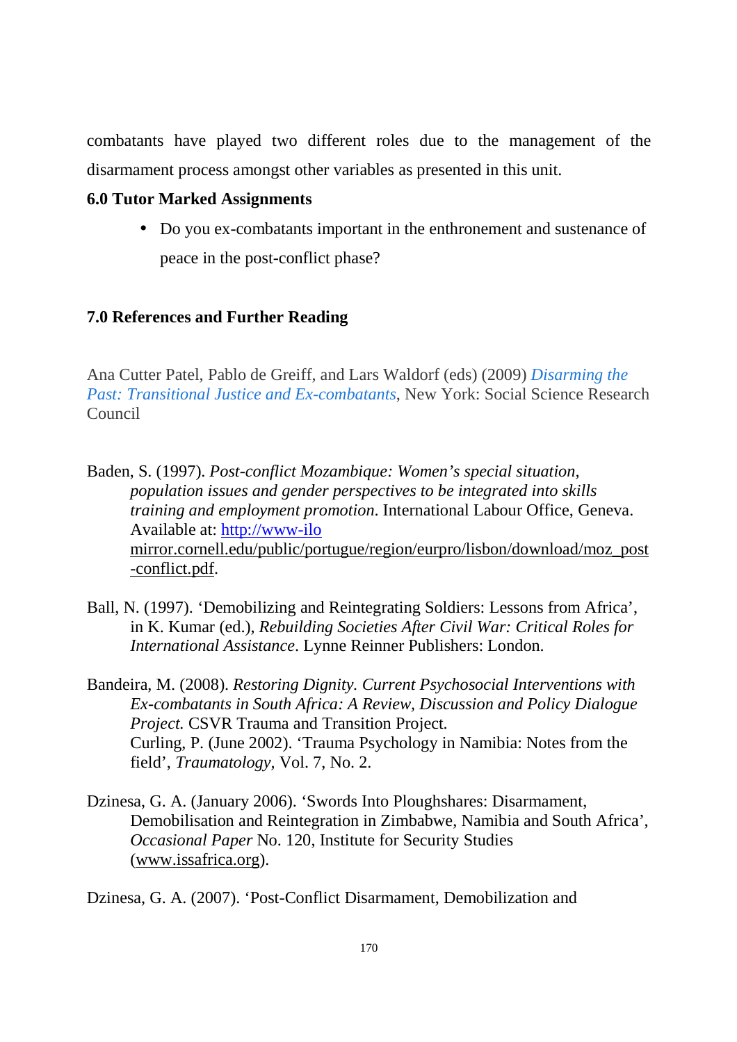combatants have played two different roles due to the management of the disarmament process amongst other variables as presented in this unit.

#### **6.0 Tutor Marked Assignments**

• Do you ex-combatants important in the enthronement and sustenance of peace in the post-conflict phase?

#### **7.0 References and Further Reading**

Ana Cutter Patel, Pablo de Greiff, and Lars Waldorf (eds) (2009) *Disarming the Past: Transitional Justice and Ex-combatants*, New York: Social Science Research Council

- Baden, S. (1997). *Post-conflict Mozambique: Women's special situation, population issues and gender perspectives to be integrated into skills training and employment promotion*. International Labour Office, Geneva. Available at: http://www-ilo mirror.cornell.edu/public/portugue/region/eurpro/lisbon/download/moz\_post -conflict.pdf.
- Ball, N. (1997). 'Demobilizing and Reintegrating Soldiers: Lessons from Africa', in K. Kumar (ed.), *Rebuilding Societies After Civil War: Critical Roles for International Assistance*. Lynne Reinner Publishers: London.
- Bandeira, M. (2008). *Restoring Dignity. Current Psychosocial Interventions with Ex-combatants in South Africa: A Review, Discussion and Policy Dialogue Project.* CSVR Trauma and Transition Project. Curling, P. (June 2002). 'Trauma Psychology in Namibia: Notes from the field', *Traumatology,* Vol. 7, No. 2.
- Dzinesa, G. A. (January 2006). 'Swords Into Ploughshares: Disarmament, Demobilisation and Reintegration in Zimbabwe, Namibia and South Africa', *Occasional Paper* No. 120, Institute for Security Studies (www.issafrica.org).

Dzinesa, G. A. (2007). 'Post-Conflict Disarmament, Demobilization and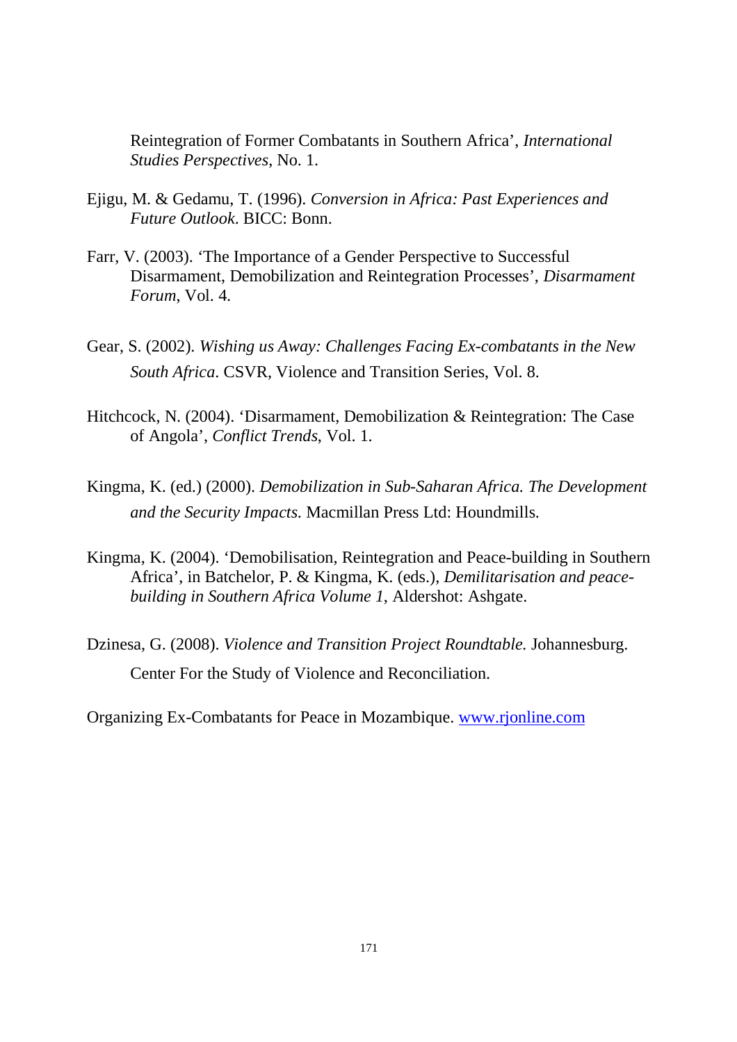Reintegration of Former Combatants in Southern Africa', *International Studies Perspectives*, No. 1.

- Ejigu, M. & Gedamu, T. (1996). *Conversion in Africa: Past Experiences and Future Outlook*. BICC: Bonn.
- Farr, V. (2003). 'The Importance of a Gender Perspective to Successful Disarmament, Demobilization and Reintegration Processes', *Disarmament Forum*, Vol. 4.
- Gear, S. (2002). *Wishing us Away: Challenges Facing Ex-combatants in the New South Africa*. CSVR, Violence and Transition Series, Vol. 8.
- Hitchcock, N. (2004). 'Disarmament, Demobilization & Reintegration: The Case of Angola', *Conflict Trends*, Vol. 1.
- Kingma, K. (ed.) (2000). *Demobilization in Sub-Saharan Africa. The Development and the Security Impacts*. Macmillan Press Ltd: Houndmills.
- Kingma, K. (2004). 'Demobilisation, Reintegration and Peace-building in Southern Africa', in Batchelor, P. & Kingma, K. (eds.), *Demilitarisation and peacebuilding in Southern Africa Volume 1*, Aldershot: Ashgate.
- Dzinesa, G. (2008). *Violence and Transition Project Roundtable.* Johannesburg. Center For the Study of Violence and Reconciliation.

Organizing Ex-Combatants for Peace in Mozambique. www.rjonline.com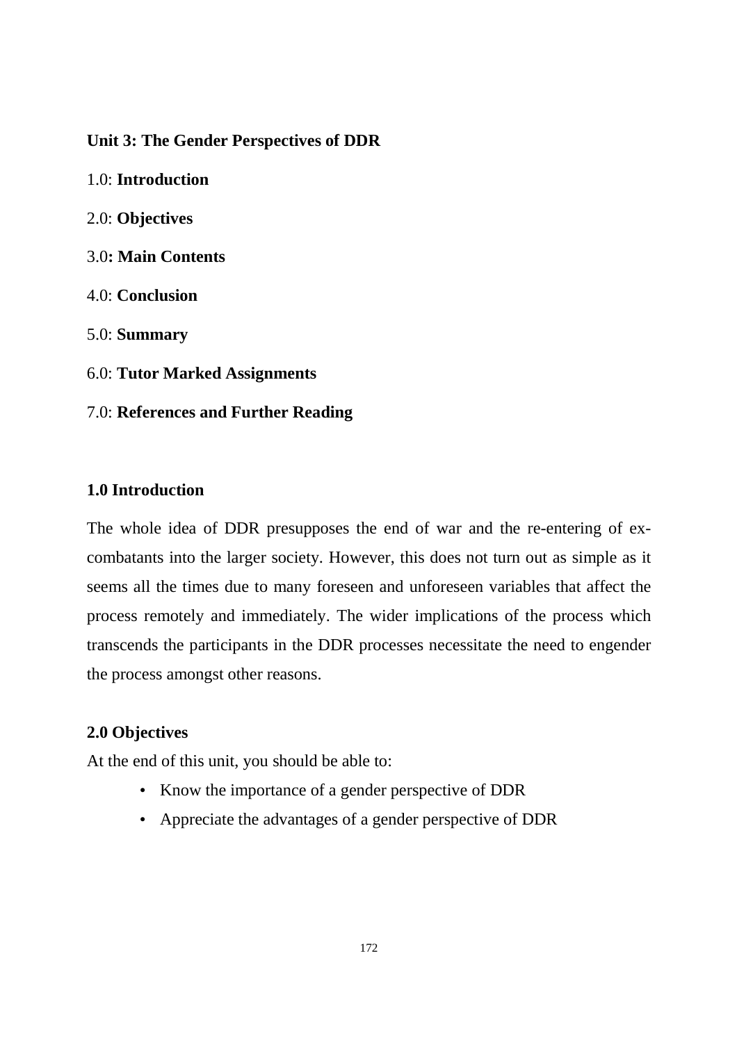### **Unit 3: The Gender Perspectives of DDR**

1.0: **Introduction** 

2.0: **Objectives** 

3.0**: Main Contents**

4.0: **Conclusion** 

5.0: **Summary** 

6.0: **Tutor Marked Assignments**

7.0: **References and Further Reading**

### **1.0 Introduction**

The whole idea of DDR presupposes the end of war and the re-entering of excombatants into the larger society. However, this does not turn out as simple as it seems all the times due to many foreseen and unforeseen variables that affect the process remotely and immediately. The wider implications of the process which transcends the participants in the DDR processes necessitate the need to engender the process amongst other reasons.

# **2.0 Objectives**

At the end of this unit, you should be able to:

- Know the importance of a gender perspective of DDR
- Appreciate the advantages of a gender perspective of DDR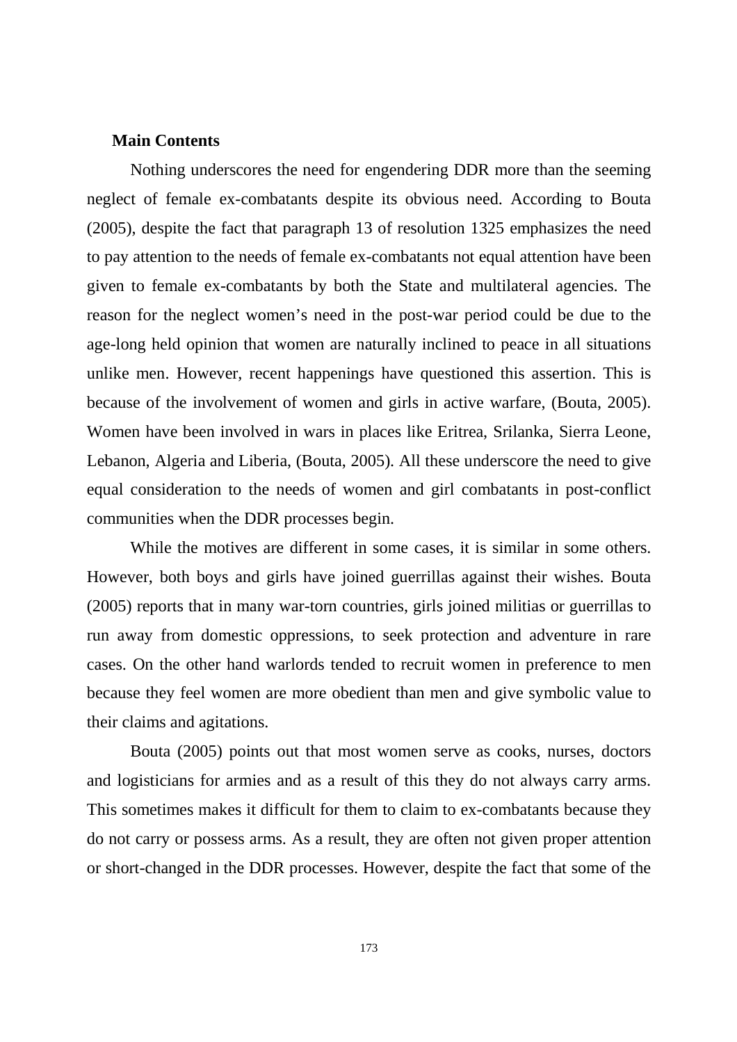#### **Main Contents**

Nothing underscores the need for engendering DDR more than the seeming neglect of female ex-combatants despite its obvious need. According to Bouta (2005), despite the fact that paragraph 13 of resolution 1325 emphasizes the need to pay attention to the needs of female ex-combatants not equal attention have been given to female ex-combatants by both the State and multilateral agencies. The reason for the neglect women's need in the post-war period could be due to the age-long held opinion that women are naturally inclined to peace in all situations unlike men. However, recent happenings have questioned this assertion. This is because of the involvement of women and girls in active warfare, (Bouta, 2005). Women have been involved in wars in places like Eritrea, Srilanka, Sierra Leone, Lebanon, Algeria and Liberia, (Bouta, 2005). All these underscore the need to give equal consideration to the needs of women and girl combatants in post-conflict communities when the DDR processes begin.

While the motives are different in some cases, it is similar in some others. However, both boys and girls have joined guerrillas against their wishes. Bouta (2005) reports that in many war-torn countries, girls joined militias or guerrillas to run away from domestic oppressions, to seek protection and adventure in rare cases. On the other hand warlords tended to recruit women in preference to men because they feel women are more obedient than men and give symbolic value to their claims and agitations.

Bouta (2005) points out that most women serve as cooks, nurses, doctors and logisticians for armies and as a result of this they do not always carry arms. This sometimes makes it difficult for them to claim to ex-combatants because they do not carry or possess arms. As a result, they are often not given proper attention or short-changed in the DDR processes. However, despite the fact that some of the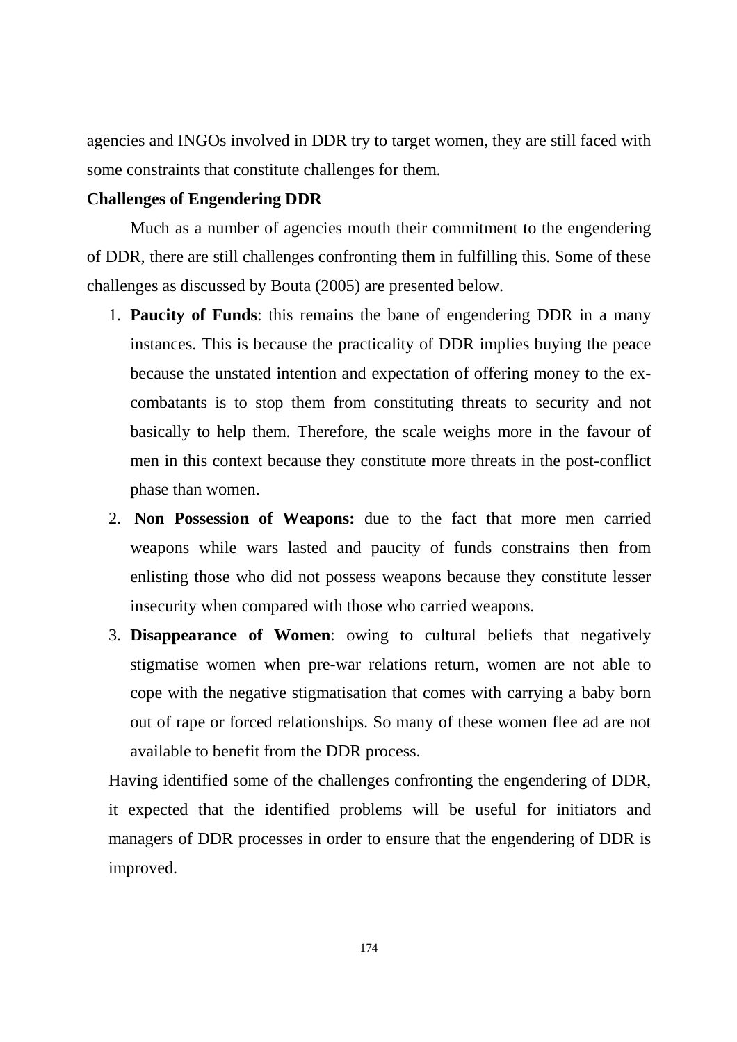agencies and INGOs involved in DDR try to target women, they are still faced with some constraints that constitute challenges for them.

### **Challenges of Engendering DDR**

Much as a number of agencies mouth their commitment to the engendering of DDR, there are still challenges confronting them in fulfilling this. Some of these challenges as discussed by Bouta (2005) are presented below.

- 1. **Paucity of Funds**: this remains the bane of engendering DDR in a many instances. This is because the practicality of DDR implies buying the peace because the unstated intention and expectation of offering money to the excombatants is to stop them from constituting threats to security and not basically to help them. Therefore, the scale weighs more in the favour of men in this context because they constitute more threats in the post-conflict phase than women.
- 2. **Non Possession of Weapons:** due to the fact that more men carried weapons while wars lasted and paucity of funds constrains then from enlisting those who did not possess weapons because they constitute lesser insecurity when compared with those who carried weapons.
- 3. **Disappearance of Women**: owing to cultural beliefs that negatively stigmatise women when pre-war relations return, women are not able to cope with the negative stigmatisation that comes with carrying a baby born out of rape or forced relationships. So many of these women flee ad are not available to benefit from the DDR process.

Having identified some of the challenges confronting the engendering of DDR, it expected that the identified problems will be useful for initiators and managers of DDR processes in order to ensure that the engendering of DDR is improved.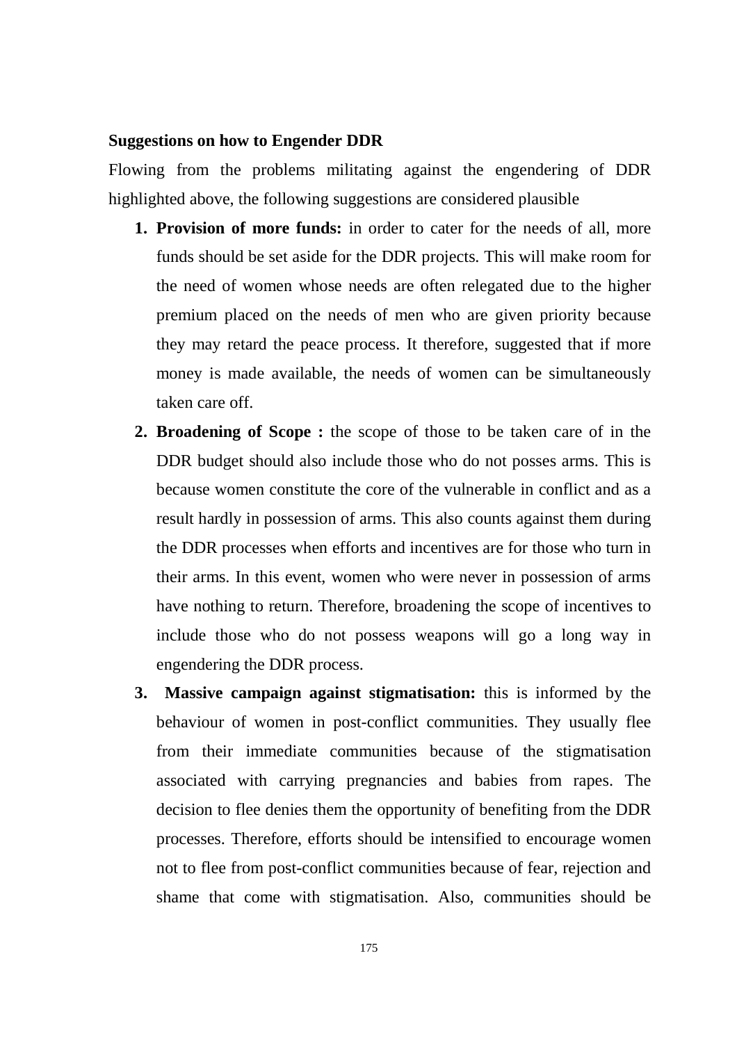#### **Suggestions on how to Engender DDR**

Flowing from the problems militating against the engendering of DDR highlighted above, the following suggestions are considered plausible

- **1. Provision of more funds:** in order to cater for the needs of all, more funds should be set aside for the DDR projects. This will make room for the need of women whose needs are often relegated due to the higher premium placed on the needs of men who are given priority because they may retard the peace process. It therefore, suggested that if more money is made available, the needs of women can be simultaneously taken care off.
- **2. Broadening of Scope :** the scope of those to be taken care of in the DDR budget should also include those who do not posses arms. This is because women constitute the core of the vulnerable in conflict and as a result hardly in possession of arms. This also counts against them during the DDR processes when efforts and incentives are for those who turn in their arms. In this event, women who were never in possession of arms have nothing to return. Therefore, broadening the scope of incentives to include those who do not possess weapons will go a long way in engendering the DDR process.
- **3. Massive campaign against stigmatisation:** this is informed by the behaviour of women in post-conflict communities. They usually flee from their immediate communities because of the stigmatisation associated with carrying pregnancies and babies from rapes. The decision to flee denies them the opportunity of benefiting from the DDR processes. Therefore, efforts should be intensified to encourage women not to flee from post-conflict communities because of fear, rejection and shame that come with stigmatisation. Also, communities should be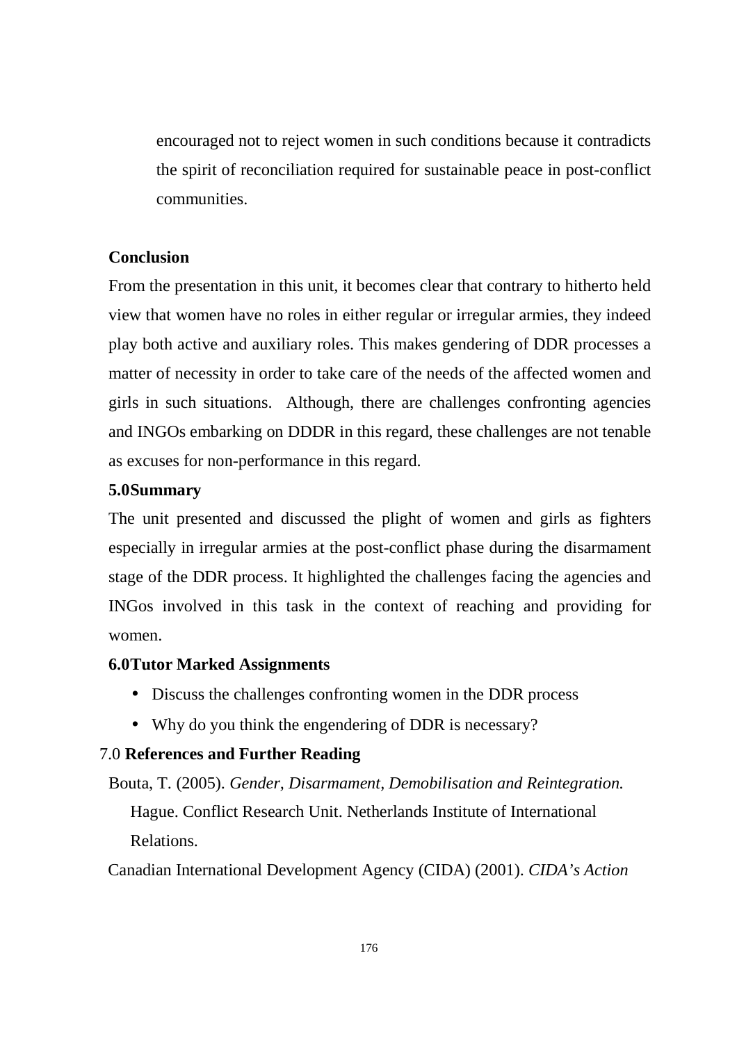encouraged not to reject women in such conditions because it contradicts the spirit of reconciliation required for sustainable peace in post-conflict communities.

# **Conclusion**

From the presentation in this unit, it becomes clear that contrary to hitherto held view that women have no roles in either regular or irregular armies, they indeed play both active and auxiliary roles. This makes gendering of DDR processes a matter of necessity in order to take care of the needs of the affected women and girls in such situations. Although, there are challenges confronting agencies and INGOs embarking on DDDR in this regard, these challenges are not tenable as excuses for non-performance in this regard.

# **5.0 Summary**

The unit presented and discussed the plight of women and girls as fighters especially in irregular armies at the post-conflict phase during the disarmament stage of the DDR process. It highlighted the challenges facing the agencies and INGos involved in this task in the context of reaching and providing for women.

# **6.0 Tutor Marked Assignments**

- Discuss the challenges confronting women in the DDR process
- Why do you think the engendering of DDR is necessary?

# 7.0 **References and Further Reading**

Bouta, T. (2005). *Gender, Disarmament, Demobilisation and Reintegration.* Hague. Conflict Research Unit. Netherlands Institute of International Relations.

Canadian International Development Agency (CIDA) (2001). *CIDA's Action*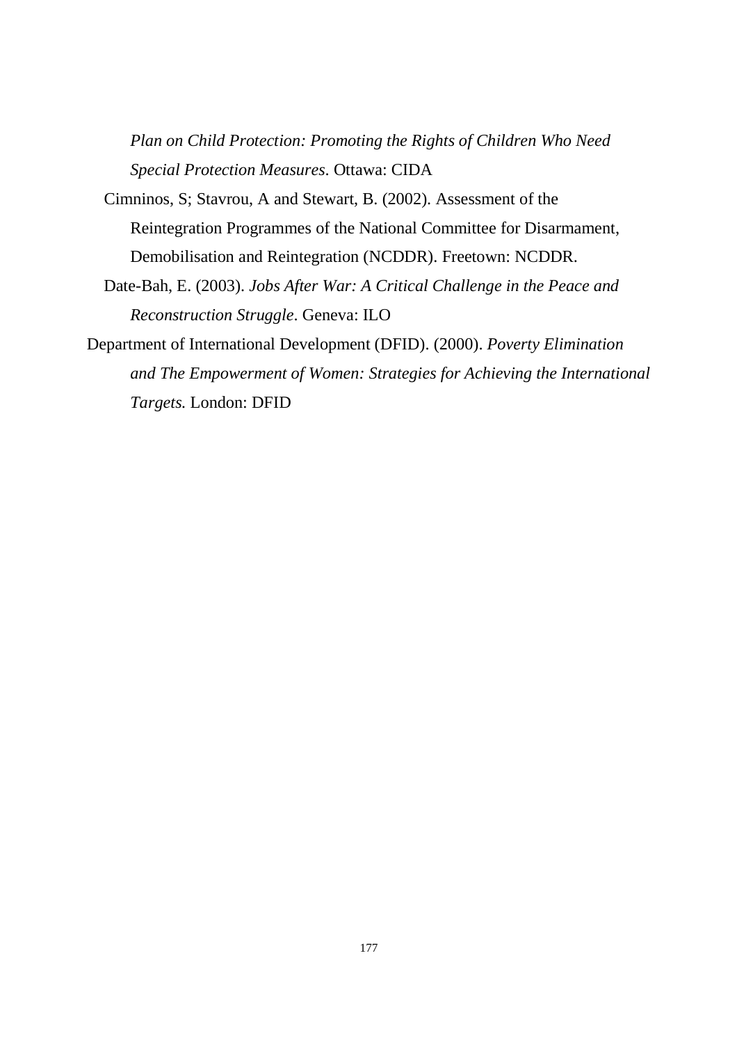*Plan on Child Protection: Promoting the Rights of Children Who Need Special Protection Measures*. Ottawa: CIDA

- Cimninos, S; Stavrou, A and Stewart, B. (2002). Assessment of the Reintegration Programmes of the National Committee for Disarmament, Demobilisation and Reintegration (NCDDR). Freetown: NCDDR.
- Date-Bah, E. (2003). *Jobs After War: A Critical Challenge in the Peace and Reconstruction Struggle*. Geneva: ILO
- Department of International Development (DFID). (2000). *Poverty Elimination and The Empowerment of Women: Strategies for Achieving the International Targets.* London: DFID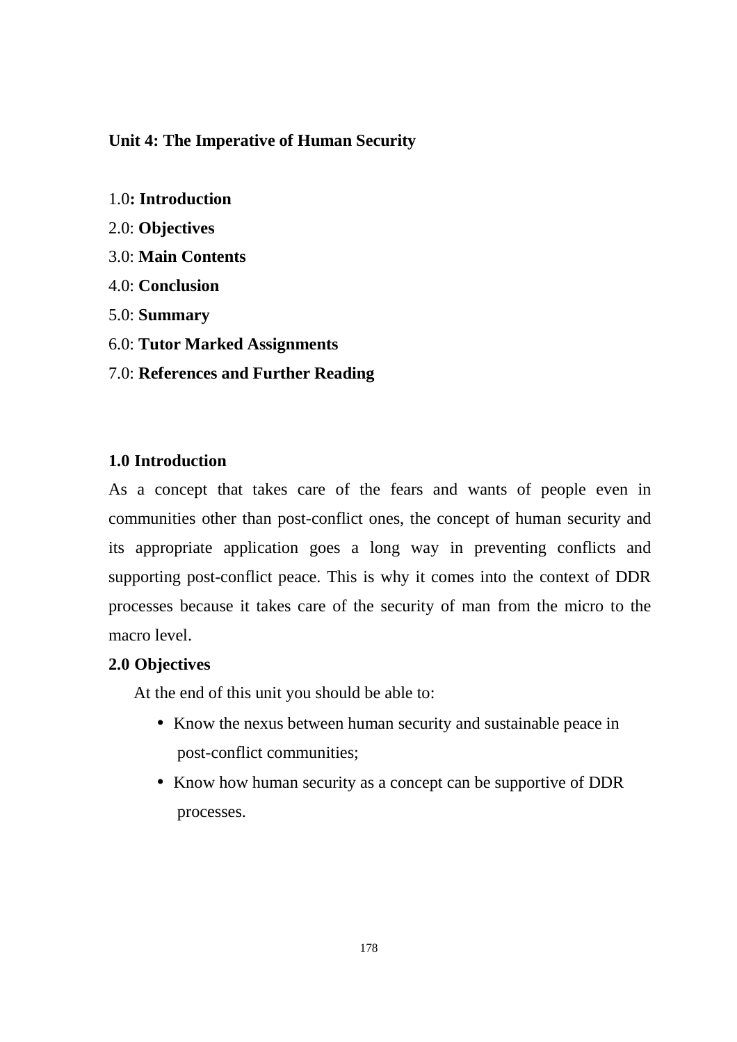# **Unit 4: The Imperative of Human Security**

1.0**: Introduction** 

- 2.0: **Objectives**
- 3.0: **Main Contents**
- 4.0: **Conclusion**
- 5.0: **Summary**
- 6.0: **Tutor Marked Assignments**
- 7.0: **References and Further Reading**

# **1.0 Introduction**

As a concept that takes care of the fears and wants of people even in communities other than post-conflict ones, the concept of human security and its appropriate application goes a long way in preventing conflicts and supporting post-conflict peace. This is why it comes into the context of DDR processes because it takes care of the security of man from the micro to the macro level.

# **2.0 Objectives**

At the end of this unit you should be able to:

- Know the nexus between human security and sustainable peace in post-conflict communities;
- Know how human security as a concept can be supportive of DDR processes.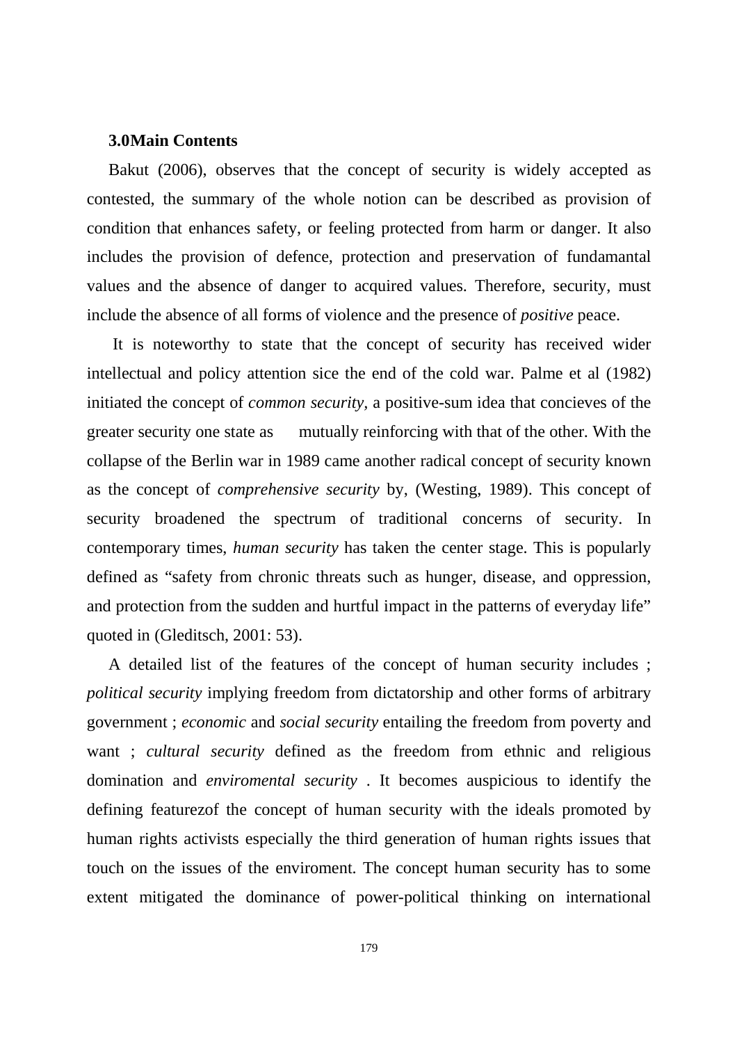#### **3.0Main Contents**

Bakut (2006), observes that the concept of security is widely accepted as contested, the summary of the whole notion can be described as provision of condition that enhances safety, or feeling protected from harm or danger. It also includes the provision of defence, protection and preservation of fundamantal values and the absence of danger to acquired values. Therefore, security, must include the absence of all forms of violence and the presence of *positive* peace.

 It is noteworthy to state that the concept of security has received wider intellectual and policy attention sice the end of the cold war. Palme et al (1982) initiated the concept of *common security,* a positive-sum idea that concieves of the greater security one state as mutually reinforcing with that of the other. With the collapse of the Berlin war in 1989 came another radical concept of security known as the concept of *comprehensive security* by, (Westing, 1989). This concept of security broadened the spectrum of traditional concerns of security. In contemporary times, *human security* has taken the center stage. This is popularly defined as "safety from chronic threats such as hunger, disease, and oppression, and protection from the sudden and hurtful impact in the patterns of everyday life" quoted in (Gleditsch, 2001: 53).

A detailed list of the features of the concept of human security includes ; *political security* implying freedom from dictatorship and other forms of arbitrary government ; *economic* and *social security* entailing the freedom from poverty and want ; *cultural security* defined as the freedom from ethnic and religious domination and *enviromental security* . It becomes auspicious to identify the defining featurezof the concept of human security with the ideals promoted by human rights activists especially the third generation of human rights issues that touch on the issues of the enviroment. The concept human security has to some extent mitigated the dominance of power-political thinking on international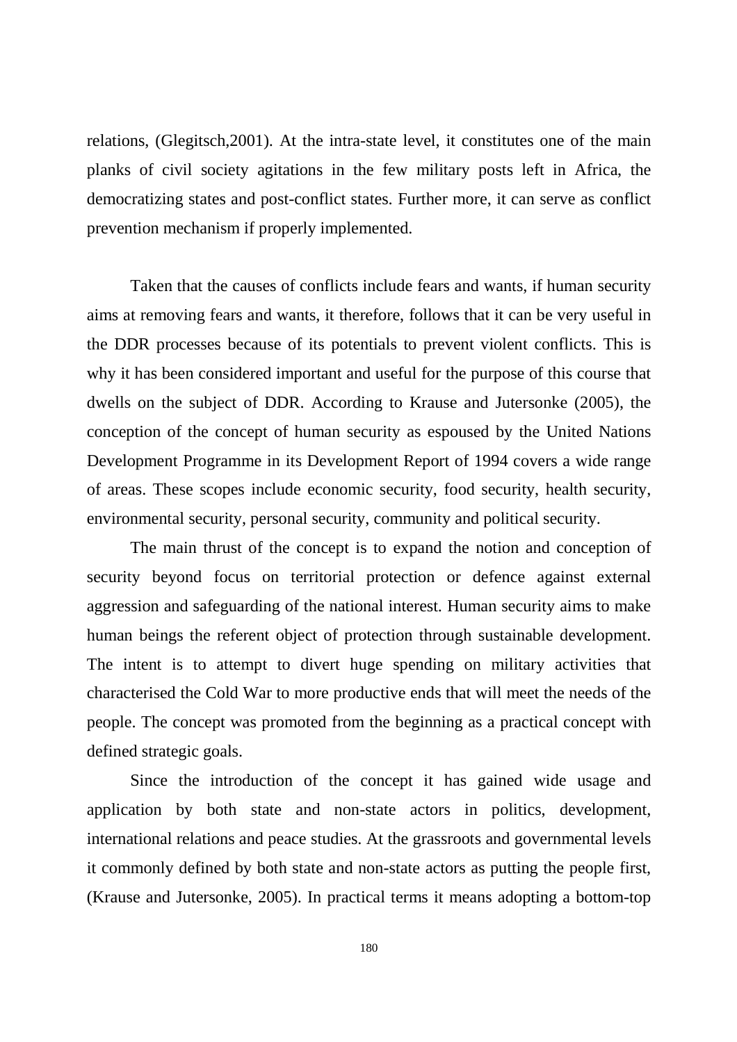relations, (Glegitsch,2001). At the intra-state level, it constitutes one of the main planks of civil society agitations in the few military posts left in Africa, the democratizing states and post-conflict states. Further more, it can serve as conflict prevention mechanism if properly implemented.

Taken that the causes of conflicts include fears and wants, if human security aims at removing fears and wants, it therefore, follows that it can be very useful in the DDR processes because of its potentials to prevent violent conflicts. This is why it has been considered important and useful for the purpose of this course that dwells on the subject of DDR. According to Krause and Jutersonke (2005), the conception of the concept of human security as espoused by the United Nations Development Programme in its Development Report of 1994 covers a wide range of areas. These scopes include economic security, food security, health security, environmental security, personal security, community and political security.

The main thrust of the concept is to expand the notion and conception of security beyond focus on territorial protection or defence against external aggression and safeguarding of the national interest. Human security aims to make human beings the referent object of protection through sustainable development. The intent is to attempt to divert huge spending on military activities that characterised the Cold War to more productive ends that will meet the needs of the people. The concept was promoted from the beginning as a practical concept with defined strategic goals.

Since the introduction of the concept it has gained wide usage and application by both state and non-state actors in politics, development, international relations and peace studies. At the grassroots and governmental levels it commonly defined by both state and non-state actors as putting the people first, (Krause and Jutersonke, 2005). In practical terms it means adopting a bottom-top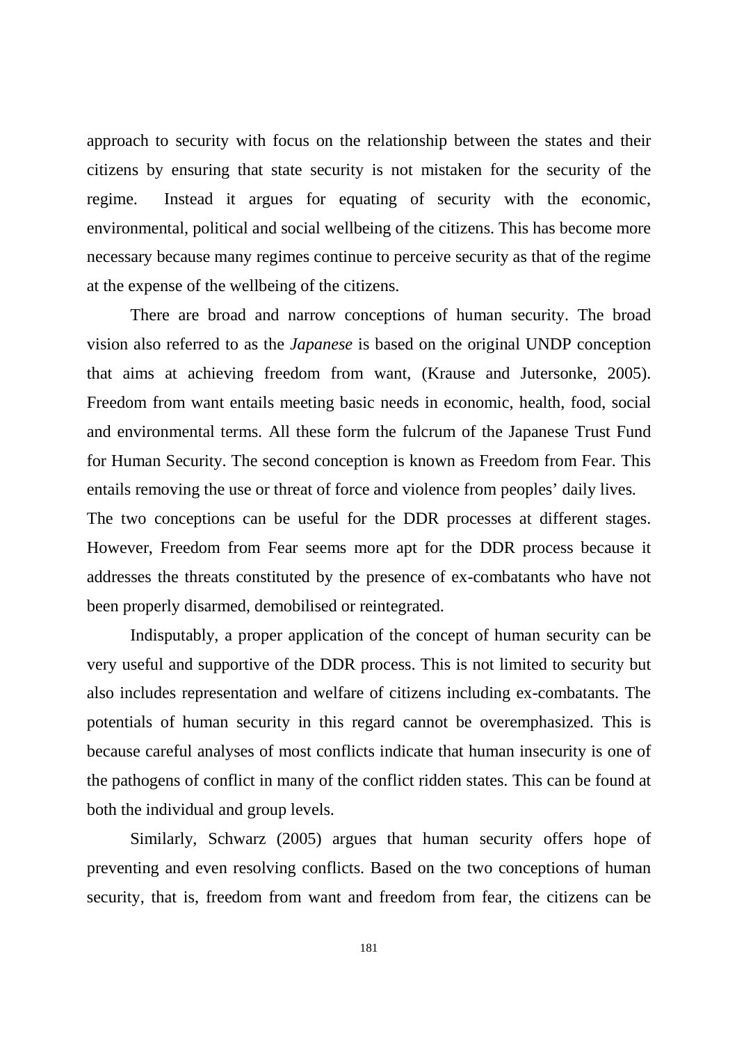approach to security with focus on the relationship between the states and their citizens by ensuring that state security is not mistaken for the security of the regime. Instead it argues for equating of security with the economic, environmental, political and social wellbeing of the citizens. This has become more necessary because many regimes continue to perceive security as that of the regime at the expense of the wellbeing of the citizens.

There are broad and narrow conceptions of human security. The broad vision also referred to as the *Japanese* is based on the original UNDP conception that aims at achieving freedom from want, (Krause and Jutersonke, 2005). Freedom from want entails meeting basic needs in economic, health, food, social and environmental terms. All these form the fulcrum of the Japanese Trust Fund for Human Security. The second conception is known as Freedom from Fear. This entails removing the use or threat of force and violence from peoples' daily lives. The two conceptions can be useful for the DDR processes at different stages. However, Freedom from Fear seems more apt for the DDR process because it addresses the threats constituted by the presence of ex-combatants who have not been properly disarmed, demobilised or reintegrated.

Indisputably, a proper application of the concept of human security can be very useful and supportive of the DDR process. This is not limited to security but also includes representation and welfare of citizens including ex-combatants. The potentials of human security in this regard cannot be overemphasized. This is because careful analyses of most conflicts indicate that human insecurity is one of the pathogens of conflict in many of the conflict ridden states. This can be found at both the individual and group levels.

Similarly, Schwarz (2005) argues that human security offers hope of preventing and even resolving conflicts. Based on the two conceptions of human security, that is, freedom from want and freedom from fear, the citizens can be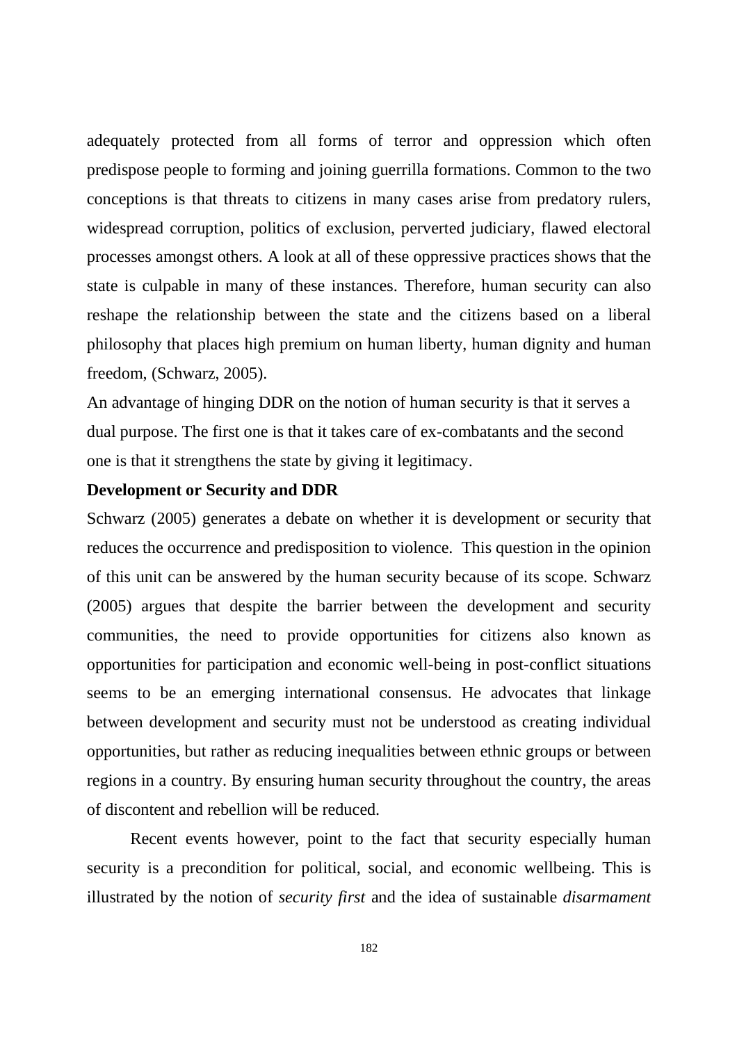adequately protected from all forms of terror and oppression which often predispose people to forming and joining guerrilla formations. Common to the two conceptions is that threats to citizens in many cases arise from predatory rulers, widespread corruption, politics of exclusion, perverted judiciary, flawed electoral processes amongst others. A look at all of these oppressive practices shows that the state is culpable in many of these instances. Therefore, human security can also reshape the relationship between the state and the citizens based on a liberal philosophy that places high premium on human liberty, human dignity and human freedom, (Schwarz, 2005).

An advantage of hinging DDR on the notion of human security is that it serves a dual purpose. The first one is that it takes care of ex-combatants and the second one is that it strengthens the state by giving it legitimacy.

#### **Development or Security and DDR**

Schwarz (2005) generates a debate on whether it is development or security that reduces the occurrence and predisposition to violence. This question in the opinion of this unit can be answered by the human security because of its scope. Schwarz (2005) argues that despite the barrier between the development and security communities, the need to provide opportunities for citizens also known as opportunities for participation and economic well-being in post-conflict situations seems to be an emerging international consensus. He advocates that linkage between development and security must not be understood as creating individual opportunities, but rather as reducing inequalities between ethnic groups or between regions in a country. By ensuring human security throughout the country, the areas of discontent and rebellion will be reduced.

Recent events however, point to the fact that security especially human security is a precondition for political, social, and economic wellbeing. This is illustrated by the notion of *security first* and the idea of sustainable *disarmament*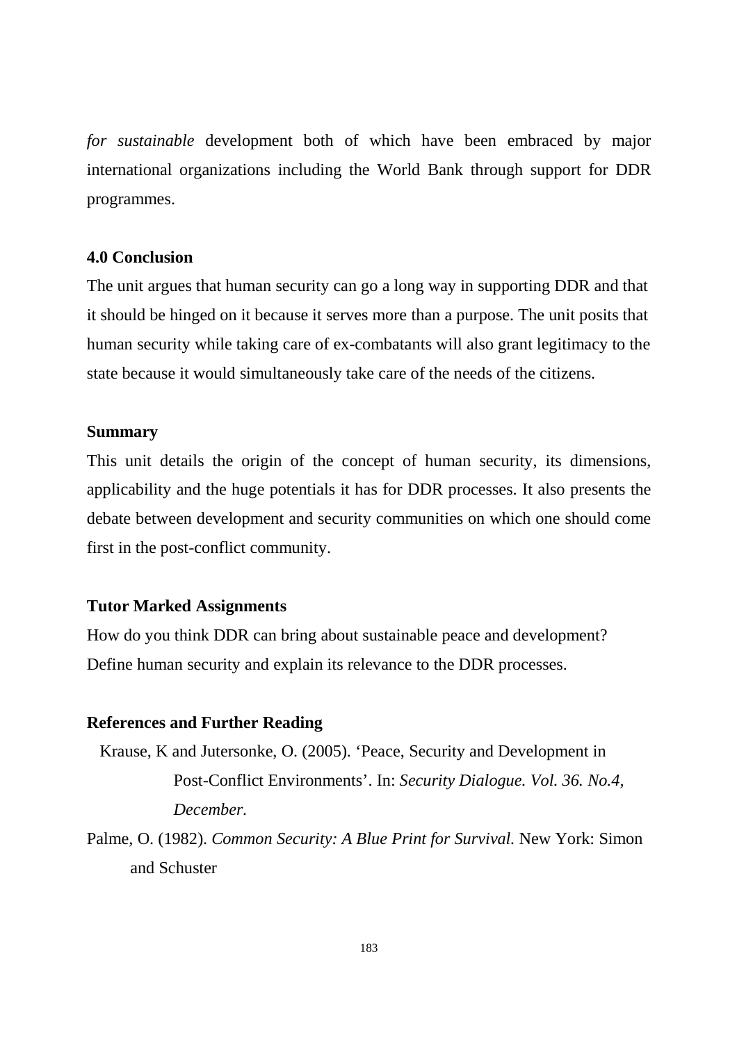*for sustainable* development both of which have been embraced by major international organizations including the World Bank through support for DDR programmes.

# **4.0 Conclusion**

The unit argues that human security can go a long way in supporting DDR and that it should be hinged on it because it serves more than a purpose. The unit posits that human security while taking care of ex-combatants will also grant legitimacy to the state because it would simultaneously take care of the needs of the citizens.

#### **Summary**

This unit details the origin of the concept of human security, its dimensions, applicability and the huge potentials it has for DDR processes. It also presents the debate between development and security communities on which one should come first in the post-conflict community.

#### **Tutor Marked Assignments**

How do you think DDR can bring about sustainable peace and development? Define human security and explain its relevance to the DDR processes.

### **References and Further Reading**

Krause, K and Jutersonke, O. (2005). 'Peace, Security and Development in Post-Conflict Environments'. In: *Security Dialogue. Vol. 36. No.4, December.* 

Palme, O. (1982). *Common Security: A Blue Print for Survival.* New York: Simon and Schuster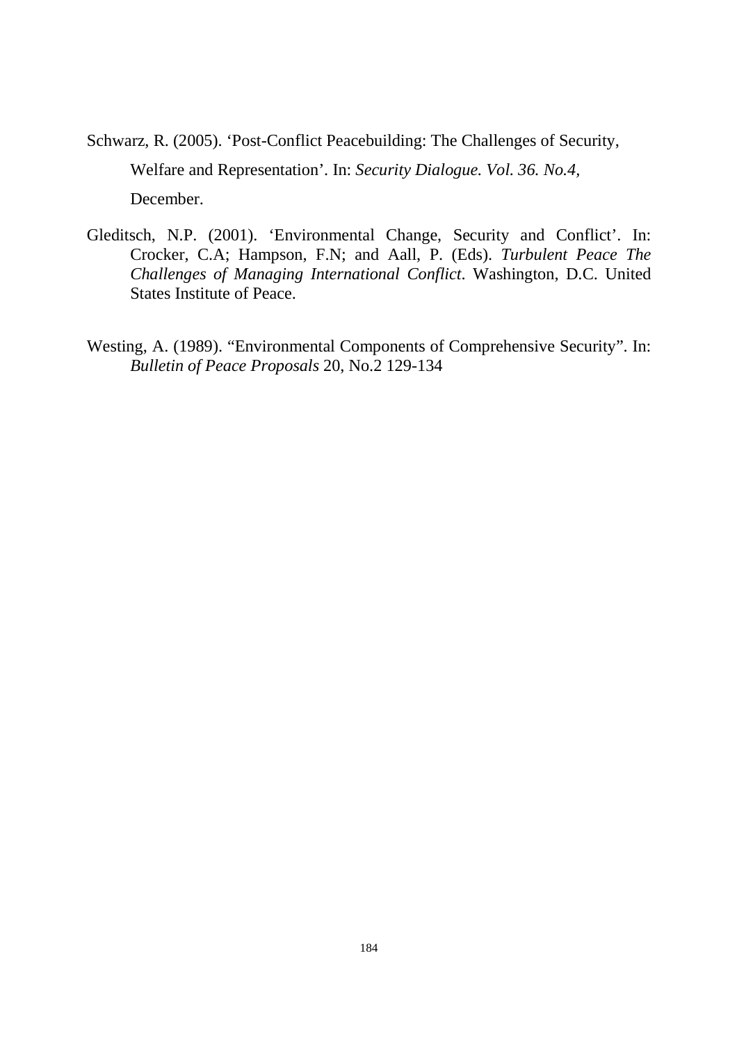Schwarz, R. (2005). 'Post-Conflict Peacebuilding: The Challenges of Security, Welfare and Representation'. In: *Security Dialogue. Vol. 36. No.4,* December.

- Gleditsch, N.P. (2001). 'Environmental Change, Security and Conflict'. In: Crocker, C.A; Hampson, F.N; and Aall, P. (Eds). *Turbulent Peace The Challenges of Managing International Conflict*. Washington, D.C. United States Institute of Peace.
- Westing, A. (1989). "Environmental Components of Comprehensive Security". In: *Bulletin of Peace Proposals* 20, No.2 129-134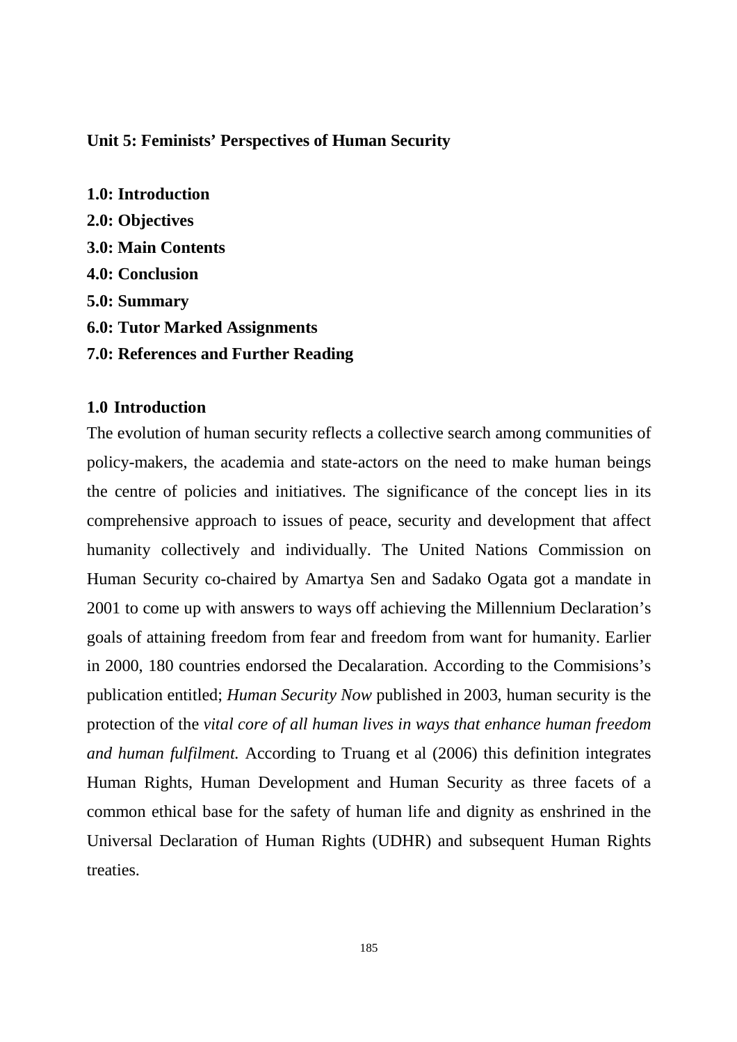#### **Unit 5: Feminists' Perspectives of Human Security**

**1.0: Introduction 2.0: Objectives 3.0: Main Contents 4.0: Conclusion 5.0: Summary 6.0: Tutor Marked Assignments 7.0: References and Further Reading** 

### **1.0 Introduction**

The evolution of human security reflects a collective search among communities of policy-makers, the academia and state-actors on the need to make human beings the centre of policies and initiatives. The significance of the concept lies in its comprehensive approach to issues of peace, security and development that affect humanity collectively and individually. The United Nations Commission on Human Security co-chaired by Amartya Sen and Sadako Ogata got a mandate in 2001 to come up with answers to ways off achieving the Millennium Declaration's goals of attaining freedom from fear and freedom from want for humanity. Earlier in 2000, 180 countries endorsed the Decalaration. According to the Commisions's publication entitled; *Human Security Now* published in 2003, human security is the protection of the *vital core of all human lives in ways that enhance human freedom and human fulfilment.* According to Truang et al (2006) this definition integrates Human Rights, Human Development and Human Security as three facets of a common ethical base for the safety of human life and dignity as enshrined in the Universal Declaration of Human Rights (UDHR) and subsequent Human Rights treaties.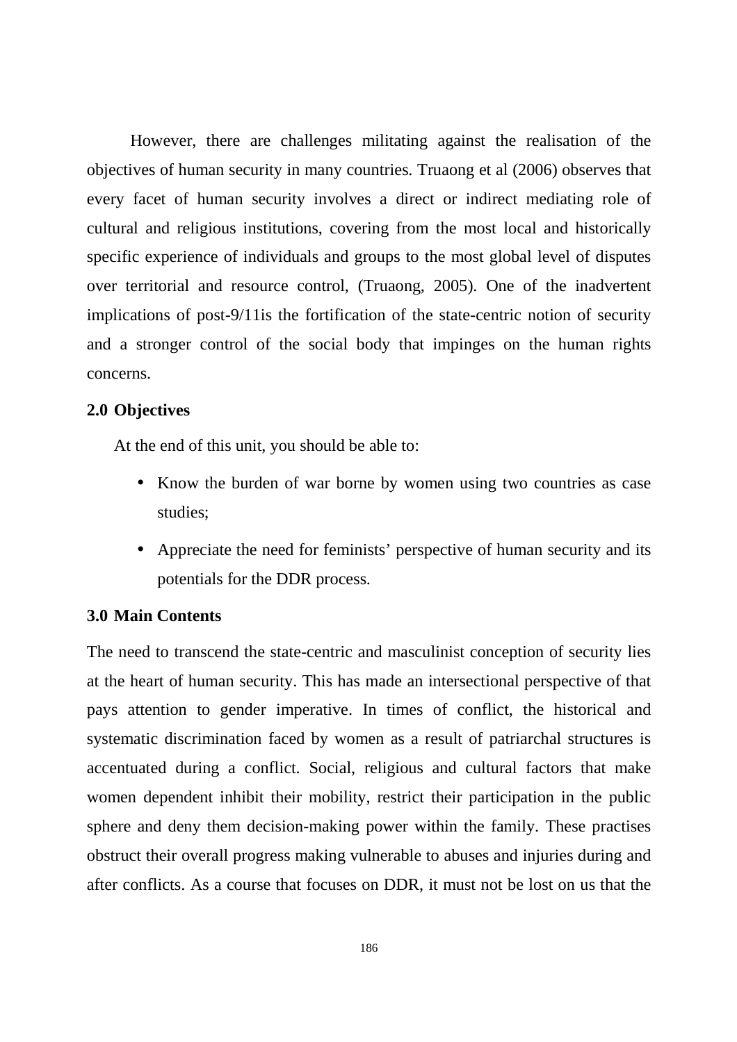However, there are challenges militating against the realisation of the objectives of human security in many countries. Truaong et al (2006) observes that every facet of human security involves a direct or indirect mediating role of cultural and religious institutions, covering from the most local and historically specific experience of individuals and groups to the most global level of disputes over territorial and resource control, (Truaong, 2005). One of the inadvertent implications of post-9/11is the fortification of the state-centric notion of security and a stronger control of the social body that impinges on the human rights concerns.

### **2.0 Objectives**

At the end of this unit, you should be able to:

- Know the burden of war borne by women using two countries as case studies;
- Appreciate the need for feminists' perspective of human security and its potentials for the DDR process.

# **3.0 Main Contents**

The need to transcend the state-centric and masculinist conception of security lies at the heart of human security. This has made an intersectional perspective of that pays attention to gender imperative. In times of conflict, the historical and systematic discrimination faced by women as a result of patriarchal structures is accentuated during a conflict. Social, religious and cultural factors that make women dependent inhibit their mobility, restrict their participation in the public sphere and deny them decision-making power within the family. These practises obstruct their overall progress making vulnerable to abuses and injuries during and after conflicts. As a course that focuses on DDR, it must not be lost on us that the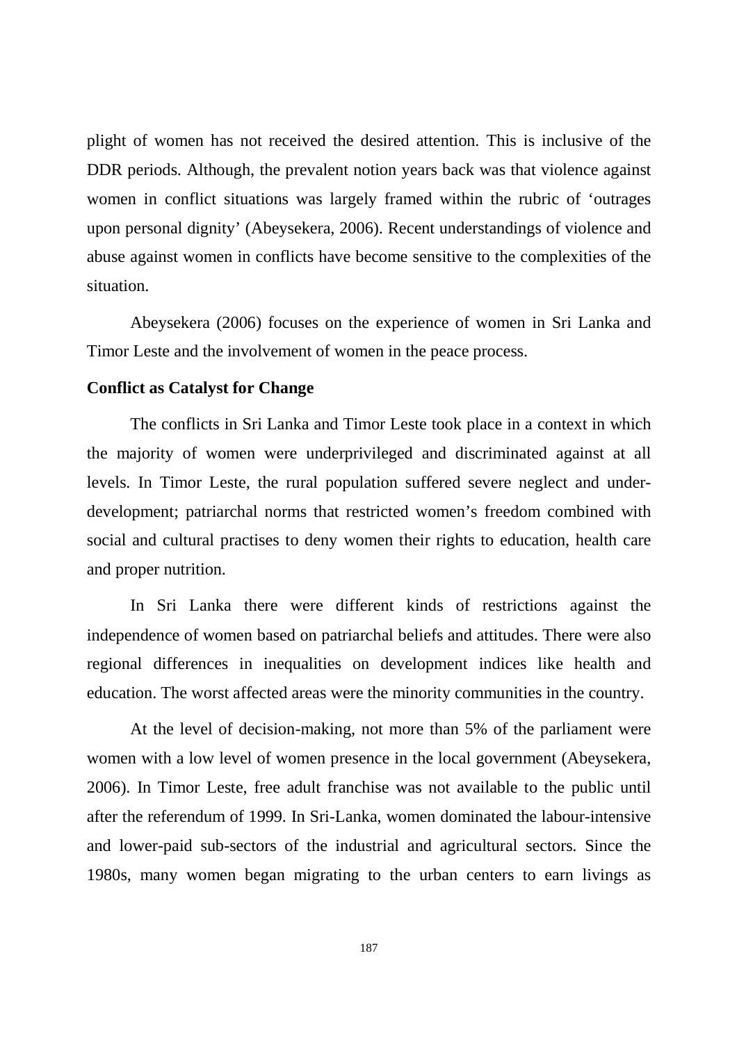plight of women has not received the desired attention. This is inclusive of the DDR periods. Although, the prevalent notion years back was that violence against women in conflict situations was largely framed within the rubric of 'outrages upon personal dignity' (Abeysekera, 2006). Recent understandings of violence and abuse against women in conflicts have become sensitive to the complexities of the situation.

Abeysekera (2006) focuses on the experience of women in Sri Lanka and Timor Leste and the involvement of women in the peace process.

#### **Conflict as Catalyst for Change**

The conflicts in Sri Lanka and Timor Leste took place in a context in which the majority of women were underprivileged and discriminated against at all levels. In Timor Leste, the rural population suffered severe neglect and underdevelopment; patriarchal norms that restricted women's freedom combined with social and cultural practises to deny women their rights to education, health care and proper nutrition.

In Sri Lanka there were different kinds of restrictions against the independence of women based on patriarchal beliefs and attitudes. There were also regional differences in inequalities on development indices like health and education. The worst affected areas were the minority communities in the country.

At the level of decision-making, not more than 5% of the parliament were women with a low level of women presence in the local government (Abeysekera, 2006). In Timor Leste, free adult franchise was not available to the public until after the referendum of 1999. In Sri-Lanka, women dominated the labour-intensive and lower-paid sub-sectors of the industrial and agricultural sectors. Since the 1980s, many women began migrating to the urban centers to earn livings as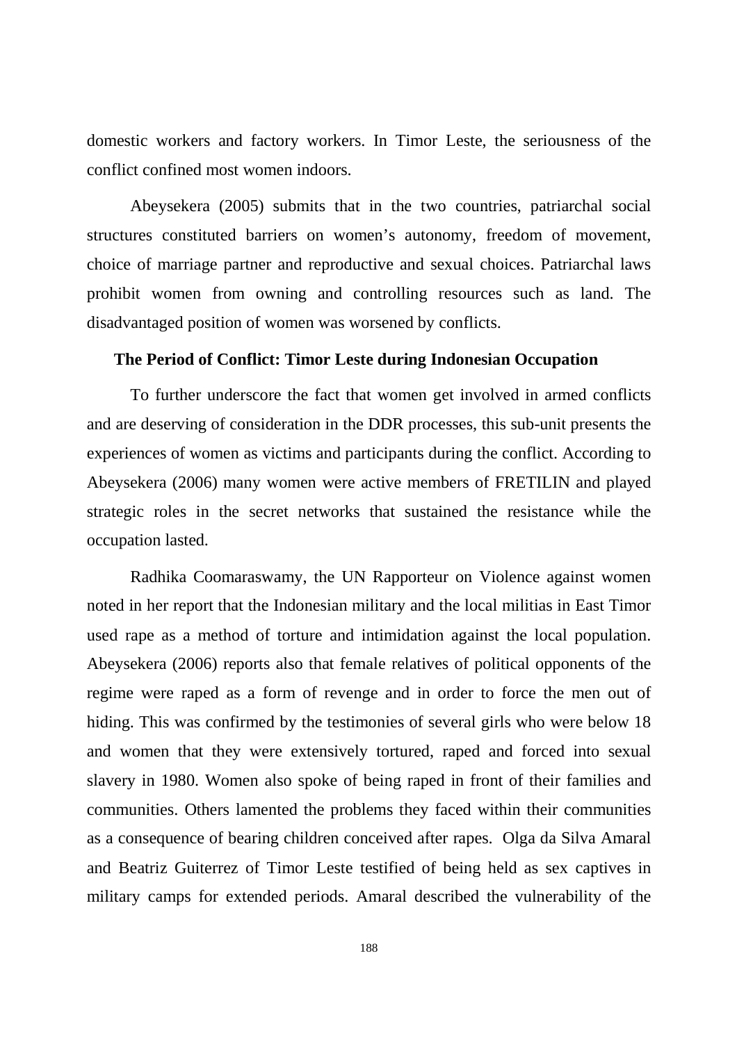domestic workers and factory workers. In Timor Leste, the seriousness of the conflict confined most women indoors.

Abeysekera (2005) submits that in the two countries, patriarchal social structures constituted barriers on women's autonomy, freedom of movement, choice of marriage partner and reproductive and sexual choices. Patriarchal laws prohibit women from owning and controlling resources such as land. The disadvantaged position of women was worsened by conflicts.

# **The Period of Conflict: Timor Leste during Indonesian Occupation**

To further underscore the fact that women get involved in armed conflicts and are deserving of consideration in the DDR processes, this sub-unit presents the experiences of women as victims and participants during the conflict. According to Abeysekera (2006) many women were active members of FRETILIN and played strategic roles in the secret networks that sustained the resistance while the occupation lasted.

Radhika Coomaraswamy, the UN Rapporteur on Violence against women noted in her report that the Indonesian military and the local militias in East Timor used rape as a method of torture and intimidation against the local population. Abeysekera (2006) reports also that female relatives of political opponents of the regime were raped as a form of revenge and in order to force the men out of hiding. This was confirmed by the testimonies of several girls who were below 18 and women that they were extensively tortured, raped and forced into sexual slavery in 1980. Women also spoke of being raped in front of their families and communities. Others lamented the problems they faced within their communities as a consequence of bearing children conceived after rapes. Olga da Silva Amaral and Beatriz Guiterrez of Timor Leste testified of being held as sex captives in military camps for extended periods. Amaral described the vulnerability of the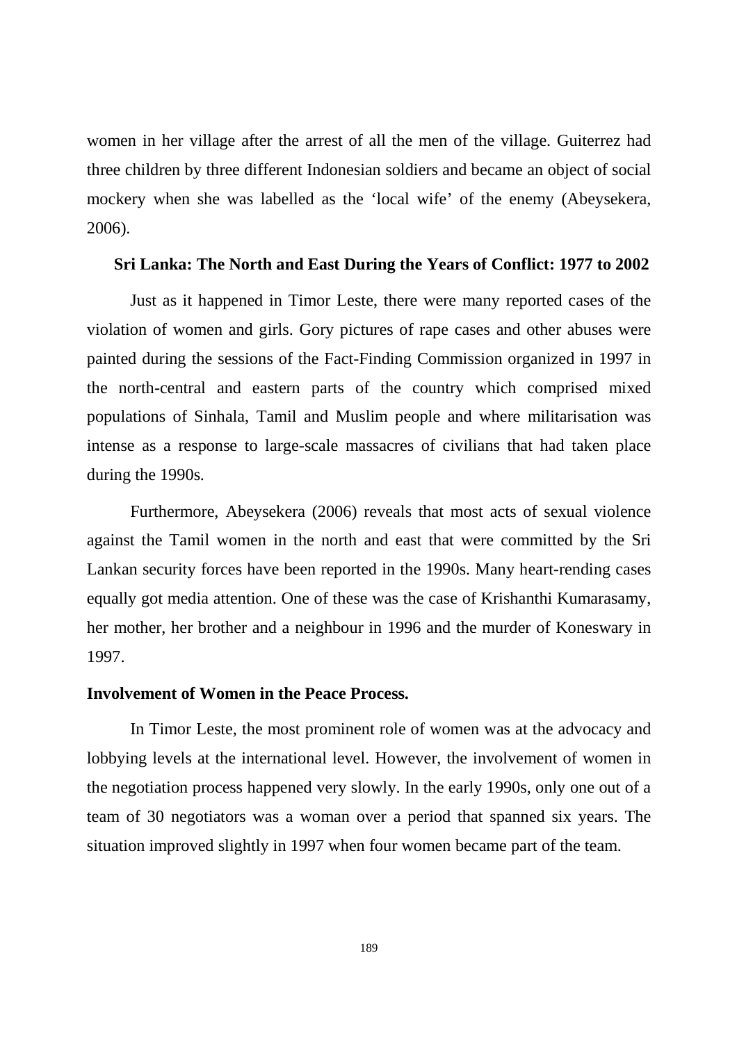women in her village after the arrest of all the men of the village. Guiterrez had three children by three different Indonesian soldiers and became an object of social mockery when she was labelled as the 'local wife' of the enemy (Abeysekera, 2006).

#### **Sri Lanka: The North and East During the Years of Conflict: 1977 to 2002**

Just as it happened in Timor Leste, there were many reported cases of the violation of women and girls. Gory pictures of rape cases and other abuses were painted during the sessions of the Fact-Finding Commission organized in 1997 in the north-central and eastern parts of the country which comprised mixed populations of Sinhala, Tamil and Muslim people and where militarisation was intense as a response to large-scale massacres of civilians that had taken place during the 1990s.

Furthermore, Abeysekera (2006) reveals that most acts of sexual violence against the Tamil women in the north and east that were committed by the Sri Lankan security forces have been reported in the 1990s. Many heart-rending cases equally got media attention. One of these was the case of Krishanthi Kumarasamy, her mother, her brother and a neighbour in 1996 and the murder of Koneswary in 1997.

#### **Involvement of Women in the Peace Process.**

In Timor Leste, the most prominent role of women was at the advocacy and lobbying levels at the international level. However, the involvement of women in the negotiation process happened very slowly. In the early 1990s, only one out of a team of 30 negotiators was a woman over a period that spanned six years. The situation improved slightly in 1997 when four women became part of the team.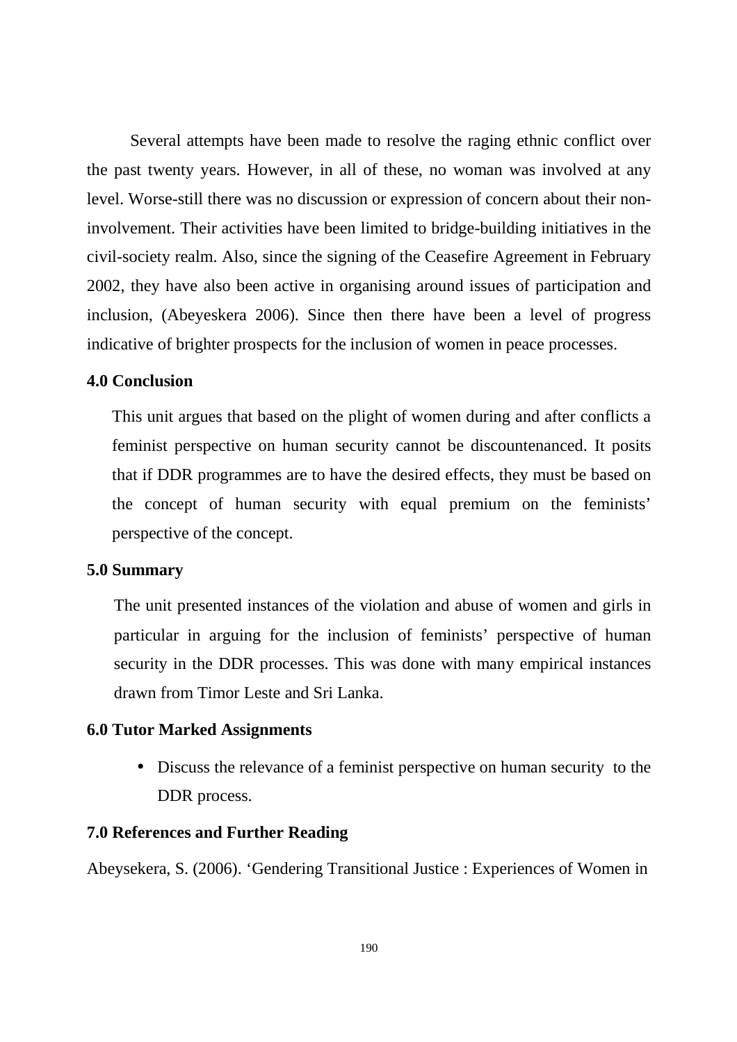Several attempts have been made to resolve the raging ethnic conflict over the past twenty years. However, in all of these, no woman was involved at any level. Worse-still there was no discussion or expression of concern about their noninvolvement. Their activities have been limited to bridge-building initiatives in the civil-society realm. Also, since the signing of the Ceasefire Agreement in February 2002, they have also been active in organising around issues of participation and inclusion, (Abeyeskera 2006). Since then there have been a level of progress indicative of brighter prospects for the inclusion of women in peace processes.

# **4.0 Conclusion**

This unit argues that based on the plight of women during and after conflicts a feminist perspective on human security cannot be discountenanced. It posits that if DDR programmes are to have the desired effects, they must be based on the concept of human security with equal premium on the feminists' perspective of the concept.

### **5.0 Summary**

The unit presented instances of the violation and abuse of women and girls in particular in arguing for the inclusion of feminists' perspective of human security in the DDR processes. This was done with many empirical instances drawn from Timor Leste and Sri Lanka.

## **6.0 Tutor Marked Assignments**

• Discuss the relevance of a feminist perspective on human security to the DDR process.

# **7.0 References and Further Reading**

Abeysekera, S. (2006). 'Gendering Transitional Justice : Experiences of Women in